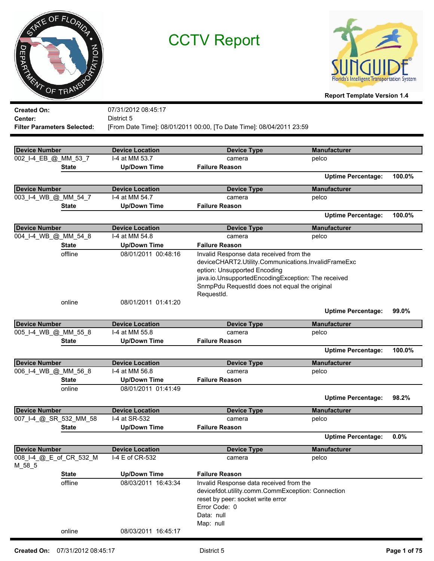| 0<br>m<br><b>THE MY OF TRANSP</b>            | XNTE OF FLORIDA<br>ATION |                                            | <b>CCTV Report</b>                                                                                                                 | <b>Florida's Intelligent Transportation System</b><br><b>Report Template Version 1.4</b> |          |
|----------------------------------------------|--------------------------|--------------------------------------------|------------------------------------------------------------------------------------------------------------------------------------|------------------------------------------------------------------------------------------|----------|
| <b>Created On:</b>                           |                          | 07/31/2012 08:45:17                        |                                                                                                                                    |                                                                                          |          |
| Center:                                      |                          | District 5                                 |                                                                                                                                    |                                                                                          |          |
| <b>Filter Parameters Selected:</b>           |                          |                                            | [From Date Time]: 08/01/2011 00:00, [To Date Time]: 08/04/2011 23:59                                                               |                                                                                          |          |
|                                              |                          |                                            |                                                                                                                                    |                                                                                          |          |
| <b>Device Number</b><br>002_I-4_EB_@_MM_53_7 |                          | <b>Device Location</b><br>I-4 at MM 53.7   | <b>Device Type</b><br>camera                                                                                                       | <b>Manufacturer</b><br>pelco                                                             |          |
|                                              | <b>State</b>             | <b>Up/Down Time</b>                        | <b>Failure Reason</b>                                                                                                              |                                                                                          |          |
|                                              |                          |                                            |                                                                                                                                    | <b>Uptime Percentage:</b>                                                                | 100.0%   |
| <b>Device Number</b>                         |                          | <b>Device Location</b>                     | <b>Device Type</b>                                                                                                                 | <b>Manufacturer</b>                                                                      |          |
| 003_I-4_WB_@_MM_54_7                         |                          | I-4 at MM 54.7                             | camera                                                                                                                             | pelco                                                                                    |          |
|                                              | <b>State</b>             | <b>Up/Down Time</b>                        | <b>Failure Reason</b>                                                                                                              |                                                                                          |          |
|                                              |                          |                                            |                                                                                                                                    | <b>Uptime Percentage:</b>                                                                | 100.0%   |
| <b>Device Number</b>                         |                          | <b>Device Location</b>                     | <b>Device Type</b>                                                                                                                 | <b>Manufacturer</b>                                                                      |          |
| 004_I-4_WB_@_MM_54_8                         |                          | I-4 at MM 54.8                             | camera                                                                                                                             | pelco                                                                                    |          |
|                                              | <b>State</b>             | <b>Up/Down Time</b>                        | <b>Failure Reason</b>                                                                                                              |                                                                                          |          |
|                                              | offline                  | 08/01/2011 00:48:16                        | Invalid Response data received from the                                                                                            |                                                                                          |          |
|                                              |                          |                                            | deviceCHART2.Utility.Communications.InvalidFrameExc                                                                                |                                                                                          |          |
|                                              |                          |                                            | eption: Unsupported Encoding                                                                                                       |                                                                                          |          |
|                                              |                          |                                            | java.io.UnsupportedEncodingException: The received                                                                                 |                                                                                          |          |
|                                              |                          |                                            | SnmpPdu RequestId does not equal the original                                                                                      |                                                                                          |          |
|                                              |                          |                                            | RequestId.                                                                                                                         |                                                                                          |          |
|                                              | online                   | 08/01/2011 01:41:20                        |                                                                                                                                    |                                                                                          |          |
|                                              |                          |                                            |                                                                                                                                    | <b>Uptime Percentage:</b>                                                                | $99.0\%$ |
| Device Number                                |                          | <b>Device Location</b>                     | <b>Device Type</b>                                                                                                                 | <b>Manufacturer</b>                                                                      |          |
| 005_I-4_WB_@_MM_55_8                         |                          | I-4 at MM 55.8                             | camera                                                                                                                             | pelco                                                                                    |          |
|                                              | State                    | <b>Up/Down Time</b>                        | <b>Failure Reason</b>                                                                                                              |                                                                                          |          |
|                                              |                          |                                            |                                                                                                                                    | <b>Uptime Percentage:</b>                                                                | 100.0%   |
| <b>Device Number</b>                         |                          | <b>Device Location</b>                     | <b>Device Type</b>                                                                                                                 | <b>Manufacturer</b>                                                                      |          |
| 006_I-4_WB_@_MM_56_8                         |                          | I-4 at MM 56.8                             | camera                                                                                                                             | pelco                                                                                    |          |
|                                              | <b>State</b>             | <b>Up/Down Time</b>                        | <b>Failure Reason</b>                                                                                                              |                                                                                          |          |
|                                              | online                   | 08/01/2011 01:41:49                        |                                                                                                                                    |                                                                                          |          |
|                                              |                          |                                            |                                                                                                                                    | <b>Uptime Percentage:</b>                                                                | 98.2%    |
| <b>Device Number</b>                         |                          | <b>Device Location</b>                     | <b>Device Type</b>                                                                                                                 | <b>Manufacturer</b>                                                                      |          |
| 007_I-4_@_SR_532_MM_58                       |                          | I-4 at SR-532                              | camera                                                                                                                             | pelco                                                                                    |          |
|                                              | <b>State</b>             | <b>Up/Down Time</b>                        | <b>Failure Reason</b>                                                                                                              |                                                                                          |          |
|                                              |                          |                                            |                                                                                                                                    | <b>Uptime Percentage:</b>                                                                | 0.0%     |
| <b>Device Number</b>                         |                          | <b>Device Location</b>                     | <b>Device Type</b>                                                                                                                 | <b>Manufacturer</b>                                                                      |          |
|                                              | 008_I-4_@_E_of_CR_532_M  | I-4 E of CR-532                            | camera                                                                                                                             | pelco                                                                                    |          |
| M_58_5                                       |                          |                                            |                                                                                                                                    |                                                                                          |          |
|                                              | <b>State</b><br>offline  | <b>Up/Down Time</b><br>08/03/2011 16:43:34 | <b>Failure Reason</b><br>Invalid Response data received from the                                                                   |                                                                                          |          |
|                                              |                          |                                            | devicefdot.utility.comm.CommException: Connection<br>reset by peer: socket write error<br>Error Code: 0<br>Data: null<br>Map: null |                                                                                          |          |
|                                              | online                   | 08/03/2011 16:45:17                        |                                                                                                                                    |                                                                                          |          |
|                                              |                          |                                            |                                                                                                                                    |                                                                                          |          |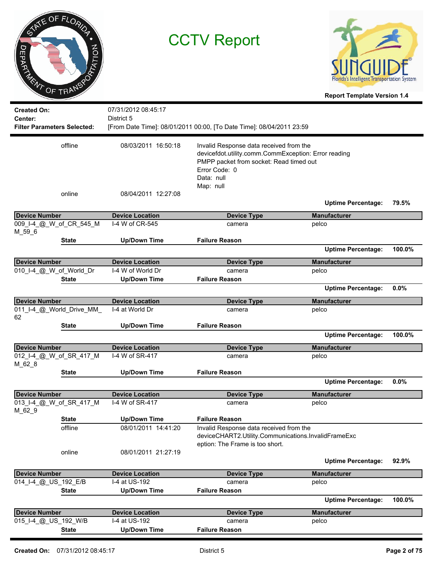|                | ME OF FLORIDA |
|----------------|---------------|
| <b>JEPARTY</b> | PTATION       |
| ENT            | OF TRANSP     |



| <b>Created On:</b>                            |                   | 07/31/2012 08:45:17                        |                                                                                                                                                                                        |                           |        |
|-----------------------------------------------|-------------------|--------------------------------------------|----------------------------------------------------------------------------------------------------------------------------------------------------------------------------------------|---------------------------|--------|
| Center:<br><b>Filter Parameters Selected:</b> |                   | District 5                                 | [From Date Time]: 08/01/2011 00:00, [To Date Time]: 08/04/2011 23:59                                                                                                                   |                           |        |
|                                               |                   |                                            |                                                                                                                                                                                        |                           |        |
| offline                                       |                   | 08/03/2011 16:50:18                        | Invalid Response data received from the<br>devicefdot.utility.comm.CommException: Error reading<br>PMPP packet from socket: Read timed out<br>Error Code: 0<br>Data: null<br>Map: null |                           |        |
|                                               | online            | 08/04/2011 12:27:08                        |                                                                                                                                                                                        | <b>Uptime Percentage:</b> | 79.5%  |
| <b>Device Number</b>                          |                   | <b>Device Location</b>                     | <b>Device Type</b>                                                                                                                                                                     | <b>Manufacturer</b>       |        |
| 009_I-4_@_W_of_CR_545_M<br>$M_{596}$          |                   | I-4 W of CR-545                            | camera                                                                                                                                                                                 | pelco                     |        |
|                                               | State             | <b>Up/Down Time</b>                        | <b>Failure Reason</b>                                                                                                                                                                  |                           |        |
|                                               |                   |                                            |                                                                                                                                                                                        | <b>Uptime Percentage:</b> | 100.0% |
| <b>Device Number</b>                          |                   | <b>Device Location</b>                     | <b>Device Type</b>                                                                                                                                                                     | <b>Manufacturer</b>       |        |
| 010_I-4_@_W_of_World_Dr                       |                   | I-4 W of World Dr                          | camera                                                                                                                                                                                 | pelco                     |        |
|                                               | <b>State</b>      | <b>Up/Down Time</b>                        | <b>Failure Reason</b>                                                                                                                                                                  |                           |        |
|                                               |                   |                                            |                                                                                                                                                                                        | <b>Uptime Percentage:</b> | 0.0%   |
| <b>Device Number</b>                          |                   | <b>Device Location</b>                     | <b>Device Type</b>                                                                                                                                                                     | <b>Manufacturer</b>       |        |
| 011_I-4_@_World_Drive_MM_<br>62               |                   | I-4 at World Dr                            | camera                                                                                                                                                                                 | pelco                     |        |
|                                               | <b>State</b>      | <b>Up/Down Time</b>                        | <b>Failure Reason</b>                                                                                                                                                                  |                           |        |
|                                               |                   |                                            |                                                                                                                                                                                        | <b>Uptime Percentage:</b> | 100.0% |
| <b>Device Number</b>                          |                   | <b>Device Location</b>                     | <b>Device Type</b>                                                                                                                                                                     | <b>Manufacturer</b>       |        |
| 012_I-4_@_W_of_SR_417_M<br>$M_62_8$           |                   | I-4 W of SR-417                            | camera                                                                                                                                                                                 | pelco                     |        |
|                                               | <b>State</b>      | <b>Up/Down Time</b>                        | <b>Failure Reason</b>                                                                                                                                                                  |                           |        |
|                                               |                   |                                            |                                                                                                                                                                                        | <b>Uptime Percentage:</b> | 0.0%   |
| <b>Device Number</b>                          |                   | <b>Device Location</b>                     | <b>Device Type</b>                                                                                                                                                                     | <b>Manufacturer</b>       |        |
| 013_I-4_@_W_of_SR_417_M<br>M_62_9             |                   | I-4 W of SR-417                            | camera                                                                                                                                                                                 | pelco                     |        |
|                                               | <b>State</b>      | <b>Up/Down Time</b>                        | <b>Failure Reason</b>                                                                                                                                                                  |                           |        |
|                                               | offline<br>online | 08/01/2011 14:41:20<br>08/01/2011 21:27:19 | Invalid Response data received from the<br>deviceCHART2.Utility.Communications.InvalidFrameExc<br>eption: The Frame is too short.                                                      |                           |        |
|                                               |                   |                                            |                                                                                                                                                                                        | <b>Uptime Percentage:</b> | 92.9%  |
| <b>Device Number</b>                          |                   | <b>Device Location</b>                     | <b>Device Type</b>                                                                                                                                                                     | <b>Manufacturer</b>       |        |
| 014_I-4_@_US_192_E/B                          |                   | I-4 at US-192                              | camera                                                                                                                                                                                 | pelco                     |        |
|                                               | <b>State</b>      | <b>Up/Down Time</b>                        | <b>Failure Reason</b>                                                                                                                                                                  |                           |        |
|                                               |                   |                                            |                                                                                                                                                                                        | <b>Uptime Percentage:</b> | 100.0% |
| <b>Device Number</b>                          |                   | <b>Device Location</b>                     | <b>Device Type</b>                                                                                                                                                                     | <b>Manufacturer</b>       |        |
| 015_I-4_@_US_192_W/B                          |                   | I-4 at US-192                              | camera                                                                                                                                                                                 | pelco                     |        |
|                                               | <b>State</b>      | <b>Up/Down Time</b>                        | <b>Failure Reason</b>                                                                                                                                                                  |                           |        |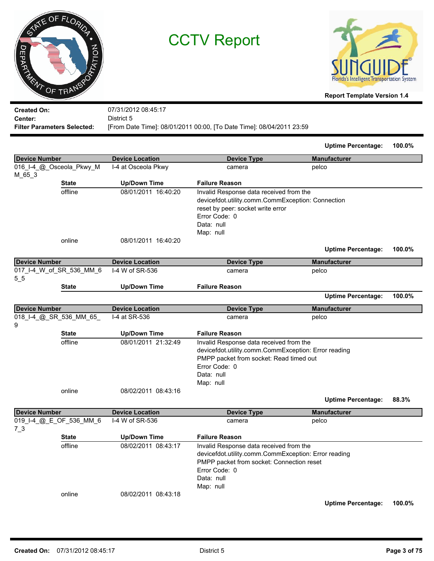| <b>Created On:</b><br>07/31/2012 08:45:17<br>District 5<br>Center:<br>[From Date Time]: 08/01/2011 00:00, [To Date Time]: 08/04/2011 23:59<br><b>Filter Parameters Selected:</b><br><b>Device Number</b><br><b>Device Location</b><br><b>Device Type</b><br><b>Manufacturer</b><br>016_I-4_@_Osceola_Pkwy_M<br>I-4 at Osceola Pkwy<br>pelco<br>camera<br>$M_{65-3}$<br><b>Failure Reason</b><br><b>State</b><br><b>Up/Down Time</b><br>offline<br>08/01/2011 16:40:20<br>Invalid Response data received from the<br>devicefdot.utility.comm.CommException: Connection<br>reset by peer: socket write error<br>Error Code: 0<br>Data: null<br>Map: null<br>08/01/2011 16:40:20<br>online<br><b>Uptime Percentage:</b><br><b>Device Number</b><br><b>Device Location</b><br><b>Device Type</b><br><b>Manufacturer</b><br>017_I-4_W_of_SR_536_MM_6<br>I-4 W of SR-536<br>pelco<br>camera<br>$5\_5$<br><b>Failure Reason</b><br><b>Up/Down Time</b><br><b>State</b><br><b>Uptime Percentage:</b><br><b>Device Number</b><br><b>Device Location</b><br><b>Device Type</b><br><b>Manufacturer</b><br>018_I-4_@_SR_536_MM_65_<br>I-4 at SR-536<br>pelco<br>camera<br>9<br><b>Failure Reason</b><br><b>State</b><br><b>Up/Down Time</b><br>offline<br>08/01/2011 21:32:49<br>Invalid Response data received from the<br>devicefdot.utility.comm.CommException: Error reading<br>PMPP packet from socket: Read timed out<br>Error Code: 0<br>Data: null<br>Map: null<br>online<br>08/02/2011 08:43:16<br><b>Uptime Percentage:</b><br><b>Device Location</b><br><b>Device Number</b><br><b>Device Type</b><br><b>Manufacturer</b><br>I-4 W of SR-536<br>019_I-4_@_E_OF_536_MM_6<br>pelco<br>camera<br>$7\_3$<br><b>Up/Down Time</b><br><b>Failure Reason</b><br><b>State</b><br>08/02/2011 08:43:17<br>offline<br>Invalid Response data received from the<br>devicefdot.utility.comm.CommException: Error reading<br>PMPP packet from socket: Connection reset | ME OF FLORIDA<br>MOIL<br>m<br><b>PARTY OF TRANSP</b> |  | <b>CCTV Report</b> |               | <b>Horida's Intelligent Transportation System</b><br><b>Report Template Version 1.4</b> |        |
|-------------------------------------------------------------------------------------------------------------------------------------------------------------------------------------------------------------------------------------------------------------------------------------------------------------------------------------------------------------------------------------------------------------------------------------------------------------------------------------------------------------------------------------------------------------------------------------------------------------------------------------------------------------------------------------------------------------------------------------------------------------------------------------------------------------------------------------------------------------------------------------------------------------------------------------------------------------------------------------------------------------------------------------------------------------------------------------------------------------------------------------------------------------------------------------------------------------------------------------------------------------------------------------------------------------------------------------------------------------------------------------------------------------------------------------------------------------------------------------------------------------------------------------------------------------------------------------------------------------------------------------------------------------------------------------------------------------------------------------------------------------------------------------------------------------------------------------------------------------------------------------------------------------------------------------------------------|------------------------------------------------------|--|--------------------|---------------|-----------------------------------------------------------------------------------------|--------|
|                                                                                                                                                                                                                                                                                                                                                                                                                                                                                                                                                                                                                                                                                                                                                                                                                                                                                                                                                                                                                                                                                                                                                                                                                                                                                                                                                                                                                                                                                                                                                                                                                                                                                                                                                                                                                                                                                                                                                       |                                                      |  |                    |               |                                                                                         |        |
|                                                                                                                                                                                                                                                                                                                                                                                                                                                                                                                                                                                                                                                                                                                                                                                                                                                                                                                                                                                                                                                                                                                                                                                                                                                                                                                                                                                                                                                                                                                                                                                                                                                                                                                                                                                                                                                                                                                                                       |                                                      |  |                    |               |                                                                                         |        |
|                                                                                                                                                                                                                                                                                                                                                                                                                                                                                                                                                                                                                                                                                                                                                                                                                                                                                                                                                                                                                                                                                                                                                                                                                                                                                                                                                                                                                                                                                                                                                                                                                                                                                                                                                                                                                                                                                                                                                       |                                                      |  |                    |               |                                                                                         |        |
|                                                                                                                                                                                                                                                                                                                                                                                                                                                                                                                                                                                                                                                                                                                                                                                                                                                                                                                                                                                                                                                                                                                                                                                                                                                                                                                                                                                                                                                                                                                                                                                                                                                                                                                                                                                                                                                                                                                                                       |                                                      |  |                    |               | <b>Uptime Percentage:</b>                                                               | 100.0% |
|                                                                                                                                                                                                                                                                                                                                                                                                                                                                                                                                                                                                                                                                                                                                                                                                                                                                                                                                                                                                                                                                                                                                                                                                                                                                                                                                                                                                                                                                                                                                                                                                                                                                                                                                                                                                                                                                                                                                                       |                                                      |  |                    |               |                                                                                         |        |
|                                                                                                                                                                                                                                                                                                                                                                                                                                                                                                                                                                                                                                                                                                                                                                                                                                                                                                                                                                                                                                                                                                                                                                                                                                                                                                                                                                                                                                                                                                                                                                                                                                                                                                                                                                                                                                                                                                                                                       |                                                      |  |                    |               |                                                                                         |        |
|                                                                                                                                                                                                                                                                                                                                                                                                                                                                                                                                                                                                                                                                                                                                                                                                                                                                                                                                                                                                                                                                                                                                                                                                                                                                                                                                                                                                                                                                                                                                                                                                                                                                                                                                                                                                                                                                                                                                                       |                                                      |  |                    |               |                                                                                         |        |
|                                                                                                                                                                                                                                                                                                                                                                                                                                                                                                                                                                                                                                                                                                                                                                                                                                                                                                                                                                                                                                                                                                                                                                                                                                                                                                                                                                                                                                                                                                                                                                                                                                                                                                                                                                                                                                                                                                                                                       |                                                      |  |                    |               |                                                                                         |        |
|                                                                                                                                                                                                                                                                                                                                                                                                                                                                                                                                                                                                                                                                                                                                                                                                                                                                                                                                                                                                                                                                                                                                                                                                                                                                                                                                                                                                                                                                                                                                                                                                                                                                                                                                                                                                                                                                                                                                                       |                                                      |  |                    |               |                                                                                         | 100.0% |
|                                                                                                                                                                                                                                                                                                                                                                                                                                                                                                                                                                                                                                                                                                                                                                                                                                                                                                                                                                                                                                                                                                                                                                                                                                                                                                                                                                                                                                                                                                                                                                                                                                                                                                                                                                                                                                                                                                                                                       |                                                      |  |                    |               |                                                                                         |        |
|                                                                                                                                                                                                                                                                                                                                                                                                                                                                                                                                                                                                                                                                                                                                                                                                                                                                                                                                                                                                                                                                                                                                                                                                                                                                                                                                                                                                                                                                                                                                                                                                                                                                                                                                                                                                                                                                                                                                                       |                                                      |  |                    |               |                                                                                         |        |
|                                                                                                                                                                                                                                                                                                                                                                                                                                                                                                                                                                                                                                                                                                                                                                                                                                                                                                                                                                                                                                                                                                                                                                                                                                                                                                                                                                                                                                                                                                                                                                                                                                                                                                                                                                                                                                                                                                                                                       |                                                      |  |                    |               |                                                                                         |        |
|                                                                                                                                                                                                                                                                                                                                                                                                                                                                                                                                                                                                                                                                                                                                                                                                                                                                                                                                                                                                                                                                                                                                                                                                                                                                                                                                                                                                                                                                                                                                                                                                                                                                                                                                                                                                                                                                                                                                                       |                                                      |  |                    |               |                                                                                         |        |
|                                                                                                                                                                                                                                                                                                                                                                                                                                                                                                                                                                                                                                                                                                                                                                                                                                                                                                                                                                                                                                                                                                                                                                                                                                                                                                                                                                                                                                                                                                                                                                                                                                                                                                                                                                                                                                                                                                                                                       |                                                      |  |                    |               |                                                                                         | 100.0% |
|                                                                                                                                                                                                                                                                                                                                                                                                                                                                                                                                                                                                                                                                                                                                                                                                                                                                                                                                                                                                                                                                                                                                                                                                                                                                                                                                                                                                                                                                                                                                                                                                                                                                                                                                                                                                                                                                                                                                                       |                                                      |  |                    |               |                                                                                         |        |
|                                                                                                                                                                                                                                                                                                                                                                                                                                                                                                                                                                                                                                                                                                                                                                                                                                                                                                                                                                                                                                                                                                                                                                                                                                                                                                                                                                                                                                                                                                                                                                                                                                                                                                                                                                                                                                                                                                                                                       |                                                      |  |                    |               |                                                                                         |        |
|                                                                                                                                                                                                                                                                                                                                                                                                                                                                                                                                                                                                                                                                                                                                                                                                                                                                                                                                                                                                                                                                                                                                                                                                                                                                                                                                                                                                                                                                                                                                                                                                                                                                                                                                                                                                                                                                                                                                                       |                                                      |  |                    |               |                                                                                         |        |
|                                                                                                                                                                                                                                                                                                                                                                                                                                                                                                                                                                                                                                                                                                                                                                                                                                                                                                                                                                                                                                                                                                                                                                                                                                                                                                                                                                                                                                                                                                                                                                                                                                                                                                                                                                                                                                                                                                                                                       |                                                      |  |                    |               |                                                                                         |        |
|                                                                                                                                                                                                                                                                                                                                                                                                                                                                                                                                                                                                                                                                                                                                                                                                                                                                                                                                                                                                                                                                                                                                                                                                                                                                                                                                                                                                                                                                                                                                                                                                                                                                                                                                                                                                                                                                                                                                                       |                                                      |  |                    |               |                                                                                         | 88.3%  |
|                                                                                                                                                                                                                                                                                                                                                                                                                                                                                                                                                                                                                                                                                                                                                                                                                                                                                                                                                                                                                                                                                                                                                                                                                                                                                                                                                                                                                                                                                                                                                                                                                                                                                                                                                                                                                                                                                                                                                       |                                                      |  |                    |               |                                                                                         |        |
|                                                                                                                                                                                                                                                                                                                                                                                                                                                                                                                                                                                                                                                                                                                                                                                                                                                                                                                                                                                                                                                                                                                                                                                                                                                                                                                                                                                                                                                                                                                                                                                                                                                                                                                                                                                                                                                                                                                                                       |                                                      |  |                    |               |                                                                                         |        |
|                                                                                                                                                                                                                                                                                                                                                                                                                                                                                                                                                                                                                                                                                                                                                                                                                                                                                                                                                                                                                                                                                                                                                                                                                                                                                                                                                                                                                                                                                                                                                                                                                                                                                                                                                                                                                                                                                                                                                       |                                                      |  |                    |               |                                                                                         |        |
|                                                                                                                                                                                                                                                                                                                                                                                                                                                                                                                                                                                                                                                                                                                                                                                                                                                                                                                                                                                                                                                                                                                                                                                                                                                                                                                                                                                                                                                                                                                                                                                                                                                                                                                                                                                                                                                                                                                                                       |                                                      |  |                    |               |                                                                                         |        |
| Data: null<br>Map: null<br>online<br>08/02/2011 08:43:18                                                                                                                                                                                                                                                                                                                                                                                                                                                                                                                                                                                                                                                                                                                                                                                                                                                                                                                                                                                                                                                                                                                                                                                                                                                                                                                                                                                                                                                                                                                                                                                                                                                                                                                                                                                                                                                                                              |                                                      |  |                    | Error Code: 0 |                                                                                         |        |

**Uptime Percentage: 100.0%**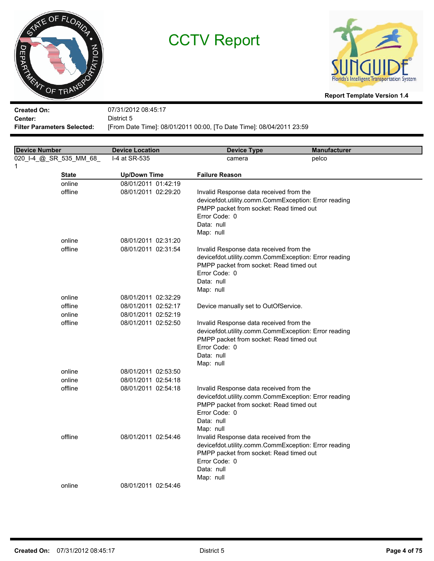



**Report Template Version 1.4**

**Created On: Center:** 07/31/2012 08:45:17 District 5

**Filter Parameters Selected:** [From Date Time]: 08/01/2011 00:00, [To Date Time]: 08/04/2011 23:59

| <b>Device Number</b>    | <b>Device Location</b> | <b>Device Type</b>                                                                              | <b>Manufacturer</b> |  |
|-------------------------|------------------------|-------------------------------------------------------------------------------------------------|---------------------|--|
| 020_I-4_@_SR_535_MM_68_ | I-4 at SR-535          | camera                                                                                          | pelco               |  |
| 1                       |                        |                                                                                                 |                     |  |
| <b>State</b>            | <b>Up/Down Time</b>    | <b>Failure Reason</b>                                                                           |                     |  |
| online                  | 08/01/2011 01:42:19    |                                                                                                 |                     |  |
| offline                 | 08/01/2011 02:29:20    | Invalid Response data received from the                                                         |                     |  |
|                         |                        | devicefdot.utility.comm.CommException: Error reading                                            |                     |  |
|                         |                        | PMPP packet from socket: Read timed out                                                         |                     |  |
|                         |                        | Error Code: 0                                                                                   |                     |  |
|                         |                        | Data: null                                                                                      |                     |  |
|                         |                        | Map: null                                                                                       |                     |  |
| online                  | 08/01/2011 02:31:20    |                                                                                                 |                     |  |
| offline                 | 08/01/2011 02:31:54    | Invalid Response data received from the                                                         |                     |  |
|                         |                        | devicefdot.utility.comm.CommException: Error reading<br>PMPP packet from socket: Read timed out |                     |  |
|                         |                        | Error Code: 0                                                                                   |                     |  |
|                         |                        | Data: null                                                                                      |                     |  |
|                         |                        | Map: null                                                                                       |                     |  |
| online                  | 08/01/2011 02:32:29    |                                                                                                 |                     |  |
| offline                 | 08/01/2011 02:52:17    | Device manually set to OutOfService.                                                            |                     |  |
| online                  | 08/01/2011 02:52:19    |                                                                                                 |                     |  |
| offline                 | 08/01/2011 02:52:50    | Invalid Response data received from the                                                         |                     |  |
|                         |                        | devicefdot.utility.comm.CommException: Error reading                                            |                     |  |
|                         |                        | PMPP packet from socket: Read timed out                                                         |                     |  |
|                         |                        | Error Code: 0                                                                                   |                     |  |
|                         |                        | Data: null                                                                                      |                     |  |
|                         |                        | Map: null                                                                                       |                     |  |
| online                  | 08/01/2011 02:53:50    |                                                                                                 |                     |  |
| online                  | 08/01/2011 02:54:18    |                                                                                                 |                     |  |
| offline                 | 08/01/2011 02:54:18    | Invalid Response data received from the<br>devicefdot.utility.comm.CommException: Error reading |                     |  |
|                         |                        | PMPP packet from socket: Read timed out                                                         |                     |  |
|                         |                        | Error Code: 0                                                                                   |                     |  |
|                         |                        | Data: null                                                                                      |                     |  |
|                         |                        | Map: null                                                                                       |                     |  |
| offline                 | 08/01/2011 02:54:46    | Invalid Response data received from the                                                         |                     |  |
|                         |                        | devicefdot.utility.comm.CommException: Error reading                                            |                     |  |
|                         |                        | PMPP packet from socket: Read timed out                                                         |                     |  |
|                         |                        | Error Code: 0                                                                                   |                     |  |
|                         |                        | Data: null                                                                                      |                     |  |
|                         |                        | Map: null                                                                                       |                     |  |
| online                  | 08/01/2011 02:54:46    |                                                                                                 |                     |  |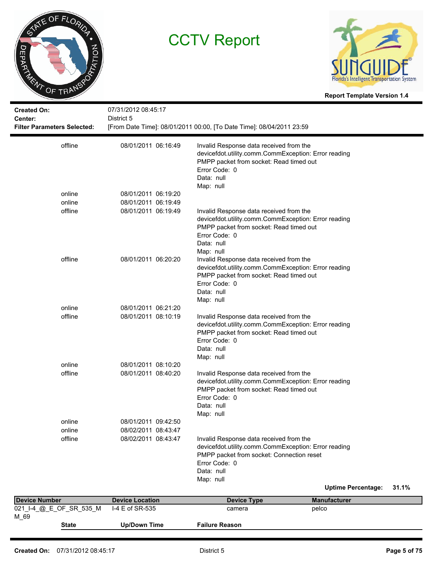



**Report Template Version 1.4**

| <b>Created On:</b><br>Center:<br><b>Filter Parameters Selected:</b> | 07/31/2012 08:45:17<br>District 5 | [From Date Time]: 08/01/2011 00:00, [To Date Time]: 08/04/2011 23:59                                                                                                                     |                           |       |
|---------------------------------------------------------------------|-----------------------------------|------------------------------------------------------------------------------------------------------------------------------------------------------------------------------------------|---------------------------|-------|
| offline                                                             | 08/01/2011 06:16:49               | Invalid Response data received from the<br>devicefdot.utility.comm.CommException: Error reading<br>PMPP packet from socket: Read timed out<br>Error Code: 0<br>Data: null<br>Map: null   |                           |       |
| online                                                              | 08/01/2011 06:19:20               |                                                                                                                                                                                          |                           |       |
| online                                                              | 08/01/2011 06:19:49               |                                                                                                                                                                                          |                           |       |
| offline                                                             | 08/01/2011 06:19:49               | Invalid Response data received from the<br>devicefdot.utility.comm.CommException: Error reading<br>PMPP packet from socket: Read timed out<br>Error Code: 0<br>Data: null<br>Map: null   |                           |       |
| offline                                                             | 08/01/2011 06:20:20               | Invalid Response data received from the<br>devicefdot.utility.comm.CommException: Error reading<br>PMPP packet from socket: Read timed out<br>Error Code: 0<br>Data: null<br>Map: null   |                           |       |
| online                                                              | 08/01/2011 06:21:20               |                                                                                                                                                                                          |                           |       |
| offline                                                             | 08/01/2011 08:10:19               | Invalid Response data received from the<br>devicefdot.utility.comm.CommException: Error reading<br>PMPP packet from socket: Read timed out<br>Error Code: 0<br>Data: null<br>Map: null   |                           |       |
| online                                                              | 08/01/2011 08:10:20               |                                                                                                                                                                                          |                           |       |
| offline                                                             | 08/01/2011 08:40:20               | Invalid Response data received from the<br>devicefdot.utility.comm.CommException: Error reading<br>PMPP packet from socket: Read timed out<br>Error Code: 0<br>Data: null<br>Map: null   |                           |       |
| online                                                              | 08/01/2011 09:42:50               |                                                                                                                                                                                          |                           |       |
| online                                                              | 08/02/2011 08:43:47               |                                                                                                                                                                                          |                           |       |
| offline                                                             | 08/02/2011 08:43:47               | Invalid Response data received from the<br>devicefdot.utility.comm.CommException: Error reading<br>PMPP packet from socket: Connection reset<br>Error Code: 0<br>Data: null<br>Map: null |                           |       |
|                                                                     |                                   |                                                                                                                                                                                          | <b>Uptime Percentage:</b> | 31.1% |
| <b>Device Number</b>                                                | <b>Device Location</b>            | <b>Device Type</b>                                                                                                                                                                       | <b>Manufacturer</b>       |       |
| 021_I-4_@_E_OF_SR_535_M                                             | I-4 E of SR-535                   | camera                                                                                                                                                                                   | pelco                     |       |

| Created On: | 07/31/2012 08:45:17 | District 5 | Page 5 of 75 |
|-------------|---------------------|------------|--------------|

**State Up/Down Time Failure Reason**

M\_69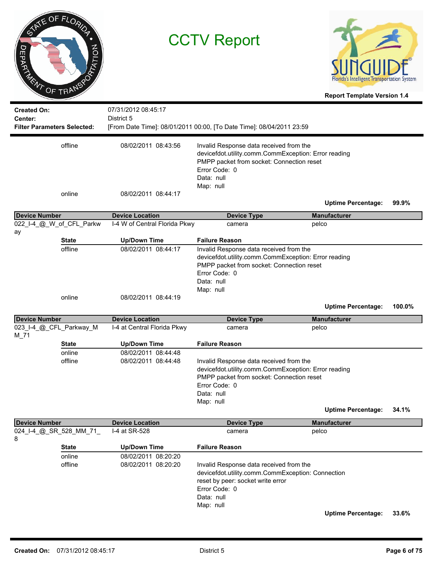| ヮ                    | INTE OF FLORIDA<br><b>RATION</b><br>DED REALT OF TRANSPORT |                                                         | <b>CCTV Report</b>                                                                                                                                                                       | Florida's Intelligent Transportation System<br><b>Report Template Version 1.4</b> |        |
|----------------------|------------------------------------------------------------|---------------------------------------------------------|------------------------------------------------------------------------------------------------------------------------------------------------------------------------------------------|-----------------------------------------------------------------------------------|--------|
| <b>Created On:</b>   |                                                            | 07/31/2012 08:45:17                                     |                                                                                                                                                                                          |                                                                                   |        |
| Center:              | <b>Filter Parameters Selected:</b>                         | District 5                                              | [From Date Time]: 08/01/2011 00:00, [To Date Time]: 08/04/2011 23:59                                                                                                                     |                                                                                   |        |
|                      |                                                            |                                                         |                                                                                                                                                                                          |                                                                                   |        |
|                      | offline                                                    | 08/02/2011 08:43:56                                     | Invalid Response data received from the<br>devicefdot.utility.comm.CommException: Error reading<br>PMPP packet from socket: Connection reset<br>Error Code: 0<br>Data: null<br>Map: null |                                                                                   |        |
|                      | online                                                     | 08/02/2011 08:44:17                                     |                                                                                                                                                                                          |                                                                                   |        |
|                      |                                                            |                                                         |                                                                                                                                                                                          | <b>Uptime Percentage:</b>                                                         | 99.9%  |
| <b>Device Number</b> | 022_I-4_@_W_of_CFL_Parkw                                   | <b>Device Location</b><br>I-4 W of Central Florida Pkwy | <b>Device Type</b><br>camera                                                                                                                                                             | <b>Manufacturer</b>                                                               |        |
| ay                   |                                                            |                                                         |                                                                                                                                                                                          | pelco                                                                             |        |
|                      | <b>State</b>                                               | <b>Up/Down Time</b>                                     | <b>Failure Reason</b><br>Invalid Response data received from the                                                                                                                         |                                                                                   |        |
|                      | online                                                     | 08/02/2011 08:44:19                                     | devicefdot.utility.comm.CommException: Error reading<br>PMPP packet from socket: Connection reset<br>Error Code: 0<br>Data: null<br>Map: null                                            |                                                                                   |        |
|                      |                                                            |                                                         |                                                                                                                                                                                          | <b>Uptime Percentage:</b>                                                         | 100.0% |
| <b>Device Number</b> |                                                            | <b>Device Location</b>                                  | <b>Device Type</b>                                                                                                                                                                       | <b>Manufacturer</b>                                                               |        |
| $M_71$               | 023_I-4_@_CFL_Parkway_M                                    | I-4 at Central Florida Pkwy                             | camera                                                                                                                                                                                   | pelco                                                                             |        |
|                      | <b>State</b>                                               | <b>Up/Down Time</b>                                     | <b>Failure Reason</b>                                                                                                                                                                    |                                                                                   |        |
|                      | online<br>offline                                          | 08/02/2011 08:44:48<br>08/02/2011 08:44:48              | Invalid Response data received from the<br>devicefdot.utility.comm.CommException: Error reading<br>PMPP packet from socket: Connection reset<br>Error Code: 0<br>Data: null<br>Map: null |                                                                                   |        |
|                      |                                                            |                                                         |                                                                                                                                                                                          | <b>Uptime Percentage:</b>                                                         | 34.1%  |
| <b>Device Number</b> |                                                            | <b>Device Location</b>                                  | <b>Device Type</b>                                                                                                                                                                       | <b>Manufacturer</b>                                                               |        |
| 8                    | 024_I-4_@_SR_528_MM_71_                                    | I-4 at SR-528                                           | camera                                                                                                                                                                                   | pelco                                                                             |        |
|                      | <b>State</b>                                               | <b>Up/Down Time</b>                                     | <b>Failure Reason</b>                                                                                                                                                                    |                                                                                   |        |
|                      | online<br>offline                                          | 08/02/2011 08:20:20<br>08/02/2011 08:20:20              | Invalid Response data received from the<br>devicefdot.utility.comm.CommException: Connection<br>reset by peer: socket write error<br>Error Code: 0<br>Data: null<br>Map: null            |                                                                                   |        |
|                      |                                                            |                                                         |                                                                                                                                                                                          | <b>Uptime Percentage:</b>                                                         | 33.6%  |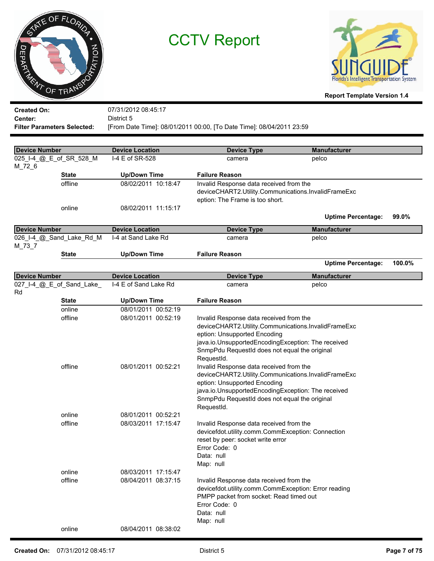



**Report Template Version 1.4**

**Created On: Center:** 07/31/2012 08:45:17 District 5 **Filter Parameters Selected:** [From Date Time]: 08/01/2011 00:00, [To Date Time]: 08/04/2011 23:59

| <b>Device Number</b> |                           | <b>Device Location</b> | <b>Device Type</b>                                                                             | <b>Manufacturer</b>       |        |
|----------------------|---------------------------|------------------------|------------------------------------------------------------------------------------------------|---------------------------|--------|
|                      | 025_I-4_@_E_of_SR_528_M   | I-4 E of SR-528        | camera                                                                                         | pelco                     |        |
| M_72_6               |                           |                        |                                                                                                |                           |        |
|                      | <b>State</b>              | <b>Up/Down Time</b>    | <b>Failure Reason</b>                                                                          |                           |        |
|                      | offline                   | 08/02/2011 10:18:47    | Invalid Response data received from the                                                        |                           |        |
|                      |                           |                        | deviceCHART2.Utility.Communications.InvalidFrameExc                                            |                           |        |
|                      |                           |                        | eption: The Frame is too short.                                                                |                           |        |
|                      | online                    | 08/02/2011 11:15:17    |                                                                                                |                           |        |
|                      |                           |                        |                                                                                                | <b>Uptime Percentage:</b> | 99.0%  |
| <b>Device Number</b> |                           | <b>Device Location</b> | <b>Device Type</b>                                                                             | <b>Manufacturer</b>       |        |
|                      | 026_I-4_@_Sand_Lake_Rd_M  | I-4 at Sand Lake Rd    | camera                                                                                         | pelco                     |        |
| M_73_7               |                           |                        |                                                                                                |                           |        |
|                      | <b>State</b>              | <b>Up/Down Time</b>    | <b>Failure Reason</b>                                                                          |                           |        |
|                      |                           |                        |                                                                                                | <b>Uptime Percentage:</b> | 100.0% |
| <b>Device Number</b> |                           | <b>Device Location</b> | <b>Device Type</b>                                                                             | <b>Manufacturer</b>       |        |
|                      | 027_I-4_@_E_of_Sand_Lake_ | I-4 E of Sand Lake Rd  | camera                                                                                         | pelco                     |        |
| Rd                   |                           |                        |                                                                                                |                           |        |
|                      | <b>State</b>              | <b>Up/Down Time</b>    | <b>Failure Reason</b>                                                                          |                           |        |
|                      | online                    | 08/01/2011 00:52:19    |                                                                                                |                           |        |
|                      | offline                   | 08/01/2011 00:52:19    | Invalid Response data received from the                                                        |                           |        |
|                      |                           |                        | deviceCHART2.Utility.Communications.InvalidFrameExc                                            |                           |        |
|                      |                           |                        | eption: Unsupported Encoding                                                                   |                           |        |
|                      |                           |                        | java.io.UnsupportedEncodingException: The received                                             |                           |        |
|                      |                           |                        | SnmpPdu RequestId does not equal the original                                                  |                           |        |
|                      | offline                   | 08/01/2011 00:52:21    | RequestId.                                                                                     |                           |        |
|                      |                           |                        | Invalid Response data received from the<br>deviceCHART2.Utility.Communications.InvalidFrameExc |                           |        |
|                      |                           |                        | eption: Unsupported Encoding                                                                   |                           |        |
|                      |                           |                        | java.io.UnsupportedEncodingException: The received                                             |                           |        |
|                      |                           |                        | SnmpPdu RequestId does not equal the original                                                  |                           |        |
|                      |                           |                        | RequestId.                                                                                     |                           |        |
|                      | online                    | 08/01/2011 00:52:21    |                                                                                                |                           |        |
|                      | offline                   | 08/03/2011 17:15:47    | Invalid Response data received from the                                                        |                           |        |
|                      |                           |                        | devicefdot.utility.comm.CommException: Connection                                              |                           |        |
|                      |                           |                        | reset by peer: socket write error                                                              |                           |        |
|                      |                           |                        | Error Code: 0                                                                                  |                           |        |
|                      |                           |                        | Data: null                                                                                     |                           |        |
|                      |                           |                        | Map: null                                                                                      |                           |        |
|                      | online                    | 08/03/2011 17:15:47    |                                                                                                |                           |        |
|                      | offline                   | 08/04/2011 08:37:15    | Invalid Response data received from the                                                        |                           |        |
|                      |                           |                        | devicefdot.utility.comm.CommException: Error reading                                           |                           |        |
|                      |                           |                        | PMPP packet from socket: Read timed out<br>Error Code: 0                                       |                           |        |
|                      |                           |                        | Data: null                                                                                     |                           |        |
|                      |                           |                        | Map: null                                                                                      |                           |        |
|                      | online                    | 08/04/2011 08:38:02    |                                                                                                |                           |        |
|                      |                           |                        |                                                                                                |                           |        |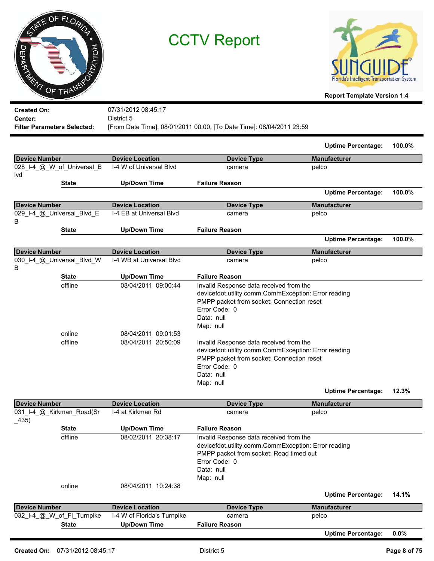|                    | ATE OF FLORIDA |         |
|--------------------|----------------|---------|
|                    |                |         |
| <b>JEPARY</b><br>亳 |                | PTATION |
| ENT                | OF TRANSP      |         |



| <b>Created On:</b>                 | 07/31/2012 08:45:17                                                  |
|------------------------------------|----------------------------------------------------------------------|
| Center:                            | District 5                                                           |
| <b>Filter Parameters Selected:</b> | [From Date Time]: 08/01/2011 00:00, [To Date Time]: 08/04/2011 23:59 |

|                                   |                                                                   |                                                                                                                                                                                                                                                                                                                                                                         | <b>Uptime Percentage:</b> | 100.0% |
|-----------------------------------|-------------------------------------------------------------------|-------------------------------------------------------------------------------------------------------------------------------------------------------------------------------------------------------------------------------------------------------------------------------------------------------------------------------------------------------------------------|---------------------------|--------|
| <b>Device Number</b>              | <b>Device Location</b>                                            | <b>Device Type</b>                                                                                                                                                                                                                                                                                                                                                      | <b>Manufacturer</b>       |        |
| 028_I-4_@_W_of_Universal_B<br>lvd | I-4 W of Universal Blyd                                           | camera                                                                                                                                                                                                                                                                                                                                                                  | pelco                     |        |
| <b>State</b>                      | <b>Up/Down Time</b>                                               | <b>Failure Reason</b>                                                                                                                                                                                                                                                                                                                                                   |                           |        |
|                                   |                                                                   |                                                                                                                                                                                                                                                                                                                                                                         | <b>Uptime Percentage:</b> | 100.0% |
| <b>Device Number</b>              | <b>Device Location</b>                                            | <b>Device Type</b>                                                                                                                                                                                                                                                                                                                                                      | <b>Manufacturer</b>       |        |
| 029_I-4_@_Universal_Blvd_E<br>В   | I-4 EB at Universal Blvd                                          | camera                                                                                                                                                                                                                                                                                                                                                                  | pelco                     |        |
| <b>State</b>                      | <b>Up/Down Time</b>                                               | <b>Failure Reason</b>                                                                                                                                                                                                                                                                                                                                                   |                           |        |
|                                   |                                                                   |                                                                                                                                                                                                                                                                                                                                                                         | <b>Uptime Percentage:</b> | 100.0% |
| <b>Device Number</b>              | <b>Device Location</b>                                            | <b>Device Type</b>                                                                                                                                                                                                                                                                                                                                                      | <b>Manufacturer</b>       |        |
| 030 I-4 @ Universal Blvd W<br>B   | I-4 WB at Universal Blvd                                          | camera                                                                                                                                                                                                                                                                                                                                                                  | pelco                     |        |
| <b>State</b>                      | <b>Up/Down Time</b>                                               | <b>Failure Reason</b>                                                                                                                                                                                                                                                                                                                                                   |                           |        |
| offline<br>online<br>offline      | 08/04/2011 09:00:44<br>08/04/2011 09:01:53<br>08/04/2011 20:50:09 | Invalid Response data received from the<br>devicefdot.utility.comm.CommException: Error reading<br>PMPP packet from socket: Connection reset<br>Error Code: 0<br>Data: null<br>Map: null<br>Invalid Response data received from the<br>devicefdot.utility.comm.CommException: Error reading<br>PMPP packet from socket: Connection reset<br>Error Code: 0<br>Data: null |                           |        |
|                                   |                                                                   | Map: null                                                                                                                                                                                                                                                                                                                                                               | <b>Uptime Percentage:</b> | 12.3%  |

| Device Number                        | <b>Device Location</b>      | <b>Device Type</b>                                                                                                                                                                     | <b>Manufacturer</b>       |         |
|--------------------------------------|-----------------------------|----------------------------------------------------------------------------------------------------------------------------------------------------------------------------------------|---------------------------|---------|
| 031 I-4 @ Kirkman Road(Sr<br>$-435)$ | I-4 at Kirkman Rd           | camera                                                                                                                                                                                 | pelco                     |         |
| <b>State</b>                         | Up/Down Time                | <b>Failure Reason</b>                                                                                                                                                                  |                           |         |
| offline                              | 08/02/2011 20:38:17         | Invalid Response data received from the<br>devicefdot.utility.comm.CommException: Error reading<br>PMPP packet from socket: Read timed out<br>Error Code: 0<br>Data: null<br>Map: null |                           |         |
| online                               | 08/04/2011 10:24:38         |                                                                                                                                                                                        | <b>Uptime Percentage:</b> | 14.1%   |
| Device Number                        | <b>Device Location</b>      | <b>Device Type</b>                                                                                                                                                                     | <b>Manufacturer</b>       |         |
| 032_I-4_@_W_of_FI_Turnpike           | I-4 W of Florida's Turnpike | camera                                                                                                                                                                                 | pelco                     |         |
| <b>State</b>                         | <b>Up/Down Time</b>         | <b>Failure Reason</b>                                                                                                                                                                  |                           |         |
|                                      |                             |                                                                                                                                                                                        | <b>Uptime Percentage:</b> | $0.0\%$ |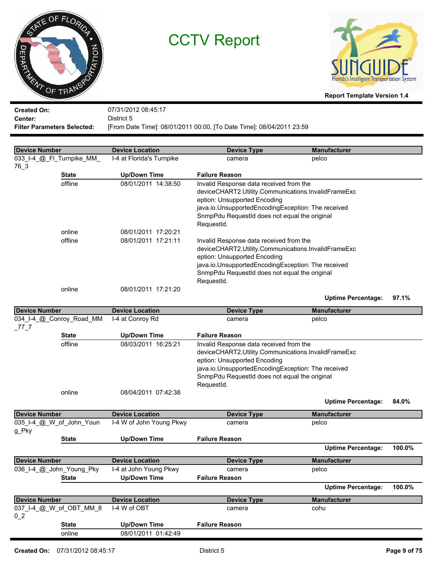



**Report Template Version 1.4**

**Created On: Center:** 07/31/2012 08:45:17 District 5 **Filter Parameters Selected:** [From Date Time]: 08/01/2011 00:00, [To Date Time]: 08/04/2011 23:59

 **Device Number Device Location Device Type Manufacturer** 033 I-4 @ Fl Turnpike MM I-4 at Florida's Turnpike camera camera pelco 76\_3 **State Up/Down Time Failure Reason** Invalid Response data received from the deviceCHART2.Utility.Communications.InvalidFrameExc eption: Unsupported Encoding java.io.UnsupportedEncodingException: The received SnmpPdu RequestId does not equal the original RequestId. offline 08/01/2011 14:38:50 online 08/01/2011 17:20:21 Invalid Response data received from the deviceCHART2.Utility.Communications.InvalidFrameExc eption: Unsupported Encoding java.io.UnsupportedEncodingException: The received SnmpPdu RequestId does not equal the original RequestId. offline 08/01/2011 17:21:11 online 08/01/2011 17:21:20

**Uptime Percentage: 97.1%**

| <b>Device Number</b>     | <b>Device Location</b>   | <b>Device Type</b>                                  | <b>Manufacturer</b>       |        |
|--------------------------|--------------------------|-----------------------------------------------------|---------------------------|--------|
| 034_I-4_@_Conroy_Road_MM | I-4 at Conroy Rd         | camera                                              | pelco                     |        |
| 77 7                     |                          |                                                     |                           |        |
| <b>State</b>             | <b>Up/Down Time</b>      | <b>Failure Reason</b>                               |                           |        |
| offline                  | 08/03/2011 16:25:21      | Invalid Response data received from the             |                           |        |
|                          |                          | deviceCHART2.Utility.Communications.InvalidFrameExc |                           |        |
|                          |                          | eption: Unsupported Encoding                        |                           |        |
|                          |                          | java.io.UnsupportedEncodingException: The received  |                           |        |
|                          |                          | SnmpPdu RequestId does not equal the original       |                           |        |
|                          |                          | RequestId.                                          |                           |        |
| online                   | 08/04/2011 07:42:38      |                                                     |                           |        |
|                          |                          |                                                     | <b>Uptime Percentage:</b> | 84.0%  |
| <b>Device Number</b>     | <b>Device Location</b>   | <b>Device Type</b>                                  | <b>Manufacturer</b>       |        |
| 035 I-4 @ W of John Youn | I-4 W of John Young Pkwy | camera                                              | pelco                     |        |
| g Pky                    |                          |                                                     |                           |        |
| <b>State</b>             | <b>Up/Down Time</b>      | <b>Failure Reason</b>                               |                           |        |
|                          |                          |                                                     | <b>Uptime Percentage:</b> | 100.0% |
| <b>Device Number</b>     | <b>Device Location</b>   | <b>Device Type</b>                                  | <b>Manufacturer</b>       |        |
| 036 I-4 @ John Young Pky | I-4 at John Young Pkwy   | camera                                              | pelco                     |        |
| <b>State</b>             | <b>Up/Down Time</b>      | <b>Failure Reason</b>                               |                           |        |
|                          |                          |                                                     | <b>Uptime Percentage:</b> | 100.0% |
| <b>Device Number</b>     | <b>Device Location</b>   | <b>Device Type</b>                                  | <b>Manufacturer</b>       |        |
| 037_I-4_@_W_of_OBT_MM_8  | I-4 W of OBT             | camera                                              | cohu                      |        |
| $0-2$                    |                          |                                                     |                           |        |
| <b>State</b>             | <b>Up/Down Time</b>      | <b>Failure Reason</b>                               |                           |        |
| online                   | 08/01/2011 01:42:49      |                                                     |                           |        |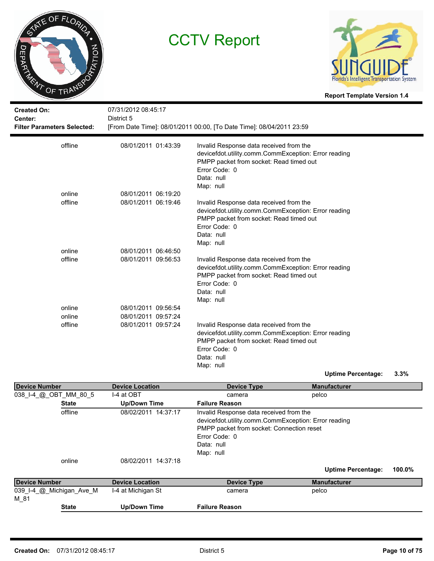



| <b>Created On:</b><br>Center:<br><b>Filter Parameters Selected:</b> | 07/31/2012 08:45:17<br>District 5 | [From Date Time]: 08/01/2011 00:00, [To Date Time]: 08/04/2011 23:59                                                                                                                   |
|---------------------------------------------------------------------|-----------------------------------|----------------------------------------------------------------------------------------------------------------------------------------------------------------------------------------|
| offline                                                             | 08/01/2011 01:43:39               | Invalid Response data received from the<br>devicefdot.utility.comm.CommException: Error reading<br>PMPP packet from socket: Read timed out<br>Error Code: 0<br>Data: null<br>Map: null |
| online                                                              | 08/01/2011 06:19:20               |                                                                                                                                                                                        |
| offline                                                             | 08/01/2011 06:19:46               | Invalid Response data received from the<br>devicefdot.utility.comm.CommException: Error reading<br>PMPP packet from socket: Read timed out<br>Error Code: 0<br>Data: null<br>Map: null |
| online                                                              | 08/01/2011 06:46:50               |                                                                                                                                                                                        |
| offline                                                             | 08/01/2011 09:56:53               | Invalid Response data received from the<br>devicefdot.utility.comm.CommException: Error reading<br>PMPP packet from socket: Read timed out<br>Error Code: 0<br>Data: null<br>Map: null |
| online                                                              | 08/01/2011 09:56:54               |                                                                                                                                                                                        |
| online                                                              | 08/01/2011 09:57:24               |                                                                                                                                                                                        |
| offline                                                             | 08/01/2011 09:57:24               | Invalid Response data received from the<br>devicefdot.utility.comm.CommException: Error reading<br>PMPP packet from socket: Read timed out<br>Error Code: 0<br>Data: null<br>Map: null |
|                                                                     |                                   | 3.3%<br><b>Uptime Percentage:</b>                                                                                                                                                      |

| <b>Device Number</b>     | <b>Device Location</b> | <b>Device Type</b>                                                                                                                                                                       | <b>Manufacturer</b>       |        |
|--------------------------|------------------------|------------------------------------------------------------------------------------------------------------------------------------------------------------------------------------------|---------------------------|--------|
| 038_I-4_@_OBT_MM_80_5    | I-4 at OBT             | camera                                                                                                                                                                                   | pelco                     |        |
| <b>State</b>             | <b>Up/Down Time</b>    | <b>Failure Reason</b>                                                                                                                                                                    |                           |        |
| offline                  | 08/02/2011 14:37:17    | Invalid Response data received from the<br>devicefdot.utility.comm.CommException: Error reading<br>PMPP packet from socket: Connection reset<br>Error Code: 0<br>Data: null<br>Map: null |                           |        |
| online                   | 08/02/2011 14:37:18    |                                                                                                                                                                                          |                           |        |
|                          |                        |                                                                                                                                                                                          | <b>Uptime Percentage:</b> | 100.0% |
| Device Number            | <b>Device Location</b> | <b>Device Type</b>                                                                                                                                                                       | <b>Manufacturer</b>       |        |
| 039 I-4 @ Michigan Ave M | I-4 at Michigan St     | camera                                                                                                                                                                                   | pelco                     |        |
| M 81                     |                        |                                                                                                                                                                                          |                           |        |
| <b>State</b>             | Up/Down Time           | <b>Failure Reason</b>                                                                                                                                                                    |                           |        |
|                          |                        |                                                                                                                                                                                          |                           |        |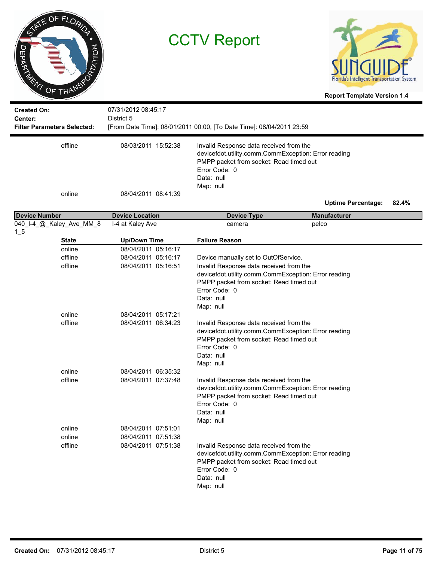



| <b>Created On:</b><br>Center:        | 07/31/2012 08:45:17<br>District 5 |                                                                                                                                                                                        |                           |       |
|--------------------------------------|-----------------------------------|----------------------------------------------------------------------------------------------------------------------------------------------------------------------------------------|---------------------------|-------|
| <b>Filter Parameters Selected:</b>   |                                   | [From Date Time]: 08/01/2011 00:00, [To Date Time]: 08/04/2011 23:59                                                                                                                   |                           |       |
| offline                              | 08/03/2011 15:52:38               | Invalid Response data received from the<br>devicefdot.utility.comm.CommException: Error reading<br>PMPP packet from socket: Read timed out<br>Error Code: 0<br>Data: null<br>Map: null |                           |       |
| online                               | 08/04/2011 08:41:39               |                                                                                                                                                                                        | <b>Uptime Percentage:</b> | 82.4% |
| <b>Device Number</b>                 | <b>Device Location</b>            | <b>Device Type</b>                                                                                                                                                                     | <b>Manufacturer</b>       |       |
| 040_I-4_@_Kaley_Ave_MM_8<br>$1_{-5}$ | I-4 at Kaley Ave                  | camera                                                                                                                                                                                 | pelco                     |       |
| <b>State</b>                         | <b>Up/Down Time</b>               | <b>Failure Reason</b>                                                                                                                                                                  |                           |       |
| online                               | 08/04/2011 05:16:17               |                                                                                                                                                                                        |                           |       |
| offline                              | 08/04/2011 05:16:17               | Device manually set to OutOfService.                                                                                                                                                   |                           |       |
| offline                              | 08/04/2011 05:16:51               | Invalid Response data received from the<br>devicefdot.utility.comm.CommException: Error reading<br>PMPP packet from socket: Read timed out<br>Error Code: 0<br>Data: null<br>Map: null |                           |       |
| online                               | 08/04/2011 05:17:21               |                                                                                                                                                                                        |                           |       |
| offline                              | 08/04/2011 06:34:23               | Invalid Response data received from the<br>devicefdot.utility.comm.CommException: Error reading<br>PMPP packet from socket: Read timed out<br>Error Code: 0<br>Data: null<br>Map: null |                           |       |
| online                               | 08/04/2011 06:35:32               |                                                                                                                                                                                        |                           |       |
| offline                              | 08/04/2011 07:37:48               | Invalid Response data received from the<br>devicefdot.utility.comm.CommException: Error reading<br>PMPP packet from socket: Read timed out<br>Error Code: 0<br>Data: null<br>Map: null |                           |       |
| online                               | 08/04/2011 07:51:01               |                                                                                                                                                                                        |                           |       |
| online                               | 08/04/2011 07:51:38               |                                                                                                                                                                                        |                           |       |
| offline                              | 08/04/2011 07:51:38               | Invalid Response data received from the<br>devicefdot.utility.comm.CommException: Error reading<br>PMPP packet from socket: Read timed out<br>Error Code: 0<br>Data: null<br>Map: null |                           |       |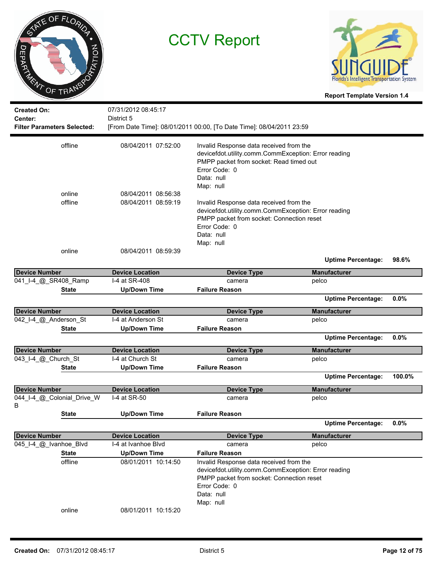



| <b>Created On:</b><br>Center:<br><b>Filter Parameters Selected:</b> |              | 07/31/2012 08:45:17<br>District 5 | [From Date Time]: 08/01/2011 00:00, [To Date Time]: 08/04/2011 23:59                                                                                                                     |                           |        |
|---------------------------------------------------------------------|--------------|-----------------------------------|------------------------------------------------------------------------------------------------------------------------------------------------------------------------------------------|---------------------------|--------|
|                                                                     | offline      | 08/04/2011 07:52:00               | Invalid Response data received from the<br>devicefdot.utility.comm.CommException: Error reading<br>PMPP packet from socket: Read timed out<br>Error Code: 0<br>Data: null<br>Map: null   |                           |        |
|                                                                     | online       | 08/04/2011 08:56:38               |                                                                                                                                                                                          |                           |        |
|                                                                     | offline      | 08/04/2011 08:59:19               | Invalid Response data received from the<br>devicefdot.utility.comm.CommException: Error reading<br>PMPP packet from socket: Connection reset<br>Error Code: 0<br>Data: null<br>Map: null |                           |        |
|                                                                     | online       | 08/04/2011 08:59:39               |                                                                                                                                                                                          | <b>Uptime Percentage:</b> | 98.6%  |
| <b>Device Number</b>                                                |              | <b>Device Location</b>            | <b>Device Type</b>                                                                                                                                                                       | <b>Manufacturer</b>       |        |
| 041_I-4_@_SR408_Ramp                                                |              | I-4 at SR-408                     | camera                                                                                                                                                                                   | pelco                     |        |
|                                                                     | <b>State</b> | <b>Up/Down Time</b>               | <b>Failure Reason</b>                                                                                                                                                                    |                           |        |
|                                                                     |              |                                   |                                                                                                                                                                                          | <b>Uptime Percentage:</b> | 0.0%   |
| <b>Device Number</b>                                                |              | <b>Device Location</b>            | <b>Device Type</b>                                                                                                                                                                       | <b>Manufacturer</b>       |        |
| 042_I-4_@_Anderson_St                                               |              | I-4 at Anderson St                | camera                                                                                                                                                                                   | pelco                     |        |
|                                                                     | <b>State</b> | <b>Up/Down Time</b>               | <b>Failure Reason</b>                                                                                                                                                                    |                           |        |
|                                                                     |              |                                   |                                                                                                                                                                                          | <b>Uptime Percentage:</b> | 0.0%   |
| <b>Device Number</b>                                                |              | <b>Device Location</b>            | <b>Device Type</b>                                                                                                                                                                       | <b>Manufacturer</b>       |        |
| 043_I-4_@_Church_St                                                 |              | I-4 at Church St                  | camera                                                                                                                                                                                   | pelco                     |        |
|                                                                     | <b>State</b> | <b>Up/Down Time</b>               | <b>Failure Reason</b>                                                                                                                                                                    |                           |        |
|                                                                     |              |                                   |                                                                                                                                                                                          | <b>Uptime Percentage:</b> | 100.0% |
| Device Number                                                       |              | <b>Device Location</b>            | <b>Device Type</b>                                                                                                                                                                       | <b>Manufacturer</b>       |        |
| 044_I-4_@_Colonial_Drive_W<br>в                                     |              | I-4 at SR-50                      | camera                                                                                                                                                                                   | pelco                     |        |
|                                                                     | <b>State</b> | <b>Up/Down Time</b>               | <b>Failure Reason</b>                                                                                                                                                                    | <b>Uptime Percentage:</b> | 0.0%   |
| <b>Device Number</b>                                                |              | <b>Device Location</b>            | <b>Device Type</b>                                                                                                                                                                       | <b>Manufacturer</b>       |        |
| 045_I-4_@_Ivanhoe_Blvd                                              |              | I-4 at Ivanhoe Blvd               | camera                                                                                                                                                                                   | pelco                     |        |
|                                                                     | <b>State</b> | <b>Up/Down Time</b>               | <b>Failure Reason</b>                                                                                                                                                                    |                           |        |
|                                                                     | offline      | 08/01/2011 10:14:50               | Invalid Response data received from the                                                                                                                                                  |                           |        |
|                                                                     | online       | 08/01/2011 10:15:20               | devicefdot.utility.comm.CommException: Error reading<br>PMPP packet from socket: Connection reset<br>Error Code: 0<br>Data: null<br>Map: null                                            |                           |        |
|                                                                     |              |                                   |                                                                                                                                                                                          |                           |        |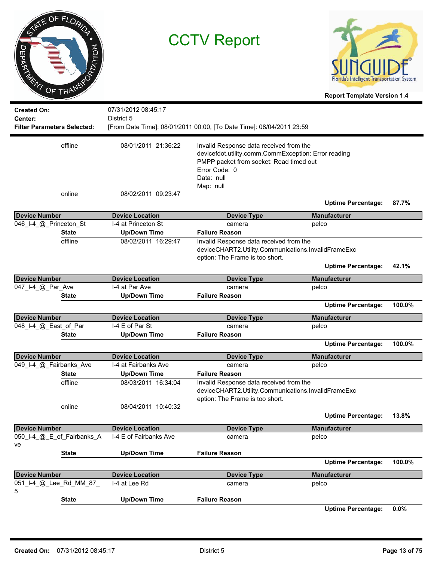|                | ME OF FLORIDA  |
|----------------|----------------|
| <b>DEPARTA</b> | <b>PRITION</b> |
| ENT            | OF TRANSP      |

07/31/2012 08:45:17

**Created On:**

CCTV Report



**Report Template Version 1.4**

**Center:** District 5 **Filter Parameters Selected:** [From Date Time]: 08/01/2011 00:00, [To Date Time]: 08/04/2011 23:59 Invalid Response data received from the devicefdot.utility.comm.CommException: Error reading PMPP packet from socket: Read timed out Error Code: 0 Data: null Map: null offline 08/01/2011 21:36:22 online 08/02/2011 09:23:47 **Uptime Percentage: 87.7% Device Number Device Location Device Type Manufacturer** 046 I-4 @ Princeton St I-4 at Princeton St camera comera pelco **State Up/Down Time Failure Reason** Invalid Response data received from the deviceCHART2.Utility.Communications.InvalidFrameExc eption: The Frame is too short. offline 08/02/2011 16:29:47 **Uptime Percentage: 42.1% Device Number Device Location Device Type Manufacturer** 047 I-4 @ Par Ave I-4 at Par Ave camera camera pelco **State Up/Down Time Failure Reason Uptime Percentage: 100.0% Device Number Device Location Device Type Manufacturer** 048\_I-4\_@\_East\_of\_Par iit is in the E of Par St camera camera camera pelco **State Up/Down Time Failure Reason Uptime Percentage: 100.0% Device Number Device Location Device Type Manufacturer** 049\_I-4\_@\_Fairbanks\_Ave I-4 at Fairbanks Ave camera camera pelco **State Up/Down Time Failure Reason** Invalid Response data received from the deviceCHART2.Utility.Communications.InvalidFrameExc eption: The Frame is too short. offline 08/03/2011 16:34:04 online 08/04/2011 10:40:32 **Uptime Percentage: 13.8% Device Number Device Location Device Type Manufacturer** 050\_I-4\_@\_E\_of\_Fairbanks\_A i-4 E of Fairbanks Ave camera camera pelco **State Up/Down Time Failure Reason Uptime Percentage: 100.0% Device Number Device Location Device Type Manufacturer** 051\_I-4\_@\_Lee\_Rd\_MM\_87\_ I-4 at Lee Rd camera pelco **State Up/Down Time Failure Reason**

**Uptime Percentage: 0.0%**

ve

5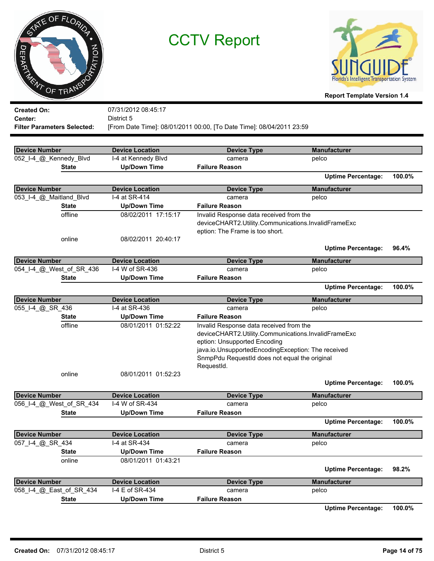| STATE OF FLORIDA |  |
|------------------|--|
| PTATION          |  |
| DE TRANSPORT     |  |
|                  |  |



**Report Template Version 1.4**

| <b>Created On:</b>                 | 07/31/2012 08:45:17    |                                                                      |                           |        |
|------------------------------------|------------------------|----------------------------------------------------------------------|---------------------------|--------|
| Center:                            | District 5             |                                                                      |                           |        |
| <b>Filter Parameters Selected:</b> |                        | [From Date Time]: 08/01/2011 00:00, [To Date Time]: 08/04/2011 23:59 |                           |        |
|                                    |                        |                                                                      |                           |        |
| <b>Device Number</b>               | <b>Device Location</b> | <b>Device Type</b>                                                   | <b>Manufacturer</b>       |        |
| 052_I-4_@_Kennedy_Blvd             | I-4 at Kennedy Blvd    | camera                                                               | pelco                     |        |
| <b>State</b>                       | <b>Up/Down Time</b>    | <b>Failure Reason</b>                                                |                           |        |
|                                    |                        |                                                                      | <b>Uptime Percentage:</b> | 100.0% |
| <b>Device Number</b>               | <b>Device Location</b> | <b>Device Type</b>                                                   | <b>Manufacturer</b>       |        |
| 053_I-4_@_Maitland_Blvd            | I-4 at SR-414          | camera                                                               | pelco                     |        |
| <b>State</b>                       | <b>Up/Down Time</b>    | <b>Failure Reason</b>                                                |                           |        |
| offline                            | 08/02/2011 17:15:17    | Invalid Response data received from the                              |                           |        |
|                                    |                        | deviceCHART2.Utility.Communications.InvalidFrameExc                  |                           |        |
|                                    |                        | eption: The Frame is too short.                                      |                           |        |
| online                             | 08/02/2011 20:40:17    |                                                                      |                           |        |
|                                    |                        |                                                                      | <b>Uptime Percentage:</b> | 96.4%  |
| <b>Device Number</b>               | <b>Device Location</b> | <b>Device Type</b>                                                   | <b>Manufacturer</b>       |        |
| 054_I-4_@_West_of_SR_436           | I-4 W of SR-436        | camera                                                               | pelco                     |        |
| <b>State</b>                       | <b>Up/Down Time</b>    | <b>Failure Reason</b>                                                |                           |        |
|                                    |                        |                                                                      | <b>Uptime Percentage:</b> | 100.0% |
| <b>Device Number</b>               | <b>Device Location</b> | <b>Device Type</b>                                                   | <b>Manufacturer</b>       |        |
| 055_I-4_@_SR_436                   | I-4 at SR-436          | camera                                                               | pelco                     |        |
| <b>State</b>                       | <b>Up/Down Time</b>    | <b>Failure Reason</b>                                                |                           |        |
| offline                            | 08/01/2011 01:52:22    | Invalid Response data received from the                              |                           |        |
|                                    |                        | deviceCHART2.Utility.Communications.InvalidFrameExc                  |                           |        |
|                                    |                        | eption: Unsupported Encoding                                         |                           |        |
|                                    |                        | java.io.UnsupportedEncodingException: The received                   |                           |        |
|                                    |                        | SnmpPdu RequestId does not equal the original                        |                           |        |
|                                    |                        | RequestId.                                                           |                           |        |
| online                             | 08/01/2011 01:52:23    |                                                                      |                           |        |
|                                    |                        |                                                                      | <b>Uptime Percentage:</b> | 100.0% |
| <b>Device Number</b>               | <b>Device Location</b> | <b>Device Type</b>                                                   | <b>Manufacturer</b>       |        |
| 056_I-4_@_West_of_SR_434           | I-4 W of SR-434        | camera                                                               | pelco                     |        |
| <b>State</b>                       | <b>Up/Down Time</b>    | <b>Failure Reason</b>                                                |                           |        |
|                                    |                        |                                                                      | <b>Uptime Percentage:</b> | 100.0% |
| <b>Device Number</b>               | <b>Device Location</b> | <b>Device Type</b>                                                   | <b>Manufacturer</b>       |        |
| 057_I-4_@_SR_434                   | I-4 at SR-434          | camera                                                               | pelco                     |        |
| <b>State</b>                       | <b>Up/Down Time</b>    | <b>Failure Reason</b>                                                |                           |        |
| online                             | 08/01/2011 01:43:21    |                                                                      |                           |        |
|                                    |                        |                                                                      | <b>Uptime Percentage:</b> | 98.2%  |
| <b>Device Number</b>               | <b>Device Location</b> | <b>Device Type</b>                                                   | <b>Manufacturer</b>       |        |
| 058_I-4_@_East_of_SR_434           | I-4 E of SR-434        | camera                                                               | pelco                     |        |
| <b>State</b>                       | <b>Up/Down Time</b>    | <b>Failure Reason</b>                                                |                           |        |

**Uptime Percentage: 100.0%**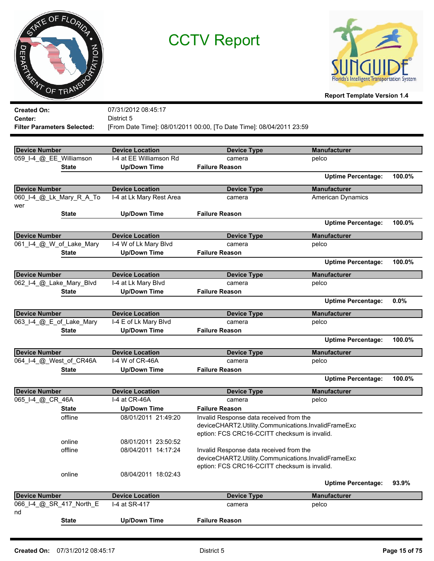



|                                          |                          | 07/31/2012 08:45:17                               |                                                                      |                           |        |
|------------------------------------------|--------------------------|---------------------------------------------------|----------------------------------------------------------------------|---------------------------|--------|
| <b>Created On:</b><br>Center:            |                          | District 5                                        |                                                                      |                           |        |
| <b>Filter Parameters Selected:</b>       |                          |                                                   | [From Date Time]: 08/01/2011 00:00, [To Date Time]: 08/04/2011 23:59 |                           |        |
|                                          |                          |                                                   |                                                                      |                           |        |
|                                          |                          |                                                   |                                                                      | <b>Manufacturer</b>       |        |
| Device Number<br>059_I-4_@_EE_Williamson |                          | <b>Device Location</b><br>I-4 at EE Williamson Rd | <b>Device Type</b>                                                   |                           |        |
|                                          | <b>State</b>             |                                                   | camera<br><b>Failure Reason</b>                                      | pelco                     |        |
|                                          |                          | <b>Up/Down Time</b>                               |                                                                      | <b>Uptime Percentage:</b> | 100.0% |
| <b>Device Number</b>                     |                          | <b>Device Location</b>                            | <b>Device Type</b>                                                   | <b>Manufacturer</b>       |        |
|                                          | 060_I-4_@_Lk_Mary_R_A_To | I-4 at Lk Mary Rest Area                          |                                                                      | American Dynamics         |        |
| wer                                      |                          |                                                   | camera                                                               |                           |        |
|                                          | <b>State</b>             | <b>Up/Down Time</b>                               | <b>Failure Reason</b>                                                |                           |        |
|                                          |                          |                                                   |                                                                      | <b>Uptime Percentage:</b> | 100.0% |
| <b>Device Number</b>                     |                          | <b>Device Location</b>                            | <b>Device Type</b>                                                   | <b>Manufacturer</b>       |        |
| 061_I-4_@_W_of_Lake_Mary                 |                          | I-4 W of Lk Mary Blvd                             | camera                                                               | pelco                     |        |
|                                          | <b>State</b>             | <b>Up/Down Time</b>                               | <b>Failure Reason</b>                                                |                           |        |
|                                          |                          |                                                   |                                                                      | <b>Uptime Percentage:</b> | 100.0% |
| <b>Device Number</b>                     |                          | <b>Device Location</b>                            | <b>Device Type</b>                                                   | <b>Manufacturer</b>       |        |
| 062_I-4_@_Lake_Mary_Blvd                 |                          | I-4 at Lk Mary Blvd                               | camera                                                               | pelco                     |        |
|                                          | <b>State</b>             | <b>Up/Down Time</b>                               | <b>Failure Reason</b>                                                |                           |        |
|                                          |                          |                                                   |                                                                      | <b>Uptime Percentage:</b> | 0.0%   |
| <b>Device Number</b>                     |                          | <b>Device Location</b>                            | <b>Device Type</b>                                                   | <b>Manufacturer</b>       |        |
| 063_I-4_@_E_of_Lake_Mary                 |                          | I-4 E of Lk Mary Blvd                             | camera                                                               | pelco                     |        |
|                                          | <b>State</b>             | <b>Up/Down Time</b>                               | <b>Failure Reason</b>                                                |                           |        |
|                                          |                          |                                                   |                                                                      | <b>Uptime Percentage:</b> | 100.0% |
| <b>Device Number</b>                     |                          | <b>Device Location</b>                            | <b>Device Type</b>                                                   | <b>Manufacturer</b>       |        |
| 064_I-4_@_West_of_CR46A                  |                          | I-4 W of CR-46A                                   | camera                                                               | pelco                     |        |
|                                          | <b>State</b>             | <b>Up/Down Time</b>                               | <b>Failure Reason</b>                                                |                           |        |
|                                          |                          |                                                   |                                                                      | <b>Uptime Percentage:</b> | 100.0% |
| <b>Device Number</b>                     |                          | <b>Device Location</b>                            | <b>Device Type</b>                                                   | <b>Manufacturer</b>       |        |
| 065_I-4_@_CR_46A                         |                          | I-4 at CR-46A                                     | camera                                                               | pelco                     |        |
|                                          | <b>State</b>             | <b>Up/Down Time</b>                               | <b>Failure Reason</b>                                                |                           |        |
|                                          | offline                  | 08/01/2011 21:49:20                               | Invalid Response data received from the                              |                           |        |
|                                          |                          |                                                   | deviceCHART2.Utility.Communications.InvalidFrameExc                  |                           |        |
|                                          |                          |                                                   | eption: FCS CRC16-CCITT checksum is invalid.                         |                           |        |
|                                          | online                   | 08/01/2011 23:50:52                               |                                                                      |                           |        |
|                                          | offline                  | 08/04/2011 14:17:24                               | Invalid Response data received from the                              |                           |        |
|                                          |                          |                                                   | deviceCHART2.Utility.Communications.InvalidFrameExc                  |                           |        |
|                                          | online                   | 08/04/2011 18:02:43                               | eption: FCS CRC16-CCITT checksum is invalid.                         |                           |        |
|                                          |                          |                                                   |                                                                      | <b>Uptime Percentage:</b> | 93.9%  |
| <b>Device Number</b>                     |                          | <b>Device Location</b>                            | <b>Device Type</b>                                                   | <b>Manufacturer</b>       |        |
| 066_I-4_@_SR_417_North_E                 |                          | I-4 at SR-417                                     | camera                                                               | pelco                     |        |
| nd                                       |                          |                                                   |                                                                      |                           |        |
|                                          | <b>State</b>             | <b>Up/Down Time</b>                               | <b>Failure Reason</b>                                                |                           |        |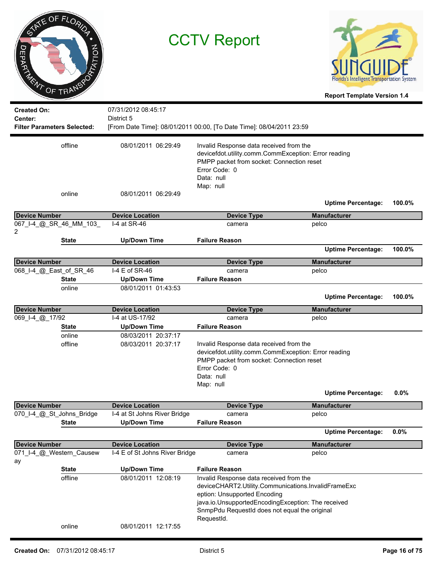| ヮ<br>ORDER AGNA OF TRANS      | OF FLORIDA<br>PRATION              |                                            | <b>CCTV Report</b>                                                                                                                                                                                                                                                           | Florida's Intelligent Transportation System<br><b>Report Template Version 1.4</b> |        |
|-------------------------------|------------------------------------|--------------------------------------------|------------------------------------------------------------------------------------------------------------------------------------------------------------------------------------------------------------------------------------------------------------------------------|-----------------------------------------------------------------------------------|--------|
| <b>Created On:</b><br>Center: | <b>Filter Parameters Selected:</b> | 07/31/2012 08:45:17<br>District 5          | [From Date Time]: 08/01/2011 00:00, [To Date Time]: 08/04/2011 23:59                                                                                                                                                                                                         |                                                                                   |        |
|                               | offline                            | 08/01/2011 06:29:49                        | Invalid Response data received from the<br>devicefdot.utility.comm.CommException: Error reading<br>PMPP packet from socket: Connection reset<br>Error Code: 0<br>Data: null<br>Map: null                                                                                     |                                                                                   |        |
|                               | online                             | 08/01/2011 06:29:49                        |                                                                                                                                                                                                                                                                              | <b>Uptime Percentage:</b>                                                         | 100.0% |
|                               |                                    | <b>Device Location</b>                     |                                                                                                                                                                                                                                                                              | <b>Manufacturer</b>                                                               |        |
| <b>Device Number</b>          | 067_I-4_@_SR_46_MM_103_            | I-4 at SR-46                               | <b>Device Type</b><br>camera                                                                                                                                                                                                                                                 | pelco                                                                             |        |
| 2                             |                                    |                                            |                                                                                                                                                                                                                                                                              |                                                                                   |        |
|                               | State                              | <b>Up/Down Time</b>                        | <b>Failure Reason</b>                                                                                                                                                                                                                                                        | <b>Uptime Percentage:</b>                                                         | 100.0% |
|                               |                                    |                                            |                                                                                                                                                                                                                                                                              |                                                                                   |        |
| <b>Device Number</b>          |                                    | <b>Device Location</b>                     | <b>Device Type</b>                                                                                                                                                                                                                                                           | <b>Manufacturer</b>                                                               |        |
| 068_I-4_@_East_of_SR_46       |                                    | I-4 E of SR-46                             | camera                                                                                                                                                                                                                                                                       | pelco                                                                             |        |
|                               | <b>State</b>                       | <b>Up/Down Time</b>                        | <b>Failure Reason</b>                                                                                                                                                                                                                                                        |                                                                                   |        |
|                               | online                             | 08/01/2011 01:43:53                        |                                                                                                                                                                                                                                                                              | <b>Uptime Percentage:</b>                                                         | 100.0% |
| <b>Device Number</b>          |                                    | <b>Device Location</b>                     | <b>Device Type</b>                                                                                                                                                                                                                                                           | <b>Manufacturer</b>                                                               |        |
| 069 1-4 @ 17/92               |                                    | I-4 at US-17/92                            | camera                                                                                                                                                                                                                                                                       | pelco                                                                             |        |
|                               | <b>State</b>                       | <b>Up/Down Time</b>                        | <b>Failure Reason</b>                                                                                                                                                                                                                                                        |                                                                                   |        |
|                               | online<br>offline                  | 08/03/2011 20:37:17<br>08/03/2011 20:37:17 | Invalid Response data received from the<br>devicefdot.utility.comm.CommException: Error reading<br>PMPP packet from socket: Connection reset<br>Error Code: 0<br>Data: null<br>Map: null                                                                                     |                                                                                   |        |
|                               |                                    |                                            |                                                                                                                                                                                                                                                                              | <b>Uptime Percentage:</b>                                                         | 0.0%   |
| <b>Device Number</b>          |                                    | <b>Device Location</b>                     | <b>Device Type</b>                                                                                                                                                                                                                                                           | <b>Manufacturer</b>                                                               |        |
|                               | 070_I-4_@_St_Johns_Bridge          | I-4 at St Johns River Bridge               | camera                                                                                                                                                                                                                                                                       | pelco                                                                             |        |
|                               | <b>State</b>                       | <b>Up/Down Time</b>                        | <b>Failure Reason</b>                                                                                                                                                                                                                                                        |                                                                                   |        |
|                               |                                    |                                            |                                                                                                                                                                                                                                                                              | <b>Uptime Percentage:</b>                                                         | 0.0%   |
| <b>Device Number</b>          |                                    | <b>Device Location</b>                     | <b>Device Type</b>                                                                                                                                                                                                                                                           | <b>Manufacturer</b>                                                               |        |
|                               | 071_I-4_@_Western_Causew           | I-4 E of St Johns River Bridge             | camera                                                                                                                                                                                                                                                                       | pelco                                                                             |        |
| ay                            |                                    |                                            |                                                                                                                                                                                                                                                                              |                                                                                   |        |
|                               | <b>State</b><br>offline            | <b>Up/Down Time</b><br>08/01/2011 12:08:19 | <b>Failure Reason</b><br>Invalid Response data received from the<br>deviceCHART2.Utility.Communications.InvalidFrameExc<br>eption: Unsupported Encoding<br>java.io.UnsupportedEncodingException: The received<br>SnmpPdu RequestId does not equal the original<br>RequestId. |                                                                                   |        |
|                               | online                             | 08/01/2011 12:17:55                        |                                                                                                                                                                                                                                                                              |                                                                                   |        |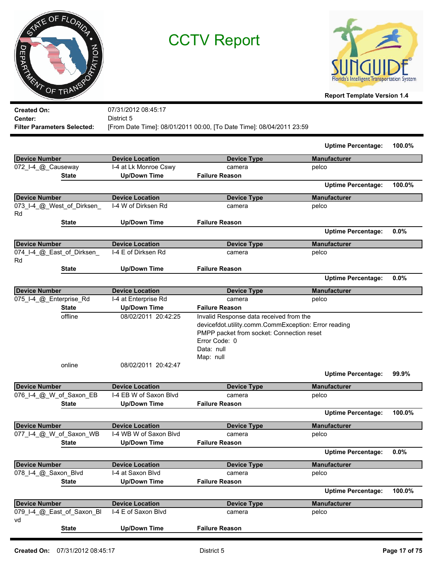|                        | STATE OF FLORIDA |
|------------------------|------------------|
|                        | PTATION          |
| DRUMATING OF TRANSPORT |                  |



**Report Template Version 1.4**

| <b>Created On:</b>                 | 07/31/2012 08:45:17                                                  |
|------------------------------------|----------------------------------------------------------------------|
| Center:                            | District 5                                                           |
| <b>Filter Parameters Selected:</b> | [From Date Time]: 08/01/2011 00:00, [To Date Time]: 08/04/2011 23:59 |

|                                  |                        |                                                                                                                                                               | <b>Uptime Percentage:</b> | 100.0% |
|----------------------------------|------------------------|---------------------------------------------------------------------------------------------------------------------------------------------------------------|---------------------------|--------|
| <b>Device Number</b>             | <b>Device Location</b> | <b>Device Type</b>                                                                                                                                            | <b>Manufacturer</b>       |        |
| 072 I-4 @ Causeway               | I-4 at Lk Monroe Cswy  | camera                                                                                                                                                        | pelco                     |        |
| State                            | <b>Up/Down Time</b>    | <b>Failure Reason</b>                                                                                                                                         |                           |        |
|                                  |                        |                                                                                                                                                               | <b>Uptime Percentage:</b> | 100.0% |
| <b>Device Number</b>             | <b>Device Location</b> | <b>Device Type</b>                                                                                                                                            | <b>Manufacturer</b>       |        |
| 073_I-4_@_West_of_Dirksen_<br>Rd | I-4 W of Dirksen Rd    | camera                                                                                                                                                        | pelco                     |        |
| State                            | <b>Up/Down Time</b>    | <b>Failure Reason</b>                                                                                                                                         |                           |        |
|                                  |                        |                                                                                                                                                               | <b>Uptime Percentage:</b> | 0.0%   |
| <b>Device Number</b>             | <b>Device Location</b> | <b>Device Type</b>                                                                                                                                            | <b>Manufacturer</b>       |        |
| 074_I-4_@_East_of_Dirksen_<br>Rd | I-4 E of Dirksen Rd    | camera                                                                                                                                                        | pelco                     |        |
| State                            | <b>Up/Down Time</b>    | <b>Failure Reason</b>                                                                                                                                         |                           |        |
|                                  |                        |                                                                                                                                                               | <b>Uptime Percentage:</b> | 0.0%   |
| <b>Device Number</b>             | <b>Device Location</b> | <b>Device Type</b>                                                                                                                                            | <b>Manufacturer</b>       |        |
| 075_I-4_@_Enterprise_Rd          | I-4 at Enterprise Rd   | camera                                                                                                                                                        | pelco                     |        |
| <b>State</b>                     | <b>Up/Down Time</b>    | <b>Failure Reason</b>                                                                                                                                         |                           |        |
| offline                          | 08/02/2011 20:42:25    | Invalid Response data received from the<br>devicefdot.utility.comm.CommException: Error reading<br>PMPP packet from socket: Connection reset<br>Error Code: 0 |                           |        |
|                                  |                        | Data: null<br>Map: null                                                                                                                                       |                           |        |
| online                           | 08/02/2011 20:42:47    |                                                                                                                                                               | <b>Uptime Percentage:</b> | 99.9%  |
| <b>Device Number</b>             | <b>Device Location</b> | <b>Device Type</b>                                                                                                                                            | <b>Manufacturer</b>       |        |
| 076_I-4_@_W_of_Saxon_EB          | I-4 EB W of Saxon Blvd | camera                                                                                                                                                        | pelco                     |        |
| <b>State</b>                     | <b>Up/Down Time</b>    | <b>Failure Reason</b>                                                                                                                                         |                           |        |
|                                  |                        |                                                                                                                                                               | <b>Uptime Percentage:</b> | 100.0% |
| <b>Device Number</b>             | <b>Device Location</b> | <b>Device Type</b>                                                                                                                                            | <b>Manufacturer</b>       |        |
| 077_I-4_@_W_of_Saxon_WB          | I-4 WB W of Saxon Blvd | camera                                                                                                                                                        | pelco                     |        |
| <b>State</b>                     | <b>Up/Down Time</b>    | <b>Failure Reason</b>                                                                                                                                         |                           |        |
|                                  |                        |                                                                                                                                                               | <b>Uptime Percentage:</b> | 0.0%   |
| <b>Device Number</b>             | <b>Device Location</b> | <b>Device Type</b>                                                                                                                                            | <b>Manufacturer</b>       |        |
| 078_I-4_@_Saxon_Blvd             | I-4 at Saxon Blvd      | camera                                                                                                                                                        | pelco                     |        |
| <b>State</b>                     | <b>Up/Down Time</b>    | <b>Failure Reason</b>                                                                                                                                         |                           |        |
|                                  |                        |                                                                                                                                                               | <b>Uptime Percentage:</b> | 100.0% |
| <b>Device Number</b>             | <b>Device Location</b> | <b>Device Type</b>                                                                                                                                            | <b>Manufacturer</b>       |        |
| 079_I-4_@_East_of_Saxon_Bl<br>vd | I-4 E of Saxon Blvd    | camera                                                                                                                                                        | pelco                     |        |
| <b>State</b>                     | <b>Up/Down Time</b>    | <b>Failure Reason</b>                                                                                                                                         |                           |        |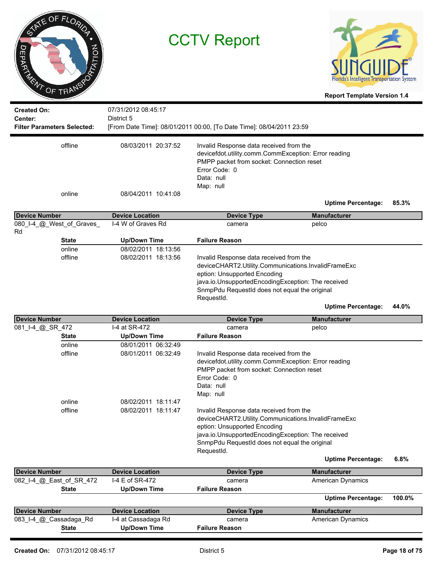



**Report Template Version 1.4**

| <b>Created On:</b><br>Center:<br><b>Filter Parameters Selected:</b> | 07/31/2012 08:45:17<br>District 5 | [From Date Time]: 08/01/2011 00:00, [To Date Time]: 08/04/2011 23:59                                                                                                                     |                           |       |
|---------------------------------------------------------------------|-----------------------------------|------------------------------------------------------------------------------------------------------------------------------------------------------------------------------------------|---------------------------|-------|
|                                                                     |                                   |                                                                                                                                                                                          |                           |       |
| offline                                                             | 08/03/2011 20:37:52               | Invalid Response data received from the<br>devicefdot.utility.comm.CommException: Error reading<br>PMPP packet from socket: Connection reset<br>Error Code: 0<br>Data: null<br>Map: null |                           |       |
| online                                                              | 08/04/2011 10:41:08               |                                                                                                                                                                                          |                           |       |
|                                                                     |                                   |                                                                                                                                                                                          | <b>Uptime Percentage:</b> | 85.3% |
| <b>Device Number</b>                                                | <b>Device Location</b>            | <b>Device Type</b>                                                                                                                                                                       | <b>Manufacturer</b>       |       |
| 080 I-4 @ West of Graves<br>Rd                                      | I-4 W of Graves Rd                | camera                                                                                                                                                                                   | pelco                     |       |
| <b>State</b>                                                        | <b>Up/Down Time</b>               | <b>Failure Reason</b>                                                                                                                                                                    |                           |       |
| online                                                              | 08/02/2011 18:13:56               |                                                                                                                                                                                          |                           |       |
| offline                                                             | 08/02/2011 18:13:56               | Invalid Response data received from the                                                                                                                                                  |                           |       |
|                                                                     |                                   | deviceCHART2.Utility.Communications.InvalidFrameExc                                                                                                                                      |                           |       |
|                                                                     |                                   | eption: Unsupported Encoding                                                                                                                                                             |                           |       |
|                                                                     |                                   | java.io.UnsupportedEncodingException: The received                                                                                                                                       |                           |       |
|                                                                     |                                   | SnmpPdu RequestId does not equal the original                                                                                                                                            |                           |       |
|                                                                     |                                   | RequestId.                                                                                                                                                                               |                           |       |
|                                                                     |                                   |                                                                                                                                                                                          | <b>Uptime Percentage:</b> | 44.0% |
| <b>Device Number</b>                                                | <b>Device Location</b>            | <b>Device Type</b>                                                                                                                                                                       | <b>Manufacturer</b>       |       |
| 081_I-4_@_SR_472                                                    | I-4 at SR-472                     | camera                                                                                                                                                                                   | pelco                     |       |
| <b>State</b>                                                        | <b>Up/Down Time</b>               | <b>Failure Reason</b>                                                                                                                                                                    |                           |       |
| onlino                                                              | 08/01/2011 06:22:40               |                                                                                                                                                                                          |                           |       |

| <b>State</b>             | <b>Up/Down Time</b>    | <b>Failure Reason</b>                                |                           |        |
|--------------------------|------------------------|------------------------------------------------------|---------------------------|--------|
| online                   | 08/01/2011 06:32:49    |                                                      |                           |        |
| offline                  | 08/01/2011 06:32:49    | Invalid Response data received from the              |                           |        |
|                          |                        | devicefdot.utility.comm.CommException: Error reading |                           |        |
|                          |                        | PMPP packet from socket: Connection reset            |                           |        |
|                          |                        | Error Code: 0                                        |                           |        |
|                          |                        | Data: null                                           |                           |        |
|                          |                        | Map: null                                            |                           |        |
| online                   | 08/02/2011 18:11:47    |                                                      |                           |        |
| offline                  | 08/02/2011 18:11:47    | Invalid Response data received from the              |                           |        |
|                          |                        | deviceCHART2.Utility.Communications.InvalidFrameExc  |                           |        |
|                          |                        | eption: Unsupported Encoding                         |                           |        |
|                          |                        | java.io.UnsupportedEncodingException: The received   |                           |        |
|                          |                        | SnmpPdu RequestId does not equal the original        |                           |        |
|                          |                        | Requestid.                                           |                           |        |
|                          |                        |                                                      | <b>Uptime Percentage:</b> | 6.8%   |
| <b>Device Number</b>     | <b>Device Location</b> | <b>Device Type</b>                                   | <b>Manufacturer</b>       |        |
| 082_I-4_@_East_of_SR_472 | I-4 E of SR-472        | camera                                               | <b>American Dynamics</b>  |        |
| <b>State</b>             | <b>Up/Down Time</b>    | <b>Failure Reason</b>                                |                           |        |
|                          |                        |                                                      | <b>Uptime Percentage:</b> | 100.0% |
| <b>Device Number</b>     | <b>Device Location</b> | Device Type                                          | <b>Manufacturer</b>       |        |
| 083 I-4 @ Cassadaga Rd   | I-4 at Cassadaga Rd    | camera                                               | <b>American Dynamics</b>  |        |

**State Up/Down Time Failure Reason**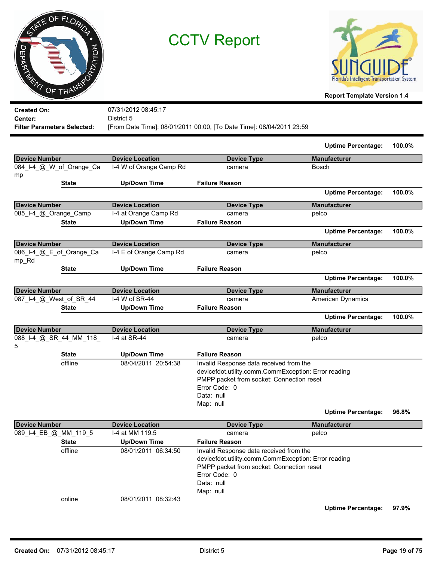



| <b>Created On:</b>                 | 07/31/2012 08:45:17                                                  |
|------------------------------------|----------------------------------------------------------------------|
| <b>Center:</b>                     | District 5                                                           |
| <b>Filter Parameters Selected:</b> | [From Date Time]: 08/01/2011 00:00, [To Date Time]: 08/04/2011 23:59 |

|                                   |                         |                                                                                                                                                                                          | <b>Uptime Percentage:</b>                        | 100.0% |
|-----------------------------------|-------------------------|------------------------------------------------------------------------------------------------------------------------------------------------------------------------------------------|--------------------------------------------------|--------|
| <b>Device Number</b>              | <b>Device Location</b>  | <b>Device Type</b>                                                                                                                                                                       | <b>Manufacturer</b>                              |        |
| 084_I-4_@_W_of_Orange_Ca          | I-4 W of Orange Camp Rd | camera                                                                                                                                                                                   | <b>Bosch</b>                                     |        |
| mp                                |                         |                                                                                                                                                                                          |                                                  |        |
| <b>State</b>                      | <b>Up/Down Time</b>     | <b>Failure Reason</b>                                                                                                                                                                    |                                                  |        |
|                                   |                         |                                                                                                                                                                                          | <b>Uptime Percentage:</b>                        | 100.0% |
| <b>Device Number</b>              | <b>Device Location</b>  | <b>Device Type</b>                                                                                                                                                                       | <b>Manufacturer</b>                              |        |
| 085_I-4_@_Orange_Camp             | I-4 at Orange Camp Rd   | camera                                                                                                                                                                                   | pelco                                            |        |
| <b>State</b>                      | <b>Up/Down Time</b>     | <b>Failure Reason</b>                                                                                                                                                                    |                                                  |        |
|                                   |                         |                                                                                                                                                                                          | <b>Uptime Percentage:</b>                        | 100.0% |
| <b>Device Number</b>              | <b>Device Location</b>  | <b>Device Type</b>                                                                                                                                                                       | <b>Manufacturer</b>                              |        |
| 086_I-4_@_E_of_Orange_Ca<br>mp_Rd | I-4 E of Orange Camp Rd | camera                                                                                                                                                                                   | pelco                                            |        |
| <b>State</b>                      | <b>Up/Down Time</b>     | <b>Failure Reason</b>                                                                                                                                                                    |                                                  |        |
|                                   |                         |                                                                                                                                                                                          | <b>Uptime Percentage:</b>                        | 100.0% |
| <b>Device Number</b>              | <b>Device Location</b>  | <b>Device Type</b>                                                                                                                                                                       | <b>Manufacturer</b>                              |        |
| 087_I-4_@_West_of_SR_44           | I-4 W of SR-44          | camera                                                                                                                                                                                   | American Dynamics                                |        |
|                                   |                         | <b>Failure Reason</b>                                                                                                                                                                    |                                                  |        |
| <b>State</b>                      | <b>Up/Down Time</b>     |                                                                                                                                                                                          |                                                  |        |
|                                   |                         |                                                                                                                                                                                          | <b>Uptime Percentage:</b>                        | 100.0% |
| <b>Device Number</b>              | <b>Device Location</b>  | <b>Device Type</b>                                                                                                                                                                       | <b>Manufacturer</b>                              |        |
| 088_I-4_@_SR_44_MM_118_<br>5      | I-4 at SR-44            | camera                                                                                                                                                                                   | pelco                                            |        |
| <b>State</b>                      | <b>Up/Down Time</b>     | <b>Failure Reason</b>                                                                                                                                                                    |                                                  |        |
| offline                           | 08/04/2011 20:54:38     | Invalid Response data received from the<br>devicefdot.utility.comm.CommException: Error reading<br>PMPP packet from socket: Connection reset<br>Error Code: 0<br>Data: null<br>Map: null |                                                  | 96.8%  |
| <b>Device Number</b>              | <b>Device Location</b>  | <b>Device Type</b>                                                                                                                                                                       | <b>Uptime Percentage:</b><br><b>Manufacturer</b> |        |

| Device Number         | <b>Device Location</b> |                     | <b>Device Type</b>                        | <b>Manufacturer</b>                                  |       |
|-----------------------|------------------------|---------------------|-------------------------------------------|------------------------------------------------------|-------|
| 089_I-4_EB_@_MM_119_5 | I-4 at MM 119.5        |                     | camera                                    | pelco                                                |       |
| <b>State</b>          |                        | Up/Down Time        | <b>Failure Reason</b>                     |                                                      |       |
| offline               |                        | 08/01/2011 06:34:50 | Invalid Response data received from the   |                                                      |       |
|                       |                        |                     |                                           | devicefdot.utility.comm.CommException: Error reading |       |
|                       |                        |                     | PMPP packet from socket: Connection reset |                                                      |       |
|                       |                        |                     | Error Code: 0                             |                                                      |       |
|                       |                        | Data: null          |                                           |                                                      |       |
|                       |                        | Map: null           |                                           |                                                      |       |
| online                |                        | 08/01/2011 08:32:43 |                                           |                                                      |       |
|                       |                        |                     |                                           | <b>Uptime Percentage:</b>                            | 97.9% |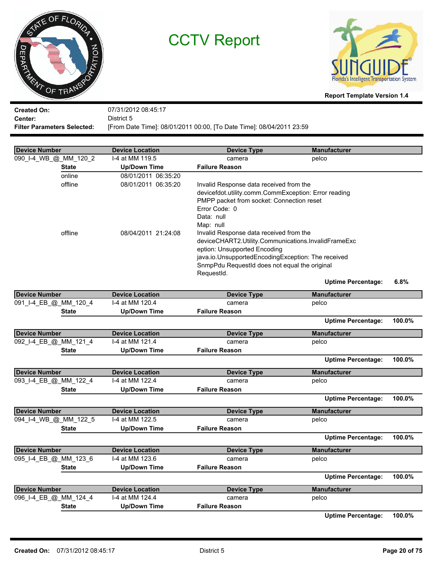



**Report Template Version 1.4**

**Created On: Center:** 07/31/2012 08:45:17 District 5 **Filter Parameters Selected:** [From Date Time]: 08/01/2011 00:00, [To Date Time]: 08/04/2011 23:59

| <b>Device Number</b>  |              | <b>Device Location</b> | <b>Device Type</b>                                   | <b>Manufacturer</b>       |        |
|-----------------------|--------------|------------------------|------------------------------------------------------|---------------------------|--------|
| 090_I-4_WB_@_MM_120_2 |              | I-4 at MM 119.5        | camera                                               | pelco                     |        |
|                       | <b>State</b> | <b>Up/Down Time</b>    | <b>Failure Reason</b>                                |                           |        |
|                       | online       | 08/01/2011 06:35:20    |                                                      |                           |        |
|                       | offline      | 08/01/2011 06:35:20    | Invalid Response data received from the              |                           |        |
|                       |              |                        | devicefdot.utility.comm.CommException: Error reading |                           |        |
|                       |              |                        | PMPP packet from socket: Connection reset            |                           |        |
|                       |              |                        | Error Code: 0                                        |                           |        |
|                       |              |                        | Data: null                                           |                           |        |
|                       |              |                        | Map: null                                            |                           |        |
|                       | offline      | 08/04/2011 21:24:08    | Invalid Response data received from the              |                           |        |
|                       |              |                        | deviceCHART2.Utility.Communications.InvalidFrameExc  |                           |        |
|                       |              |                        | eption: Unsupported Encoding                         |                           |        |
|                       |              |                        | java.io.UnsupportedEncodingException: The received   |                           |        |
|                       |              |                        | SnmpPdu RequestId does not equal the original        |                           |        |
|                       |              |                        | RequestId.                                           | <b>Uptime Percentage:</b> | 6.8%   |
|                       |              |                        |                                                      |                           |        |
| <b>Device Number</b>  |              | <b>Device Location</b> | <b>Device Type</b>                                   | <b>Manufacturer</b>       |        |
| 091_I-4_EB_@_MM_120_4 |              | I-4 at MM 120.4        | camera                                               | pelco                     |        |
|                       | State        | <b>Up/Down Time</b>    | <b>Failure Reason</b>                                |                           |        |
|                       |              |                        |                                                      | <b>Uptime Percentage:</b> | 100.0% |
| <b>Device Number</b>  |              | <b>Device Location</b> | <b>Device Type</b>                                   | <b>Manufacturer</b>       |        |
| 092_I-4_EB_@_MM_121_4 |              | I-4 at MM 121.4        | camera                                               | pelco                     |        |
|                       | <b>State</b> | <b>Up/Down Time</b>    | <b>Failure Reason</b>                                |                           |        |
|                       |              |                        |                                                      | <b>Uptime Percentage:</b> | 100.0% |
| <b>Device Number</b>  |              | <b>Device Location</b> | <b>Device Type</b>                                   | <b>Manufacturer</b>       |        |
| 093_I-4_EB_@_MM_122_4 |              | I-4 at MM 122.4        | camera                                               | pelco                     |        |
|                       | <b>State</b> | <b>Up/Down Time</b>    | <b>Failure Reason</b>                                |                           |        |
|                       |              |                        |                                                      | <b>Uptime Percentage:</b> | 100.0% |
| <b>Device Number</b>  |              | <b>Device Location</b> | <b>Device Type</b>                                   | <b>Manufacturer</b>       |        |
| 094_I-4_WB_@_MM_122_5 |              | I-4 at MM 122.5        | camera                                               | pelco                     |        |
|                       | <b>State</b> | <b>Up/Down Time</b>    | <b>Failure Reason</b>                                |                           |        |
|                       |              |                        |                                                      | <b>Uptime Percentage:</b> | 100.0% |
| <b>Device Number</b>  |              | <b>Device Location</b> | <b>Device Type</b>                                   | <b>Manufacturer</b>       |        |
| 095_I-4_EB_@_MM_123_6 |              | I-4 at MM 123.6        | camera                                               | pelco                     |        |
|                       | <b>State</b> | <b>Up/Down Time</b>    | <b>Failure Reason</b>                                |                           |        |
|                       |              |                        |                                                      | <b>Uptime Percentage:</b> | 100.0% |
| <b>Device Number</b>  |              | <b>Device Location</b> | <b>Device Type</b>                                   | <b>Manufacturer</b>       |        |
| 096_I-4_EB_@_MM_124_4 |              | I-4 at MM 124.4        | camera                                               | pelco                     |        |
|                       | <b>State</b> | <b>Up/Down Time</b>    | <b>Failure Reason</b>                                |                           |        |
|                       |              |                        |                                                      | <b>Uptime Percentage:</b> | 100.0% |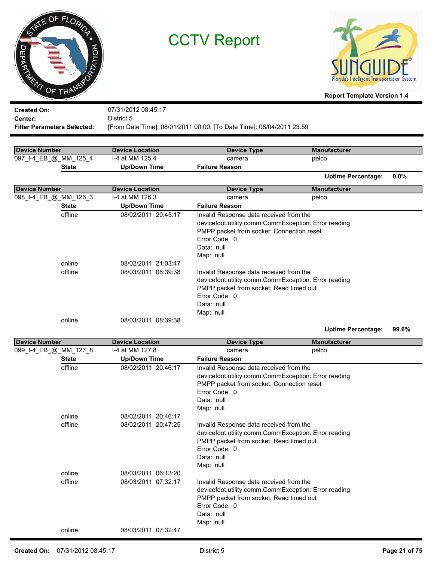|                           | NE OF FLORIDA |       |
|---------------------------|---------------|-------|
|                           |               |       |
| <b>JEPAR</b><br>i.<br>Mar |               | MOILE |
| ENT                       | OF TRANS      |       |



**Report Template Version 1.4**

| <b>Created On:</b>                 | 07/31/2012 08:45:17                                                  |
|------------------------------------|----------------------------------------------------------------------|
| Center:                            | District 5                                                           |
| <b>Filter Parameters Selected:</b> | [From Date Time]: 08/01/2011 00:00, [To Date Time]: 08/04/2011 23:59 |

| Device Number         | <b>Device Location</b>                     | Device Type                                                                                                                                                                              | <b>Manufacturer</b>       |         |
|-----------------------|--------------------------------------------|------------------------------------------------------------------------------------------------------------------------------------------------------------------------------------------|---------------------------|---------|
| 097_I-4_EB_@_MM_125_4 | I-4 at MM 125.4                            | camera                                                                                                                                                                                   | pelco                     |         |
| <b>State</b>          | <b>Up/Down Time</b>                        | <b>Failure Reason</b>                                                                                                                                                                    |                           |         |
|                       |                                            |                                                                                                                                                                                          | <b>Uptime Percentage:</b> | $0.0\%$ |
| <b>Device Number</b>  | <b>Device Location</b>                     | Device Type                                                                                                                                                                              | <b>Manufacturer</b>       |         |
| 098_I-4_EB_@_MM_126_3 | I-4 at MM 126.3                            | camera                                                                                                                                                                                   | pelco                     |         |
| <b>State</b>          | <b>Up/Down Time</b>                        | <b>Failure Reason</b>                                                                                                                                                                    |                           |         |
| offline               | 08/02/2011 20:45:17                        | Invalid Response data received from the<br>devicefdot.utility.comm.CommException: Error reading<br>PMPP packet from socket: Connection reset<br>Error Code: 0<br>Data: null<br>Map: null |                           |         |
| online<br>offline     | 08/02/2011 21:03:47<br>08/03/2011 08:39:38 | Invalid Response data received from the<br>devicefdot.utility.comm.CommException: Error reading<br>PMPP packet from socket: Read timed out<br>Error Code: 0<br>Data: null<br>Map: null   |                           |         |
| online                | 08/03/2011 08:39:38                        |                                                                                                                                                                                          |                           |         |

**Uptime Percentage: 99.6%**

| Device Number         | <b>Device Location</b> | <b>Device Type</b>                                                                              | <b>Manufacturer</b> |  |
|-----------------------|------------------------|-------------------------------------------------------------------------------------------------|---------------------|--|
| 099_I-4_EB_@_MM_127_8 | I-4 at MM 127.8        | camera                                                                                          | pelco               |  |
| <b>State</b>          | <b>Up/Down Time</b>    | <b>Failure Reason</b>                                                                           |                     |  |
| offline               | 08/02/2011 20:46:17    | Invalid Response data received from the                                                         |                     |  |
|                       |                        | devicefdot.utility.comm.CommException: Error reading                                            |                     |  |
|                       |                        | PMPP packet from socket: Connection reset                                                       |                     |  |
|                       |                        | Error Code: 0                                                                                   |                     |  |
|                       |                        | Data: null                                                                                      |                     |  |
|                       |                        | Map: null                                                                                       |                     |  |
| online                | 08/02/2011 20:46:17    |                                                                                                 |                     |  |
| offline               | 08/02/2011 20:47:25    | Invalid Response data received from the                                                         |                     |  |
|                       |                        | devicefdot.utility.comm.CommException: Error reading<br>PMPP packet from socket: Read timed out |                     |  |
|                       |                        | Error Code: 0                                                                                   |                     |  |
|                       |                        | Data: null                                                                                      |                     |  |
|                       |                        | Map: null                                                                                       |                     |  |
| online                | 08/03/2011 06:13:20    |                                                                                                 |                     |  |
| offline               | 08/03/2011 07:32:17    | Invalid Response data received from the                                                         |                     |  |
|                       |                        | devicefdot.utility.comm.CommException: Error reading                                            |                     |  |
|                       |                        | PMPP packet from socket: Read timed out                                                         |                     |  |
|                       |                        | Error Code: 0                                                                                   |                     |  |
|                       |                        | Data: null                                                                                      |                     |  |
|                       |                        | Map: null                                                                                       |                     |  |
| online                | 08/03/2011 07:32:47    |                                                                                                 |                     |  |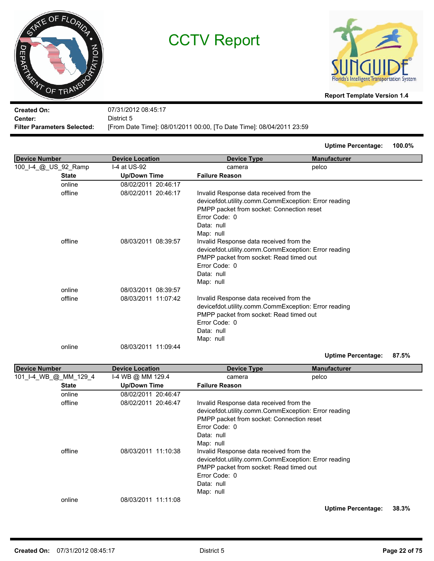



**Report Template Version 1.4**

**Created On: Center:** 07/31/2012 08:45:17 District 5 **Filter Parameters Selected:** [From Date Time]: 08/01/2011 00:00, [To Date Time]: 08/04/2011 23:59

**Uptime Percentage: 100.0%**

| <b>Device Number</b>  | <b>Device Location</b> | <b>Device Type</b>                                   | <b>Manufacturer</b>       |       |
|-----------------------|------------------------|------------------------------------------------------|---------------------------|-------|
| 100_I-4_@_US_92_Ramp  | I-4 at US-92           | camera                                               | pelco                     |       |
| <b>State</b>          | <b>Up/Down Time</b>    | <b>Failure Reason</b>                                |                           |       |
| online                | 08/02/2011 20:46:17    |                                                      |                           |       |
| offline               | 08/02/2011 20:46:17    | Invalid Response data received from the              |                           |       |
|                       |                        | devicefdot.utility.comm.CommException: Error reading |                           |       |
|                       |                        | PMPP packet from socket: Connection reset            |                           |       |
|                       |                        | Error Code: 0                                        |                           |       |
|                       |                        | Data: null                                           |                           |       |
|                       |                        | Map: null                                            |                           |       |
| offline               | 08/03/2011 08:39:57    | Invalid Response data received from the              |                           |       |
|                       |                        | devicefdot.utility.comm.CommException: Error reading |                           |       |
|                       |                        | PMPP packet from socket: Read timed out              |                           |       |
|                       |                        | Error Code: 0                                        |                           |       |
|                       |                        | Data: null                                           |                           |       |
|                       |                        | Map: null                                            |                           |       |
| online                | 08/03/2011 08:39:57    |                                                      |                           |       |
| offline               | 08/03/2011 11:07:42    | Invalid Response data received from the              |                           |       |
|                       |                        | devicefdot.utility.comm.CommException: Error reading |                           |       |
|                       |                        | PMPP packet from socket: Read timed out              |                           |       |
|                       |                        | Error Code: 0                                        |                           |       |
|                       |                        | Data: null                                           |                           |       |
|                       |                        | Map: null                                            |                           |       |
| online                | 08/03/2011 11:09:44    |                                                      |                           |       |
|                       |                        |                                                      | <b>Uptime Percentage:</b> | 87.5% |
| <b>Device Number</b>  | <b>Device Location</b> | <b>Device Type</b>                                   | <b>Manufacturer</b>       |       |
| 101_I-4_WB_@_MM_129_4 | I-4 WB @ MM 129.4      | camera                                               | pelco                     |       |
| <b>State</b>          | <b>Up/Down Time</b>    | <b>Failure Reason</b>                                |                           |       |
| online                | 08/02/2011 20:46:47    |                                                      |                           |       |
| offline               | 08/02/2011 20:46:47    | Invalid Response data received from the              |                           |       |
|                       |                        | devicefdot.utility.comm.CommException: Error reading |                           |       |
|                       |                        | PMPP packet from socket: Connection reset            |                           |       |
|                       |                        | Error Code: 0                                        |                           |       |
|                       |                        | Data: null                                           |                           |       |
|                       |                        | Map: null                                            |                           |       |
| offline               | 08/03/2011 11:10:38    | Invalid Response data received from the              |                           |       |
|                       |                        | devicefdot.utility.comm.CommException: Error reading |                           |       |
|                       |                        | PMPP packet from socket: Read timed out              |                           |       |
|                       |                        | Error Code: 0                                        |                           |       |

online 08/03/2011 11:11:08

**Uptime Percentage: 38.3%**

Data: null Map: null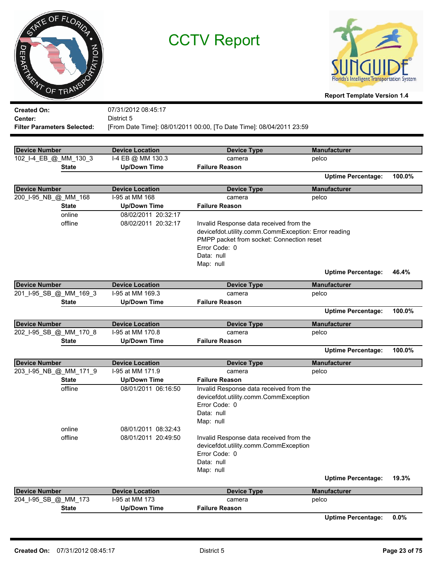|                                       | NE OF FLORIDA |  |
|---------------------------------------|---------------|--|
|                                       |               |  |
| <b>EPAY</b><br>$\boldsymbol{\hat{z}}$ | PTATION       |  |
|                                       | OF TRANS      |  |



| <b>Created On:</b>                 | 07/31/2012 08:45:17                                                  |
|------------------------------------|----------------------------------------------------------------------|
| Center:                            | District 5                                                           |
| <b>Filter Parameters Selected:</b> | [From Date Time]: 08/01/2011 00:00, [To Date Time]: 08/04/2011 23:59 |
|                                    |                                                                      |

| <b>Device Number</b>   | <b>Device Location</b> | <b>Device Type</b>                                                               | <b>Manufacturer</b>       |        |
|------------------------|------------------------|----------------------------------------------------------------------------------|---------------------------|--------|
| 102_I-4_EB_@_MM_130_3  | I-4 EB @ MM 130.3      | camera                                                                           | pelco                     |        |
| <b>State</b>           | <b>Up/Down Time</b>    | <b>Failure Reason</b>                                                            |                           |        |
|                        |                        |                                                                                  | <b>Uptime Percentage:</b> | 100.0% |
| <b>Device Number</b>   | <b>Device Location</b> | <b>Device Type</b>                                                               | <b>Manufacturer</b>       |        |
| 200_I-95_NB_@_MM_168   | I-95 at MM 168         | camera                                                                           | pelco                     |        |
| <b>State</b>           | <b>Up/Down Time</b>    | <b>Failure Reason</b>                                                            |                           |        |
| online                 | 08/02/2011 20:32:17    |                                                                                  |                           |        |
| offline                | 08/02/2011 20:32:17    | Invalid Response data received from the                                          |                           |        |
|                        |                        | devicefdot.utility.comm.CommException: Error reading                             |                           |        |
|                        |                        | PMPP packet from socket: Connection reset                                        |                           |        |
|                        |                        | Error Code: 0                                                                    |                           |        |
|                        |                        | Data: null                                                                       |                           |        |
|                        |                        | Map: null                                                                        |                           |        |
|                        |                        |                                                                                  | <b>Uptime Percentage:</b> | 46.4%  |
| <b>Device Number</b>   | <b>Device Location</b> | <b>Device Type</b>                                                               | <b>Manufacturer</b>       |        |
| 201_I-95_SB_@_MM_169_3 | I-95 at MM 169.3       | camera                                                                           | pelco                     |        |
| <b>State</b>           | <b>Up/Down Time</b>    | <b>Failure Reason</b>                                                            |                           |        |
|                        |                        |                                                                                  | <b>Uptime Percentage:</b> | 100.0% |
| <b>Device Number</b>   | <b>Device Location</b> | <b>Device Type</b>                                                               | <b>Manufacturer</b>       |        |
| 202_I-95_SB_@_MM_170_8 | I-95 at MM 170.8       | camera                                                                           | pelco                     |        |
| <b>State</b>           | <b>Up/Down Time</b>    | <b>Failure Reason</b>                                                            |                           |        |
|                        |                        |                                                                                  | <b>Uptime Percentage:</b> | 100.0% |
| <b>Device Number</b>   | <b>Device Location</b> | <b>Device Type</b>                                                               | <b>Manufacturer</b>       |        |
| 203_I-95_NB_@_MM_171_9 | I-95 at MM 171.9       | camera                                                                           | pelco                     |        |
| <b>State</b>           | <b>Up/Down Time</b>    | <b>Failure Reason</b>                                                            |                           |        |
| offline                | 08/01/2011 06:16:50    | Invalid Response data received from the                                          |                           |        |
|                        |                        | devicefdot.utility.comm.CommException                                            |                           |        |
|                        |                        | Error Code: 0                                                                    |                           |        |
|                        |                        | Data: null                                                                       |                           |        |
|                        |                        | Map: null                                                                        |                           |        |
| online                 | 08/01/2011 08:32:43    |                                                                                  |                           |        |
| offline                | 08/01/2011 20:49:50    | Invalid Response data received from the<br>devicefdot.utility.comm.CommException |                           |        |
|                        |                        | Error Code: 0                                                                    |                           |        |
|                        |                        | Data: null                                                                       |                           |        |
|                        |                        | Map: null                                                                        |                           |        |
|                        |                        |                                                                                  | <b>Uptime Percentage:</b> | 19.3%  |
| <b>Device Number</b>   | <b>Device Location</b> | <b>Device Type</b>                                                               | <b>Manufacturer</b>       |        |
| 204_I-95_SB_@_MM_173   | I-95 at MM 173         | camera                                                                           | pelco                     |        |
| <b>State</b>           | <b>Up/Down Time</b>    | <b>Failure Reason</b>                                                            |                           |        |
|                        |                        |                                                                                  | <b>Uptime Percentage:</b> | 0.0%   |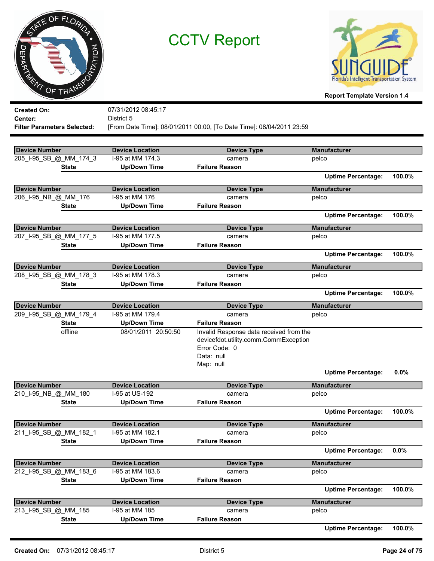|                                | NE OF FLORIDA |         |
|--------------------------------|---------------|---------|
|                                |               |         |
| EPAY<br>$\boldsymbol{\hat{z}}$ |               | PTATION |
|                                | OF TRANS      |         |

Е

CCTV Report



**Report Template Version 1.4**

| <b>Created On:</b>                 | 07/31/2012 08:45:17    |                                                                      |                           |        |
|------------------------------------|------------------------|----------------------------------------------------------------------|---------------------------|--------|
| Center:                            | District 5             |                                                                      |                           |        |
| <b>Filter Parameters Selected:</b> |                        | [From Date Time]: 08/01/2011 00:00, [To Date Time]: 08/04/2011 23:59 |                           |        |
|                                    |                        |                                                                      |                           |        |
| <b>Device Number</b>               | <b>Device Location</b> | <b>Device Type</b>                                                   | <b>Manufacturer</b>       |        |
| 205_I-95_SB_@_MM_174_3             | I-95 at MM 174.3       | camera                                                               | pelco                     |        |
| <b>State</b>                       | <b>Up/Down Time</b>    | <b>Failure Reason</b>                                                |                           |        |
|                                    |                        |                                                                      | <b>Uptime Percentage:</b> | 100.0% |
| <b>Device Number</b>               | <b>Device Location</b> | <b>Device Type</b>                                                   | <b>Manufacturer</b>       |        |
| 206_I-95_NB_@_MM_176               | I-95 at MM 176         | camera                                                               | pelco                     |        |
| <b>State</b>                       | <b>Up/Down Time</b>    | <b>Failure Reason</b>                                                |                           |        |
|                                    |                        |                                                                      | <b>Uptime Percentage:</b> | 100.0% |
| <b>Device Number</b>               | <b>Device Location</b> | <b>Device Type</b>                                                   | <b>Manufacturer</b>       |        |
| 207_I-95_SB_@_MM_177_5             | I-95 at MM 177.5       | camera                                                               | pelco                     |        |
| <b>State</b>                       | <b>Up/Down Time</b>    | <b>Failure Reason</b>                                                |                           |        |
|                                    |                        |                                                                      | <b>Uptime Percentage:</b> | 100.0% |
| <b>Device Number</b>               | <b>Device Location</b> | <b>Device Type</b>                                                   | <b>Manufacturer</b>       |        |
| 208_I-95_SB_@_MM_178_3             | I-95 at MM 178.3       | camera                                                               | pelco                     |        |
| <b>State</b>                       | <b>Up/Down Time</b>    | <b>Failure Reason</b>                                                |                           |        |
|                                    |                        |                                                                      | <b>Uptime Percentage:</b> | 100.0% |
| <b>Device Number</b>               | <b>Device Location</b> | <b>Device Type</b>                                                   | <b>Manufacturer</b>       |        |
| 209_I-95_SB_@_MM_179_4             | I-95 at MM 179.4       | camera                                                               | pelco                     |        |
| <b>State</b>                       | <b>Up/Down Time</b>    | <b>Failure Reason</b>                                                |                           |        |
| offline                            | 08/01/2011 20:50:50    | Invalid Response data received from the                              |                           |        |
|                                    |                        | devicefdot.utility.comm.CommException                                |                           |        |
|                                    |                        | Error Code: 0                                                        |                           |        |
|                                    |                        | Data: null                                                           |                           |        |
|                                    |                        | Map: null                                                            |                           |        |
|                                    |                        |                                                                      | <b>Uptime Percentage:</b> | 0.0%   |
| <b>Device Number</b>               | <b>Device Location</b> | <b>Device Type</b>                                                   | <b>Manufacturer</b>       |        |
| 210_I-95_NB_@_MM_180               | I-95 at US-192         | camera                                                               | pelco                     |        |
| <b>State</b>                       | <b>Up/Down Time</b>    | <b>Failure Reason</b>                                                |                           |        |
|                                    |                        |                                                                      | <b>Uptime Percentage:</b> | 100.0% |
| <b>Device Number</b>               | <b>Device Location</b> | <b>Device Type</b>                                                   | <b>Manufacturer</b>       |        |
| 211_I-95_SB_@_MM_182_1             | I-95 at MM 182.1       | camera                                                               | pelco                     |        |
| <b>State</b>                       | <b>Up/Down Time</b>    | <b>Failure Reason</b>                                                |                           |        |
|                                    |                        |                                                                      | <b>Uptime Percentage:</b> | 0.0%   |
| <b>Device Number</b>               | <b>Device Location</b> | <b>Device Type</b>                                                   | <b>Manufacturer</b>       |        |
| 212_I-95_SB_@_MM_183_6             | I-95 at MM 183.6       | camera                                                               | pelco                     |        |
| <b>State</b>                       | <b>Up/Down Time</b>    | <b>Failure Reason</b>                                                |                           |        |
|                                    |                        |                                                                      | <b>Uptime Percentage:</b> | 100.0% |
| <b>Device Number</b>               | <b>Device Location</b> | <b>Device Type</b>                                                   | <b>Manufacturer</b>       |        |
| 213 I-95 SB @ MM 185               | I-95 at MM 185         | camera                                                               | pelco                     |        |
| <b>State</b>                       | <b>Up/Down Time</b>    | <b>Failure Reason</b>                                                |                           |        |

**Uptime Percentage: 100.0%**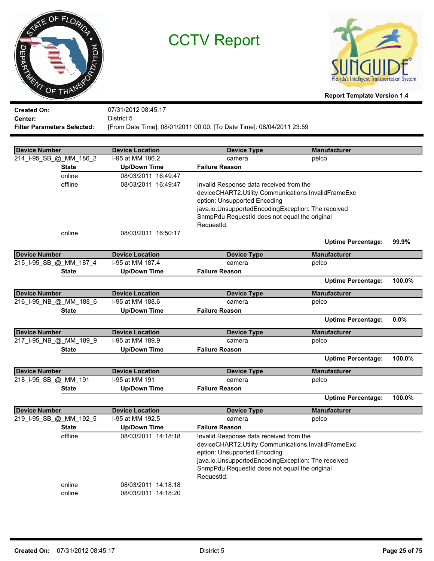



**Report Template Version 1.4**

**Created On: Center:** 07/31/2012 08:45:17 District 5 **Filter Parameters Selected:** [From Date Time]: 08/01/2011 00:00, [To Date Time]: 08/04/2011 23:59

| <b>Device Number</b>   | <b>Device Location</b> | <b>Device Type</b>                                  | <b>Manufacturer</b>       |        |
|------------------------|------------------------|-----------------------------------------------------|---------------------------|--------|
| 214_I-95_SB_@_MM_186_2 | I-95 at MM 186.2       | camera                                              | pelco                     |        |
| State                  | <b>Up/Down Time</b>    | <b>Failure Reason</b>                               |                           |        |
| online                 | 08/03/2011 16:49:47    |                                                     |                           |        |
| offline                | 08/03/2011 16:49:47    | Invalid Response data received from the             |                           |        |
|                        |                        | deviceCHART2.Utility.Communications.InvalidFrameExc |                           |        |
|                        |                        | eption: Unsupported Encoding                        |                           |        |
|                        |                        | java.io.UnsupportedEncodingException: The received  |                           |        |
|                        |                        | SnmpPdu RequestId does not equal the original       |                           |        |
|                        |                        | RequestId.                                          |                           |        |
| online                 | 08/03/2011 16:50:17    |                                                     |                           |        |
|                        |                        |                                                     | <b>Uptime Percentage:</b> | 99.9%  |
| <b>Device Number</b>   | <b>Device Location</b> | <b>Device Type</b>                                  | <b>Manufacturer</b>       |        |
| 215_I-95_SB_@_MM_187_4 | I-95 at MM 187.4       | camera                                              | pelco                     |        |
| State                  | <b>Up/Down Time</b>    | <b>Failure Reason</b>                               |                           |        |
|                        |                        |                                                     | <b>Uptime Percentage:</b> | 100.0% |
| <b>Device Number</b>   | <b>Device Location</b> | <b>Device Type</b>                                  | <b>Manufacturer</b>       |        |
| 216_I-95_NB_@_MM_188_6 | I-95 at MM 188.6       | camera                                              | pelco                     |        |
| State                  | <b>Up/Down Time</b>    | <b>Failure Reason</b>                               |                           |        |
|                        |                        |                                                     | <b>Uptime Percentage:</b> | 0.0%   |
| <b>Device Number</b>   | <b>Device Location</b> | <b>Device Type</b>                                  | <b>Manufacturer</b>       |        |
| 217_I-95_NB_@_MM_189_9 | I-95 at MM 189.9       | camera                                              | pelco                     |        |
| <b>State</b>           | <b>Up/Down Time</b>    | <b>Failure Reason</b>                               |                           |        |
|                        |                        |                                                     | <b>Uptime Percentage:</b> | 100.0% |
| <b>Device Number</b>   | <b>Device Location</b> | <b>Device Type</b>                                  | <b>Manufacturer</b>       |        |
| 218_I-95_SB_@_MM_191   | I-95 at MM 191         | camera                                              | pelco                     |        |
| <b>State</b>           | <b>Up/Down Time</b>    | <b>Failure Reason</b>                               |                           |        |
|                        |                        |                                                     | <b>Uptime Percentage:</b> | 100.0% |
| Device Number          | <b>Device Location</b> | <b>Device Type</b>                                  | <b>Manufacturer</b>       |        |
| 219_I-95_SB_@_MM_192_5 | I-95 at MM 192.5       | camera                                              | pelco                     |        |
| <b>State</b>           | <b>Up/Down Time</b>    | <b>Failure Reason</b>                               |                           |        |
| offline                | 08/03/2011 14:18:18    | Invalid Response data received from the             |                           |        |
|                        |                        | deviceCHART2.Utility.Communications.InvalidFrameExc |                           |        |
|                        |                        | eption: Unsupported Encoding                        |                           |        |
|                        |                        | java.io.UnsupportedEncodingException: The received  |                           |        |
|                        |                        | SnmpPdu RequestId does not equal the original       |                           |        |
|                        |                        | RequestId.                                          |                           |        |
| online                 | 08/03/2011 14:18:18    |                                                     |                           |        |
| online                 | 08/03/2011 14:18:20    |                                                     |                           |        |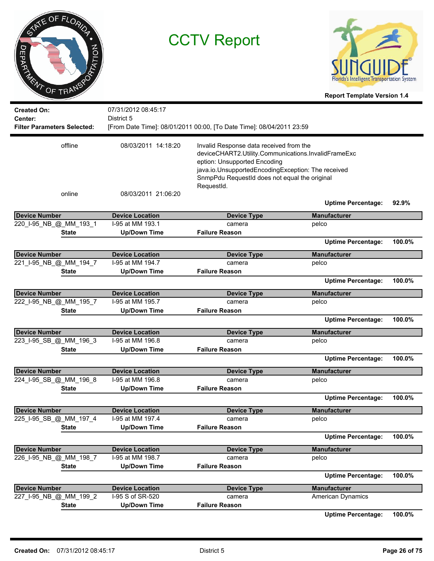| INE OF FLORIDA<br><b>ZOLTA</b><br>◘<br>m<br>᠊ᠸ<br><b>ARANT OF TRANS</b> |                        | <b>CCTV Report</b>                                                                                                                                                                                                                                  | <b>Report Template Version 1.4</b> |        |
|-------------------------------------------------------------------------|------------------------|-----------------------------------------------------------------------------------------------------------------------------------------------------------------------------------------------------------------------------------------------------|------------------------------------|--------|
| <b>Created On:</b>                                                      | 07/31/2012 08:45:17    |                                                                                                                                                                                                                                                     |                                    |        |
| Center:                                                                 | District 5             |                                                                                                                                                                                                                                                     |                                    |        |
| <b>Filter Parameters Selected:</b>                                      |                        | [From Date Time]: 08/01/2011 00:00, [To Date Time]: 08/04/2011 23:59                                                                                                                                                                                |                                    |        |
|                                                                         |                        |                                                                                                                                                                                                                                                     |                                    |        |
| offline                                                                 | 08/03/2011 14:18:20    | Invalid Response data received from the<br>deviceCHART2.Utility.Communications.InvalidFrameExc<br>eption: Unsupported Encoding<br>java.io.UnsupportedEncodingException: The received<br>SnmpPdu RequestId does not equal the original<br>RequestId. |                                    |        |
| online                                                                  | 08/03/2011 21:06:20    |                                                                                                                                                                                                                                                     |                                    |        |
|                                                                         |                        |                                                                                                                                                                                                                                                     | <b>Uptime Percentage:</b>          | 92.9%  |
| <b>Device Number</b>                                                    | <b>Device Location</b> | <b>Device Type</b>                                                                                                                                                                                                                                  | <b>Manufacturer</b>                |        |
| 220_I-95_NB_@_MM_193_1                                                  | I-95 at MM 193.1       | camera                                                                                                                                                                                                                                              | pelco                              |        |
| <b>State</b>                                                            | <b>Up/Down Time</b>    | <b>Failure Reason</b>                                                                                                                                                                                                                               |                                    |        |
|                                                                         |                        |                                                                                                                                                                                                                                                     | <b>Uptime Percentage:</b>          | 100.0% |
| <b>Device Number</b>                                                    | <b>Device Location</b> | <b>Device Type</b>                                                                                                                                                                                                                                  | <b>Manufacturer</b>                |        |
| 221_I-95_NB_@_MM_194_7                                                  | I-95 at MM 194.7       | camera                                                                                                                                                                                                                                              | pelco                              |        |
| <b>State</b>                                                            | <b>Up/Down Time</b>    | <b>Failure Reason</b>                                                                                                                                                                                                                               |                                    |        |
|                                                                         |                        |                                                                                                                                                                                                                                                     | <b>Uptime Percentage:</b>          | 100.0% |
| <b>Device Number</b>                                                    | <b>Device Location</b> | <b>Device Type</b>                                                                                                                                                                                                                                  | <b>Manufacturer</b>                |        |
| 222_I-95_NB_@_MM_195_7                                                  | I-95 at MM 195.7       | camera                                                                                                                                                                                                                                              | pelco                              |        |
| <b>State</b>                                                            | <b>Up/Down Time</b>    | <b>Failure Reason</b>                                                                                                                                                                                                                               |                                    |        |
|                                                                         |                        |                                                                                                                                                                                                                                                     | <b>Uptime Percentage:</b>          | 100.0% |
| <b>Device Number</b>                                                    | <b>Device Location</b> | <b>Device Type</b>                                                                                                                                                                                                                                  | <b>Manufacturer</b>                |        |
| 223_I-95_SB_@_MM_196_3                                                  | I-95 at MM 196.8       | camera                                                                                                                                                                                                                                              | pelco                              |        |
| <b>State</b>                                                            | <b>Up/Down Time</b>    | <b>Failure Reason</b>                                                                                                                                                                                                                               |                                    |        |
|                                                                         |                        |                                                                                                                                                                                                                                                     | <b>Uptime Percentage:</b>          | 100.0% |
|                                                                         |                        |                                                                                                                                                                                                                                                     |                                    |        |
| <b>Device Number</b>                                                    | <b>Device Location</b> | <b>Device Type</b>                                                                                                                                                                                                                                  | <b>Manufacturer</b>                |        |
| 224 I-95 SB @ MM 196 8                                                  | I-95 at MM 196.8       | camera                                                                                                                                                                                                                                              | pelco                              |        |
| <b>State</b>                                                            | <b>Up/Down Time</b>    | <b>Failure Reason</b>                                                                                                                                                                                                                               |                                    |        |
|                                                                         |                        |                                                                                                                                                                                                                                                     | <b>Uptime Percentage:</b>          | 100.0% |
| <b>Device Number</b>                                                    | <b>Device Location</b> | <b>Device Type</b>                                                                                                                                                                                                                                  | <b>Manufacturer</b>                |        |
| 225 I-95 SB @ MM 197 4                                                  | I-95 at MM 197.4       | camera                                                                                                                                                                                                                                              | pelco                              |        |
| <b>State</b>                                                            | <b>Up/Down Time</b>    | <b>Failure Reason</b>                                                                                                                                                                                                                               |                                    |        |
|                                                                         |                        |                                                                                                                                                                                                                                                     | <b>Uptime Percentage:</b>          | 100.0% |
| <b>Device Number</b>                                                    | <b>Device Location</b> | <b>Device Type</b>                                                                                                                                                                                                                                  | <b>Manufacturer</b>                |        |
| 226_I-95_NB_@_MM_198_7                                                  | I-95 at MM 198.7       | camera                                                                                                                                                                                                                                              | pelco                              |        |
| <b>State</b>                                                            | <b>Up/Down Time</b>    | <b>Failure Reason</b>                                                                                                                                                                                                                               |                                    |        |
|                                                                         |                        |                                                                                                                                                                                                                                                     | <b>Uptime Percentage:</b>          | 100.0% |
| <b>Device Number</b>                                                    | <b>Device Location</b> | <b>Device Type</b>                                                                                                                                                                                                                                  | <b>Manufacturer</b>                |        |
| 227_I-95_NB_@_MM_199_2                                                  | I-95 S of SR-520       | camera                                                                                                                                                                                                                                              | American Dynamics                  |        |
| <b>State</b>                                                            | <b>Up/Down Time</b>    | <b>Failure Reason</b>                                                                                                                                                                                                                               |                                    |        |
|                                                                         |                        |                                                                                                                                                                                                                                                     |                                    | 0.000  |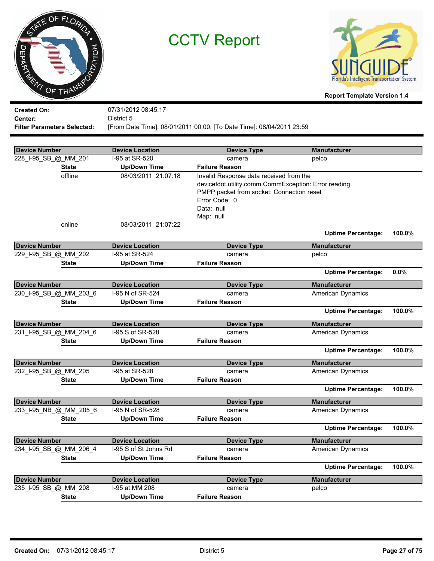



| <b>Created On:</b>                 | 07/31/2012 08:45:17                                                  |
|------------------------------------|----------------------------------------------------------------------|
| <b>Center:</b>                     | District 5                                                           |
| <b>Filter Parameters Selected:</b> | [From Date Time]: 08/01/2011 00:00, [To Date Time]: 08/04/2011 23:59 |

| <b>Device Number</b>   | <b>Device Location</b> | <b>Device Type</b>                                                                                                                                                                       | <b>Manufacturer</b>       |        |
|------------------------|------------------------|------------------------------------------------------------------------------------------------------------------------------------------------------------------------------------------|---------------------------|--------|
| 228_I-95_SB_@_MM_201   | I-95 at SR-520         | camera                                                                                                                                                                                   | pelco                     |        |
| <b>State</b>           | <b>Up/Down Time</b>    | <b>Failure Reason</b>                                                                                                                                                                    |                           |        |
| offline                | 08/03/2011 21:07:18    | Invalid Response data received from the<br>devicefdot.utility.comm.CommException: Error reading<br>PMPP packet from socket: Connection reset<br>Error Code: 0<br>Data: null<br>Map: null |                           |        |
| online                 | 08/03/2011 21:07:22    |                                                                                                                                                                                          | <b>Uptime Percentage:</b> | 100.0% |
| <b>Device Number</b>   | <b>Device Location</b> | <b>Device Type</b>                                                                                                                                                                       | <b>Manufacturer</b>       |        |
| 229_I-95_SB_@_MM_202   | I-95 at SR-524         | camera                                                                                                                                                                                   | pelco                     |        |
| <b>State</b>           | <b>Up/Down Time</b>    | <b>Failure Reason</b>                                                                                                                                                                    |                           |        |
|                        |                        |                                                                                                                                                                                          | <b>Uptime Percentage:</b> | 0.0%   |
| <b>Device Number</b>   | <b>Device Location</b> | <b>Device Type</b>                                                                                                                                                                       | <b>Manufacturer</b>       |        |
| 230_I-95_SB_@_MM_203_6 | I-95 N of SR-524       | camera                                                                                                                                                                                   | <b>American Dynamics</b>  |        |
| <b>State</b>           | <b>Up/Down Time</b>    | <b>Failure Reason</b>                                                                                                                                                                    |                           |        |
|                        |                        |                                                                                                                                                                                          | <b>Uptime Percentage:</b> | 100.0% |
| Device Number          | <b>Device Location</b> | <b>Device Type</b>                                                                                                                                                                       | <b>Manufacturer</b>       |        |
| 231_I-95_SB_@_MM_204_6 | I-95 S of SR-528       | camera                                                                                                                                                                                   | American Dynamics         |        |
| <b>State</b>           | <b>Up/Down Time</b>    | <b>Failure Reason</b>                                                                                                                                                                    |                           |        |
|                        |                        |                                                                                                                                                                                          | <b>Uptime Percentage:</b> | 100.0% |
| <b>Device Number</b>   | <b>Device Location</b> | <b>Device Type</b>                                                                                                                                                                       | <b>Manufacturer</b>       |        |
| 232_I-95_SB_@_MM_205   | I-95 at SR-528         | camera                                                                                                                                                                                   | <b>American Dynamics</b>  |        |
| <b>State</b>           | <b>Up/Down Time</b>    | <b>Failure Reason</b>                                                                                                                                                                    |                           |        |
|                        |                        |                                                                                                                                                                                          | <b>Uptime Percentage:</b> | 100.0% |
| Device Number          | <b>Device Location</b> | <b>Device Type</b>                                                                                                                                                                       | <b>Manufacturer</b>       |        |
| 233_I-95_NB_@_MM_205_6 | I-95 N of SR-528       | camera                                                                                                                                                                                   | American Dynamics         |        |
| <b>State</b>           | <b>Up/Down Time</b>    | <b>Failure Reason</b>                                                                                                                                                                    |                           |        |
|                        |                        |                                                                                                                                                                                          | <b>Uptime Percentage:</b> | 100.0% |
| Device Number          | <b>Device Location</b> | <b>Device Type</b>                                                                                                                                                                       | <b>Manufacturer</b>       |        |
| 234 I-95 SB @ MM 206 4 | I-95 S of St Johns Rd  | camera                                                                                                                                                                                   | <b>American Dynamics</b>  |        |
| <b>State</b>           | <b>Up/Down Time</b>    | <b>Failure Reason</b>                                                                                                                                                                    |                           |        |
|                        |                        |                                                                                                                                                                                          | <b>Uptime Percentage:</b> | 100.0% |
| <b>Device Number</b>   | <b>Device Location</b> | <b>Device Type</b>                                                                                                                                                                       | <b>Manufacturer</b>       |        |
| 235_I-95_SB_@_MM_208   | I-95 at MM 208         | camera                                                                                                                                                                                   | pelco                     |        |
| <b>State</b>           | Up/Down Time           | <b>Failure Reason</b>                                                                                                                                                                    |                           |        |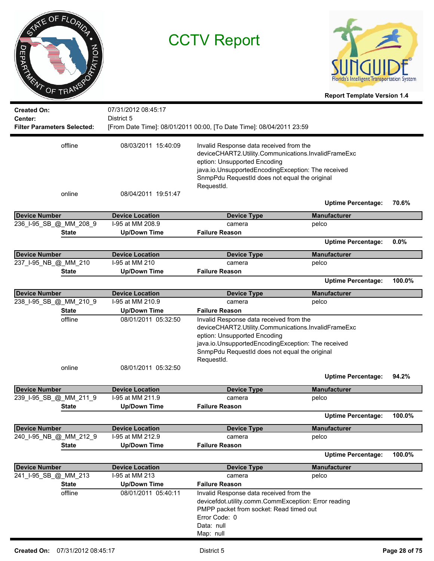| OF FLORIDA<br><b>RATION</b><br>ヮ<br>DRUG TRANS                      | <b>CCTV Report</b>                       |                                                                                                                                                                                      | Florida's Intelligent Transportation System<br><b>Report Template Version 1.4</b> |        |
|---------------------------------------------------------------------|------------------------------------------|--------------------------------------------------------------------------------------------------------------------------------------------------------------------------------------|-----------------------------------------------------------------------------------|--------|
| <b>Created On:</b><br>Center:<br><b>Filter Parameters Selected:</b> | 07/31/2012 08:45:17<br>District 5        | [From Date Time]: 08/01/2011 00:00, [To Date Time]: 08/04/2011 23:59                                                                                                                 |                                                                                   |        |
|                                                                     |                                          |                                                                                                                                                                                      |                                                                                   |        |
| offline                                                             | 08/03/2011 15:40:09                      | Invalid Response data received from the<br>deviceCHART2.Utility.Communications.InvalidFrameExc<br>eption: Unsupported Encoding<br>java.io.UnsupportedEncodingException: The received |                                                                                   |        |
|                                                                     |                                          | SnmpPdu RequestId does not equal the original<br>RequestId.                                                                                                                          |                                                                                   |        |
| online                                                              | 08/04/2011 19:51:47                      |                                                                                                                                                                                      | <b>Uptime Percentage:</b>                                                         | 70.6%  |
| <b>Device Number</b>                                                | <b>Device Location</b>                   | <b>Device Type</b>                                                                                                                                                                   | <b>Manufacturer</b>                                                               |        |
| 236_I-95_SB_@_MM_208_9                                              | I-95 at MM 208.9                         | camera                                                                                                                                                                               | pelco                                                                             |        |
| <b>State</b>                                                        | <b>Up/Down Time</b>                      | <b>Failure Reason</b>                                                                                                                                                                |                                                                                   |        |
|                                                                     |                                          |                                                                                                                                                                                      | <b>Uptime Percentage:</b>                                                         | 0.0%   |
| <b>Device Number</b>                                                | <b>Device Location</b>                   | <b>Device Type</b>                                                                                                                                                                   | <b>Manufacturer</b>                                                               |        |
| 237_I-95_NB_@_MM_210                                                | I-95 at MM 210                           | camera                                                                                                                                                                               | pelco                                                                             |        |
| <b>State</b>                                                        | <b>Up/Down Time</b>                      | <b>Failure Reason</b>                                                                                                                                                                |                                                                                   |        |
|                                                                     |                                          |                                                                                                                                                                                      | <b>Uptime Percentage:</b>                                                         | 100.0% |
| <b>Device Number</b>                                                | <b>Device Location</b>                   | <b>Device Type</b>                                                                                                                                                                   | <b>Manufacturer</b>                                                               |        |
| 238_I-95_SB_@_MM_210_9                                              | I-95 at MM 210.9                         | camera                                                                                                                                                                               | pelco                                                                             |        |
| <b>State</b>                                                        | <b>Up/Down Time</b>                      | <b>Failure Reason</b>                                                                                                                                                                |                                                                                   |        |
| offline                                                             | 08/01/2011 05:32:50                      | Invalid Response data received from the                                                                                                                                              |                                                                                   |        |
|                                                                     |                                          | deviceCHART2.Utility.Communications.InvalidFrameExc<br>eption: Unsupported Encoding                                                                                                  |                                                                                   |        |
|                                                                     |                                          | java.io.UnsupportedEncodingException: The received<br>SnmpPdu RequestId does not equal the original<br>RequestId.                                                                    |                                                                                   |        |
| online                                                              | 08/01/2011 05:32:50                      |                                                                                                                                                                                      | <b>Uptime Percentage:</b>                                                         | 94.2%  |
| <b>Device Number</b>                                                | <b>Device Location</b>                   | <b>Device Type</b>                                                                                                                                                                   | <b>Manufacturer</b>                                                               |        |
| 239_I-95_SB_@_MM_211_9                                              | I-95 at MM 211.9                         | camera                                                                                                                                                                               | pelco                                                                             |        |
| <b>State</b>                                                        | <b>Up/Down Time</b>                      | <b>Failure Reason</b>                                                                                                                                                                |                                                                                   |        |
|                                                                     |                                          |                                                                                                                                                                                      | <b>Uptime Percentage:</b>                                                         | 100.0% |
| <b>Device Number</b>                                                | <b>Device Location</b>                   | <b>Device Type</b>                                                                                                                                                                   | <b>Manufacturer</b>                                                               |        |
| 240_I-95_NB_@_MM_212_9                                              | I-95 at MM 212.9                         | camera                                                                                                                                                                               | pelco                                                                             |        |
| <b>State</b>                                                        | <b>Up/Down Time</b>                      | <b>Failure Reason</b>                                                                                                                                                                |                                                                                   |        |
|                                                                     |                                          |                                                                                                                                                                                      | <b>Uptime Percentage:</b>                                                         | 100.0% |
| <b>Device Number</b>                                                |                                          |                                                                                                                                                                                      |                                                                                   |        |
| 241_I-95_SB_@_MM_213                                                | <b>Device Location</b><br>I-95 at MM 213 | <b>Device Type</b><br>camera                                                                                                                                                         | <b>Manufacturer</b><br>pelco                                                      |        |
| <b>State</b>                                                        | <b>Up/Down Time</b>                      | <b>Failure Reason</b>                                                                                                                                                                |                                                                                   |        |
| offline                                                             | 08/01/2011 05:40:11                      | Invalid Response data received from the                                                                                                                                              |                                                                                   |        |
|                                                                     |                                          | devicefdot.utility.comm.CommException: Error reading<br>PMPP packet from socket: Read timed out<br>Error Code: 0<br>Data: null                                                       |                                                                                   |        |
|                                                                     |                                          | Map: null                                                                                                                                                                            |                                                                                   |        |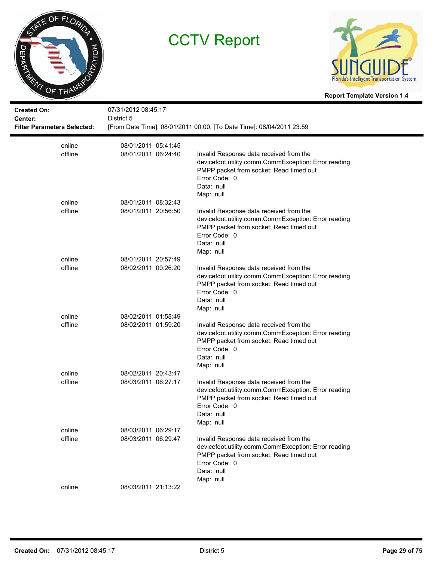



| <b>Created On:</b><br>Center:<br><b>Filter Parameters Selected:</b> | 07/31/2012 08:45:17<br>District 5 | [From Date Time]: 08/01/2011 00:00, [To Date Time]: 08/04/2011 23:59                                                                                                                   |
|---------------------------------------------------------------------|-----------------------------------|----------------------------------------------------------------------------------------------------------------------------------------------------------------------------------------|
| online                                                              | 08/01/2011 05:41:45               |                                                                                                                                                                                        |
| offline                                                             | 08/01/2011 06:24:40               | Invalid Response data received from the<br>devicefdot.utility.comm.CommException: Error reading<br>PMPP packet from socket: Read timed out<br>Error Code: 0<br>Data: null<br>Map: null |
| online                                                              | 08/01/2011 08:32:43               |                                                                                                                                                                                        |
| offline                                                             | 08/01/2011 20:56:50               | Invalid Response data received from the<br>devicefdot.utility.comm.CommException: Error reading<br>PMPP packet from socket: Read timed out<br>Error Code: 0<br>Data: null<br>Map: null |
| online                                                              | 08/01/2011 20:57:49               |                                                                                                                                                                                        |
| offline                                                             | 08/02/2011 00:26:20               | Invalid Response data received from the<br>devicefdot.utility.comm.CommException: Error reading<br>PMPP packet from socket: Read timed out<br>Error Code: 0<br>Data: null<br>Map: null |
| online                                                              | 08/02/2011 01:58:49               |                                                                                                                                                                                        |
| offline                                                             | 08/02/2011 01:59:20               | Invalid Response data received from the<br>devicefdot.utility.comm.CommException: Error reading<br>PMPP packet from socket: Read timed out<br>Error Code: 0<br>Data: null<br>Map: null |
| online                                                              | 08/02/2011 20:43:47               |                                                                                                                                                                                        |
| offline                                                             | 08/03/2011 06:27:17               | Invalid Response data received from the<br>devicefdot.utility.comm.CommException: Error reading<br>PMPP packet from socket: Read timed out<br>Error Code: 0<br>Data: null<br>Map: null |
| online                                                              | 08/03/2011 06:29:17               |                                                                                                                                                                                        |
| offline                                                             | 08/03/2011 06:29:47               | Invalid Response data received from the<br>devicefdot.utility.comm.CommException: Error reading<br>PMPP packet from socket: Read timed out<br>Error Code: 0<br>Data: null<br>Map: null |
| online                                                              | 08/03/2011 21:13:22               |                                                                                                                                                                                        |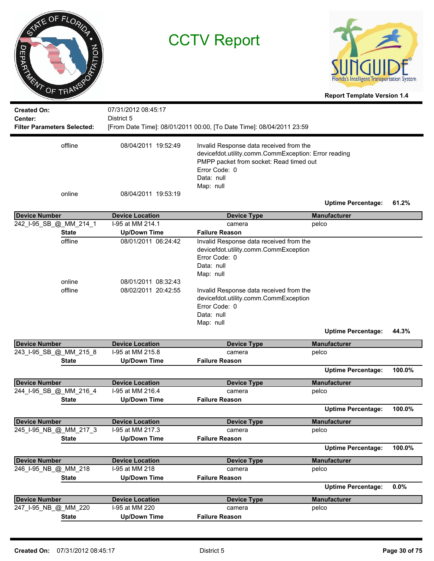| SANE OF FLORIDA<br><b>DATATION</b><br>⊃<br>DRIVER TRANSPORT | <b>CCTV Report</b>                                                |                                                                                                                                                                                                                                                              | Florida's Intelligent Transportation System<br><b>Report Template Version 1.4</b> |        |
|-------------------------------------------------------------|-------------------------------------------------------------------|--------------------------------------------------------------------------------------------------------------------------------------------------------------------------------------------------------------------------------------------------------------|-----------------------------------------------------------------------------------|--------|
| <b>Created On:</b><br>Center:                               | 07/31/2012 08:45:17<br>District 5                                 |                                                                                                                                                                                                                                                              |                                                                                   |        |
| <b>Filter Parameters Selected:</b>                          |                                                                   | [From Date Time]: 08/01/2011 00:00, [To Date Time]: 08/04/2011 23:59                                                                                                                                                                                         |                                                                                   |        |
| offline                                                     | 08/04/2011 19:52:49                                               | Invalid Response data received from the<br>devicefdot.utility.comm.CommException: Error reading<br>PMPP packet from socket: Read timed out<br>Error Code: 0<br>Data: null<br>Map: null                                                                       |                                                                                   |        |
| online                                                      | 08/04/2011 19:53:19                                               |                                                                                                                                                                                                                                                              | <b>Uptime Percentage:</b>                                                         | 61.2%  |
| <b>Device Number</b>                                        | <b>Device Location</b>                                            | <b>Device Type</b>                                                                                                                                                                                                                                           | <b>Manufacturer</b>                                                               |        |
| 242_I-95_SB_@_MM_214_1                                      | I-95 at MM 214.1                                                  | camera                                                                                                                                                                                                                                                       | pelco                                                                             |        |
| <b>State</b>                                                | <b>Up/Down Time</b>                                               | <b>Failure Reason</b>                                                                                                                                                                                                                                        |                                                                                   |        |
| offline<br>online<br>offline                                | 08/01/2011 06:24:42<br>08/01/2011 08:32:43<br>08/02/2011 20:42:55 | Invalid Response data received from the<br>devicefdot.utility.comm.CommException<br>Error Code: 0<br>Data: null<br>Map: null<br>Invalid Response data received from the<br>devicefdot.utility.comm.CommException<br>Error Code: 0<br>Data: null<br>Map: null | <b>Uptime Percentage:</b>                                                         | 44.3%  |
| <b>Device Number</b>                                        | <b>Device Location</b>                                            | <b>Device Type</b>                                                                                                                                                                                                                                           | <b>Manufacturer</b>                                                               |        |
| 243_I-95_SB_@_MM_215_8                                      | I-95 at MM 215.8                                                  | camera                                                                                                                                                                                                                                                       | pelco                                                                             |        |
| <b>State</b>                                                | <b>Up/Down Time</b>                                               | <b>Failure Reason</b>                                                                                                                                                                                                                                        |                                                                                   |        |
|                                                             |                                                                   |                                                                                                                                                                                                                                                              | <b>Uptime Percentage:</b>                                                         | 100.0% |
| <b>Device Number</b>                                        | <b>Device Location</b>                                            | <b>Device Type</b>                                                                                                                                                                                                                                           | <b>Manufacturer</b>                                                               |        |
| 244_I-95_SB_@_MM_216_4                                      | I-95 at MM 216.4                                                  | camera                                                                                                                                                                                                                                                       | pelco                                                                             |        |
| <b>State</b>                                                | <b>Up/Down Time</b>                                               | <b>Failure Reason</b>                                                                                                                                                                                                                                        | <b>Uptime Percentage:</b>                                                         | 100.0% |
| <b>Device Number</b>                                        | <b>Device Location</b>                                            | <b>Device Type</b>                                                                                                                                                                                                                                           | <b>Manufacturer</b>                                                               |        |
| 245_I-95_NB_@_MM_217_3                                      | I-95 at MM 217.3                                                  | camera                                                                                                                                                                                                                                                       | pelco                                                                             |        |
| <b>State</b>                                                | <b>Up/Down Time</b>                                               | <b>Failure Reason</b>                                                                                                                                                                                                                                        | <b>Uptime Percentage:</b>                                                         | 100.0% |
|                                                             |                                                                   |                                                                                                                                                                                                                                                              |                                                                                   |        |
| <b>Device Number</b>                                        | <b>Device Location</b>                                            | <b>Device Type</b>                                                                                                                                                                                                                                           | <b>Manufacturer</b>                                                               |        |
| 246_I-95_NB_@_MM_218<br><b>State</b>                        | I-95 at MM 218                                                    | camera<br><b>Failure Reason</b>                                                                                                                                                                                                                              | pelco                                                                             |        |
|                                                             | <b>Up/Down Time</b>                                               |                                                                                                                                                                                                                                                              | <b>Uptime Percentage:</b>                                                         | 0.0%   |
| <b>Device Number</b>                                        | <b>Device Location</b>                                            | <b>Device Type</b>                                                                                                                                                                                                                                           | <b>Manufacturer</b>                                                               |        |
| 247_I-95_NB_@_MM_220                                        | I-95 at MM 220                                                    | camera                                                                                                                                                                                                                                                       | pelco                                                                             |        |
| <b>State</b>                                                | <b>Up/Down Time</b>                                               | <b>Failure Reason</b>                                                                                                                                                                                                                                        |                                                                                   |        |

-

 $\overline{\phantom{0}}$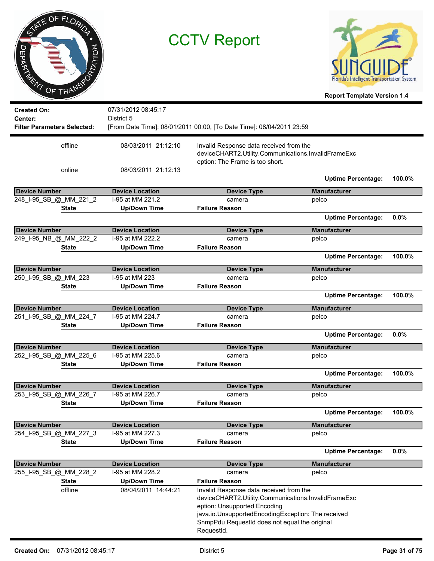



| <b>Created On:</b>                 | 07/31/2012 08:45:17    |                                                                                                                                                                                                                                                     |                           |        |
|------------------------------------|------------------------|-----------------------------------------------------------------------------------------------------------------------------------------------------------------------------------------------------------------------------------------------------|---------------------------|--------|
| Center:                            | District 5             |                                                                                                                                                                                                                                                     |                           |        |
| <b>Filter Parameters Selected:</b> |                        | [From Date Time]: 08/01/2011 00:00, [To Date Time]: 08/04/2011 23:59                                                                                                                                                                                |                           |        |
| offline                            | 08/03/2011 21:12:10    | Invalid Response data received from the<br>deviceCHART2.Utility.Communications.InvalidFrameExc                                                                                                                                                      |                           |        |
| online                             | 08/03/2011 21:12:13    | eption: The Frame is too short.                                                                                                                                                                                                                     |                           |        |
|                                    |                        |                                                                                                                                                                                                                                                     | <b>Uptime Percentage:</b> | 100.0% |
| <b>Device Number</b>               | <b>Device Location</b> | <b>Device Type</b>                                                                                                                                                                                                                                  | <b>Manufacturer</b>       |        |
| 248_I-95_SB_@_MM_221_2             | I-95 at MM 221.2       | camera                                                                                                                                                                                                                                              | pelco                     |        |
| <b>State</b>                       | <b>Up/Down Time</b>    | <b>Failure Reason</b>                                                                                                                                                                                                                               |                           |        |
|                                    |                        |                                                                                                                                                                                                                                                     | <b>Uptime Percentage:</b> | 0.0%   |
| <b>Device Number</b>               | <b>Device Location</b> | <b>Device Type</b>                                                                                                                                                                                                                                  | <b>Manufacturer</b>       |        |
| 249_I-95_NB_@_MM_222_2             | I-95 at MM 222.2       | camera                                                                                                                                                                                                                                              | pelco                     |        |
| <b>State</b>                       | <b>Up/Down Time</b>    | <b>Failure Reason</b>                                                                                                                                                                                                                               |                           |        |
|                                    |                        |                                                                                                                                                                                                                                                     | <b>Uptime Percentage:</b> | 100.0% |
| <b>Device Number</b>               | <b>Device Location</b> | <b>Device Type</b>                                                                                                                                                                                                                                  | <b>Manufacturer</b>       |        |
| 250_I-95_SB_@_MM_223               | I-95 at MM 223         | camera                                                                                                                                                                                                                                              | pelco                     |        |
| <b>State</b>                       | <b>Up/Down Time</b>    | <b>Failure Reason</b>                                                                                                                                                                                                                               |                           |        |
|                                    |                        |                                                                                                                                                                                                                                                     | <b>Uptime Percentage:</b> | 100.0% |
| <b>Device Number</b>               | <b>Device Location</b> | <b>Device Type</b>                                                                                                                                                                                                                                  | <b>Manufacturer</b>       |        |
| 251_I-95_SB_@_MM_224_7             | I-95 at MM 224.7       | camera                                                                                                                                                                                                                                              | pelco                     |        |
| <b>State</b>                       | <b>Up/Down Time</b>    | <b>Failure Reason</b>                                                                                                                                                                                                                               |                           |        |
|                                    |                        |                                                                                                                                                                                                                                                     | <b>Uptime Percentage:</b> | 0.0%   |
| <b>Device Number</b>               | <b>Device Location</b> | <b>Device Type</b>                                                                                                                                                                                                                                  | <b>Manufacturer</b>       |        |
| 252_I-95_SB_@_MM_225_6             | I-95 at MM 225.6       | camera                                                                                                                                                                                                                                              | pelco                     |        |
| <b>State</b>                       | <b>Up/Down Time</b>    | <b>Failure Reason</b>                                                                                                                                                                                                                               |                           |        |
|                                    |                        |                                                                                                                                                                                                                                                     | <b>Uptime Percentage:</b> | 100.0% |
| <b>Device Number</b>               | <b>Device Location</b> | <b>Device Type</b>                                                                                                                                                                                                                                  | <b>Manufacturer</b>       |        |
| 253_I-95_SB_@_MM_226_7             | I-95 at MM 226.7       | camera                                                                                                                                                                                                                                              | pelco                     |        |
| <b>State</b>                       | <b>Up/Down Time</b>    | <b>Failure Reason</b>                                                                                                                                                                                                                               |                           |        |
|                                    |                        |                                                                                                                                                                                                                                                     | <b>Uptime Percentage:</b> | 100.0% |
| <b>Device Number</b>               | <b>Device Location</b> | <b>Device Type</b>                                                                                                                                                                                                                                  | <b>Manufacturer</b>       |        |
| 254 I-95 SB @ MM 227 3             | I-95 at MM 227.3       | camera                                                                                                                                                                                                                                              | pelco                     |        |
| <b>State</b>                       | <b>Up/Down Time</b>    | <b>Failure Reason</b>                                                                                                                                                                                                                               |                           |        |
|                                    |                        |                                                                                                                                                                                                                                                     | <b>Uptime Percentage:</b> | 0.0%   |
| <b>Device Number</b>               | <b>Device Location</b> | <b>Device Type</b>                                                                                                                                                                                                                                  | <b>Manufacturer</b>       |        |
| 255_I-95_SB_@_MM_228_2             | I-95 at MM 228.2       | camera                                                                                                                                                                                                                                              | pelco                     |        |
| <b>State</b>                       | <b>Up/Down Time</b>    | <b>Failure Reason</b>                                                                                                                                                                                                                               |                           |        |
| offline                            | 08/04/2011 14:44:21    | Invalid Response data received from the<br>deviceCHART2.Utility.Communications.InvalidFrameExc<br>eption: Unsupported Encoding<br>java.io.UnsupportedEncodingException: The received<br>SnmpPdu RequestId does not equal the original<br>RequestId. |                           |        |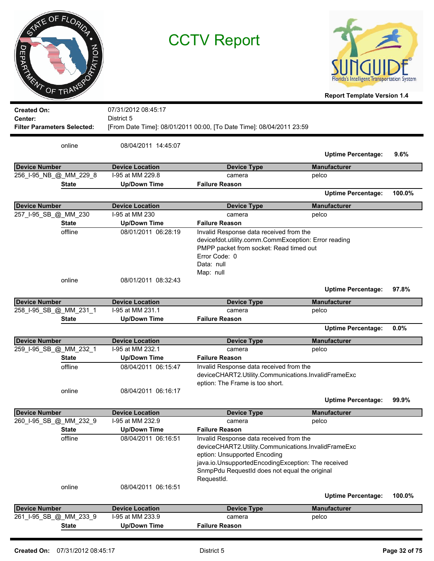| П<br>τ<br><b>ARNT OF TRANSP</b>                                            | OF FLORIDA<br><b>ZOLTA</b> |                                   | <b>CCTV Report</b>                                                                                                                                                                                                                                  | Florida's Intelligent Transportation System<br><b>Report Template Version 1.4</b> |         |
|----------------------------------------------------------------------------|----------------------------|-----------------------------------|-----------------------------------------------------------------------------------------------------------------------------------------------------------------------------------------------------------------------------------------------------|-----------------------------------------------------------------------------------|---------|
| <b>Created On:</b><br><b>Center:</b><br><b>Filter Parameters Selected:</b> |                            | 07/31/2012 08:45:17<br>District 5 | [From Date Time]: 08/01/2011 00:00, [To Date Time]: 08/04/2011 23:59                                                                                                                                                                                |                                                                                   |         |
|                                                                            | online                     | 08/04/2011 14:45:07               |                                                                                                                                                                                                                                                     | <b>Uptime Percentage:</b>                                                         | 9.6%    |
| <b>Device Number</b>                                                       |                            | <b>Device Location</b>            | <b>Device Type</b>                                                                                                                                                                                                                                  | <b>Manufacturer</b>                                                               |         |
| 256_I-95_NB_@_MM_229_8                                                     |                            | I-95 at MM 229.8                  | camera                                                                                                                                                                                                                                              | pelco                                                                             |         |
|                                                                            |                            |                                   |                                                                                                                                                                                                                                                     |                                                                                   |         |
|                                                                            | <b>State</b>               | <b>Up/Down Time</b>               | <b>Failure Reason</b>                                                                                                                                                                                                                               |                                                                                   |         |
|                                                                            |                            |                                   |                                                                                                                                                                                                                                                     | <b>Uptime Percentage:</b>                                                         | 100.0%  |
| <b>Device Number</b>                                                       |                            | <b>Device Location</b>            | <b>Device Type</b>                                                                                                                                                                                                                                  | <b>Manufacturer</b>                                                               |         |
| 257_I-95_SB_@_MM_230                                                       |                            | I-95 at MM 230                    | camera                                                                                                                                                                                                                                              | pelco                                                                             |         |
|                                                                            | <b>State</b>               | <b>Up/Down Time</b>               | <b>Failure Reason</b>                                                                                                                                                                                                                               |                                                                                   |         |
|                                                                            | offline                    | 08/01/2011 06:28:19               | Invalid Response data received from the                                                                                                                                                                                                             |                                                                                   |         |
|                                                                            |                            |                                   | devicefdot.utility.comm.CommException: Error reading<br>PMPP packet from socket: Read timed out<br>Error Code: 0<br>Data: null<br>Map: null                                                                                                         |                                                                                   |         |
|                                                                            | online                     | 08/01/2011 08:32:43               |                                                                                                                                                                                                                                                     | <b>Uptime Percentage:</b>                                                         | 97.8%   |
| <b>Device Number</b>                                                       |                            | <b>Device Location</b>            | <b>Device Type</b>                                                                                                                                                                                                                                  | <b>Manufacturer</b>                                                               |         |
| 258 I-95 SB @ MM 231 1                                                     |                            | I-95 at MM 231.1                  | camera                                                                                                                                                                                                                                              | pelco                                                                             |         |
|                                                                            | <b>State</b>               | <b>Up/Down Time</b>               | <b>Failure Reason</b>                                                                                                                                                                                                                               |                                                                                   |         |
|                                                                            |                            |                                   |                                                                                                                                                                                                                                                     | <b>Uptime Percentage:</b>                                                         | $0.0\%$ |
| <b>Device Number</b>                                                       |                            | <b>Device Location</b>            | <b>Device Type</b>                                                                                                                                                                                                                                  | <b>Manufacturer</b>                                                               |         |
| 259_I-95_SB_@_MM_232_1                                                     |                            | I-95 at MM 232.1                  | camera                                                                                                                                                                                                                                              | pelco                                                                             |         |
|                                                                            | <b>State</b>               | <b>Up/Down Time</b>               | <b>Failure Reason</b>                                                                                                                                                                                                                               |                                                                                   |         |
|                                                                            | offline                    | 08/04/2011 06:15:47               | Invalid Response data received from the<br>deviceCHART2.Utility.Communications.InvalidFrameExc<br>eption: The Frame is too short.                                                                                                                   |                                                                                   |         |
|                                                                            | online                     | 08/04/2011 06:16:17               |                                                                                                                                                                                                                                                     | <b>Uptime Percentage:</b>                                                         | 99.9%   |
| <b>Device Number</b>                                                       |                            | <b>Device Location</b>            | <b>Device Type</b>                                                                                                                                                                                                                                  | <b>Manufacturer</b>                                                               |         |
| 260_I-95_SB_@_MM_232_9                                                     |                            | I-95 at MM 232.9                  | camera                                                                                                                                                                                                                                              | pelco                                                                             |         |
|                                                                            | <b>State</b>               | <b>Up/Down Time</b>               | <b>Failure Reason</b>                                                                                                                                                                                                                               |                                                                                   |         |
|                                                                            | offline                    | 08/04/2011 06:16:51               | Invalid Response data received from the<br>deviceCHART2.Utility.Communications.InvalidFrameExc<br>eption: Unsupported Encoding<br>java.io.UnsupportedEncodingException: The received<br>SnmpPdu RequestId does not equal the original<br>RequestId. |                                                                                   |         |
|                                                                            | online                     | 08/04/2011 06:16:51               |                                                                                                                                                                                                                                                     | <b>Uptime Percentage:</b>                                                         | 100.0%  |
|                                                                            |                            |                                   |                                                                                                                                                                                                                                                     |                                                                                   |         |
| <b>Device Number</b>                                                       |                            | <b>Device Location</b>            | <b>Device Type</b>                                                                                                                                                                                                                                  | <b>Manufacturer</b>                                                               |         |
| 261_I-95_SB_@_MM_233_9                                                     |                            | I-95 at MM 233.9                  | camera                                                                                                                                                                                                                                              | pelco                                                                             |         |
|                                                                            | <b>State</b>               | <b>Up/Down Time</b>               | <b>Failure Reason</b>                                                                                                                                                                                                                               |                                                                                   |         |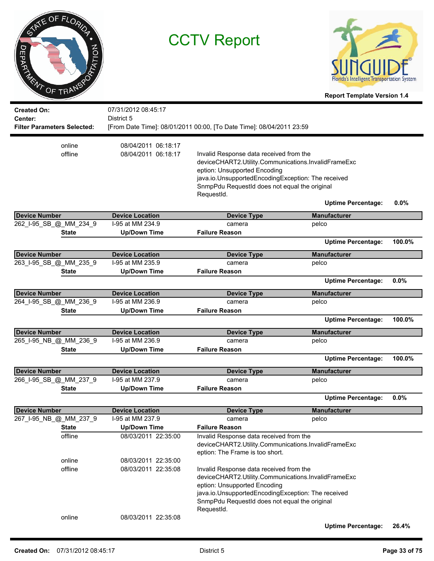| TATE OF FLORIDA<br><b>PATION</b><br>O<br><b>EPARY</b><br>RENT OF TRANSP<br><b>Created On:</b><br>Center: | <b>CCTV Report</b><br>07/31/2012 08:45:17<br>District 5 |                                                                                                                                                                                                                                                     | Intelligent Iransportation System<br><b>Report Template Version 1.4</b> |         |
|----------------------------------------------------------------------------------------------------------|---------------------------------------------------------|-----------------------------------------------------------------------------------------------------------------------------------------------------------------------------------------------------------------------------------------------------|-------------------------------------------------------------------------|---------|
| <b>Filter Parameters Selected:</b>                                                                       |                                                         | [From Date Time]: 08/01/2011 00:00, [To Date Time]: 08/04/2011 23:59                                                                                                                                                                                |                                                                         |         |
| online<br>offline                                                                                        | 08/04/2011 06:18:17<br>08/04/2011 06:18:17              | Invalid Response data received from the<br>deviceCHART2.Utility.Communications.InvalidFrameExc<br>eption: Unsupported Encoding<br>java.io.UnsupportedEncodingException: The received<br>SnmpPdu RequestId does not equal the original<br>RequestId. |                                                                         |         |
|                                                                                                          |                                                         |                                                                                                                                                                                                                                                     | <b>Uptime Percentage:</b>                                               | $0.0\%$ |
| <b>Device Number</b>                                                                                     | <b>Device Location</b>                                  | <b>Device Type</b>                                                                                                                                                                                                                                  | <b>Manufacturer</b>                                                     |         |
| 262_I-95_SB_@_MM_234_9                                                                                   | I-95 at MM 234.9                                        | camera                                                                                                                                                                                                                                              | pelco                                                                   |         |
| <b>State</b>                                                                                             | <b>Up/Down Time</b>                                     | <b>Failure Reason</b>                                                                                                                                                                                                                               |                                                                         |         |
|                                                                                                          |                                                         |                                                                                                                                                                                                                                                     | <b>Uptime Percentage:</b>                                               | 100.0%  |
| <b>Device Number</b>                                                                                     | <b>Device Location</b>                                  | <b>Device Type</b>                                                                                                                                                                                                                                  | <b>Manufacturer</b>                                                     |         |
| 263_I-95_SB_@_MM_235_9                                                                                   | I-95 at MM 235.9                                        | camera                                                                                                                                                                                                                                              | pelco                                                                   |         |
| <b>State</b>                                                                                             | <b>Up/Down Time</b>                                     | <b>Failure Reason</b>                                                                                                                                                                                                                               |                                                                         |         |
|                                                                                                          |                                                         |                                                                                                                                                                                                                                                     | <b>Uptime Percentage:</b>                                               | 0.0%    |
| <b>Device Number</b>                                                                                     | <b>Device Location</b>                                  | <b>Device Type</b>                                                                                                                                                                                                                                  | <b>Manufacturer</b>                                                     |         |
| 264_I-95_SB_@_MM_236_9                                                                                   | I-95 at MM 236.9                                        | camera                                                                                                                                                                                                                                              | pelco                                                                   |         |
| <b>State</b>                                                                                             | <b>Up/Down Time</b>                                     | <b>Failure Reason</b>                                                                                                                                                                                                                               |                                                                         |         |
|                                                                                                          |                                                         |                                                                                                                                                                                                                                                     | <b>Uptime Percentage:</b>                                               | 100.0%  |
| <b>Device Number</b>                                                                                     | <b>Device Location</b>                                  | <b>Device Type</b>                                                                                                                                                                                                                                  | <b>Manufacturer</b>                                                     |         |
| 265_I-95_NB_@_MM_236_9                                                                                   | I-95 at MM 236.9                                        | camera                                                                                                                                                                                                                                              | pelco                                                                   |         |
| <b>State</b>                                                                                             | <b>Up/Down Time</b>                                     | <b>Failure Reason</b>                                                                                                                                                                                                                               |                                                                         |         |
|                                                                                                          |                                                         |                                                                                                                                                                                                                                                     | <b>Uptime Percentage:</b>                                               | 100.0%  |
| <b>Device Number</b>                                                                                     | <b>Device Location</b>                                  | <b>Device Type</b>                                                                                                                                                                                                                                  | <b>Manufacturer</b>                                                     |         |
| 266_I-95_SB_@_MM_237_9                                                                                   | I-95 at MM 237.9                                        | camera                                                                                                                                                                                                                                              | pelco                                                                   |         |
| <b>State</b>                                                                                             | <b>Up/Down Time</b>                                     | <b>Failure Reason</b>                                                                                                                                                                                                                               |                                                                         |         |
|                                                                                                          |                                                         |                                                                                                                                                                                                                                                     | <b>Uptime Percentage:</b>                                               | 0.0%    |
| <b>Device Number</b>                                                                                     | <b>Device Location</b>                                  | <b>Device Type</b>                                                                                                                                                                                                                                  | <b>Manufacturer</b>                                                     |         |
| 267 I-95 NB @ MM 237 9                                                                                   | I-95 at MM 237.9                                        | camera                                                                                                                                                                                                                                              | pelco                                                                   |         |
| <b>State</b>                                                                                             | <b>Up/Down Time</b>                                     | <b>Failure Reason</b>                                                                                                                                                                                                                               |                                                                         |         |
| offline                                                                                                  | 08/03/2011 22:35:00                                     | Invalid Response data received from the<br>deviceCHART2.Utility.Communications.InvalidFrameExc<br>eption: The Frame is too short.                                                                                                                   |                                                                         |         |
| online                                                                                                   | 08/03/2011 22:35:00                                     |                                                                                                                                                                                                                                                     |                                                                         |         |
| offline                                                                                                  | 08/03/2011 22:35:08                                     | Invalid Response data received from the<br>deviceCHART2.Utility.Communications.InvalidFrameExc<br>eption: Unsupported Encoding<br>java.io.UnsupportedEncodingException: The received<br>SnmpPdu RequestId does not equal the original<br>RequestId. |                                                                         |         |
| online                                                                                                   | 08/03/2011 22:35:08                                     |                                                                                                                                                                                                                                                     |                                                                         |         |
|                                                                                                          |                                                         |                                                                                                                                                                                                                                                     | <b>Uptime Percentage:</b>                                               | 26.4%   |

 $\overline{\phantom{a}}$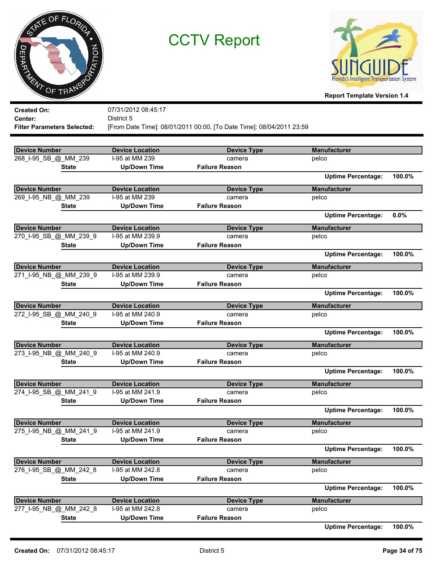



**Report Template Version 1.4**

| <b>Created On:</b>                 | 07/31/2012 08:45:17    |                                                                      |                           |        |
|------------------------------------|------------------------|----------------------------------------------------------------------|---------------------------|--------|
| Center:                            | District 5             |                                                                      |                           |        |
| <b>Filter Parameters Selected:</b> |                        | [From Date Time]: 08/01/2011 00:00, [To Date Time]: 08/04/2011 23:59 |                           |        |
|                                    |                        |                                                                      |                           |        |
| <b>Device Number</b>               | <b>Device Location</b> | <b>Device Type</b>                                                   | <b>Manufacturer</b>       |        |
| 268_I-95_SB_@_MM_239               | I-95 at MM 239         | camera                                                               | pelco                     |        |
| <b>State</b>                       | <b>Up/Down Time</b>    | <b>Failure Reason</b>                                                |                           |        |
|                                    |                        |                                                                      | <b>Uptime Percentage:</b> | 100.0% |
| <b>Device Number</b>               | <b>Device Location</b> | <b>Device Type</b>                                                   | <b>Manufacturer</b>       |        |
| 269_I-95_NB_@_MM_239               | I-95 at MM 239         | camera                                                               | pelco                     |        |
|                                    | <b>Up/Down Time</b>    | <b>Failure Reason</b>                                                |                           |        |
| <b>State</b>                       |                        |                                                                      | <b>Uptime Percentage:</b> | 0.0%   |
|                                    |                        |                                                                      |                           |        |
| <b>Device Number</b>               | <b>Device Location</b> | <b>Device Type</b>                                                   | <b>Manufacturer</b>       |        |
| 270_I-95_SB_@_MM_239_9             | I-95 at MM 239.9       | camera                                                               | pelco                     |        |
| <b>State</b>                       | <b>Up/Down Time</b>    | <b>Failure Reason</b>                                                |                           |        |
|                                    |                        |                                                                      | <b>Uptime Percentage:</b> | 100.0% |
| <b>Device Number</b>               | <b>Device Location</b> | <b>Device Type</b>                                                   | <b>Manufacturer</b>       |        |
| 271_I-95_NB_@_MM_239_9             | I-95 at MM 239.9       | camera                                                               | pelco                     |        |
| <b>State</b>                       | <b>Up/Down Time</b>    | <b>Failure Reason</b>                                                |                           |        |
|                                    |                        |                                                                      | <b>Uptime Percentage:</b> | 100.0% |
| <b>Device Number</b>               | <b>Device Location</b> | <b>Device Type</b>                                                   | <b>Manufacturer</b>       |        |
| 272_I-95_SB_@_MM_240_9             | I-95 at MM 240.9       | camera                                                               | pelco                     |        |
| <b>State</b>                       | <b>Up/Down Time</b>    | <b>Failure Reason</b>                                                |                           |        |
|                                    |                        |                                                                      | <b>Uptime Percentage:</b> | 100.0% |
| <b>Device Number</b>               | <b>Device Location</b> | <b>Device Type</b>                                                   | <b>Manufacturer</b>       |        |
| 273_I-95_NB_@_MM_240_9             | I-95 at MM 240.9       | camera                                                               | pelco                     |        |
| <b>State</b>                       | <b>Up/Down Time</b>    | <b>Failure Reason</b>                                                |                           |        |
|                                    |                        |                                                                      | <b>Uptime Percentage:</b> | 100.0% |
|                                    |                        |                                                                      |                           |        |
| <b>Device Number</b>               | <b>Device Location</b> | <b>Device Type</b>                                                   | <b>Manufacturer</b>       |        |
| 274 I-95 SB @ MM 241 9             | I-95 at MM 241.9       | camera                                                               | pelco                     |        |
| <b>State</b>                       | <b>Up/Down Time</b>    | <b>Failure Reason</b>                                                |                           |        |
|                                    |                        |                                                                      | <b>Uptime Percentage:</b> | 100.0% |
| <b>Device Number</b>               | <b>Device Location</b> | <b>Device Type</b>                                                   | <b>Manufacturer</b>       |        |
| 275_I-95_NB_@_MM_241_9             | I-95 at MM 241.9       | camera                                                               | pelco                     |        |
| <b>State</b>                       | <b>Up/Down Time</b>    | <b>Failure Reason</b>                                                |                           |        |
|                                    |                        |                                                                      | <b>Uptime Percentage:</b> | 100.0% |
| <b>Device Number</b>               | <b>Device Location</b> | <b>Device Type</b>                                                   | <b>Manufacturer</b>       |        |
| 276 I-95 SB @ MM 242 8             | I-95 at MM 242.8       | camera                                                               | pelco                     |        |
| <b>State</b>                       | <b>Up/Down Time</b>    | <b>Failure Reason</b>                                                |                           |        |
|                                    |                        |                                                                      | <b>Uptime Percentage:</b> | 100.0% |
| <b>Device Number</b>               | <b>Device Location</b> | <b>Device Type</b>                                                   | <b>Manufacturer</b>       |        |
| 277_I-95_NB_@_MM_242_8             | I-95 at MM 242.8       | camera                                                               | pelco                     |        |
| <b>State</b>                       | <b>Up/Down Time</b>    | <b>Failure Reason</b>                                                |                           |        |
|                                    |                        |                                                                      |                           |        |

**Uptime Percentage: 100.0%**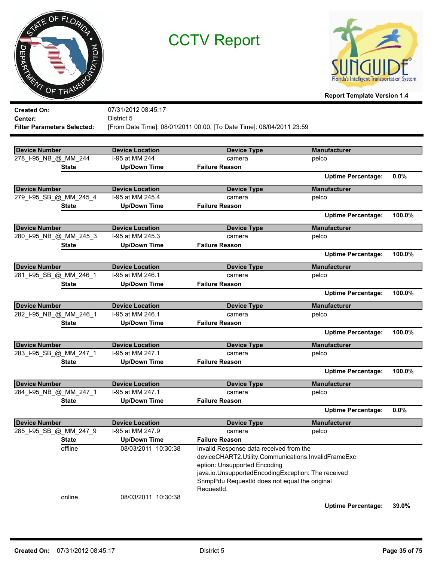



**Report Template Version 1.4**

| <b>Created On:</b>                 | 07/31/2012 08:45:17    |                                                                                                |                           |        |
|------------------------------------|------------------------|------------------------------------------------------------------------------------------------|---------------------------|--------|
| Center:                            | District 5             |                                                                                                |                           |        |
| <b>Filter Parameters Selected:</b> |                        | [From Date Time]: 08/01/2011 00:00, [To Date Time]: 08/04/2011 23:59                           |                           |        |
|                                    |                        |                                                                                                |                           |        |
| <b>Device Number</b>               | <b>Device Location</b> | <b>Device Type</b>                                                                             | <b>Manufacturer</b>       |        |
| 278_I-95_NB_@_MM_244               | I-95 at MM 244         | camera                                                                                         | pelco                     |        |
| <b>State</b>                       | <b>Up/Down Time</b>    | <b>Failure Reason</b>                                                                          |                           |        |
|                                    |                        |                                                                                                | <b>Uptime Percentage:</b> | 0.0%   |
| <b>Device Number</b>               | <b>Device Location</b> |                                                                                                | <b>Manufacturer</b>       |        |
| 279_I-95_SB_@_MM_245_4             | I-95 at MM 245.4       | <b>Device Type</b><br>camera                                                                   | pelco                     |        |
| <b>State</b>                       | <b>Up/Down Time</b>    | <b>Failure Reason</b>                                                                          |                           |        |
|                                    |                        |                                                                                                |                           |        |
|                                    |                        |                                                                                                | <b>Uptime Percentage:</b> | 100.0% |
| <b>Device Number</b>               | <b>Device Location</b> | <b>Device Type</b>                                                                             | <b>Manufacturer</b>       |        |
| 280_I-95_NB_@_MM_245_3             | I-95 at MM 245.3       | camera                                                                                         | pelco                     |        |
| <b>State</b>                       | <b>Up/Down Time</b>    | <b>Failure Reason</b>                                                                          |                           |        |
|                                    |                        |                                                                                                | <b>Uptime Percentage:</b> | 100.0% |
| <b>Device Number</b>               | <b>Device Location</b> | <b>Device Type</b>                                                                             | <b>Manufacturer</b>       |        |
| 281_I-95_SB_@_MM_246_1             | I-95 at MM 246.1       | camera                                                                                         | pelco                     |        |
| <b>State</b>                       | <b>Up/Down Time</b>    | <b>Failure Reason</b>                                                                          |                           |        |
|                                    |                        |                                                                                                | <b>Uptime Percentage:</b> | 100.0% |
| <b>Device Number</b>               | <b>Device Location</b> | <b>Device Type</b>                                                                             | <b>Manufacturer</b>       |        |
| 282_I-95_NB_@_MM_246_1             | I-95 at MM 246.1       | camera                                                                                         | pelco                     |        |
| <b>State</b>                       | <b>Up/Down Time</b>    | <b>Failure Reason</b>                                                                          |                           |        |
|                                    |                        |                                                                                                | <b>Uptime Percentage:</b> | 100.0% |
| <b>Device Number</b>               | <b>Device Location</b> | <b>Device Type</b>                                                                             | <b>Manufacturer</b>       |        |
| 283_I-95_SB_@_MM_247_1             | I-95 at MM 247.1       | camera                                                                                         | pelco                     |        |
| <b>State</b>                       | <b>Up/Down Time</b>    | <b>Failure Reason</b>                                                                          |                           |        |
|                                    |                        |                                                                                                | <b>Uptime Percentage:</b> | 100.0% |
| <b>Device Number</b>               | <b>Device Location</b> | <b>Device Type</b>                                                                             | <b>Manufacturer</b>       |        |
| 284_I-95_NB_@_MM_247_1             | I-95 at MM 247.1       | camera                                                                                         | pelco                     |        |
| <b>State</b>                       | <b>Up/Down Time</b>    | <b>Failure Reason</b>                                                                          |                           |        |
|                                    |                        |                                                                                                | <b>Uptime Percentage:</b> | 0.0%   |
|                                    |                        |                                                                                                |                           |        |
| Device Number                      | <b>Device Location</b> | <b>Device Type</b>                                                                             | <b>Manufacturer</b>       |        |
| 285_I-95_SB_@_MM_247_9             | I-95 at MM 247.9       | camera                                                                                         | pelco                     |        |
| <b>State</b>                       | <b>Up/Down Time</b>    | <b>Failure Reason</b>                                                                          |                           |        |
| offline                            | 08/03/2011 10:30:38    | Invalid Response data received from the<br>deviceCHART2.Utility.Communications.InvalidFrameExc |                           |        |
|                                    |                        | eption: Unsupported Encoding                                                                   |                           |        |
|                                    |                        | java.io.UnsupportedEncodingException: The received                                             |                           |        |
|                                    |                        | SnmpPdu RequestId does not equal the original                                                  |                           |        |
|                                    |                        | RequestId.                                                                                     |                           |        |
| online                             | 08/03/2011 10:30:38    |                                                                                                |                           |        |
|                                    |                        |                                                                                                |                           |        |

**Uptime Percentage: 39.0%**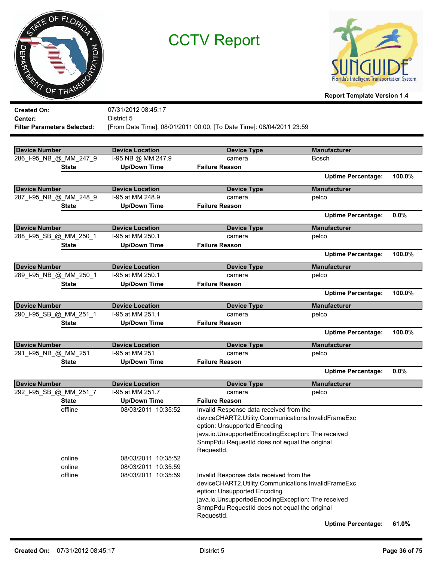



**Report Template Version 1.4**

| <b>Created On:</b>                 | 07/31/2012 08:45:17    |                                                                                                                                                                                                                                                     |                           |        |
|------------------------------------|------------------------|-----------------------------------------------------------------------------------------------------------------------------------------------------------------------------------------------------------------------------------------------------|---------------------------|--------|
| Center:                            | District 5             |                                                                                                                                                                                                                                                     |                           |        |
| <b>Filter Parameters Selected:</b> |                        | [From Date Time]: 08/01/2011 00:00, [To Date Time]: 08/04/2011 23:59                                                                                                                                                                                |                           |        |
|                                    |                        |                                                                                                                                                                                                                                                     |                           |        |
| Device Number                      | <b>Device Location</b> | <b>Device Type</b>                                                                                                                                                                                                                                  | <b>Manufacturer</b>       |        |
| 286_I-95_NB_@_MM_247_9             | I-95 NB @ MM 247.9     | camera                                                                                                                                                                                                                                              | Bosch                     |        |
| <b>State</b>                       | <b>Up/Down Time</b>    | <b>Failure Reason</b>                                                                                                                                                                                                                               |                           |        |
|                                    |                        |                                                                                                                                                                                                                                                     | <b>Uptime Percentage:</b> | 100.0% |
| <b>Device Number</b>               | <b>Device Location</b> | <b>Device Type</b>                                                                                                                                                                                                                                  | <b>Manufacturer</b>       |        |
| 287_I-95_NB_@_MM_248_9             | I-95 at MM 248.9       | camera                                                                                                                                                                                                                                              | pelco                     |        |
| <b>State</b>                       | <b>Up/Down Time</b>    | <b>Failure Reason</b>                                                                                                                                                                                                                               |                           |        |
|                                    |                        |                                                                                                                                                                                                                                                     | <b>Uptime Percentage:</b> | 0.0%   |
| <b>Device Number</b>               | <b>Device Location</b> | <b>Device Type</b>                                                                                                                                                                                                                                  | <b>Manufacturer</b>       |        |
| 288_I-95_SB_@_MM_250_1             | I-95 at MM 250.1       | camera                                                                                                                                                                                                                                              | pelco                     |        |
| <b>State</b>                       | <b>Up/Down Time</b>    | <b>Failure Reason</b>                                                                                                                                                                                                                               |                           |        |
|                                    |                        |                                                                                                                                                                                                                                                     | <b>Uptime Percentage:</b> | 100.0% |
| <b>Device Number</b>               | <b>Device Location</b> | <b>Device Type</b>                                                                                                                                                                                                                                  | <b>Manufacturer</b>       |        |
| 289_I-95_NB_@_MM_250_1             | I-95 at MM 250.1       | camera                                                                                                                                                                                                                                              | pelco                     |        |
| <b>State</b>                       | <b>Up/Down Time</b>    | <b>Failure Reason</b>                                                                                                                                                                                                                               |                           |        |
|                                    |                        |                                                                                                                                                                                                                                                     | <b>Uptime Percentage:</b> | 100.0% |
| <b>Device Number</b>               | <b>Device Location</b> | <b>Device Type</b>                                                                                                                                                                                                                                  | <b>Manufacturer</b>       |        |
| 290_I-95_SB_@_MM_251_1             | I-95 at MM 251.1       | camera                                                                                                                                                                                                                                              | pelco                     |        |
| <b>State</b>                       | <b>Up/Down Time</b>    | <b>Failure Reason</b>                                                                                                                                                                                                                               |                           |        |
|                                    |                        |                                                                                                                                                                                                                                                     | <b>Uptime Percentage:</b> | 100.0% |
| <b>Device Number</b>               | <b>Device Location</b> | <b>Device Type</b>                                                                                                                                                                                                                                  | <b>Manufacturer</b>       |        |
| 291_I-95_NB_@_MM_251               | I-95 at MM 251         | camera                                                                                                                                                                                                                                              | pelco                     |        |
| <b>State</b>                       | <b>Up/Down Time</b>    | <b>Failure Reason</b>                                                                                                                                                                                                                               |                           |        |
|                                    |                        |                                                                                                                                                                                                                                                     | <b>Uptime Percentage:</b> | 0.0%   |
| <b>Device Number</b>               | <b>Device Location</b> | <b>Device Type</b>                                                                                                                                                                                                                                  | <b>Manufacturer</b>       |        |
| 292_I-95_SB_@_MM_251_7             | I-95 at MM 251.7       | camera                                                                                                                                                                                                                                              | pelco                     |        |
| <b>State</b>                       | <b>Up/Down Time</b>    | <b>Failure Reason</b>                                                                                                                                                                                                                               |                           |        |
| offline                            | 08/03/2011 10:35:52    | Invalid Response data received from the<br>deviceCHART2.Utility.Communications.InvalidFrameExc<br>eption: Unsupported Encoding<br>java.io.UnsupportedEncodingException: The received<br>SnmpPdu RequestId does not equal the original<br>RequestId. |                           |        |
| online                             | 08/03/2011 10:35:52    |                                                                                                                                                                                                                                                     |                           |        |
| online                             | 08/03/2011 10:35:59    |                                                                                                                                                                                                                                                     |                           |        |
| offline                            | 08/03/2011 10:35:59    | Invalid Response data received from the<br>deviceCHART2.Utility.Communications.InvalidFrameExc<br>eption: Unsupported Encoding<br>java.io.UnsupportedEncodingException: The received<br>SnmpPdu RequestId does not equal the original<br>RequestId. |                           |        |

**Uptime Percentage: 61.0%**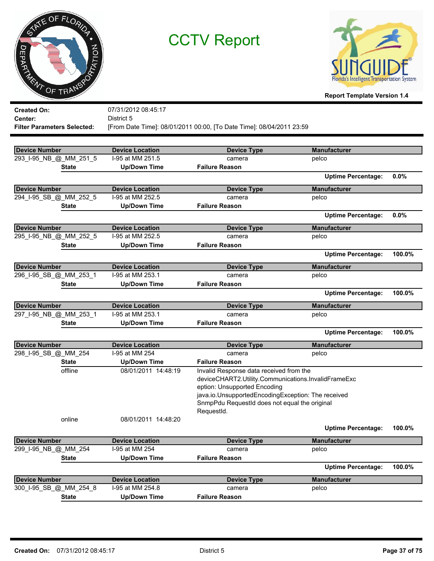



| <b>Created On:</b>                 | 07/31/2012 08:45:17    |                                                                      |                           |        |
|------------------------------------|------------------------|----------------------------------------------------------------------|---------------------------|--------|
| Center:                            | District 5             |                                                                      |                           |        |
| <b>Filter Parameters Selected:</b> |                        | [From Date Time]: 08/01/2011 00:00, [To Date Time]: 08/04/2011 23:59 |                           |        |
|                                    |                        |                                                                      |                           |        |
| <b>Device Number</b>               | <b>Device Location</b> | <b>Device Type</b>                                                   | <b>Manufacturer</b>       |        |
| 293_I-95_NB_@_MM_251_5             | I-95 at MM 251.5       | camera                                                               | pelco                     |        |
| <b>State</b>                       | <b>Up/Down Time</b>    | <b>Failure Reason</b>                                                |                           |        |
|                                    |                        |                                                                      | <b>Uptime Percentage:</b> | 0.0%   |
| <b>Device Number</b>               | <b>Device Location</b> | <b>Device Type</b>                                                   | <b>Manufacturer</b>       |        |
| 294_I-95_SB_@_MM_252_5             | I-95 at MM 252.5       | camera                                                               | pelco                     |        |
| <b>State</b>                       | <b>Up/Down Time</b>    | <b>Failure Reason</b>                                                |                           |        |
|                                    |                        |                                                                      | <b>Uptime Percentage:</b> | 0.0%   |
| <b>Device Number</b>               | <b>Device Location</b> | <b>Device Type</b>                                                   | <b>Manufacturer</b>       |        |
| 295_I-95_NB_@_MM_252_5             | I-95 at MM 252.5       | camera                                                               | pelco                     |        |
| <b>State</b>                       | <b>Up/Down Time</b>    | <b>Failure Reason</b>                                                |                           |        |
|                                    |                        |                                                                      | <b>Uptime Percentage:</b> | 100.0% |
| <b>Device Number</b>               | <b>Device Location</b> | <b>Device Type</b>                                                   | <b>Manufacturer</b>       |        |
| 296_I-95_SB_@_MM_253_1             | I-95 at MM 253.1       | camera                                                               | pelco                     |        |
| <b>State</b>                       | <b>Up/Down Time</b>    | <b>Failure Reason</b>                                                |                           |        |
|                                    |                        |                                                                      | <b>Uptime Percentage:</b> | 100.0% |
| <b>Device Number</b>               | <b>Device Location</b> | <b>Device Type</b>                                                   | <b>Manufacturer</b>       |        |
| 297_I-95_NB_@_MM_253_1             | I-95 at MM 253.1       | camera                                                               | pelco                     |        |
| <b>State</b>                       | <b>Up/Down Time</b>    | <b>Failure Reason</b>                                                |                           |        |
|                                    |                        |                                                                      | <b>Uptime Percentage:</b> | 100.0% |
| <b>Device Number</b>               | <b>Device Location</b> | <b>Device Type</b>                                                   | <b>Manufacturer</b>       |        |
| 298_I-95_SB_@_MM_254               | I-95 at MM 254         | camera                                                               | pelco                     |        |
| <b>State</b>                       | <b>Up/Down Time</b>    | <b>Failure Reason</b>                                                |                           |        |
| offline                            | 08/01/2011 14:48:19    | Invalid Response data received from the                              |                           |        |
|                                    |                        | deviceCHART2.Utility.Communications.InvalidFrameExc                  |                           |        |
|                                    |                        | eption: Unsupported Encoding                                         |                           |        |
|                                    |                        | java.io.UnsupportedEncodingException: The received                   |                           |        |
|                                    |                        | SnmpPdu RequestId does not equal the original<br>RequestId.          |                           |        |
| online                             | 08/01/2011 14:48:20    |                                                                      |                           |        |
|                                    |                        |                                                                      | <b>Uptime Percentage:</b> | 100.0% |
|                                    |                        |                                                                      |                           |        |
| <b>Device Number</b>               | <b>Device Location</b> | <b>Device Type</b>                                                   | <b>Manufacturer</b>       |        |
| 299_I-95_NB_@_MM_254               | I-95 at MM 254         | camera                                                               | pelco                     |        |
| <b>State</b>                       | <b>Up/Down Time</b>    | <b>Failure Reason</b>                                                |                           |        |
|                                    |                        |                                                                      | <b>Uptime Percentage:</b> | 100.0% |
| <b>Device Number</b>               | <b>Device Location</b> | <b>Device Type</b>                                                   | <b>Manufacturer</b>       |        |
| 300 I-95 SB @ MM 254 8             | I-95 at MM 254.8       | camera                                                               | pelco                     |        |
| <b>State</b>                       | <b>Up/Down Time</b>    | <b>Failure Reason</b>                                                |                           |        |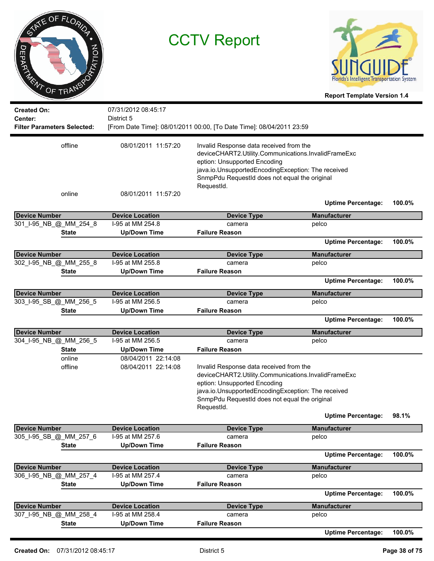| OF FLORIDA<br><b>ITION</b><br>m<br><b>PARTY OF TRANSP</b> |                                   | <b>CCTV Report</b>                                                                                                                                                                                                                                  | <b>Florida's Intelligent Transportation System</b><br><b>Report Template Version 1.4</b> |        |
|-----------------------------------------------------------|-----------------------------------|-----------------------------------------------------------------------------------------------------------------------------------------------------------------------------------------------------------------------------------------------------|------------------------------------------------------------------------------------------|--------|
| <b>Created On:</b><br>Center:                             | 07/31/2012 08:45:17<br>District 5 |                                                                                                                                                                                                                                                     |                                                                                          |        |
| <b>Filter Parameters Selected:</b>                        |                                   | [From Date Time]: 08/01/2011 00:00, [To Date Time]: 08/04/2011 23:59                                                                                                                                                                                |                                                                                          |        |
| offline                                                   | 08/01/2011 11:57:20               | Invalid Response data received from the<br>deviceCHART2.Utility.Communications.InvalidFrameExc<br>eption: Unsupported Encoding<br>java.io.UnsupportedEncodingException: The received<br>SnmpPdu RequestId does not equal the original               |                                                                                          |        |
| online                                                    | 08/01/2011 11:57:20               | RequestId.                                                                                                                                                                                                                                          | <b>Uptime Percentage:</b>                                                                | 100.0% |
| <b>Device Number</b>                                      | <b>Device Location</b>            | <b>Device Type</b>                                                                                                                                                                                                                                  | <b>Manufacturer</b>                                                                      |        |
| 301_I-95_NB_@_MM_254_8                                    | I-95 at MM 254.8                  | camera                                                                                                                                                                                                                                              | pelco                                                                                    |        |
| <b>State</b>                                              | <b>Up/Down Time</b>               | <b>Failure Reason</b>                                                                                                                                                                                                                               |                                                                                          |        |
|                                                           |                                   |                                                                                                                                                                                                                                                     | <b>Uptime Percentage:</b>                                                                | 100.0% |
| <b>Device Number</b>                                      | <b>Device Location</b>            | <b>Device Type</b>                                                                                                                                                                                                                                  | <b>Manufacturer</b>                                                                      |        |
| 302_I-95_NB_@_MM_255_8                                    | I-95 at MM 255.8                  | camera                                                                                                                                                                                                                                              | pelco                                                                                    |        |
| <b>State</b>                                              | <b>Up/Down Time</b>               | <b>Failure Reason</b>                                                                                                                                                                                                                               |                                                                                          |        |
|                                                           |                                   |                                                                                                                                                                                                                                                     | <b>Uptime Percentage:</b>                                                                | 100.0% |
| <b>Device Number</b>                                      | <b>Device Location</b>            | <b>Device Type</b>                                                                                                                                                                                                                                  | <b>Manufacturer</b>                                                                      |        |
| 303_I-95_SB_@_MM_256_5                                    | I-95 at MM 256.5                  | camera                                                                                                                                                                                                                                              | pelco                                                                                    |        |
| <b>State</b>                                              | <b>Up/Down Time</b>               | <b>Failure Reason</b>                                                                                                                                                                                                                               |                                                                                          |        |
|                                                           |                                   |                                                                                                                                                                                                                                                     | <b>Uptime Percentage:</b>                                                                | 100.0% |
| <b>Device Number</b>                                      | <b>Device Location</b>            |                                                                                                                                                                                                                                                     | <b>Manufacturer</b>                                                                      |        |
| 304_I-95_NB_@_MM_256_5                                    | I-95 at MM 256.5                  | <b>Device Type</b><br>camera                                                                                                                                                                                                                        | pelco                                                                                    |        |
| <b>State</b>                                              | <b>Up/Down Time</b>               | <b>Failure Reason</b>                                                                                                                                                                                                                               |                                                                                          |        |
| online                                                    | 08/04/2011 22:14:08               |                                                                                                                                                                                                                                                     |                                                                                          |        |
| offline                                                   | 08/04/2011 22:14:08               | Invalid Response data received from the<br>deviceCHART2.Utility.Communications.InvalidFrameExc<br>eption: Unsupported Encoding<br>java.io.UnsupportedEncodingException: The received<br>SnmpPdu RequestId does not equal the original<br>RequestId. |                                                                                          |        |
|                                                           |                                   |                                                                                                                                                                                                                                                     | <b>Uptime Percentage:</b>                                                                | 98.1%  |
| <b>Device Number</b>                                      | <b>Device Location</b>            | <b>Device Type</b>                                                                                                                                                                                                                                  | <b>Manufacturer</b>                                                                      |        |
| 305_I-95_SB_@_MM_257_6                                    | I-95 at MM 257.6                  | camera                                                                                                                                                                                                                                              | pelco                                                                                    |        |
| <b>State</b>                                              | <b>Up/Down Time</b>               | <b>Failure Reason</b>                                                                                                                                                                                                                               |                                                                                          |        |
|                                                           |                                   |                                                                                                                                                                                                                                                     | <b>Uptime Percentage:</b>                                                                | 100.0% |
| <b>Device Number</b>                                      | <b>Device Location</b>            | <b>Device Type</b>                                                                                                                                                                                                                                  | <b>Manufacturer</b>                                                                      |        |
| 306_I-95_NB_@_MM_257_4                                    | I-95 at MM 257.4                  | camera                                                                                                                                                                                                                                              | pelco                                                                                    |        |
| <b>State</b>                                              | <b>Up/Down Time</b>               | <b>Failure Reason</b>                                                                                                                                                                                                                               |                                                                                          |        |
|                                                           |                                   |                                                                                                                                                                                                                                                     | <b>Uptime Percentage:</b>                                                                | 100.0% |
| <b>Device Number</b>                                      | <b>Device Location</b>            | <b>Device Type</b>                                                                                                                                                                                                                                  | <b>Manufacturer</b>                                                                      |        |
| 307_I-95_NB_@_MM_258_4                                    | I-95 at MM 258.4                  | camera                                                                                                                                                                                                                                              | pelco                                                                                    |        |
| <b>State</b>                                              | <b>Up/Down Time</b>               | <b>Failure Reason</b>                                                                                                                                                                                                                               |                                                                                          |        |
|                                                           |                                   |                                                                                                                                                                                                                                                     | <b>Uptime Percentage:</b>                                                                | 100.0% |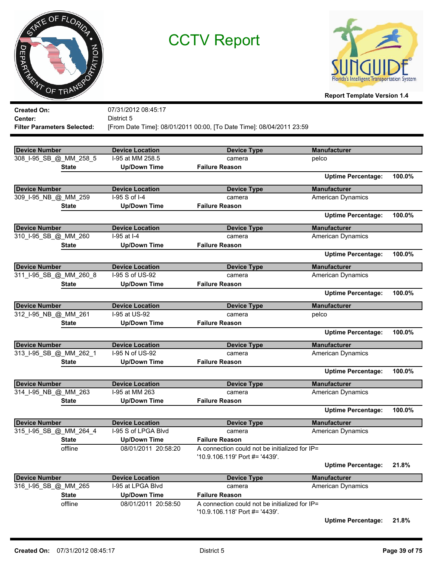



| <b>Created On:</b>                 | 07/31/2012 08:45:17    |                                                                                 |                           |        |
|------------------------------------|------------------------|---------------------------------------------------------------------------------|---------------------------|--------|
| Center:                            | District 5             |                                                                                 |                           |        |
| <b>Filter Parameters Selected:</b> |                        | [From Date Time]: 08/01/2011 00:00, [To Date Time]: 08/04/2011 23:59            |                           |        |
|                                    |                        |                                                                                 |                           |        |
| <b>Device Number</b>               | <b>Device Location</b> | <b>Device Type</b>                                                              | <b>Manufacturer</b>       |        |
| 308 I-95 SB @ MM 258 5             | I-95 at MM 258.5       | camera                                                                          | pelco                     |        |
| <b>State</b>                       | <b>Up/Down Time</b>    | <b>Failure Reason</b>                                                           |                           |        |
|                                    |                        |                                                                                 | <b>Uptime Percentage:</b> | 100.0% |
| <b>Device Number</b>               | <b>Device Location</b> | <b>Device Type</b>                                                              | <b>Manufacturer</b>       |        |
| 309_I-95_NB_@_MM_259               | I-95 S of I-4          | camera                                                                          | American Dynamics         |        |
| <b>State</b>                       | <b>Up/Down Time</b>    | <b>Failure Reason</b>                                                           |                           |        |
|                                    |                        |                                                                                 | <b>Uptime Percentage:</b> | 100.0% |
| <b>Device Number</b>               | <b>Device Location</b> | <b>Device Type</b>                                                              | <b>Manufacturer</b>       |        |
| 310_I-95_SB_@_MM_260               | I-95 at I-4            | camera                                                                          | American Dynamics         |        |
| <b>State</b>                       | <b>Up/Down Time</b>    | <b>Failure Reason</b>                                                           |                           |        |
|                                    |                        |                                                                                 | <b>Uptime Percentage:</b> | 100.0% |
| <b>Device Number</b>               | <b>Device Location</b> | <b>Device Type</b>                                                              | <b>Manufacturer</b>       |        |
| 311_I-95_SB_@_MM_260_8             | I-95 S of US-92        | camera                                                                          | American Dynamics         |        |
| <b>State</b>                       | <b>Up/Down Time</b>    | <b>Failure Reason</b>                                                           |                           |        |
|                                    |                        |                                                                                 | <b>Uptime Percentage:</b> | 100.0% |
| <b>Device Number</b>               | <b>Device Location</b> | <b>Device Type</b>                                                              | <b>Manufacturer</b>       |        |
| 312_I-95_NB_@_MM_261               | I-95 at US-92          | camera                                                                          | pelco                     |        |
| <b>State</b>                       | <b>Up/Down Time</b>    | <b>Failure Reason</b>                                                           |                           |        |
|                                    |                        |                                                                                 | <b>Uptime Percentage:</b> | 100.0% |
| <b>Device Number</b>               | <b>Device Location</b> | <b>Device Type</b>                                                              | <b>Manufacturer</b>       |        |
| 313_I-95_SB_@_MM_262_1             | I-95 N of US-92        | camera                                                                          | <b>American Dynamics</b>  |        |
| <b>State</b>                       | <b>Up/Down Time</b>    | <b>Failure Reason</b>                                                           |                           |        |
|                                    |                        |                                                                                 | <b>Uptime Percentage:</b> | 100.0% |
| <b>Device Number</b>               | <b>Device Location</b> | <b>Device Type</b>                                                              | <b>Manufacturer</b>       |        |
| 314 I-95 NB @ MM 263               | I-95 at MM 263         | camera                                                                          | American Dynamics         |        |
| <b>State</b>                       | <b>Up/Down Time</b>    | <b>Failure Reason</b>                                                           |                           |        |
|                                    |                        |                                                                                 | <b>Uptime Percentage:</b> | 100.0% |
| Device Number                      | <b>Device Location</b> | <b>Device Type</b>                                                              | <b>Manufacturer</b>       |        |
| 315 I-95 SB @ MM 264 4             | I-95 S of LPGA Blvd    | camera                                                                          | <b>American Dynamics</b>  |        |
| <b>State</b>                       | <b>Up/Down Time</b>    | <b>Failure Reason</b>                                                           |                           |        |
| offline                            | 08/01/2011 20:58:20    | A connection could not be initialized for IP=<br>'10.9.106.119' Port #= '4439'. |                           |        |
|                                    |                        |                                                                                 | <b>Uptime Percentage:</b> | 21.8%  |
|                                    |                        |                                                                                 |                           |        |
| <b>Device Number</b>               | <b>Device Location</b> | <b>Device Type</b>                                                              | <b>Manufacturer</b>       |        |
| 316_I-95_SB_@_MM_265               | I-95 at LPGA Blvd      | camera                                                                          | <b>American Dynamics</b>  |        |
| <b>State</b>                       | <b>Up/Down Time</b>    | <b>Failure Reason</b><br>A connection could not be initialized for IP=          |                           |        |
| offline                            | 08/01/2011 20:58:50    | '10.9.106.118' Port #= '4439'.                                                  |                           |        |
|                                    |                        |                                                                                 | <b>Uptime Percentage:</b> | 21.8%  |
|                                    |                        |                                                                                 |                           |        |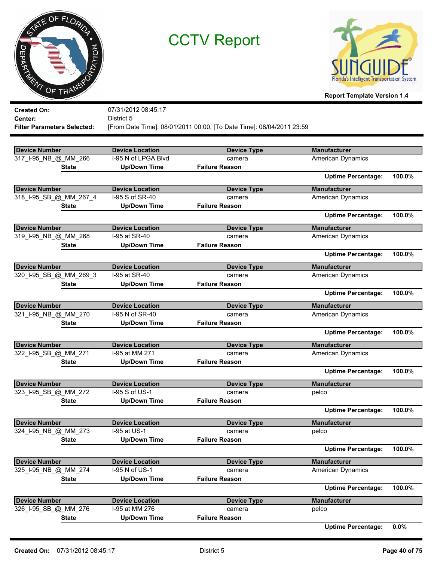



**Report Template Version 1.4**

| District 5<br>Center:<br>[From Date Time]: 08/01/2011 00:00, [To Date Time]: 08/04/2011 23:59<br><b>Filter Parameters Selected:</b> |        |
|-------------------------------------------------------------------------------------------------------------------------------------|--------|
|                                                                                                                                     |        |
|                                                                                                                                     |        |
|                                                                                                                                     |        |
| <b>Device Number</b><br><b>Device Location</b><br><b>Manufacturer</b><br><b>Device Type</b>                                         |        |
| 317_I-95_NB_@_MM_266<br>I-95 N of LPGA Blvd<br>American Dynamics<br>camera                                                          |        |
| <b>Failure Reason</b><br><b>Up/Down Time</b><br><b>State</b>                                                                        |        |
| <b>Uptime Percentage:</b>                                                                                                           | 100.0% |
| <b>Device Number</b><br><b>Manufacturer</b><br><b>Device Location</b><br><b>Device Type</b>                                         |        |
| 318_I-95_SB_@_MM_267_4<br>I-95 S of SR-40<br>American Dynamics<br>camera                                                            |        |
| <b>Up/Down Time</b><br><b>Failure Reason</b><br><b>State</b>                                                                        |        |
| <b>Uptime Percentage:</b>                                                                                                           | 100.0% |
| <b>Device Number</b><br><b>Manufacturer</b><br><b>Device Location</b><br><b>Device Type</b>                                         |        |
| I-95 at SR-40<br>319_I-95_NB_@_MM_268<br>American Dynamics<br>camera                                                                |        |
| <b>Up/Down Time</b><br><b>Failure Reason</b><br><b>State</b>                                                                        |        |
| <b>Uptime Percentage:</b>                                                                                                           | 100.0% |
| <b>Device Number</b><br><b>Manufacturer</b><br><b>Device Location</b><br><b>Device Type</b>                                         |        |
| 320_I-95_SB_@_MM_269_3<br>I-95 at SR-40<br>American Dynamics<br>camera                                                              |        |
| <b>Up/Down Time</b><br><b>Failure Reason</b><br><b>State</b>                                                                        |        |
| <b>Uptime Percentage:</b>                                                                                                           | 100.0% |
| <b>Device Number</b><br><b>Manufacturer</b><br><b>Device Location</b><br><b>Device Type</b>                                         |        |
| 321_I-95_NB_@_MM_270<br>I-95 N of SR-40<br><b>American Dynamics</b><br>camera                                                       |        |
| <b>Up/Down Time</b><br><b>Failure Reason</b><br><b>State</b>                                                                        |        |
| <b>Uptime Percentage:</b>                                                                                                           | 100.0% |
| <b>Device Number</b><br><b>Manufacturer</b><br><b>Device Location</b><br><b>Device Type</b>                                         |        |
| I-95 at MM 271<br>322_I-95_SB_@_MM_271<br>American Dynamics<br>camera                                                               |        |
| <b>Up/Down Time</b><br><b>Failure Reason</b><br><b>State</b>                                                                        |        |
| <b>Uptime Percentage:</b>                                                                                                           | 100.0% |
| <b>Device Number</b><br><b>Manufacturer</b><br><b>Device Location</b><br><b>Device Type</b>                                         |        |
| 323_I-95_SB_@_MM_272<br>I-95 S of US-1<br>pelco<br>camera                                                                           |        |
| <b>Up/Down Time</b><br><b>Failure Reason</b><br><b>State</b>                                                                        |        |
| <b>Uptime Percentage:</b>                                                                                                           | 100.0% |
| <b>Device Number</b><br><b>Device Location</b><br>Device Type<br><b>Manufacturer</b>                                                |        |
| 324_I-95_NB_@_MM_273<br>I-95 at US-1<br>pelco<br>camera                                                                             |        |
| <b>Up/Down Time</b><br><b>Failure Reason</b><br><b>State</b>                                                                        |        |
| <b>Uptime Percentage:</b>                                                                                                           | 100.0% |
| <b>Device Number</b><br><b>Device Location</b><br><b>Device Type</b><br><b>Manufacturer</b>                                         |        |
| 325_I-95_NB_@_MM_274<br>I-95 N of US-1<br>American Dynamics<br>camera                                                               |        |
| <b>State</b><br><b>Up/Down Time</b><br><b>Failure Reason</b>                                                                        |        |
| <b>Uptime Percentage:</b>                                                                                                           | 100.0% |
| <b>Device Number</b><br><b>Manufacturer</b><br><b>Device Location</b><br><b>Device Type</b>                                         |        |
| 326 I-95 SB @ MM 276<br>I-95 at MM 276<br>pelco<br>camera                                                                           |        |
| <b>Up/Down Time</b><br><b>Failure Reason</b><br><b>State</b>                                                                        |        |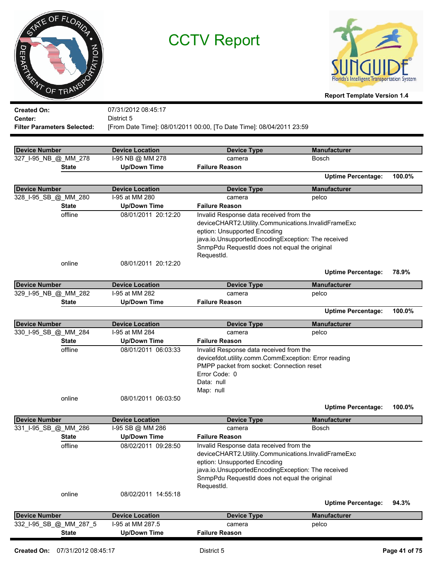|         | TATE OF FLORIDA |  |
|---------|-----------------|--|
|         |                 |  |
|         | PTATION         |  |
| DEPARTA |                 |  |
|         | WT OF TRANSPO   |  |
|         |                 |  |



**Report Template Version 1.4**

| <b>Device Number</b> | online                             | 08/02/2011 14:55:18<br><b>Device Location</b> | RequestId.<br><b>Device Type</b>                                                                    | <b>Uptime Percentage:</b><br><b>Manufacturer</b> | 94.3%  |
|----------------------|------------------------------------|-----------------------------------------------|-----------------------------------------------------------------------------------------------------|--------------------------------------------------|--------|
|                      |                                    |                                               |                                                                                                     |                                                  |        |
|                      |                                    |                                               |                                                                                                     |                                                  |        |
|                      |                                    |                                               |                                                                                                     |                                                  |        |
|                      |                                    |                                               |                                                                                                     |                                                  |        |
|                      |                                    |                                               | java.io.UnsupportedEncodingException: The received<br>SnmpPdu RequestId does not equal the original |                                                  |        |
|                      |                                    |                                               | eption: Unsupported Encoding                                                                        |                                                  |        |
|                      |                                    |                                               | deviceCHART2.Utility.Communications.InvalidFrameExc                                                 |                                                  |        |
|                      | offline                            | 08/02/2011 09:28:50                           | Invalid Response data received from the                                                             |                                                  |        |
|                      | <b>State</b>                       | <b>Up/Down Time</b>                           | <b>Failure Reason</b>                                                                               |                                                  |        |
| 331 I-95 SB @ MM 286 |                                    | I-95 SB @ MM 286                              | camera                                                                                              | Bosch                                            |        |
| <b>Device Number</b> |                                    | <b>Device Location</b>                        | <b>Device Type</b>                                                                                  | <b>Manufacturer</b>                              |        |
|                      |                                    |                                               |                                                                                                     | <b>Uptime Percentage:</b>                        | 100.0% |
|                      | online                             | 08/01/2011 06:03:50                           |                                                                                                     |                                                  |        |
|                      |                                    |                                               | Map: null                                                                                           |                                                  |        |
|                      |                                    |                                               | Data: null                                                                                          |                                                  |        |
|                      |                                    |                                               | Error Code: 0                                                                                       |                                                  |        |
|                      |                                    |                                               | PMPP packet from socket: Connection reset                                                           |                                                  |        |
|                      | offline                            | 08/01/2011 06:03:33                           | Invalid Response data received from the<br>devicefdot.utility.comm.CommException: Error reading     |                                                  |        |
|                      | <b>State</b>                       | <b>Up/Down Time</b>                           | <b>Failure Reason</b>                                                                               |                                                  |        |
| 330_I-95_SB_@_MM_284 |                                    | I-95 at MM 284                                | camera                                                                                              | pelco                                            |        |
| <b>Device Number</b> |                                    | <b>Device Location</b>                        | <b>Device Type</b>                                                                                  | <b>Manufacturer</b>                              |        |
|                      |                                    |                                               |                                                                                                     |                                                  |        |
|                      |                                    |                                               |                                                                                                     | <b>Uptime Percentage:</b>                        | 100.0% |
|                      | <b>State</b>                       | <b>Up/Down Time</b>                           | <b>Failure Reason</b>                                                                               |                                                  |        |
| 329 I-95 NB @ MM 282 |                                    | I-95 at MM 282                                | <b>Device Type</b><br>camera                                                                        | pelco                                            |        |
| <b>Device Number</b> |                                    | <b>Device Location</b>                        |                                                                                                     | <b>Manufacturer</b>                              |        |
|                      |                                    |                                               |                                                                                                     | <b>Uptime Percentage:</b>                        | 78.9%  |
|                      | online                             | 08/01/2011 20:12:20                           |                                                                                                     |                                                  |        |
|                      |                                    |                                               | RequestId.                                                                                          |                                                  |        |
|                      |                                    |                                               | SnmpPdu RequestId does not equal the original                                                       |                                                  |        |
|                      |                                    |                                               | eption: Unsupported Encoding<br>java.io.UnsupportedEncodingException: The received                  |                                                  |        |
|                      |                                    |                                               | deviceCHART2.Utility.Communications.InvalidFrameExc                                                 |                                                  |        |
|                      | offline                            | 08/01/2011 20:12:20                           | Invalid Response data received from the                                                             |                                                  |        |
|                      | <b>State</b>                       | <b>Up/Down Time</b>                           | <b>Failure Reason</b>                                                                               |                                                  |        |
| 328_I-95_SB_@_MM_280 |                                    | I-95 at MM 280                                | camera                                                                                              | pelco                                            |        |
| <b>Device Number</b> |                                    | <b>Device Location</b>                        | <b>Device Type</b>                                                                                  | <b>Manufacturer</b>                              |        |
|                      |                                    |                                               |                                                                                                     | <b>Uptime Percentage:</b>                        | 100.0% |
|                      | <b>State</b>                       | <b>Up/Down Time</b>                           | <b>Failure Reason</b>                                                                               |                                                  |        |
| 327_I-95_NB_@_MM_278 |                                    | I-95 NB @ MM 278                              | camera                                                                                              | <b>Bosch</b>                                     |        |
| <b>Device Number</b> |                                    | <b>Device Location</b>                        | <b>Device Type</b>                                                                                  | <b>Manufacturer</b>                              |        |
|                      |                                    |                                               |                                                                                                     |                                                  |        |
|                      | <b>Filter Parameters Selected:</b> |                                               | [From Date Time]: 08/01/2011 00:00, [To Date Time]: 08/04/2011 23:59                                |                                                  |        |
| Center:              |                                    | District 5                                    |                                                                                                     |                                                  |        |
| <b>Created On:</b>   |                                    | 07/31/2012 08:45:17                           |                                                                                                     |                                                  |        |
|                      |                                    |                                               |                                                                                                     |                                                  |        |

**State Up/Down Time Failure Reason**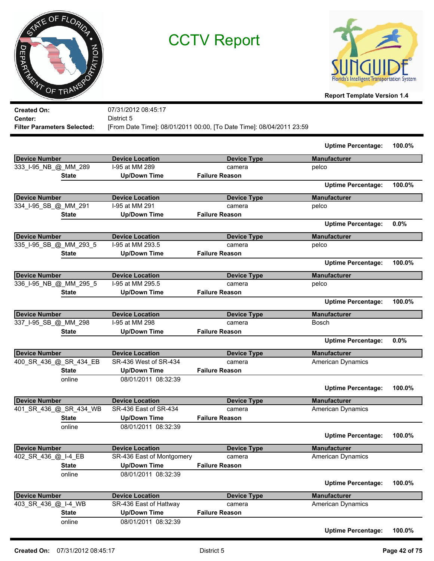



**Report Template Version 1.4**

| <b>Created On:</b>                 | 07/31/2012 08:45:17       |                                                                      |                           |        |
|------------------------------------|---------------------------|----------------------------------------------------------------------|---------------------------|--------|
| Center:                            | District 5                |                                                                      |                           |        |
| <b>Filter Parameters Selected:</b> |                           | [From Date Time]: 08/01/2011 00:00, [To Date Time]: 08/04/2011 23:59 |                           |        |
|                                    |                           |                                                                      | <b>Uptime Percentage:</b> | 100.0% |
| <b>Device Number</b>               | <b>Device Location</b>    | <b>Device Type</b>                                                   | <b>Manufacturer</b>       |        |
| 333_I-95_NB_@_MM_289               | I-95 at MM 289            | camera                                                               | pelco                     |        |
| <b>State</b>                       | <b>Up/Down Time</b>       | <b>Failure Reason</b>                                                |                           |        |
|                                    |                           |                                                                      | <b>Uptime Percentage:</b> | 100.0% |
| <b>Device Number</b>               | <b>Device Location</b>    | <b>Device Type</b>                                                   | <b>Manufacturer</b>       |        |
| 334_I-95_SB_@_MM_291               | I-95 at MM 291            | camera                                                               | pelco                     |        |
| <b>State</b>                       | <b>Up/Down Time</b>       | <b>Failure Reason</b>                                                |                           |        |
|                                    |                           |                                                                      | <b>Uptime Percentage:</b> | 0.0%   |
| <b>Device Number</b>               | <b>Device Location</b>    | <b>Device Type</b>                                                   | <b>Manufacturer</b>       |        |
| 335_I-95_SB_@_MM_293_5             | I-95 at MM 293.5          | camera                                                               | pelco                     |        |
| <b>State</b>                       | <b>Up/Down Time</b>       | <b>Failure Reason</b>                                                |                           |        |
|                                    |                           |                                                                      | <b>Uptime Percentage:</b> | 100.0% |
| <b>Device Number</b>               | <b>Device Location</b>    | <b>Device Type</b>                                                   | <b>Manufacturer</b>       |        |
| 336_I-95_NB_@_MM_295_5             | I-95 at MM 295.5          | camera                                                               | pelco                     |        |
| <b>State</b>                       | <b>Up/Down Time</b>       | <b>Failure Reason</b>                                                |                           |        |
|                                    |                           |                                                                      | <b>Uptime Percentage:</b> | 100.0% |
| <b>Device Number</b>               | <b>Device Location</b>    | <b>Device Type</b>                                                   | <b>Manufacturer</b>       |        |
| 337 I-95 SB @ MM 298               | I-95 at MM 298            | camera                                                               | Bosch                     |        |
| <b>State</b>                       | <b>Up/Down Time</b>       | <b>Failure Reason</b>                                                |                           |        |
|                                    |                           |                                                                      | <b>Uptime Percentage:</b> | 0.0%   |
| Device Number                      | <b>Device Location</b>    | <b>Device Type</b>                                                   | <b>Manufacturer</b>       |        |
| 400_SR_436_@_SR_434_EB             | SR-436 West of SR-434     | camera                                                               | <b>American Dynamics</b>  |        |
| <b>State</b>                       | <b>Up/Down Time</b>       | <b>Failure Reason</b>                                                |                           |        |
| online                             | 08/01/2011 08:32:39       |                                                                      |                           |        |
|                                    |                           |                                                                      | <b>Uptime Percentage:</b> | 100.0% |
| Device Number                      | <b>Device Location</b>    | <b>Device Type</b>                                                   | <b>Manufacturer</b>       |        |
| 401_SR_436_@_SR_434_WB             | SR-436 East of SR-434     | camera                                                               | American Dynamics         |        |
| <b>State</b>                       | <b>Up/Down Time</b>       | <b>Failure Reason</b>                                                |                           |        |
| online                             | 08/01/2011 08:32:39       |                                                                      |                           |        |
|                                    |                           |                                                                      | <b>Uptime Percentage:</b> | 100.0% |
| <b>Device Number</b>               | <b>Device Location</b>    | <b>Device Type</b>                                                   | <b>Manufacturer</b>       |        |
| 402_SR_436_@_I-4_EB                | SR-436 East of Montgomery | camera                                                               | American Dynamics         |        |
| <b>State</b>                       | <b>Up/Down Time</b>       | <b>Failure Reason</b>                                                |                           |        |

online 08/01/2011 08:32:39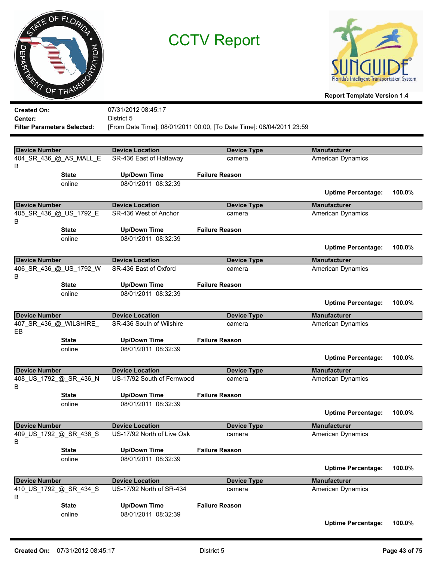



| <b>Created On:</b>                 |                        | 07/31/2012 08:45:17        |                                                                      |                           |        |
|------------------------------------|------------------------|----------------------------|----------------------------------------------------------------------|---------------------------|--------|
| Center:                            |                        | District 5                 |                                                                      |                           |        |
| <b>Filter Parameters Selected:</b> |                        |                            | [From Date Time]: 08/01/2011 00:00, [To Date Time]: 08/04/2011 23:59 |                           |        |
|                                    |                        |                            |                                                                      |                           |        |
| <b>Device Number</b>               |                        | <b>Device Location</b>     | <b>Device Type</b>                                                   | <b>Manufacturer</b>       |        |
|                                    | 404_SR_436_@_AS_MALL_E | SR-436 East of Hattaway    | camera                                                               | American Dynamics         |        |
| B                                  |                        |                            |                                                                      |                           |        |
|                                    | <b>State</b>           | <b>Up/Down Time</b>        | <b>Failure Reason</b>                                                |                           |        |
|                                    | online                 | 08/01/2011 08:32:39        |                                                                      |                           |        |
|                                    |                        |                            |                                                                      | <b>Uptime Percentage:</b> | 100.0% |
| <b>Device Number</b>               |                        | <b>Device Location</b>     | <b>Device Type</b>                                                   | <b>Manufacturer</b>       |        |
|                                    | 405_SR_436_@_US_1792_E | SR-436 West of Anchor      | camera                                                               | American Dynamics         |        |
| В                                  |                        |                            |                                                                      |                           |        |
|                                    | <b>State</b>           | <b>Up/Down Time</b>        | <b>Failure Reason</b>                                                |                           |        |
|                                    | online                 | 08/01/2011 08:32:39        |                                                                      |                           |        |
|                                    |                        |                            |                                                                      | <b>Uptime Percentage:</b> | 100.0% |
| <b>Device Number</b>               |                        | <b>Device Location</b>     | <b>Device Type</b>                                                   | <b>Manufacturer</b>       |        |
|                                    | 406_SR_436_@_US_1792_W | SR-436 East of Oxford      | camera                                                               | American Dynamics         |        |
| B                                  |                        |                            |                                                                      |                           |        |
|                                    | <b>State</b>           | <b>Up/Down Time</b>        | <b>Failure Reason</b>                                                |                           |        |
|                                    | online                 | 08/01/2011 08:32:39        |                                                                      |                           |        |
|                                    |                        |                            |                                                                      | <b>Uptime Percentage:</b> | 100.0% |
| <b>Device Number</b>               |                        | <b>Device Location</b>     | <b>Device Type</b>                                                   | <b>Manufacturer</b>       |        |
|                                    | 407_SR_436_@_WILSHIRE_ | SR-436 South of Wilshire   | camera                                                               | American Dynamics         |        |
| EВ                                 |                        |                            |                                                                      |                           |        |
|                                    | <b>State</b>           | <b>Up/Down Time</b>        | <b>Failure Reason</b>                                                |                           |        |
|                                    | online                 | 08/01/2011 08:32:39        |                                                                      |                           |        |
|                                    |                        |                            |                                                                      | <b>Uptime Percentage:</b> | 100.0% |
| <b>Device Number</b>               |                        | <b>Device Location</b>     | <b>Device Type</b>                                                   | <b>Manufacturer</b>       |        |
|                                    | 408_US_1792_@_SR_436_N | US-17/92 South of Fernwood | camera                                                               | American Dynamics         |        |
| B                                  |                        |                            |                                                                      |                           |        |
|                                    | <b>State</b>           | <b>Up/Down Time</b>        | <b>Failure Reason</b>                                                |                           |        |
|                                    | online                 | 08/01/2011 08:32:39        |                                                                      |                           |        |
|                                    |                        |                            |                                                                      | <b>Uptime Percentage:</b> | 100.0% |
| <b>Device Number</b>               |                        | <b>Device Location</b>     | <b>Device Type</b>                                                   | <b>Manufacturer</b>       |        |
|                                    | 409 US 1792 @ SR 436 S | US-17/92 North of Live Oak | camera                                                               | <b>American Dynamics</b>  |        |
| B                                  |                        |                            |                                                                      |                           |        |
|                                    | <b>State</b>           | <b>Up/Down Time</b>        | <b>Failure Reason</b>                                                |                           |        |
|                                    | online                 | 08/01/2011 08:32:39        |                                                                      |                           |        |
|                                    |                        |                            |                                                                      | <b>Uptime Percentage:</b> | 100.0% |
| <b>Device Number</b>               |                        | <b>Device Location</b>     | <b>Device Type</b>                                                   | <b>Manufacturer</b>       |        |
|                                    | 410_US_1792_@_SR_434_S | US-17/92 North of SR-434   | camera                                                               | <b>American Dynamics</b>  |        |
| B                                  |                        |                            |                                                                      |                           |        |
|                                    | <b>State</b>           | <b>Up/Down Time</b>        | <b>Failure Reason</b>                                                |                           |        |
|                                    | online                 | 08/01/2011 08:32:39        |                                                                      |                           |        |
|                                    |                        |                            |                                                                      | <b>Uptime Percentage:</b> | 100.0% |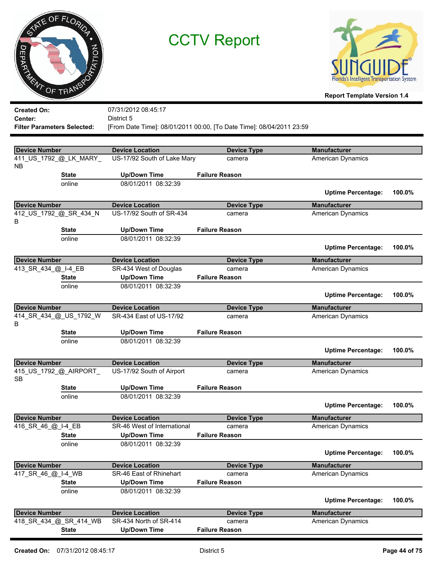



| <b>Created On:</b>                 |                        | 07/31/2012 08:45:17                           |                                                                      |                           |        |
|------------------------------------|------------------------|-----------------------------------------------|----------------------------------------------------------------------|---------------------------|--------|
| <b>Center:</b>                     |                        | District 5                                    |                                                                      |                           |        |
| <b>Filter Parameters Selected:</b> |                        |                                               | [From Date Time]: 08/01/2011 00:00, [To Date Time]: 08/04/2011 23:59 |                           |        |
|                                    |                        |                                               |                                                                      |                           |        |
| <b>Device Number</b>               |                        | <b>Device Location</b>                        | <b>Device Type</b>                                                   | <b>Manufacturer</b>       |        |
|                                    | 411_US_1792_@_LK_MARY_ | US-17/92 South of Lake Mary                   | camera                                                               | <b>American Dynamics</b>  |        |
| NB.                                |                        |                                               |                                                                      |                           |        |
|                                    | <b>State</b>           | <b>Up/Down Time</b>                           | <b>Failure Reason</b>                                                |                           |        |
|                                    | online                 | 08/01/2011 08:32:39                           |                                                                      |                           |        |
|                                    |                        |                                               |                                                                      | <b>Uptime Percentage:</b> | 100.0% |
| <b>Device Number</b>               |                        | <b>Device Location</b>                        | <b>Device Type</b>                                                   | <b>Manufacturer</b>       |        |
|                                    | 412_US_1792_@_SR_434_N | US-17/92 South of SR-434                      | camera                                                               | American Dynamics         |        |
| B                                  |                        |                                               |                                                                      |                           |        |
|                                    | <b>State</b>           | <b>Up/Down Time</b>                           | <b>Failure Reason</b>                                                |                           |        |
|                                    | online                 | 08/01/2011 08:32:39                           |                                                                      |                           |        |
|                                    |                        |                                               |                                                                      | <b>Uptime Percentage:</b> | 100.0% |
| <b>Device Number</b>               |                        | <b>Device Location</b>                        | <b>Device Type</b>                                                   | <b>Manufacturer</b>       |        |
| 413_SR_434_@_I-4_EB                |                        | SR-434 West of Douglas                        | camera                                                               | <b>American Dynamics</b>  |        |
|                                    | <b>State</b>           | <b>Up/Down Time</b>                           | <b>Failure Reason</b>                                                |                           |        |
|                                    | online                 | 08/01/2011 08:32:39                           |                                                                      |                           |        |
|                                    |                        |                                               |                                                                      | <b>Uptime Percentage:</b> | 100.0% |
| <b>Device Number</b>               |                        | <b>Device Location</b>                        | <b>Device Type</b>                                                   | <b>Manufacturer</b>       |        |
|                                    | 414_SR_434_@_US_1792_W | SR-434 East of US-17/92                       | camera                                                               | American Dynamics         |        |
| В                                  |                        |                                               |                                                                      |                           |        |
|                                    | <b>State</b>           | <b>Up/Down Time</b>                           | <b>Failure Reason</b>                                                |                           |        |
|                                    | online                 | 08/01/2011 08:32:39                           |                                                                      |                           |        |
|                                    |                        |                                               |                                                                      | <b>Uptime Percentage:</b> | 100.0% |
| <b>Device Number</b>               |                        | <b>Device Location</b>                        | <b>Device Type</b>                                                   | <b>Manufacturer</b>       |        |
|                                    | 415_US_1792_@_AIRPORT_ | US-17/92 South of Airport                     | camera                                                               | American Dynamics         |        |
| <b>SB</b>                          |                        |                                               |                                                                      |                           |        |
|                                    | <b>State</b>           | <b>Up/Down Time</b>                           | <b>Failure Reason</b>                                                |                           |        |
|                                    | online                 | 08/01/2011 08:32:39                           |                                                                      |                           |        |
|                                    |                        |                                               |                                                                      | <b>Uptime Percentage:</b> | 100.0% |
| <b>Device Number</b>               |                        | <b>Device Location</b>                        | <b>Device Type</b>                                                   | <b>Manufacturer</b>       |        |
| 416 SR 46 @ I-4 EB                 |                        | SR-46 West of International                   | camera                                                               | <b>American Dynamics</b>  |        |
|                                    | <b>State</b>           | <b>Up/Down Time</b>                           | <b>Failure Reason</b>                                                |                           |        |
|                                    | online                 | 08/01/2011 08:32:39                           |                                                                      |                           |        |
|                                    |                        |                                               |                                                                      | <b>Uptime Percentage:</b> | 100.0% |
| <b>Device Number</b>               |                        | <b>Device Location</b>                        | <b>Device Type</b>                                                   | <b>Manufacturer</b>       |        |
| 417 SR 46 @ I-4 WB                 |                        | SR-46 East of Rhinehart                       | camera                                                               | American Dynamics         |        |
|                                    | <b>State</b>           | <b>Up/Down Time</b>                           | <b>Failure Reason</b>                                                |                           |        |
|                                    | online                 | 08/01/2011 08:32:39                           |                                                                      |                           |        |
|                                    |                        |                                               |                                                                      | <b>Uptime Percentage:</b> | 100.0% |
|                                    |                        |                                               |                                                                      |                           |        |
| <b>Device Number</b>               |                        | <b>Device Location</b>                        | <b>Device Type</b>                                                   | <b>Manufacturer</b>       |        |
|                                    | 418_SR_434_@_SR_414_WB | SR-434 North of SR-414<br><b>Up/Down Time</b> | camera                                                               | American Dynamics         |        |
|                                    | <b>State</b>           |                                               | <b>Failure Reason</b>                                                |                           |        |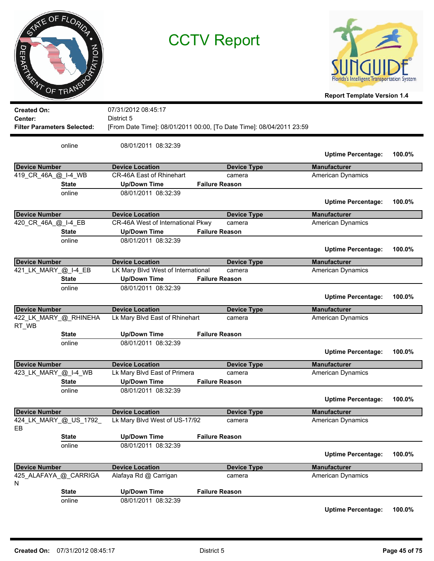|                      | NE OF FLORIDA |  |
|----------------------|---------------|--|
|                      |               |  |
| EPAY<br>$\mathbf{z}$ | PTATION       |  |
| R.                   | OF TRANS      |  |



**Report Template Version 1.4**

| <b>Created On:</b><br>Center:<br><b>Filter Parameters Selected:</b> |              | 07/31/2012 08:45:17<br>District 5<br>[From Date Time]: 08/01/2011 00:00, [To Date Time]: 08/04/2011 23:59 |                              |                                          |        |
|---------------------------------------------------------------------|--------------|-----------------------------------------------------------------------------------------------------------|------------------------------|------------------------------------------|--------|
|                                                                     | online       | 08/01/2011 08:32:39                                                                                       |                              | <b>Uptime Percentage:</b>                | 100.0% |
| <b>Device Number</b>                                                |              | <b>Device Location</b>                                                                                    | <b>Device Type</b>           | <b>Manufacturer</b>                      |        |
| 419_CR_46A_@_I-4_WB                                                 |              | CR-46A East of Rhinehart                                                                                  | camera                       | <b>American Dynamics</b>                 |        |
|                                                                     | <b>State</b> | <b>Up/Down Time</b>                                                                                       | <b>Failure Reason</b>        |                                          |        |
|                                                                     | online       | 08/01/2011 08:32:39                                                                                       |                              |                                          |        |
|                                                                     |              |                                                                                                           |                              | <b>Uptime Percentage:</b>                | 100.0% |
| <b>Device Number</b>                                                |              | <b>Device Location</b>                                                                                    | <b>Device Type</b>           | <b>Manufacturer</b>                      |        |
| 420_CR_46A_@_I-4_EB                                                 |              | CR-46A West of International Pkwy                                                                         | camera                       | <b>American Dynamics</b>                 |        |
|                                                                     | <b>State</b> | <b>Up/Down Time</b>                                                                                       | <b>Failure Reason</b>        |                                          |        |
|                                                                     | online       | 08/01/2011 08:32:39                                                                                       |                              |                                          |        |
|                                                                     |              |                                                                                                           |                              | <b>Uptime Percentage:</b>                | 100.0% |
| <b>Device Number</b>                                                |              | <b>Device Location</b>                                                                                    | <b>Device Type</b>           | <b>Manufacturer</b>                      |        |
| 421_LK_MARY_@_I-4_EB                                                |              | LK Mary Blvd West of International                                                                        | camera                       | American Dynamics                        |        |
|                                                                     | <b>State</b> | <b>Up/Down Time</b>                                                                                       | <b>Failure Reason</b>        |                                          |        |
|                                                                     | online       | 08/01/2011 08:32:39                                                                                       |                              |                                          |        |
|                                                                     |              |                                                                                                           |                              | <b>Uptime Percentage:</b>                | 100.0% |
| <b>Device Number</b>                                                |              | <b>Device Location</b>                                                                                    | <b>Device Type</b>           | <b>Manufacturer</b>                      |        |
| 422_LK_MARY_@_RHINEHA<br>RT_WB                                      |              | Lk Mary Blvd East of Rhinehart                                                                            | camera                       | American Dynamics                        |        |
|                                                                     | <b>State</b> | <b>Up/Down Time</b>                                                                                       | <b>Failure Reason</b>        |                                          |        |
|                                                                     | online       | 08/01/2011 08:32:39                                                                                       |                              | <b>Uptime Percentage:</b>                | 100.0% |
| <b>Device Number</b>                                                |              | <b>Device Location</b>                                                                                    | <b>Device Type</b>           | <b>Manufacturer</b>                      |        |
| 423_LK_MARY_@_I-4_WB                                                |              | Lk Mary Blvd East of Primera                                                                              | camera                       | American Dynamics                        |        |
|                                                                     | <b>State</b> | <b>Up/Down Time</b>                                                                                       | <b>Failure Reason</b>        |                                          |        |
|                                                                     | online       | 08/01/2011 08:32:39                                                                                       |                              | <b>Uptime Percentage:</b>                | 100.0% |
| <b>Device Number</b>                                                |              | <b>Device Location</b>                                                                                    | <b>Device Type</b>           | <b>Manufacturer</b>                      |        |
| 424_LK_MARY_@_US_1792_<br>EВ                                        |              | Lk Mary Blvd West of US-17/92                                                                             | camera                       | American Dynamics                        |        |
|                                                                     | <b>State</b> | <b>Up/Down Time</b>                                                                                       | <b>Failure Reason</b>        |                                          |        |
|                                                                     | online       | 08/01/2011 08:32:39                                                                                       |                              | <b>Uptime Percentage:</b>                | 100.0% |
|                                                                     |              |                                                                                                           |                              |                                          |        |
| <b>Device Number</b><br>425_ALAFAYA_@_CARRIGA                       |              | <b>Device Location</b><br>Alafaya Rd @ Carrigan                                                           | <b>Device Type</b><br>camera | <b>Manufacturer</b><br>American Dynamics |        |
| N                                                                   |              |                                                                                                           |                              |                                          |        |
|                                                                     | <b>State</b> | <b>Up/Down Time</b>                                                                                       | <b>Failure Reason</b>        |                                          |        |
|                                                                     | online       | 08/01/2011 08:32:39                                                                                       |                              |                                          |        |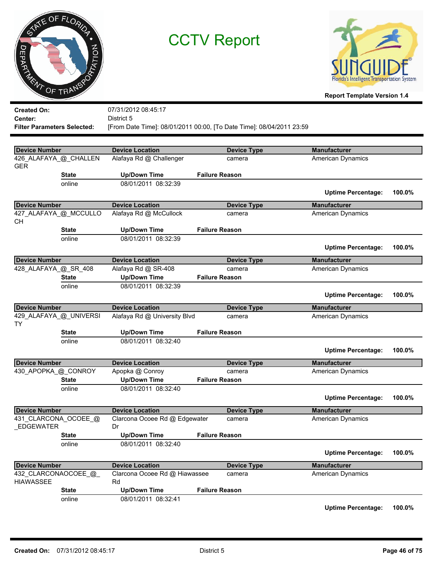



**Report Template Version 1.4**

| <b>Created On:</b>                           |                        | 07/31/2012 08:45:17                           |                                                                      |                           |        |
|----------------------------------------------|------------------------|-----------------------------------------------|----------------------------------------------------------------------|---------------------------|--------|
| Center:                                      |                        | District 5                                    |                                                                      |                           |        |
| <b>Filter Parameters Selected:</b>           |                        |                                               | [From Date Time]: 08/01/2011 00:00, [To Date Time]: 08/04/2011 23:59 |                           |        |
|                                              |                        |                                               |                                                                      |                           |        |
| <b>Device Number</b>                         |                        | <b>Device Location</b>                        | <b>Device Type</b>                                                   | <b>Manufacturer</b>       |        |
|                                              | 426_ALAFAYA_@_CHALLEN  | Alafaya Rd @ Challenger                       | camera                                                               | American Dynamics         |        |
| <b>GER</b>                                   |                        |                                               |                                                                      |                           |        |
|                                              | <b>State</b>           | <b>Up/Down Time</b>                           | <b>Failure Reason</b>                                                |                           |        |
|                                              | online                 | 08/01/2011 08:32:39                           |                                                                      |                           |        |
|                                              |                        |                                               |                                                                      | <b>Uptime Percentage:</b> | 100.0% |
| <b>Device Number</b>                         |                        | <b>Device Location</b>                        | <b>Device Type</b>                                                   | <b>Manufacturer</b>       |        |
|                                              | 427_ALAFAYA_@_MCCULLO  | Alafaya Rd @ McCullock                        | camera                                                               | American Dynamics         |        |
| <b>CH</b>                                    |                        |                                               |                                                                      |                           |        |
|                                              | <b>State</b>           | <b>Up/Down Time</b>                           | <b>Failure Reason</b>                                                |                           |        |
|                                              | online                 | 08/01/2011 08:32:39                           |                                                                      |                           |        |
|                                              |                        |                                               |                                                                      | <b>Uptime Percentage:</b> | 100.0% |
|                                              |                        |                                               |                                                                      |                           |        |
| <b>Device Number</b><br>428_ALAFAYA_@_SR_408 |                        | <b>Device Location</b><br>Alafaya Rd @ SR-408 | <b>Device Type</b>                                                   | <b>Manufacturer</b>       |        |
|                                              | <b>State</b>           | <b>Up/Down Time</b>                           | camera<br><b>Failure Reason</b>                                      | American Dynamics         |        |
|                                              | online                 | 08/01/2011 08:32:39                           |                                                                      |                           |        |
|                                              |                        |                                               |                                                                      |                           | 100.0% |
|                                              |                        |                                               |                                                                      | <b>Uptime Percentage:</b> |        |
| <b>Device Number</b>                         |                        | <b>Device Location</b>                        | <b>Device Type</b>                                                   | <b>Manufacturer</b>       |        |
|                                              |                        |                                               |                                                                      |                           |        |
|                                              | 429_ALAFAYA_@_UNIVERSI | Alafaya Rd @ University Blvd                  | camera                                                               | American Dynamics         |        |
| <b>TY</b>                                    |                        |                                               |                                                                      |                           |        |
|                                              | <b>State</b>           | <b>Up/Down Time</b>                           | <b>Failure Reason</b>                                                |                           |        |
|                                              | online                 | 08/01/2011 08:32:40                           |                                                                      |                           |        |
|                                              |                        |                                               |                                                                      | <b>Uptime Percentage:</b> | 100.0% |
|                                              |                        |                                               |                                                                      |                           |        |
| <b>Device Number</b>                         |                        | <b>Device Location</b>                        | <b>Device Type</b><br>camera                                         | <b>Manufacturer</b>       |        |
| 430_APOPKA_@_CONROY                          | <b>State</b>           | Apopka @ Conroy<br><b>Up/Down Time</b>        | <b>Failure Reason</b>                                                | American Dynamics         |        |
|                                              | online                 | 08/01/2011 08:32:40                           |                                                                      |                           |        |
|                                              |                        |                                               |                                                                      | <b>Uptime Percentage:</b> | 100.0% |
|                                              |                        |                                               |                                                                      |                           |        |
| <b>Device Number</b>                         |                        | <b>Device Location</b>                        | <b>Device Type</b>                                                   | <b>Manufacturer</b>       |        |
|                                              | 431_CLARCONA_OCOEE_@   | Clarcona Ocoee Rd @ Edgewater                 | camera                                                               | American Dynamics         |        |
| _EDGEWATER                                   |                        | Dr                                            |                                                                      |                           |        |
|                                              | <b>State</b>           | <b>Up/Down Time</b>                           | <b>Failure Reason</b>                                                |                           |        |
|                                              | online                 | 08/01/2011 08:32:40                           |                                                                      | <b>Uptime Percentage:</b> | 100.0% |
|                                              |                        |                                               |                                                                      |                           |        |
| <b>Device Number</b>                         |                        | <b>Device Location</b>                        | <b>Device Type</b>                                                   | <b>Manufacturer</b>       |        |
|                                              | 432_CLARCONAOCOEE_@_   | Clarcona Ocoee Rd @ Hiawassee                 | camera                                                               | American Dynamics         |        |
| <b>HIAWASSEE</b>                             | <b>State</b>           | Rd<br><b>Up/Down Time</b>                     | <b>Failure Reason</b>                                                |                           |        |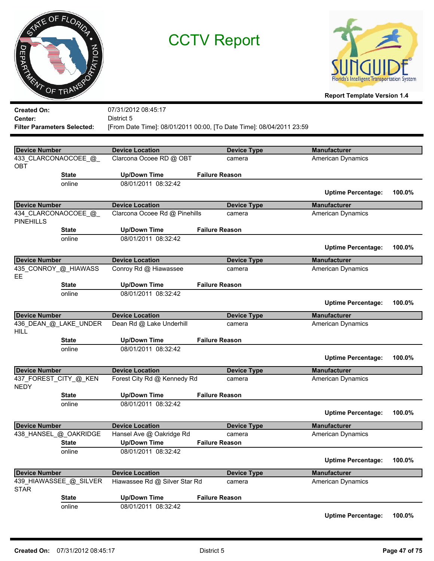



**Report Template Version 1.4**

| <b>Created On:</b>                 |                        | 07/31/2012 08:45:17           |                                                                      |                           |        |
|------------------------------------|------------------------|-------------------------------|----------------------------------------------------------------------|---------------------------|--------|
| <b>Center:</b>                     |                        | District 5                    |                                                                      |                           |        |
| <b>Filter Parameters Selected:</b> |                        |                               | [From Date Time]: 08/01/2011 00:00, [To Date Time]: 08/04/2011 23:59 |                           |        |
|                                    |                        |                               |                                                                      |                           |        |
| <b>Device Number</b>               |                        | <b>Device Location</b>        | <b>Device Type</b>                                                   | <b>Manufacturer</b>       |        |
| OBT                                | 433 CLARCONAOCOEE @    | Clarcona Ocoee RD @ OBT       | camera                                                               | <b>American Dynamics</b>  |        |
|                                    | <b>State</b>           | <b>Up/Down Time</b>           | <b>Failure Reason</b>                                                |                           |        |
|                                    | online                 | 08/01/2011 08:32:42           |                                                                      | <b>Uptime Percentage:</b> | 100.0% |
| <b>Device Number</b>               |                        | <b>Device Location</b>        | <b>Device Type</b>                                                   | <b>Manufacturer</b>       |        |
| <b>PINEHILLS</b>                   | 434_CLARCONAOCOEE_@    | Clarcona Ocoee Rd @ Pinehills | camera                                                               | <b>American Dynamics</b>  |        |
|                                    | <b>State</b>           | <b>Up/Down Time</b>           | <b>Failure Reason</b>                                                |                           |        |
|                                    | online                 | 08/01/2011 08:32:42           |                                                                      | <b>Uptime Percentage:</b> | 100.0% |
|                                    |                        |                               |                                                                      |                           |        |
| <b>Device Number</b>               |                        | <b>Device Location</b>        | <b>Device Type</b>                                                   | <b>Manufacturer</b>       |        |
| EE.                                | 435_CONROY_@_HIAWASS   | Conroy Rd @ Hiawassee         | camera                                                               | <b>American Dynamics</b>  |        |
|                                    | <b>State</b>           | <b>Up/Down Time</b>           | <b>Failure Reason</b>                                                |                           |        |
|                                    | online                 | 08/01/2011 08:32:42           |                                                                      | <b>Uptime Percentage:</b> | 100.0% |
| <b>Device Number</b>               |                        | <b>Device Location</b>        | <b>Device Type</b>                                                   | <b>Manufacturer</b>       |        |
| <b>HILL</b>                        | 436_DEAN_@_LAKE_UNDER  | Dean Rd @ Lake Underhill      | camera                                                               | <b>American Dynamics</b>  |        |
|                                    | <b>State</b>           | <b>Up/Down Time</b>           | <b>Failure Reason</b>                                                |                           |        |
|                                    | online                 | 08/01/2011 08:32:42           |                                                                      | <b>Uptime Percentage:</b> | 100.0% |
| <b>Device Number</b>               |                        | <b>Device Location</b>        | <b>Device Type</b>                                                   | <b>Manufacturer</b>       |        |
| <b>NEDY</b>                        | 437_FOREST_CITY_@_KEN  | Forest City Rd @ Kennedy Rd   | camera                                                               | <b>American Dynamics</b>  |        |
|                                    | <b>State</b>           | <b>Up/Down Time</b>           | <b>Failure Reason</b>                                                |                           |        |
|                                    | online                 | 08/01/2011 08:32:42           |                                                                      |                           |        |
|                                    |                        |                               |                                                                      | <b>Uptime Percentage:</b> | 100.0% |
| <b>Device Number</b>               |                        | <b>Device Location</b>        | <b>Device Type</b>                                                   | <b>Manufacturer</b>       |        |
|                                    | 438_HANSEL_@_OAKRIDGE  | Hansel Ave @ Oakridge Rd      | camera                                                               | <b>American Dynamics</b>  |        |
|                                    | <b>State</b>           | <b>Up/Down Time</b>           | <b>Failure Reason</b>                                                |                           |        |
|                                    | online                 | 08/01/2011 08:32:42           |                                                                      | <b>Uptime Percentage:</b> | 100.0% |
| <b>Device Number</b>               |                        | <b>Device Location</b>        | <b>Device Type</b>                                                   | <b>Manufacturer</b>       |        |
| <b>STAR</b>                        | 439_HIAWASSEE_@_SILVER | Hiawassee Rd @ Silver Star Rd | camera                                                               | <b>American Dynamics</b>  |        |
|                                    | <b>State</b>           | <b>Up/Down Time</b>           | <b>Failure Reason</b>                                                |                           |        |
|                                    | online                 | 08/01/2011 08:32:42           |                                                                      |                           |        |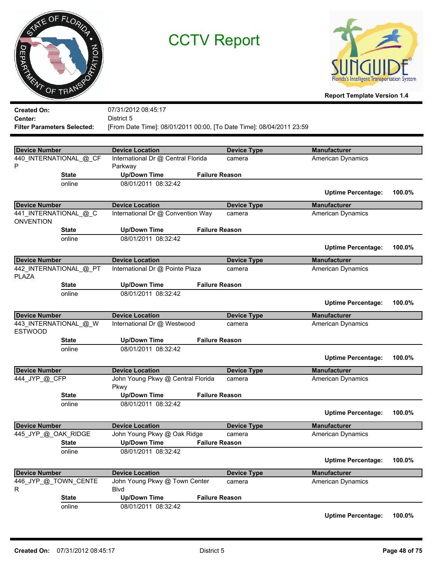



**Report Template Version 1.4**

| <b>Created On:</b>                 |                        | 07/31/2012 08:45:17                                       |                                                                      |                                                 |        |
|------------------------------------|------------------------|-----------------------------------------------------------|----------------------------------------------------------------------|-------------------------------------------------|--------|
| Center:                            |                        | District 5                                                |                                                                      |                                                 |        |
| <b>Filter Parameters Selected:</b> |                        |                                                           | [From Date Time]: 08/01/2011 00:00, [To Date Time]: 08/04/2011 23:59 |                                                 |        |
|                                    |                        |                                                           |                                                                      |                                                 |        |
| <b>Device Number</b>               |                        | <b>Device Location</b>                                    | <b>Device Type</b>                                                   | <b>Manufacturer</b>                             |        |
|                                    | 440_INTERNATIONAL_@_CF | International Dr @ Central Florida                        | camera                                                               | <b>American Dynamics</b>                        |        |
| P                                  |                        | Parkway                                                   |                                                                      |                                                 |        |
|                                    | <b>State</b>           | <b>Up/Down Time</b>                                       | <b>Failure Reason</b>                                                |                                                 |        |
|                                    | online                 | 08/01/2011 08:32:42                                       |                                                                      |                                                 |        |
|                                    |                        |                                                           |                                                                      | <b>Uptime Percentage:</b>                       | 100.0% |
| <b>Device Number</b>               |                        | <b>Device Location</b>                                    | <b>Device Type</b>                                                   | <b>Manufacturer</b>                             |        |
|                                    | 441_INTERNATIONAL_@_C  | International Dr @ Convention Way                         | camera                                                               | <b>American Dynamics</b>                        |        |
| <b>ONVENTION</b>                   |                        |                                                           |                                                                      |                                                 |        |
|                                    | <b>State</b>           | <b>Up/Down Time</b>                                       | <b>Failure Reason</b>                                                |                                                 |        |
|                                    | online                 | 08/01/2011 08:32:42                                       |                                                                      |                                                 |        |
|                                    |                        |                                                           |                                                                      | <b>Uptime Percentage:</b>                       | 100.0% |
|                                    |                        |                                                           |                                                                      |                                                 |        |
| <b>Device Number</b>               | 442_INTERNATIONAL_@_PT | <b>Device Location</b><br>International Dr @ Pointe Plaza | <b>Device Type</b>                                                   | <b>Manufacturer</b>                             |        |
| <b>PLAZA</b>                       |                        |                                                           | camera                                                               | American Dynamics                               |        |
|                                    | <b>State</b>           | <b>Up/Down Time</b>                                       | <b>Failure Reason</b>                                                |                                                 |        |
|                                    | online                 | 08/01/2011 08:32:42                                       |                                                                      |                                                 |        |
|                                    |                        |                                                           |                                                                      | <b>Uptime Percentage:</b>                       | 100.0% |
|                                    |                        |                                                           |                                                                      |                                                 |        |
|                                    |                        | <b>Device Location</b>                                    |                                                                      | <b>Manufacturer</b>                             |        |
| <b>Device Number</b>               |                        | International Dr @ Westwood                               | <b>Device Type</b><br>camera                                         | American Dynamics                               |        |
| <b>ESTWOOD</b>                     | 443_INTERNATIONAL_@_W  |                                                           |                                                                      |                                                 |        |
|                                    | <b>State</b>           | <b>Up/Down Time</b>                                       | <b>Failure Reason</b>                                                |                                                 |        |
|                                    | online                 | 08/01/2011 08:32:42                                       |                                                                      |                                                 |        |
|                                    |                        |                                                           |                                                                      | <b>Uptime Percentage:</b>                       | 100.0% |
|                                    |                        |                                                           |                                                                      |                                                 |        |
| <b>Device Number</b>               |                        | <b>Device Location</b>                                    | <b>Device Type</b><br>camera                                         | <b>Manufacturer</b>                             |        |
| 444 JYP @ CFP                      |                        | John Young Pkwy @ Central Florida<br>Pkwy                 |                                                                      | American Dynamics                               |        |
|                                    | <b>State</b>           | <b>Up/Down Time</b>                                       | <b>Failure Reason</b>                                                |                                                 |        |
|                                    | online                 | 08/01/2011 08:32:42                                       |                                                                      |                                                 |        |
|                                    |                        |                                                           |                                                                      | <b>Uptime Percentage:</b>                       | 100.0% |
|                                    |                        |                                                           |                                                                      |                                                 |        |
| <b>Device Number</b>               |                        | <b>Device Location</b>                                    | <b>Device Type</b>                                                   | <b>Manufacturer</b>                             |        |
| 445_JYP_@_OAK_RIDGE                |                        | John Young Pkwy @ Oak Ridge                               | camera                                                               | American Dynamics                               |        |
|                                    | <b>State</b>           | <b>Up/Down Time</b>                                       | <b>Failure Reason</b>                                                |                                                 |        |
|                                    | online                 | 08/01/2011 08:32:42                                       |                                                                      | <b>Uptime Percentage:</b>                       | 100.0% |
|                                    |                        |                                                           |                                                                      |                                                 |        |
| <b>Device Number</b>               |                        | <b>Device Location</b><br>John Young Pkwy @ Town Center   | <b>Device Type</b><br>camera                                         | <b>Manufacturer</b><br><b>American Dynamics</b> |        |
| R                                  | 446_JYP_@_TOWN_CENTE   | <b>B</b> lvd                                              |                                                                      |                                                 |        |
|                                    | <b>State</b>           | <b>Up/Down Time</b>                                       | <b>Failure Reason</b>                                                |                                                 |        |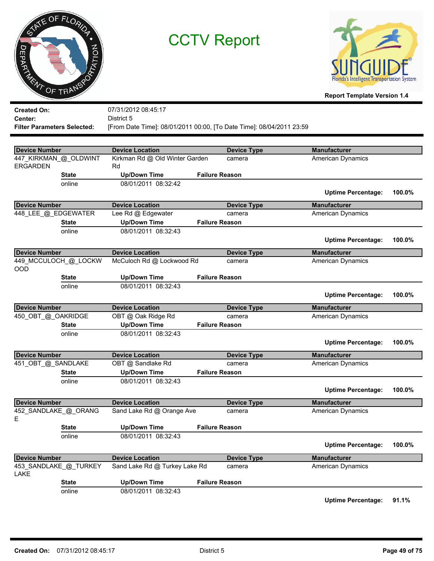



**Report Template Version 1.4**

| <b>Created On:</b>   |                                    | 07/31/2012 08:45:17                                                  |                       |                           |        |
|----------------------|------------------------------------|----------------------------------------------------------------------|-----------------------|---------------------------|--------|
| Center:              |                                    | District 5                                                           |                       |                           |        |
|                      | <b>Filter Parameters Selected:</b> | [From Date Time]: 08/01/2011 00:00, [To Date Time]: 08/04/2011 23:59 |                       |                           |        |
|                      |                                    |                                                                      |                       |                           |        |
| <b>Device Number</b> |                                    | <b>Device Location</b>                                               | <b>Device Type</b>    | <b>Manufacturer</b>       |        |
|                      | 447 KIRKMAN @ OLDWINT              | Kirkman Rd @ Old Winter Garden                                       | camera                | <b>American Dynamics</b>  |        |
| <b>ERGARDEN</b>      |                                    | Rd                                                                   |                       |                           |        |
|                      | <b>State</b>                       | <b>Up/Down Time</b>                                                  | <b>Failure Reason</b> |                           |        |
|                      | online                             | 08/01/2011 08:32:42                                                  |                       |                           |        |
|                      |                                    |                                                                      |                       | <b>Uptime Percentage:</b> | 100.0% |
| <b>Device Number</b> |                                    | <b>Device Location</b>                                               | <b>Device Type</b>    | <b>Manufacturer</b>       |        |
|                      | 448_LEE_@_EDGEWATER                | Lee Rd @ Edgewater                                                   | camera                | American Dynamics         |        |
|                      | <b>State</b>                       | <b>Up/Down Time</b>                                                  | <b>Failure Reason</b> |                           |        |
|                      | online                             | 08/01/2011 08:32:43                                                  |                       |                           |        |
|                      |                                    |                                                                      |                       | <b>Uptime Percentage:</b> | 100.0% |
|                      |                                    |                                                                      |                       |                           |        |
| <b>Device Number</b> |                                    | <b>Device Location</b>                                               | <b>Device Type</b>    | <b>Manufacturer</b>       |        |
| OOD                  | 449_MCCULOCH_@_LOCKW               | McCuloch Rd @ Lockwood Rd                                            | camera                | <b>American Dynamics</b>  |        |
|                      | <b>State</b>                       | <b>Up/Down Time</b>                                                  | <b>Failure Reason</b> |                           |        |
|                      | online                             | 08/01/2011 08:32:43                                                  |                       |                           |        |
|                      |                                    |                                                                      |                       | <b>Uptime Percentage:</b> | 100.0% |
| <b>Device Number</b> |                                    | <b>Device Location</b>                                               | <b>Device Type</b>    | <b>Manufacturer</b>       |        |
| 450_OBT_@_OAKRIDGE   |                                    | OBT @ Oak Ridge Rd                                                   | camera                | American Dynamics         |        |
|                      | <b>State</b>                       | <b>Up/Down Time</b>                                                  | <b>Failure Reason</b> |                           |        |
|                      | online                             | 08/01/2011 08:32:43                                                  |                       |                           |        |
|                      |                                    |                                                                      |                       | <b>Uptime Percentage:</b> | 100.0% |
| <b>Device Number</b> |                                    | <b>Device Location</b>                                               | <b>Device Type</b>    | <b>Manufacturer</b>       |        |
| 451_OBT_@_SANDLAKE   |                                    | OBT @ Sandlake Rd                                                    | camera                | American Dynamics         |        |
|                      | <b>State</b>                       | <b>Up/Down Time</b>                                                  | <b>Failure Reason</b> |                           |        |
|                      | online                             | 08/01/2011 08:32:43                                                  |                       |                           |        |
|                      |                                    |                                                                      |                       | <b>Uptime Percentage:</b> | 100.0% |
| <b>Device Number</b> |                                    | <b>Device Location</b>                                               | <b>Device Type</b>    | <b>Manufacturer</b>       |        |
|                      | 452_SANDLAKE_@_ORANG               | Sand Lake Rd @ Orange Ave                                            | camera                | American Dynamics         |        |
| Ε                    |                                    |                                                                      |                       |                           |        |
|                      | <b>State</b>                       | <b>Up/Down Time</b>                                                  | <b>Failure Reason</b> |                           |        |
|                      | online                             | 08/01/2011 08:32:43                                                  |                       |                           |        |
|                      |                                    |                                                                      |                       | <b>Uptime Percentage:</b> | 100.0% |
| <b>Device Number</b> |                                    | <b>Device Location</b>                                               | <b>Device Type</b>    | <b>Manufacturer</b>       |        |
|                      | 453_SANDLAKE_@_TURKEY              | Sand Lake Rd @ Turkey Lake Rd                                        | camera                | American Dynamics         |        |
| LAKE                 |                                    |                                                                      |                       |                           |        |
|                      | <b>State</b>                       | <b>Up/Down Time</b>                                                  | <b>Failure Reason</b> |                           |        |
|                      | online                             | 08/01/2011 08:32:43                                                  |                       |                           |        |

**Uptime Percentage: 91.1%**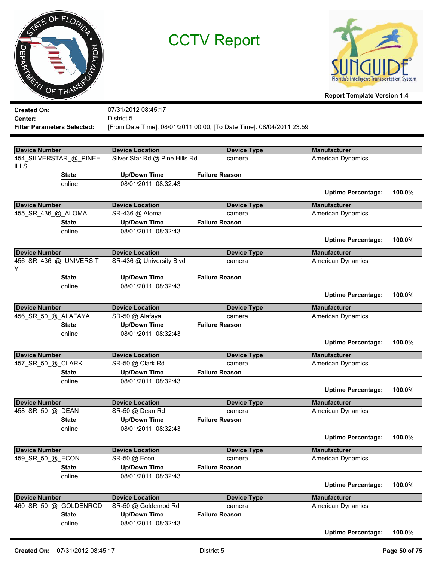



| <b>Created On:</b>                 |                        | 07/31/2012 08:45:17                        |                                                                      |                                          |        |
|------------------------------------|------------------------|--------------------------------------------|----------------------------------------------------------------------|------------------------------------------|--------|
| Center:                            |                        | District 5                                 |                                                                      |                                          |        |
| <b>Filter Parameters Selected:</b> |                        |                                            | [From Date Time]: 08/01/2011 00:00, [To Date Time]: 08/04/2011 23:59 |                                          |        |
|                                    |                        |                                            |                                                                      |                                          |        |
| <b>Device Number</b>               |                        | <b>Device Location</b>                     | <b>Device Type</b>                                                   | <b>Manufacturer</b>                      |        |
| <b>ILLS</b>                        | 454_SILVERSTAR_@_PINEH | Silver Star Rd @ Pine Hills Rd             | camera                                                               | American Dynamics                        |        |
|                                    | <b>State</b>           | <b>Up/Down Time</b>                        | <b>Failure Reason</b>                                                |                                          |        |
|                                    | online                 | 08/01/2011 08:32:43                        |                                                                      | <b>Uptime Percentage:</b>                | 100.0% |
| <b>Device Number</b>               |                        | <b>Device Location</b>                     | <b>Device Type</b>                                                   | <b>Manufacturer</b>                      |        |
| 455_SR_436_@_ALOMA                 |                        | SR-436 @ Aloma                             | camera                                                               | <b>American Dynamics</b>                 |        |
|                                    | <b>State</b>           | <b>Up/Down Time</b>                        | <b>Failure Reason</b>                                                |                                          |        |
|                                    | online                 | 08/01/2011 08:32:43                        |                                                                      |                                          |        |
|                                    |                        |                                            |                                                                      | <b>Uptime Percentage:</b>                | 100.0% |
| <b>Device Number</b>               |                        | <b>Device Location</b>                     | <b>Device Type</b>                                                   | <b>Manufacturer</b>                      |        |
|                                    | 456_SR_436_@_UNIVERSIT | SR-436 @ University Blvd                   | camera                                                               | American Dynamics                        |        |
| Y                                  |                        |                                            |                                                                      |                                          |        |
|                                    | <b>State</b>           | <b>Up/Down Time</b>                        | <b>Failure Reason</b>                                                |                                          |        |
|                                    | online                 | 08/01/2011 08:32:43                        |                                                                      |                                          |        |
|                                    |                        |                                            |                                                                      | <b>Uptime Percentage:</b>                | 100.0% |
| <b>Device Number</b>               |                        | <b>Device Location</b>                     |                                                                      | <b>Manufacturer</b>                      |        |
| 456_SR_50_@_ALAFAYA                |                        | SR-50 @ Alafaya                            | <b>Device Type</b><br>camera                                         | American Dynamics                        |        |
|                                    | <b>State</b>           | <b>Up/Down Time</b>                        | <b>Failure Reason</b>                                                |                                          |        |
|                                    | online                 | 08/01/2011 08:32:43                        |                                                                      |                                          |        |
|                                    |                        |                                            |                                                                      | <b>Uptime Percentage:</b>                | 100.0% |
|                                    |                        |                                            |                                                                      |                                          |        |
| <b>Device Number</b>               |                        | <b>Device Location</b>                     | <b>Device Type</b>                                                   | <b>Manufacturer</b>                      |        |
| 457_SR_50_@_CLARK                  |                        | SR-50 @ Clark Rd                           | camera                                                               | American Dynamics                        |        |
|                                    | <b>State</b>           | <b>Up/Down Time</b>                        | <b>Failure Reason</b>                                                |                                          |        |
|                                    | online                 | 08/01/2011 08:32:43                        |                                                                      |                                          |        |
|                                    |                        |                                            |                                                                      | <b>Uptime Percentage:</b>                | 100.0% |
| <b>Device Number</b>               |                        | <b>Device Location</b>                     | <b>Device Type</b>                                                   | <b>Manufacturer</b>                      |        |
| 458_SR_50_@_DEAN                   |                        | SR-50 @ Dean Rd                            | camera                                                               | American Dynamics                        |        |
|                                    | <b>State</b>           | <b>Up/Down Time</b>                        | <b>Failure Reason</b>                                                |                                          |        |
|                                    | online                 | 08/01/2011 08:32:43                        |                                                                      |                                          |        |
|                                    |                        |                                            |                                                                      | <b>Uptime Percentage:</b>                | 100.0% |
|                                    |                        |                                            |                                                                      |                                          |        |
|                                    |                        |                                            |                                                                      |                                          |        |
| <b>Device Number</b>               |                        | <b>Device Location</b><br>SR-50 @ Econ     | <b>Device Type</b><br>camera                                         | <b>Manufacturer</b><br>American Dynamics |        |
| 459_SR_50_@_ECON                   | <b>State</b>           |                                            | <b>Failure Reason</b>                                                |                                          |        |
|                                    |                        | <b>Up/Down Time</b>                        |                                                                      |                                          |        |
|                                    | online                 | 08/01/2011 08:32:43                        |                                                                      | <b>Uptime Percentage:</b>                | 100.0% |
|                                    |                        |                                            |                                                                      |                                          |        |
| <b>Device Number</b>               |                        | <b>Device Location</b>                     | <b>Device Type</b>                                                   | <b>Manufacturer</b>                      |        |
|                                    | 460 SR 50 @ GOLDENROD  | SR-50 @ Goldenrod Rd                       | camera                                                               | <b>American Dynamics</b>                 |        |
|                                    | <b>State</b><br>online | <b>Up/Down Time</b><br>08/01/2011 08:32:43 | <b>Failure Reason</b>                                                |                                          |        |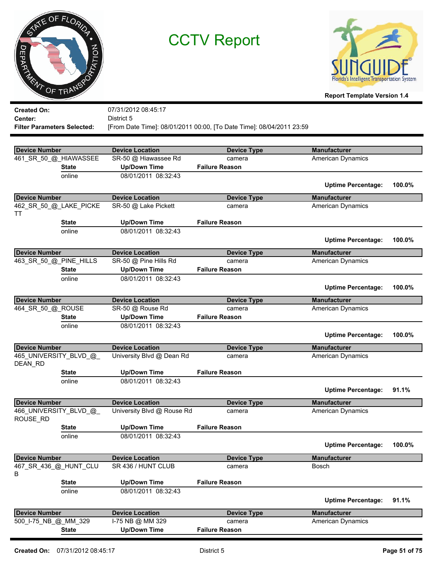



| <b>Created On:</b>                        |              | 07/31/2012 08:45:17                        |                                                                      |                                          |        |
|-------------------------------------------|--------------|--------------------------------------------|----------------------------------------------------------------------|------------------------------------------|--------|
| Center:                                   |              | District 5                                 |                                                                      |                                          |        |
| <b>Filter Parameters Selected:</b>        |              |                                            | [From Date Time]: 08/01/2011 00:00, [To Date Time]: 08/04/2011 23:59 |                                          |        |
|                                           |              |                                            |                                                                      |                                          |        |
| <b>Device Number</b>                      |              | <b>Device Location</b>                     | <b>Device Type</b>                                                   | <b>Manufacturer</b>                      |        |
| 461_SR_50_@_HIAWASSEE                     |              | SR-50 @ Hiawassee Rd                       | camera                                                               | American Dynamics                        |        |
|                                           | <b>State</b> | <b>Up/Down Time</b>                        | <b>Failure Reason</b>                                                |                                          |        |
|                                           | online       | 08/01/2011 08:32:43                        |                                                                      |                                          |        |
|                                           |              |                                            |                                                                      | <b>Uptime Percentage:</b>                | 100.0% |
| <b>Device Number</b>                      |              | <b>Device Location</b>                     | <b>Device Type</b>                                                   | <b>Manufacturer</b>                      |        |
| 462_SR_50_@_LAKE_PICKE                    |              | SR-50 @ Lake Pickett                       | camera                                                               | American Dynamics                        |        |
| TT                                        |              |                                            |                                                                      |                                          |        |
|                                           | <b>State</b> | <b>Up/Down Time</b>                        | <b>Failure Reason</b>                                                |                                          |        |
|                                           | online       | 08/01/2011 08:32:43                        |                                                                      |                                          |        |
|                                           |              |                                            |                                                                      | <b>Uptime Percentage:</b>                | 100.0% |
| <b>Device Number</b>                      |              | <b>Device Location</b>                     | <b>Device Type</b>                                                   | <b>Manufacturer</b>                      |        |
| 463_SR_50_@_PINE_HILLS                    |              | SR-50 @ Pine Hills Rd                      | camera                                                               | American Dynamics                        |        |
|                                           | <b>State</b> | <b>Up/Down Time</b>                        | <b>Failure Reason</b>                                                |                                          |        |
|                                           | online       | 08/01/2011 08:32:43                        |                                                                      |                                          |        |
|                                           |              |                                            |                                                                      | <b>Uptime Percentage:</b>                | 100.0% |
|                                           |              |                                            |                                                                      |                                          |        |
| <b>Device Number</b><br>464_SR_50_@_ROUSE |              | <b>Device Location</b><br>SR-50 @ Rouse Rd | <b>Device Type</b><br>camera                                         | <b>Manufacturer</b><br>American Dynamics |        |
|                                           | <b>State</b> | <b>Up/Down Time</b>                        | <b>Failure Reason</b>                                                |                                          |        |
|                                           | online       | 08/01/2011 08:32:43                        |                                                                      |                                          |        |
|                                           |              |                                            |                                                                      | <b>Uptime Percentage:</b>                | 100.0% |
| <b>Device Number</b>                      |              | <b>Device Location</b>                     | <b>Device Type</b>                                                   | <b>Manufacturer</b>                      |        |
| 465_UNIVERSITY_BLVD_@                     |              | University Blvd @ Dean Rd                  | camera                                                               | <b>American Dynamics</b>                 |        |
| DEAN_RD                                   |              |                                            |                                                                      |                                          |        |
|                                           | <b>State</b> | <b>Up/Down Time</b>                        | <b>Failure Reason</b>                                                |                                          |        |
|                                           | online       | 08/01/2011 08:32:43                        |                                                                      |                                          |        |
|                                           |              |                                            |                                                                      | <b>Uptime Percentage:</b>                | 91.1%  |
| <b>Device Number</b>                      |              | <b>Device Location</b>                     | <b>Device Type</b>                                                   | <b>Manufacturer</b>                      |        |
| 466_UNIVERSITY_BLVD_@                     |              | University Blvd @ Rouse Rd                 | camera                                                               | <b>American Dynamics</b>                 |        |
| ROUSE RD                                  |              |                                            |                                                                      |                                          |        |
|                                           | <b>State</b> | <b>Up/Down Time</b>                        | <b>Failure Reason</b>                                                |                                          |        |
|                                           | online       | 08/01/2011 08:32:43                        |                                                                      |                                          |        |
|                                           |              |                                            |                                                                      | <b>Uptime Percentage:</b>                | 100.0% |
| <b>Device Number</b>                      |              | <b>Device Location</b>                     | <b>Device Type</b>                                                   | <b>Manufacturer</b>                      |        |
| 467_SR_436_@_HUNT_CLU                     |              | SR 436 / HUNT CLUB                         | camera                                                               | Bosch                                    |        |
| В                                         |              |                                            |                                                                      |                                          |        |
|                                           | <b>State</b> | <b>Up/Down Time</b>                        | <b>Failure Reason</b>                                                |                                          |        |
|                                           | online       | 08/01/2011 08:32:43                        |                                                                      |                                          |        |
|                                           |              |                                            |                                                                      | <b>Uptime Percentage:</b>                | 91.1%  |
| <b>Device Number</b>                      |              | <b>Device Location</b>                     | <b>Device Type</b>                                                   | <b>Manufacturer</b>                      |        |
| 500_I-75_NB_@_MM_329                      |              | I-75 NB @ MM 329                           | camera                                                               | <b>American Dynamics</b>                 |        |
|                                           | <b>State</b> | <b>Up/Down Time</b>                        | <b>Failure Reason</b>                                                |                                          |        |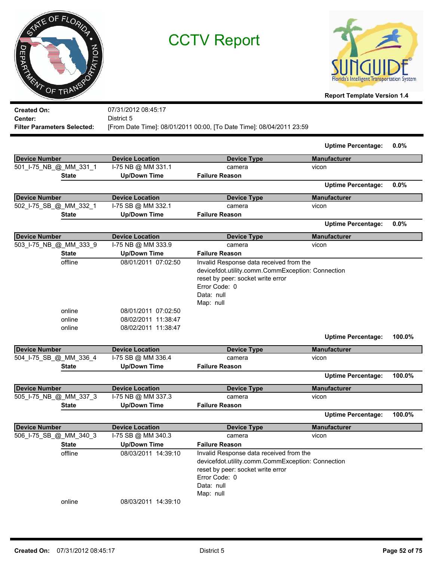| STE OF FLORIDA.<br><b>ATATION</b><br>O<br>DEDRETARY OF TRANSPOTATION | <b>CCTV Report</b>     |                                                                                                                                                                               | Florida's Intelligent Transportation System<br><b>Report Template Version 1.4</b> |        |
|----------------------------------------------------------------------|------------------------|-------------------------------------------------------------------------------------------------------------------------------------------------------------------------------|-----------------------------------------------------------------------------------|--------|
| <b>Created On:</b>                                                   | 07/31/2012 08:45:17    |                                                                                                                                                                               |                                                                                   |        |
| Center:                                                              | District 5             |                                                                                                                                                                               |                                                                                   |        |
| <b>Filter Parameters Selected:</b>                                   |                        | [From Date Time]: 08/01/2011 00:00, [To Date Time]: 08/04/2011 23:59                                                                                                          |                                                                                   |        |
|                                                                      |                        |                                                                                                                                                                               |                                                                                   |        |
|                                                                      |                        |                                                                                                                                                                               | <b>Uptime Percentage:</b>                                                         | 0.0%   |
| <b>Device Number</b>                                                 | <b>Device Location</b> | <b>Device Type</b>                                                                                                                                                            | <b>Manufacturer</b>                                                               |        |
| 501_I-75_NB_@_MM_331_1                                               | I-75 NB @ MM 331.1     | camera                                                                                                                                                                        | vicon                                                                             |        |
| <b>State</b>                                                         | <b>Up/Down Time</b>    | <b>Failure Reason</b>                                                                                                                                                         |                                                                                   |        |
|                                                                      |                        |                                                                                                                                                                               | <b>Uptime Percentage:</b>                                                         | 0.0%   |
| <b>Device Number</b>                                                 | <b>Device Location</b> | <b>Device Type</b>                                                                                                                                                            | <b>Manufacturer</b>                                                               |        |
| 502_I-75_SB_@_MM_332_1                                               | I-75 SB @ MM 332.1     | camera                                                                                                                                                                        | vicon                                                                             |        |
| <b>State</b>                                                         | <b>Up/Down Time</b>    | <b>Failure Reason</b>                                                                                                                                                         |                                                                                   |        |
|                                                                      |                        |                                                                                                                                                                               | <b>Uptime Percentage:</b>                                                         | 0.0%   |
| <b>Device Number</b>                                                 | <b>Device Location</b> | <b>Device Type</b>                                                                                                                                                            | <b>Manufacturer</b>                                                               |        |
| 503_I-75_NB_@_MM_333_9                                               | I-75 NB @ MM 333.9     | camera                                                                                                                                                                        | vicon                                                                             |        |
| <b>State</b>                                                         | <b>Up/Down Time</b>    | <b>Failure Reason</b>                                                                                                                                                         |                                                                                   |        |
| offline                                                              | 08/01/2011 07:02:50    | Invalid Response data received from the<br>devicefdot.utility.comm.CommException: Connection<br>reset by peer: socket write error<br>Error Code: 0<br>Data: null<br>Map: null |                                                                                   |        |
| online                                                               | 08/01/2011 07:02:50    |                                                                                                                                                                               |                                                                                   |        |
| online                                                               | 08/02/2011 11:38:47    |                                                                                                                                                                               |                                                                                   |        |
| online                                                               | 08/02/2011 11:38:47    |                                                                                                                                                                               |                                                                                   |        |
|                                                                      |                        |                                                                                                                                                                               | <b>Uptime Percentage:</b>                                                         | 100.0% |
| <b>Device Number</b>                                                 | <b>Device Location</b> | <b>Device Type</b>                                                                                                                                                            | <b>Manufacturer</b>                                                               |        |
| 504_I-75_SB_@_MM_336_4                                               | I-75 SB @ MM 336.4     | camera                                                                                                                                                                        | vicon                                                                             |        |
| <b>State</b>                                                         | <b>Up/Down Time</b>    | <b>Failure Reason</b>                                                                                                                                                         |                                                                                   |        |
|                                                                      |                        |                                                                                                                                                                               | <b>Uptime Percentage:</b>                                                         | 100.0% |
| <b>Device Number</b>                                                 | <b>Device Location</b> | <b>Device Type</b>                                                                                                                                                            | <b>Manufacturer</b>                                                               |        |
| 505_I-75_NB_@_MM_337_3                                               | I-75 NB @ MM 337.3     | camera                                                                                                                                                                        | vicon                                                                             |        |
| <b>State</b>                                                         | <b>Up/Down Time</b>    | <b>Failure Reason</b>                                                                                                                                                         |                                                                                   |        |
|                                                                      |                        |                                                                                                                                                                               | <b>Uptime Percentage:</b>                                                         | 100.0% |
| <b>Device Number</b>                                                 | <b>Device Location</b> | <b>Device Type</b>                                                                                                                                                            | <b>Manufacturer</b>                                                               |        |
| 506_I-75_SB_@_MM_340_3                                               | I-75 SB @ MM 340.3     | camera                                                                                                                                                                        | vicon                                                                             |        |
| <b>State</b>                                                         | <b>Up/Down Time</b>    | <b>Failure Reason</b>                                                                                                                                                         |                                                                                   |        |
| offline                                                              | 08/03/2011 14:39:10    | Invalid Response data received from the<br>devicefdot.utility.comm.CommException: Connection<br>reset by peer: socket write error<br>Error Code: 0<br>Data: null<br>Map: null |                                                                                   |        |
| online                                                               | 08/03/2011 14:39:10    |                                                                                                                                                                               |                                                                                   |        |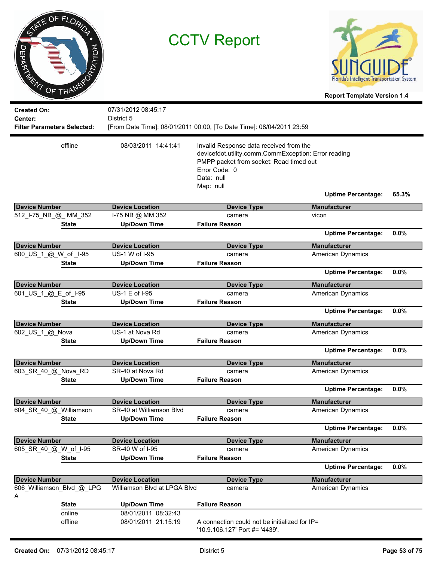| ヮ<br>DEPARTMENT                                                     | STATE OF FLORIDA<br>PRATION<br>OF TRANSP | <b>CCTV Report</b>                         |                                                                                                                                                                                        | Florida's Intelligent Transportation System<br><b>Report Template Version 1.4</b> |       |
|---------------------------------------------------------------------|------------------------------------------|--------------------------------------------|----------------------------------------------------------------------------------------------------------------------------------------------------------------------------------------|-----------------------------------------------------------------------------------|-------|
| <b>Created On:</b><br>Center:<br><b>Filter Parameters Selected:</b> |                                          | 07/31/2012 08:45:17<br>District 5          | [From Date Time]: 08/01/2011 00:00, [To Date Time]: 08/04/2011 23:59                                                                                                                   |                                                                                   |       |
|                                                                     | offline                                  | 08/03/2011 14:41:41                        | Invalid Response data received from the<br>devicefdot.utility.comm.CommException: Error reading<br>PMPP packet from socket: Read timed out<br>Frror Code: 0<br>Data: null<br>Map: null | <b>Uptime Percentage:</b>                                                         | 65.3% |
|                                                                     |                                          |                                            |                                                                                                                                                                                        |                                                                                   |       |
| <b>Device Number</b>                                                |                                          | <b>Device Location</b>                     | <b>Device Type</b>                                                                                                                                                                     | <b>Manufacturer</b>                                                               |       |
| 512_I-75_NB_@_MM_352                                                |                                          | I-75 NB @ MM 352                           | camera                                                                                                                                                                                 | vicon                                                                             |       |
|                                                                     | <b>State</b>                             | <b>Up/Down Time</b>                        | <b>Failure Reason</b>                                                                                                                                                                  | <b>Uptime Percentage:</b>                                                         | 0.0%  |
| <b>Device Number</b>                                                |                                          | <b>Device Location</b>                     | <b>Device Type</b>                                                                                                                                                                     | <b>Manufacturer</b>                                                               |       |
| 600_US_1_@_W_of_I-95                                                |                                          | US-1 W of I-95                             | camera                                                                                                                                                                                 | <b>American Dynamics</b>                                                          |       |
|                                                                     | <b>State</b>                             | <b>Up/Down Time</b>                        | <b>Failure Reason</b>                                                                                                                                                                  | <b>Uptime Percentage:</b>                                                         | 0.0%  |
| <b>Device Number</b>                                                |                                          | <b>Device Location</b>                     | <b>Device Type</b>                                                                                                                                                                     | <b>Manufacturer</b>                                                               |       |
| 601 US 1 @ E of I-95                                                |                                          | US-1 E of I-95                             | camera                                                                                                                                                                                 | American Dynamics                                                                 |       |
|                                                                     | State                                    | <b>Up/Down Time</b>                        | <b>Failure Reason</b>                                                                                                                                                                  | <b>Uptime Percentage:</b>                                                         | 0.0%  |
|                                                                     |                                          |                                            |                                                                                                                                                                                        |                                                                                   |       |
| <b>Device Number</b><br>602_US_1_@_Nova                             |                                          | <b>Device Location</b><br>US-1 at Nova Rd  | <b>Device Type</b><br>camera                                                                                                                                                           | <b>Manufacturer</b><br>American Dynamics                                          |       |
|                                                                     | <b>State</b>                             | <b>Up/Down Time</b>                        | <b>Failure Reason</b>                                                                                                                                                                  |                                                                                   |       |
|                                                                     |                                          |                                            |                                                                                                                                                                                        | <b>Uptime Percentage:</b>                                                         | 0.0%  |
| <b>Device Number</b>                                                |                                          | <b>Device Location</b>                     | <b>Device Type</b>                                                                                                                                                                     | <b>Manufacturer</b>                                                               |       |
| 603_SR_40_@_Nova_RD                                                 |                                          | SR-40 at Nova Rd                           | camera                                                                                                                                                                                 | <b>American Dynamics</b>                                                          |       |
|                                                                     | State                                    | <b>Up/Down Time</b>                        | <b>Failure Reason</b>                                                                                                                                                                  |                                                                                   |       |
|                                                                     |                                          |                                            |                                                                                                                                                                                        | <b>Uptime Percentage:</b>                                                         | 0.0%  |
| <b>Device Number</b>                                                |                                          | <b>Device Location</b>                     | <b>Device Type</b>                                                                                                                                                                     | <b>Manufacturer</b>                                                               |       |
| 604 SR 40 @ Williamson                                              |                                          | SR-40 at Williamson Blvd                   | camera                                                                                                                                                                                 | <b>American Dynamics</b>                                                          |       |
|                                                                     | <b>State</b>                             | <b>Up/Down Time</b>                        | <b>Failure Reason</b>                                                                                                                                                                  | <b>Uptime Percentage:</b>                                                         | 0.0%  |
| <b>Device Number</b>                                                |                                          | <b>Device Location</b>                     | <b>Device Type</b>                                                                                                                                                                     | <b>Manufacturer</b>                                                               |       |
| 605_SR_40_@_W_of_I-95                                               |                                          | SR-40 W of I-95                            | camera                                                                                                                                                                                 | <b>American Dynamics</b>                                                          |       |
|                                                                     | <b>State</b>                             | <b>Up/Down Time</b>                        | <b>Failure Reason</b>                                                                                                                                                                  |                                                                                   |       |
|                                                                     |                                          |                                            |                                                                                                                                                                                        | <b>Uptime Percentage:</b>                                                         | 0.0%  |
| <b>Device Number</b>                                                |                                          | <b>Device Location</b>                     | <b>Device Type</b>                                                                                                                                                                     | <b>Manufacturer</b>                                                               |       |
| A                                                                   | 606_Williamson_Blvd_@_LPG                | Williamson Blvd at LPGA Blvd               | camera                                                                                                                                                                                 | American Dynamics                                                                 |       |
|                                                                     | <b>State</b>                             | <b>Up/Down Time</b>                        | <b>Failure Reason</b>                                                                                                                                                                  |                                                                                   |       |
|                                                                     | online<br>offline                        | 08/01/2011 08:32:43<br>08/01/2011 21:15:19 | A connection could not be initialized for IP=<br>'10.9.106.127' Port #= '4439'.                                                                                                        |                                                                                   |       |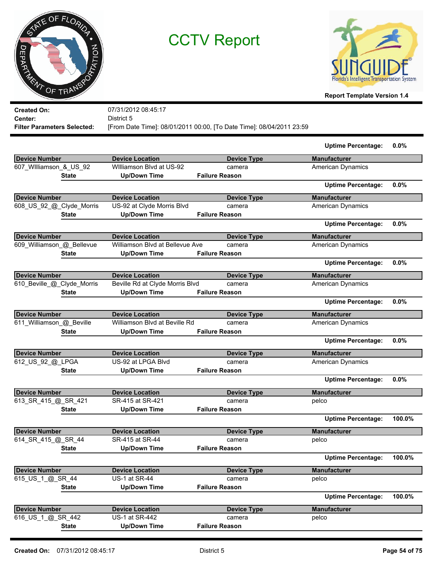



**Report Template Version 1.4**

| District 5<br>Center:<br>[From Date Time]: 08/01/2011 00:00, [To Date Time]: 08/04/2011 23:59<br><b>Filter Parameters Selected:</b><br><b>Device Number</b><br><b>Device Location</b><br><b>Device Type</b><br>607_Williamson_&_US_92<br>Williamson Blvd at US-92<br>camera | <b>Uptime Percentage:</b><br><b>Manufacturer</b><br>American Dynamics<br><b>Uptime Percentage:</b> | 0.0%   |
|-----------------------------------------------------------------------------------------------------------------------------------------------------------------------------------------------------------------------------------------------------------------------------|----------------------------------------------------------------------------------------------------|--------|
|                                                                                                                                                                                                                                                                             |                                                                                                    |        |
|                                                                                                                                                                                                                                                                             |                                                                                                    |        |
|                                                                                                                                                                                                                                                                             |                                                                                                    |        |
|                                                                                                                                                                                                                                                                             |                                                                                                    |        |
|                                                                                                                                                                                                                                                                             |                                                                                                    |        |
| <b>Up/Down Time</b><br><b>Failure Reason</b><br><b>State</b>                                                                                                                                                                                                                |                                                                                                    |        |
|                                                                                                                                                                                                                                                                             |                                                                                                    | 0.0%   |
| <b>Device Number</b><br><b>Device Location</b><br><b>Device Type</b>                                                                                                                                                                                                        | <b>Manufacturer</b>                                                                                |        |
| 608_US_92_@_Clyde_Morris<br>US-92 at Clyde Morris Blvd<br>camera                                                                                                                                                                                                            | <b>American Dynamics</b>                                                                           |        |
| <b>Up/Down Time</b><br><b>Failure Reason</b><br><b>State</b>                                                                                                                                                                                                                |                                                                                                    |        |
|                                                                                                                                                                                                                                                                             | <b>Uptime Percentage:</b>                                                                          | 0.0%   |
| <b>Device Number</b><br><b>Device Location</b><br><b>Device Type</b>                                                                                                                                                                                                        | <b>Manufacturer</b>                                                                                |        |
| 609_Williamson_@_Bellevue<br>Williamson Blvd at Bellevue Ave<br>camera                                                                                                                                                                                                      | <b>American Dynamics</b>                                                                           |        |
| <b>Up/Down Time</b><br><b>Failure Reason</b><br><b>State</b>                                                                                                                                                                                                                |                                                                                                    |        |
|                                                                                                                                                                                                                                                                             | <b>Uptime Percentage:</b>                                                                          | 0.0%   |
| <b>Device Number</b><br><b>Device Location</b><br><b>Device Type</b>                                                                                                                                                                                                        | <b>Manufacturer</b>                                                                                |        |
| 610_Beville_@_Clyde_Morris<br>Beville Rd at Clyde Morris Blvd<br>camera                                                                                                                                                                                                     | American Dynamics                                                                                  |        |
| <b>Up/Down Time</b><br><b>Failure Reason</b><br><b>State</b>                                                                                                                                                                                                                |                                                                                                    |        |
|                                                                                                                                                                                                                                                                             | <b>Uptime Percentage:</b>                                                                          | 0.0%   |
| <b>Device Number</b><br><b>Device Location</b><br><b>Device Type</b>                                                                                                                                                                                                        | <b>Manufacturer</b>                                                                                |        |
| 611_Williamson_@_Beville<br>Williamson Blvd at Beville Rd<br>camera                                                                                                                                                                                                         | American Dynamics                                                                                  |        |
| <b>Up/Down Time</b><br><b>Failure Reason</b><br><b>State</b>                                                                                                                                                                                                                |                                                                                                    |        |
|                                                                                                                                                                                                                                                                             | <b>Uptime Percentage:</b>                                                                          | 0.0%   |
| <b>Device Number</b><br><b>Device Location</b><br><b>Device Type</b>                                                                                                                                                                                                        | <b>Manufacturer</b>                                                                                |        |
| US-92 at LPGA Blvd<br>612_US_92_@_LPGA<br>camera                                                                                                                                                                                                                            | American Dynamics                                                                                  |        |
| <b>Up/Down Time</b><br><b>Failure Reason</b><br><b>State</b>                                                                                                                                                                                                                |                                                                                                    |        |
|                                                                                                                                                                                                                                                                             | <b>Uptime Percentage:</b>                                                                          | 0.0%   |
| <b>Device Number</b><br><b>Device Location</b><br><b>Device Type</b>                                                                                                                                                                                                        | <b>Manufacturer</b>                                                                                |        |
| 613_SR_415_@_SR_421<br>SR-415 at SR-421<br>camera<br>pelco                                                                                                                                                                                                                  |                                                                                                    |        |
| <b>Up/Down Time</b><br><b>Failure Reason</b><br><b>State</b>                                                                                                                                                                                                                |                                                                                                    |        |
|                                                                                                                                                                                                                                                                             | <b>Uptime Percentage:</b>                                                                          | 100.0% |
| <b>Device Number</b><br><b>Device Location</b><br><b>Device Type</b>                                                                                                                                                                                                        | <b>Manufacturer</b>                                                                                |        |
| 614_SR_415_@_SR_44<br>SR-415 at SR-44<br>pelco<br>camera                                                                                                                                                                                                                    |                                                                                                    |        |
| <b>Up/Down Time</b><br><b>Failure Reason</b><br><b>State</b>                                                                                                                                                                                                                |                                                                                                    |        |
|                                                                                                                                                                                                                                                                             | <b>Uptime Percentage:</b>                                                                          | 100.0% |
| <b>Device Number</b><br><b>Device Location</b><br><b>Device Type</b>                                                                                                                                                                                                        | <b>Manufacturer</b>                                                                                |        |
| US-1 at SR-44<br>615_US_1_@_SR_44<br>camera<br>pelco                                                                                                                                                                                                                        |                                                                                                    |        |
| <b>Failure Reason</b><br><b>State</b><br><b>Up/Down Time</b>                                                                                                                                                                                                                |                                                                                                    |        |
|                                                                                                                                                                                                                                                                             | <b>Uptime Percentage:</b>                                                                          | 100.0% |
| <b>Device Number</b><br><b>Device Location</b><br><b>Device Type</b>                                                                                                                                                                                                        | <b>Manufacturer</b>                                                                                |        |
| 616_US_1_@_SR_442<br>US-1 at SR-442<br>pelco<br>camera                                                                                                                                                                                                                      |                                                                                                    |        |
| <b>Up/Down Time</b><br><b>Failure Reason</b><br><b>State</b>                                                                                                                                                                                                                |                                                                                                    |        |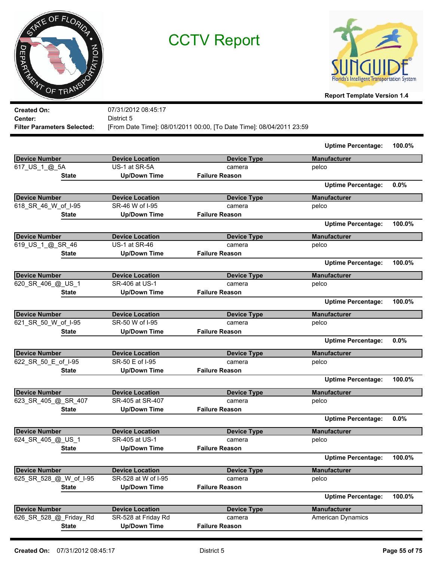



**Report Template Version 1.4**

**Created On: Center:** 07/31/2012 08:45:17 District 5 **Filter Parameters Selected:** [From Date Time]: 08/01/2011 00:00, [To Date Time]: 08/04/2011 23:59

|                        |                        |                       | <b>Uptime Percentage:</b> | 100.0% |
|------------------------|------------------------|-----------------------|---------------------------|--------|
| <b>Device Number</b>   | <b>Device Location</b> | <b>Device Type</b>    | <b>Manufacturer</b>       |        |
| 617_US_1_@_5A          | US-1 at SR-5A          | camera                | pelco                     |        |
| <b>State</b>           | <b>Up/Down Time</b>    | <b>Failure Reason</b> |                           |        |
|                        |                        |                       | <b>Uptime Percentage:</b> | 0.0%   |
| <b>Device Number</b>   | <b>Device Location</b> | <b>Device Type</b>    | <b>Manufacturer</b>       |        |
| 618 SR_46_W_of_I-95    | SR-46 W of I-95        | camera                | pelco                     |        |
| <b>State</b>           | <b>Up/Down Time</b>    | <b>Failure Reason</b> |                           |        |
|                        |                        |                       | <b>Uptime Percentage:</b> | 100.0% |
| <b>Device Number</b>   | <b>Device Location</b> | <b>Device Type</b>    | <b>Manufacturer</b>       |        |
| 619_US_1_@_SR_46       | US-1 at SR-46          | camera                | pelco                     |        |
| <b>State</b>           | <b>Up/Down Time</b>    | <b>Failure Reason</b> |                           |        |
|                        |                        |                       | <b>Uptime Percentage:</b> | 100.0% |
| <b>Device Number</b>   | <b>Device Location</b> | <b>Device Type</b>    | <b>Manufacturer</b>       |        |
| 620_SR_406_@_US_1      | SR-406 at US-1         | camera                | pelco                     |        |
| <b>State</b>           | <b>Up/Down Time</b>    | <b>Failure Reason</b> |                           |        |
|                        |                        |                       | <b>Uptime Percentage:</b> | 100.0% |
| <b>Device Number</b>   | <b>Device Location</b> | <b>Device Type</b>    | <b>Manufacturer</b>       |        |
| 621_SR_50_W_of_I-95    | SR-50 W of I-95        | camera                | pelco                     |        |
| <b>State</b>           | <b>Up/Down Time</b>    | <b>Failure Reason</b> |                           |        |
|                        |                        |                       | <b>Uptime Percentage:</b> | 0.0%   |
| <b>Device Number</b>   | <b>Device Location</b> | <b>Device Type</b>    | <b>Manufacturer</b>       |        |
| 622_SR_50_E_of_I-95    | SR-50 E of I-95        | camera                | pelco                     |        |
| <b>State</b>           | <b>Up/Down Time</b>    | <b>Failure Reason</b> |                           |        |
|                        |                        |                       | <b>Uptime Percentage:</b> | 100.0% |
| <b>Device Number</b>   | <b>Device Location</b> | <b>Device Type</b>    | <b>Manufacturer</b>       |        |
| 623_SR_405_@_SR_407    | SR-405 at SR-407       | camera                | pelco                     |        |
| <b>State</b>           | <b>Up/Down Time</b>    | <b>Failure Reason</b> |                           |        |
|                        |                        |                       | <b>Uptime Percentage:</b> | 0.0%   |
| <b>Device Number</b>   | <b>Device Location</b> | <b>Device Type</b>    | <b>Manufacturer</b>       |        |
| 624_SR_405_@_US_1      | SR-405 at US-1         | camera                | pelco                     |        |
| <b>State</b>           | <b>Up/Down Time</b>    | <b>Failure Reason</b> |                           |        |
|                        |                        |                       | <b>Uptime Percentage:</b> | 100.0% |
| <b>Device Number</b>   | <b>Device Location</b> | <b>Device Type</b>    | <b>Manufacturer</b>       |        |
| 625_SR_528_@_W_of_I-95 | SR-528 at W of I-95    | camera                | pelco                     |        |
| <b>State</b>           | <b>Up/Down Time</b>    | <b>Failure Reason</b> |                           |        |
|                        |                        |                       | <b>Uptime Percentage:</b> | 100.0% |
| <b>Device Number</b>   | <b>Device Location</b> | <b>Device Type</b>    | <b>Manufacturer</b>       |        |
| 626 SR 528 @ Friday Rd | SR-528 at Friday Rd    | camera                | <b>American Dynamics</b>  |        |
| <b>State</b>           | <b>Up/Down Time</b>    | <b>Failure Reason</b> |                           |        |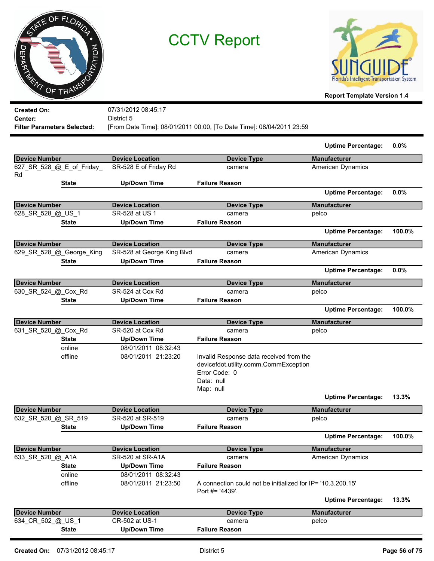



**Report Template Version 1.4**

**Created On: Center:** 07/31/2012 08:45:17 District 5 **Filter Parameters Selected:** [From Date Time]: 08/01/2011 00:00, [To Date Time]: 08/04/2011 23:59

|                                 |                                            |                                                                                                                              | <b>Uptime Percentage:</b> | 0.0%   |
|---------------------------------|--------------------------------------------|------------------------------------------------------------------------------------------------------------------------------|---------------------------|--------|
| <b>Device Number</b>            | <b>Device Location</b>                     | <b>Device Type</b>                                                                                                           | <b>Manufacturer</b>       |        |
| 627_SR_528_@_E_of_Friday_<br>Rd | SR-528 E of Friday Rd                      | camera                                                                                                                       | <b>American Dynamics</b>  |        |
| <b>State</b>                    | <b>Up/Down Time</b>                        | <b>Failure Reason</b>                                                                                                        |                           |        |
|                                 |                                            |                                                                                                                              | <b>Uptime Percentage:</b> | 0.0%   |
| <b>Device Number</b>            | <b>Device Location</b>                     | <b>Device Type</b>                                                                                                           | <b>Manufacturer</b>       |        |
| 628_SR_528_@_US_1               | SR-528 at US 1                             | camera                                                                                                                       | pelco                     |        |
| <b>State</b>                    | <b>Up/Down Time</b>                        | <b>Failure Reason</b>                                                                                                        |                           |        |
|                                 |                                            |                                                                                                                              | <b>Uptime Percentage:</b> | 100.0% |
| <b>Device Number</b>            | <b>Device Location</b>                     | <b>Device Type</b>                                                                                                           | <b>Manufacturer</b>       |        |
| 629_SR_528_@_George_King        | SR-528 at George King Blvd                 | camera                                                                                                                       | <b>American Dynamics</b>  |        |
| <b>State</b>                    | <b>Up/Down Time</b>                        | <b>Failure Reason</b>                                                                                                        |                           |        |
|                                 |                                            |                                                                                                                              | <b>Uptime Percentage:</b> | 0.0%   |
| <b>Device Number</b>            | <b>Device Location</b>                     | <b>Device Type</b>                                                                                                           | <b>Manufacturer</b>       |        |
| 630 SR 524 @ Cox Rd             | SR-524 at Cox Rd                           | camera                                                                                                                       | pelco                     |        |
| <b>State</b>                    | <b>Up/Down Time</b>                        | <b>Failure Reason</b>                                                                                                        |                           |        |
|                                 |                                            |                                                                                                                              | <b>Uptime Percentage:</b> | 100.0% |
| <b>Device Number</b>            | <b>Device Location</b>                     | <b>Device Type</b>                                                                                                           | <b>Manufacturer</b>       |        |
| 631_SR_520_@_Cox_Rd             | SR-520 at Cox Rd                           | camera                                                                                                                       | pelco                     |        |
| <b>State</b>                    | <b>Up/Down Time</b>                        | <b>Failure Reason</b>                                                                                                        |                           |        |
| online<br>offline               | 08/01/2011 08:32:43<br>08/01/2011 21:23:20 | Invalid Response data received from the<br>devicefdot.utility.comm.CommException<br>Error Code: 0<br>Data: null<br>Map: null |                           |        |
|                                 |                                            |                                                                                                                              | <b>Uptime Percentage:</b> | 13.3%  |
| <b>Device Number</b>            | <b>Device Location</b>                     | <b>Device Type</b>                                                                                                           | <b>Manufacturer</b>       |        |
| 632_SR_520_@_SR_519             | SR-520 at SR-519                           | camera                                                                                                                       | pelco                     |        |
| <b>State</b>                    | <b>Up/Down Time</b>                        | <b>Failure Reason</b>                                                                                                        |                           |        |
|                                 |                                            |                                                                                                                              | <b>Uptime Percentage:</b> | 100.0% |
| <b>Device Number</b>            | <b>Device Location</b>                     | <b>Device Type</b>                                                                                                           | <b>Manufacturer</b>       |        |
| 633_SR_520_@_A1A                | SR-520 at SR-A1A                           | camera                                                                                                                       | American Dynamics         |        |
| <b>State</b>                    | <b>Up/Down Time</b>                        | <b>Failure Reason</b>                                                                                                        |                           |        |
| online<br>offline               | 08/01/2011 08:32:43<br>08/01/2011 21:23:50 | A connection could not be initialized for IP= '10.3.200.15'<br>Port #= '4439'.                                               |                           |        |
|                                 |                                            |                                                                                                                              | <b>Uptime Percentage:</b> | 13.3%  |
| <b>Device Number</b>            | <b>Device Location</b>                     | <b>Device Type</b>                                                                                                           | <b>Manufacturer</b>       |        |
| 634_CR_502_@_US_1               | CR-502 at US-1                             | camera                                                                                                                       | pelco                     |        |
| <b>State</b>                    | <b>Up/Down Time</b>                        | <b>Failure Reason</b>                                                                                                        |                           |        |
|                                 |                                            |                                                                                                                              |                           |        |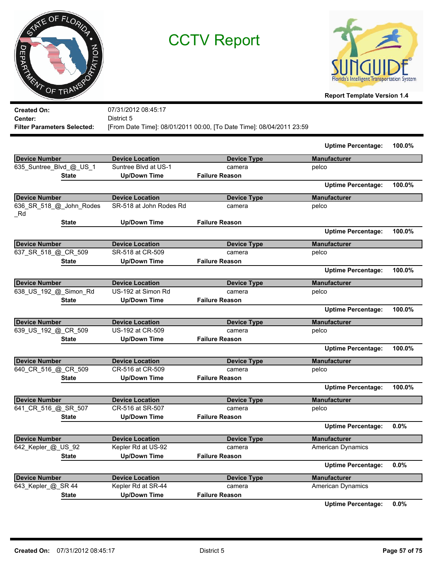|            | TATE OF FLORIDA |         |
|------------|-----------------|---------|
|            |                 |         |
| DEPARTMENT |                 | PTATION |
|            | OF TRANSP       |         |



**Report Template Version 1.4**

**Created On: Center:** 07/31/2012 08:45:17 District 5 **Filter Parameters Selected:** [From Date Time]: 08/01/2011 00:00, [To Date Time]: 08/04/2011 23:59

|                                |                         |                       | <b>Uptime Percentage:</b> | 100.0% |
|--------------------------------|-------------------------|-----------------------|---------------------------|--------|
| <b>Device Number</b>           | <b>Device Location</b>  | <b>Device Type</b>    | <b>Manufacturer</b>       |        |
| 635_Suntree_Blvd_@_US_1        | Suntree Blvd at US-1    | camera                | pelco                     |        |
| <b>State</b>                   | <b>Up/Down Time</b>     | <b>Failure Reason</b> |                           |        |
|                                |                         |                       | <b>Uptime Percentage:</b> | 100.0% |
| <b>Device Number</b>           | <b>Device Location</b>  | <b>Device Type</b>    | <b>Manufacturer</b>       |        |
| 636_SR_518_@_John_Rodes<br>_Rd | SR-518 at John Rodes Rd | camera                | pelco                     |        |
| State                          | <b>Up/Down Time</b>     | <b>Failure Reason</b> |                           |        |
|                                |                         |                       | <b>Uptime Percentage:</b> | 100.0% |
| Device Number                  | <b>Device Location</b>  | <b>Device Type</b>    | <b>Manufacturer</b>       |        |
| 637_SR_518_@_CR_509            | SR-518 at CR-509        | camera                | pelco                     |        |
| <b>State</b>                   | <b>Up/Down Time</b>     | <b>Failure Reason</b> |                           |        |
|                                |                         |                       | <b>Uptime Percentage:</b> | 100.0% |
| <b>Device Number</b>           | <b>Device Location</b>  | <b>Device Type</b>    | <b>Manufacturer</b>       |        |
| 638_US_192_@_Simon_Rd          | US-192 at Simon Rd      | camera                | pelco                     |        |
| <b>State</b>                   | <b>Up/Down Time</b>     | <b>Failure Reason</b> |                           |        |
|                                |                         |                       | <b>Uptime Percentage:</b> | 100.0% |
| <b>Device Number</b>           | <b>Device Location</b>  | <b>Device Type</b>    | <b>Manufacturer</b>       |        |
| 639_US_192_@_CR_509            | US-192 at CR-509        | camera                | pelco                     |        |
| <b>State</b>                   | <b>Up/Down Time</b>     | <b>Failure Reason</b> |                           |        |
|                                |                         |                       | <b>Uptime Percentage:</b> | 100.0% |
| Device Number                  | <b>Device Location</b>  | <b>Device Type</b>    | <b>Manufacturer</b>       |        |
| 640_CR_516_@_CR_509            | CR-516 at CR-509        | camera                | pelco                     |        |
| <b>State</b>                   | <b>Up/Down Time</b>     | <b>Failure Reason</b> |                           |        |
|                                |                         |                       | <b>Uptime Percentage:</b> | 100.0% |
| Device Number                  | <b>Device Location</b>  | <b>Device Type</b>    | <b>Manufacturer</b>       |        |
| 641 CR 516 @ SR 507            | CR-516 at SR-507        | camera                | pelco                     |        |
| <b>State</b>                   | <b>Up/Down Time</b>     | <b>Failure Reason</b> |                           |        |
|                                |                         |                       | <b>Uptime Percentage:</b> | 0.0%   |
| <b>Device Number</b>           | <b>Device Location</b>  | <b>Device Type</b>    | <b>Manufacturer</b>       |        |
| 642_Kepler_@_US_92             | Kepler Rd at US-92      | camera                | <b>American Dynamics</b>  |        |
| <b>State</b>                   | <b>Up/Down Time</b>     | <b>Failure Reason</b> |                           |        |
|                                |                         |                       | <b>Uptime Percentage:</b> | 0.0%   |
| <b>Device Number</b>           | <b>Device Location</b>  | <b>Device Type</b>    | <b>Manufacturer</b>       |        |
| 643_Kepler_@_SR 44             | Kepler Rd at SR-44      | camera                | <b>American Dynamics</b>  |        |
| <b>State</b>                   | <b>Up/Down Time</b>     | <b>Failure Reason</b> |                           |        |
|                                |                         |                       | <b>Uptime Percentage:</b> | 0.0%   |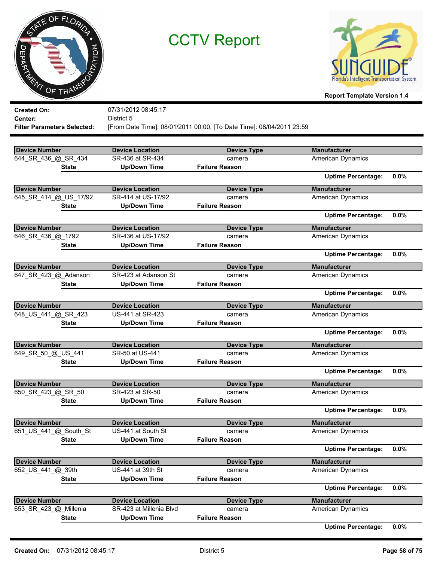



| <b>Created On:</b>                 | 07/31/2012 08:45:17     |                                                                      |                           |      |
|------------------------------------|-------------------------|----------------------------------------------------------------------|---------------------------|------|
| Center:                            | District 5              |                                                                      |                           |      |
| <b>Filter Parameters Selected:</b> |                         | [From Date Time]: 08/01/2011 00:00, [To Date Time]: 08/04/2011 23:59 |                           |      |
|                                    |                         |                                                                      |                           |      |
| <b>Device Number</b>               | <b>Device Location</b>  | <b>Device Type</b>                                                   | <b>Manufacturer</b>       |      |
| 644_SR_436_@_SR_434                | SR-436 at SR-434        | camera                                                               | American Dynamics         |      |
| <b>State</b>                       | <b>Up/Down Time</b>     | <b>Failure Reason</b>                                                |                           |      |
|                                    |                         |                                                                      | <b>Uptime Percentage:</b> | 0.0% |
| <b>Device Number</b>               | <b>Device Location</b>  | <b>Device Type</b>                                                   | <b>Manufacturer</b>       |      |
| 645 SR 414 @ US 17/92              | SR-414 at US-17/92      | camera                                                               | American Dynamics         |      |
| <b>State</b>                       | <b>Up/Down Time</b>     | <b>Failure Reason</b>                                                |                           |      |
|                                    |                         |                                                                      | <b>Uptime Percentage:</b> | 0.0% |
| <b>Device Number</b>               | <b>Device Location</b>  | <b>Device Type</b>                                                   | <b>Manufacturer</b>       |      |
| 646_SR_436_@_1792                  | SR-436 at US-17/92      | camera                                                               | American Dynamics         |      |
| <b>State</b>                       | <b>Up/Down Time</b>     | <b>Failure Reason</b>                                                |                           |      |
|                                    |                         |                                                                      | <b>Uptime Percentage:</b> | 0.0% |
| <b>Device Number</b>               | <b>Device Location</b>  | <b>Device Type</b>                                                   | <b>Manufacturer</b>       |      |
| 647_SR_423_@_Adanson               | SR-423 at Adanson St    | camera                                                               | American Dynamics         |      |
| State                              | <b>Up/Down Time</b>     | <b>Failure Reason</b>                                                |                           |      |
|                                    |                         |                                                                      | <b>Uptime Percentage:</b> | 0.0% |
| <b>Device Number</b>               | <b>Device Location</b>  | <b>Device Type</b>                                                   | <b>Manufacturer</b>       |      |
| 648_US_441_@_SR_423                | US-441 at SR-423        | camera                                                               | <b>American Dynamics</b>  |      |
| <b>State</b>                       | <b>Up/Down Time</b>     | <b>Failure Reason</b>                                                |                           |      |
|                                    |                         |                                                                      | <b>Uptime Percentage:</b> | 0.0% |
| <b>Device Number</b>               | <b>Device Location</b>  | <b>Device Type</b>                                                   | <b>Manufacturer</b>       |      |
| 649_SR_50_@_US_441                 | SR-50 at US-441         | camera                                                               | American Dynamics         |      |
| <b>State</b>                       | <b>Up/Down Time</b>     | <b>Failure Reason</b>                                                |                           |      |
|                                    |                         |                                                                      | <b>Uptime Percentage:</b> | 0.0% |
| <b>Device Number</b>               | <b>Device Location</b>  | <b>Device Type</b>                                                   | <b>Manufacturer</b>       |      |
| 650_SR_423_@_SR_50                 | SR-423 at SR-50         | camera                                                               | American Dynamics         |      |
| <b>State</b>                       | <b>Up/Down Time</b>     | <b>Failure Reason</b>                                                |                           |      |
|                                    |                         |                                                                      | <b>Uptime Percentage:</b> | 0.0% |
| <b>Device Number</b>               | <b>Device Location</b>  | <b>Device Type</b>                                                   | Manufacturer              |      |
| 651_US_441_@_South_St              | US-441 at South St      | camera                                                               | American Dynamics         |      |
| <b>State</b>                       | <b>Up/Down Time</b>     | <b>Failure Reason</b>                                                |                           |      |
|                                    |                         |                                                                      | <b>Uptime Percentage:</b> | 0.0% |
| <b>Device Number</b>               | <b>Device Location</b>  | <b>Device Type</b>                                                   | <b>Manufacturer</b>       |      |
| 652 US 441 @ 39th                  | US-441 at 39th St       | camera                                                               | <b>American Dynamics</b>  |      |
| <b>State</b>                       | <b>Up/Down Time</b>     | <b>Failure Reason</b>                                                |                           |      |
|                                    |                         |                                                                      | <b>Uptime Percentage:</b> | 0.0% |
| <b>Device Number</b>               | <b>Device Location</b>  | <b>Device Type</b>                                                   | <b>Manufacturer</b>       |      |
| 653_SR_423_@_Millenia              | SR-423 at Millenia Blvd | camera                                                               | American Dynamics         |      |
| <b>State</b>                       | <b>Up/Down Time</b>     | <b>Failure Reason</b>                                                |                           |      |
|                                    |                         |                                                                      | <b>Uptime Percentage:</b> | 0.0% |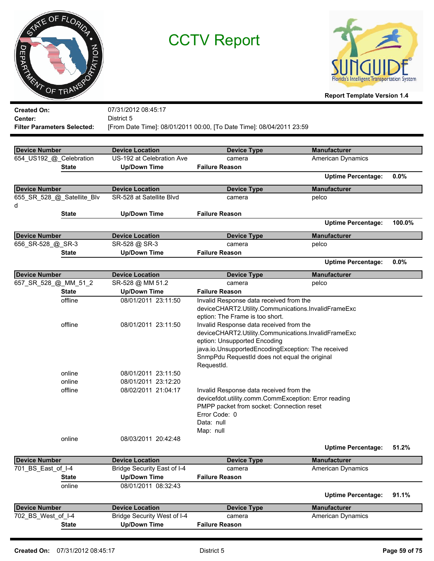



| <b>Created On:</b>                 |                  | 07/31/2012 08:45:17                |                                                                                                 |                           |        |
|------------------------------------|------------------|------------------------------------|-------------------------------------------------------------------------------------------------|---------------------------|--------|
| Center:                            |                  | District 5                         |                                                                                                 |                           |        |
| <b>Filter Parameters Selected:</b> |                  |                                    | [From Date Time]: 08/01/2011 00:00, [To Date Time]: 08/04/2011 23:59                            |                           |        |
|                                    |                  |                                    |                                                                                                 |                           |        |
| <b>Device Number</b>               |                  | <b>Device Location</b>             | <b>Device Type</b>                                                                              | <b>Manufacturer</b>       |        |
| 654_US192_@_Celebration            |                  | US-192 at Celebration Ave          | camera                                                                                          | <b>American Dynamics</b>  |        |
|                                    | <b>State</b>     | <b>Up/Down Time</b>                | <b>Failure Reason</b>                                                                           |                           |        |
|                                    |                  |                                    |                                                                                                 | <b>Uptime Percentage:</b> | 0.0%   |
| <b>Device Number</b>               |                  | <b>Device Location</b>             | <b>Device Type</b>                                                                              | <b>Manufacturer</b>       |        |
| 655_SR_528_@_Satellite_Blv         |                  | SR-528 at Satellite Blvd           | camera                                                                                          | pelco                     |        |
| d                                  |                  |                                    |                                                                                                 |                           |        |
|                                    | <b>State</b>     | <b>Up/Down Time</b>                | <b>Failure Reason</b>                                                                           |                           |        |
|                                    |                  |                                    |                                                                                                 | <b>Uptime Percentage:</b> | 100.0% |
| <b>Device Number</b>               |                  | <b>Device Location</b>             | <b>Device Type</b>                                                                              | <b>Manufacturer</b>       |        |
| 656_SR-528_@_SR-3                  |                  | SR-528 @ SR-3                      | camera                                                                                          | pelco                     |        |
|                                    | <b>State</b>     | <b>Up/Down Time</b>                | <b>Failure Reason</b>                                                                           |                           |        |
|                                    |                  |                                    |                                                                                                 | <b>Uptime Percentage:</b> | 0.0%   |
| <b>Device Number</b>               |                  | <b>Device Location</b>             | <b>Device Type</b>                                                                              | <b>Manufacturer</b>       |        |
| 657_SR_528_@_MM_51_2               |                  | SR-528 @ MM 51.2                   | camera                                                                                          | pelco                     |        |
|                                    | <b>State</b>     | <b>Up/Down Time</b>                | <b>Failure Reason</b>                                                                           |                           |        |
|                                    | offline          | 08/01/2011 23:11:50                | Invalid Response data received from the                                                         |                           |        |
|                                    |                  |                                    | deviceCHART2.Utility.Communications.InvalidFrameExc                                             |                           |        |
|                                    |                  |                                    | eption: The Frame is too short.                                                                 |                           |        |
|                                    | offline          | 08/01/2011 23:11:50                | Invalid Response data received from the                                                         |                           |        |
|                                    |                  |                                    | deviceCHART2.Utility.Communications.InvalidFrameExc                                             |                           |        |
|                                    |                  |                                    | eption: Unsupported Encoding                                                                    |                           |        |
|                                    |                  |                                    | java.io.UnsupportedEncodingException: The received                                              |                           |        |
|                                    |                  |                                    | SnmpPdu RequestId does not equal the original                                                   |                           |        |
|                                    |                  |                                    | RequestId.                                                                                      |                           |        |
|                                    | online<br>online | 08/01/2011 23:11:50                |                                                                                                 |                           |        |
|                                    |                  | 08/01/2011 23:12:20                |                                                                                                 |                           |        |
|                                    | offline          | 08/02/2011 21:04:17                | Invalid Response data received from the<br>devicefdot.utility.comm.CommException: Error reading |                           |        |
|                                    |                  |                                    | PMPP packet from socket: Connection reset                                                       |                           |        |
|                                    |                  |                                    | Error Code: 0                                                                                   |                           |        |
|                                    |                  |                                    | Data: null                                                                                      |                           |        |
|                                    |                  |                                    | Map: null                                                                                       |                           |        |
|                                    | online           | 08/03/2011 20:42:48                |                                                                                                 |                           |        |
|                                    |                  |                                    |                                                                                                 | <b>Uptime Percentage:</b> | 51.2%  |
| <b>Device Number</b>               |                  | <b>Device Location</b>             | <b>Device Type</b>                                                                              | <b>Manufacturer</b>       |        |
| 701 BS East of I-4                 |                  | <b>Bridge Security East of I-4</b> | camera                                                                                          | American Dynamics         |        |
|                                    | <b>State</b>     | <b>Up/Down Time</b>                | <b>Failure Reason</b>                                                                           |                           |        |
|                                    | online           | 08/01/2011 08:32:43                |                                                                                                 |                           |        |
|                                    |                  |                                    |                                                                                                 | <b>Uptime Percentage:</b> | 91.1%  |
| <b>Device Number</b>               |                  | <b>Device Location</b>             | <b>Device Type</b>                                                                              | <b>Manufacturer</b>       |        |
| 702_BS_West_of_I-4                 |                  | Bridge Security West of I-4        | camera                                                                                          | American Dynamics         |        |
|                                    | <b>State</b>     | <b>Up/Down Time</b>                | <b>Failure Reason</b>                                                                           |                           |        |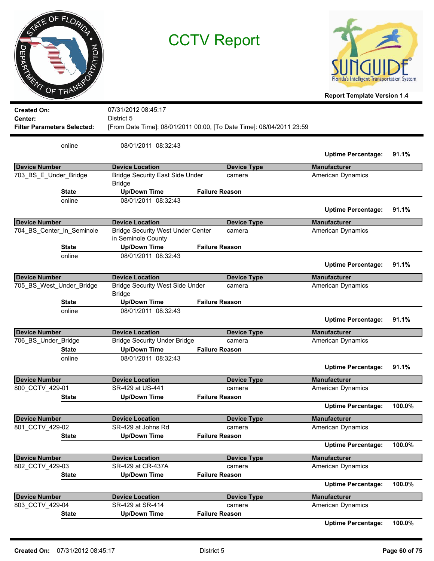|       | ATE OF FLORIDA |
|-------|----------------|
|       |                |
| JEPAK | PTATION        |
|       | ENT OF TRANS   |



**Report Template Version 1.4**

| <b>Created On:</b>                 | 07/31/2012 08:45:17                                            |                                                                      |                           |        |
|------------------------------------|----------------------------------------------------------------|----------------------------------------------------------------------|---------------------------|--------|
| Center:                            | District 5                                                     |                                                                      |                           |        |
| <b>Filter Parameters Selected:</b> |                                                                | [From Date Time]: 08/01/2011 00:00, [To Date Time]: 08/04/2011 23:59 |                           |        |
| online                             | 08/01/2011 08:32:43                                            |                                                                      |                           |        |
|                                    |                                                                |                                                                      | <b>Uptime Percentage:</b> | 91.1%  |
| <b>Device Number</b>               | <b>Device Location</b>                                         | <b>Device Type</b>                                                   | <b>Manufacturer</b>       |        |
| 703 BS E Under Bridge              | <b>Bridge Security East Side Under</b><br><b>Bridge</b>        | camera                                                               | <b>American Dynamics</b>  |        |
| <b>State</b>                       | <b>Up/Down Time</b>                                            | <b>Failure Reason</b>                                                |                           |        |
| online                             | 08/01/2011 08:32:43                                            |                                                                      | <b>Uptime Percentage:</b> | 91.1%  |
| <b>Device Number</b>               | <b>Device Location</b>                                         | <b>Device Type</b>                                                   | <b>Manufacturer</b>       |        |
| 704_BS_Center_In_Seminole          | <b>Bridge Security West Under Center</b><br>in Seminole County | camera                                                               | <b>American Dynamics</b>  |        |
| <b>State</b>                       | <b>Up/Down Time</b>                                            | <b>Failure Reason</b>                                                |                           |        |
| online                             | 08/01/2011 08:32:43                                            |                                                                      | <b>Uptime Percentage:</b> | 91.1%  |
|                                    |                                                                |                                                                      |                           |        |
| <b>Device Number</b>               | <b>Device Location</b>                                         | <b>Device Type</b>                                                   | <b>Manufacturer</b>       |        |
| 705 BS_West_Under_Bridge           | <b>Bridge Security West Side Under</b><br><b>Bridge</b>        | camera                                                               | American Dynamics         |        |
| State                              | <b>Up/Down Time</b>                                            | <b>Failure Reason</b>                                                |                           |        |
| online                             | 08/01/2011 08:32:43                                            |                                                                      | <b>Uptime Percentage:</b> | 91.1%  |
| <b>Device Number</b>               | <b>Device Location</b>                                         | <b>Device Type</b>                                                   | <b>Manufacturer</b>       |        |
| 706_BS_Under_Bridge                | <b>Bridge Security Under Bridge</b>                            | camera                                                               | <b>American Dynamics</b>  |        |
| <b>State</b>                       | <b>Up/Down Time</b>                                            | <b>Failure Reason</b>                                                |                           |        |
| online                             | 08/01/2011 08:32:43                                            |                                                                      | <b>Uptime Percentage:</b> | 91.1%  |
| <b>Device Number</b>               | <b>Device Location</b>                                         | <b>Device Type</b>                                                   | <b>Manufacturer</b>       |        |
| 800 CCTV 429-01                    | SR-429 at US-441                                               | camera                                                               | American Dynamics         |        |
| <b>State</b>                       | <b>Up/Down Time</b>                                            | <b>Failure Reason</b>                                                |                           |        |
|                                    |                                                                |                                                                      | <b>Uptime Percentage:</b> | 100.0% |
| <b>Device Number</b>               | <b>Device Location</b>                                         | <b>Device Type</b>                                                   | <b>Manufacturer</b>       |        |
| 801 CCTV 429-02                    | SR-429 at Johns Rd                                             | camera                                                               | <b>American Dynamics</b>  |        |
| <b>State</b>                       | <b>Up/Down Time</b>                                            | <b>Failure Reason</b>                                                |                           |        |
|                                    |                                                                |                                                                      | <b>Uptime Percentage:</b> | 100.0% |
| <b>Device Number</b>               | <b>Device Location</b>                                         | <b>Device Type</b>                                                   | <b>Manufacturer</b>       |        |
| 802 CCTV 429-03                    | SR-429 at CR-437A                                              | camera                                                               | American Dynamics         |        |
| <b>State</b>                       | <b>Up/Down Time</b>                                            | <b>Failure Reason</b>                                                |                           |        |
|                                    |                                                                |                                                                      | <b>Uptime Percentage:</b> | 100.0% |
| <b>Device Number</b>               | <b>Device Location</b>                                         | <b>Device Type</b>                                                   | <b>Manufacturer</b>       |        |
| 803 CCTV 429-04                    | SR-429 at SR-414                                               | camera                                                               | <b>American Dynamics</b>  |        |
| <b>State</b>                       | <b>Up/Down Time</b>                                            | <b>Failure Reason</b>                                                |                           |        |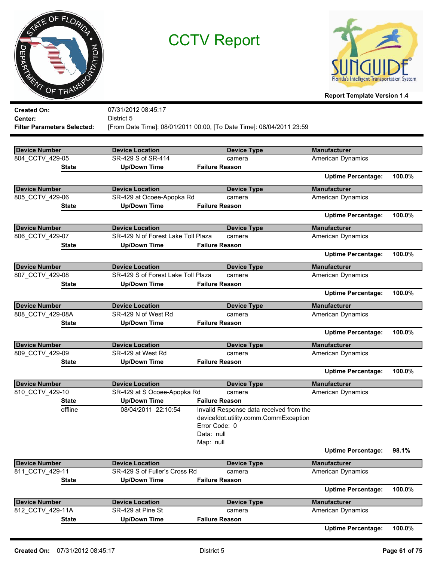



| <b>Created On:</b>                 | 07/31/2012 08:45:17                |                                                                      |                           |        |
|------------------------------------|------------------------------------|----------------------------------------------------------------------|---------------------------|--------|
| Center:                            | District 5                         |                                                                      |                           |        |
| <b>Filter Parameters Selected:</b> |                                    | [From Date Time]: 08/01/2011 00:00, [To Date Time]: 08/04/2011 23:59 |                           |        |
|                                    |                                    |                                                                      |                           |        |
| <b>Device Number</b>               | <b>Device Location</b>             |                                                                      | <b>Manufacturer</b>       |        |
| 804 CCTV 429-05                    | SR-429 S of SR-414                 | <b>Device Type</b>                                                   |                           |        |
| <b>State</b>                       |                                    | camera<br><b>Failure Reason</b>                                      | American Dynamics         |        |
|                                    | <b>Up/Down Time</b>                |                                                                      | <b>Uptime Percentage:</b> | 100.0% |
| <b>Device Number</b>               | <b>Device Location</b>             | <b>Device Type</b>                                                   | <b>Manufacturer</b>       |        |
| 805_CCTV_429-06                    | SR-429 at Ocoee-Apopka Rd          | camera                                                               | <b>American Dynamics</b>  |        |
| <b>State</b>                       | <b>Up/Down Time</b>                | <b>Failure Reason</b>                                                |                           |        |
|                                    |                                    |                                                                      | <b>Uptime Percentage:</b> | 100.0% |
|                                    |                                    |                                                                      |                           |        |
| <b>Device Number</b>               | <b>Device Location</b>             | <b>Device Type</b>                                                   | <b>Manufacturer</b>       |        |
| 806 CCTV 429-07                    | SR-429 N of Forest Lake Toll Plaza | camera                                                               | <b>American Dynamics</b>  |        |
| <b>State</b>                       | <b>Up/Down Time</b>                | <b>Failure Reason</b>                                                |                           |        |
|                                    |                                    |                                                                      | <b>Uptime Percentage:</b> | 100.0% |
| <b>Device Number</b>               | <b>Device Location</b>             | <b>Device Type</b>                                                   | <b>Manufacturer</b>       |        |
| 807_CCTV_429-08                    | SR-429 S of Forest Lake Toll Plaza | camera                                                               | American Dynamics         |        |
| State                              | <b>Up/Down Time</b>                | <b>Failure Reason</b>                                                |                           |        |
|                                    |                                    |                                                                      | <b>Uptime Percentage:</b> | 100.0% |
| <b>Device Number</b>               | <b>Device Location</b>             | <b>Device Type</b>                                                   | <b>Manufacturer</b>       |        |
| 808_CCTV_429-08A                   | SR-429 N of West Rd                | camera                                                               | American Dynamics         |        |
| State                              | <b>Up/Down Time</b>                | <b>Failure Reason</b>                                                |                           |        |
|                                    |                                    |                                                                      | <b>Uptime Percentage:</b> | 100.0% |
| <b>Device Number</b>               | <b>Device Location</b>             | <b>Device Type</b>                                                   | <b>Manufacturer</b>       |        |
| 809_CCTV_429-09                    | SR-429 at West Rd                  | camera                                                               | American Dynamics         |        |
| <b>State</b>                       | <b>Up/Down Time</b>                | <b>Failure Reason</b>                                                |                           |        |
|                                    |                                    |                                                                      | <b>Uptime Percentage:</b> | 100.0% |
| <b>Device Number</b>               | <b>Device Location</b>             | <b>Device Type</b>                                                   | <b>Manufacturer</b>       |        |
| 810_CCTV_429-10                    | SR-429 at S Ocoee-Apopka Rd        | camera                                                               | American Dynamics         |        |
| <b>State</b>                       | <b>Up/Down Time</b>                | <b>Failure Reason</b>                                                |                           |        |
| offline                            | 08/04/2011 22:10:54                | Invalid Response data received from the                              |                           |        |
|                                    |                                    | devicefdot.utility.comm.CommException                                |                           |        |
|                                    |                                    | Error Code: 0                                                        |                           |        |
|                                    |                                    | Data: null                                                           |                           |        |
|                                    |                                    | Map: null                                                            |                           |        |
|                                    |                                    |                                                                      | <b>Uptime Percentage:</b> | 98.1%  |
| <b>Device Number</b>               | <b>Device Location</b>             | <b>Device Type</b>                                                   | <b>Manufacturer</b>       |        |
| 811 CCTV 429-11                    | SR-429 S of Fuller's Cross Rd      | camera                                                               | <b>American Dynamics</b>  |        |
| <b>State</b>                       | <b>Up/Down Time</b>                | <b>Failure Reason</b>                                                |                           |        |
|                                    |                                    |                                                                      | <b>Uptime Percentage:</b> | 100.0% |
| <b>Device Number</b>               | <b>Device Location</b>             | <b>Device Type</b>                                                   | <b>Manufacturer</b>       |        |
| 812_CCTV_429-11A                   | SR-429 at Pine St                  | camera                                                               | American Dynamics         |        |
| <b>State</b>                       | <b>Up/Down Time</b>                | <b>Failure Reason</b>                                                |                           |        |
|                                    |                                    |                                                                      | <b>Uptime Percentage:</b> | 100.0% |
|                                    |                                    |                                                                      |                           |        |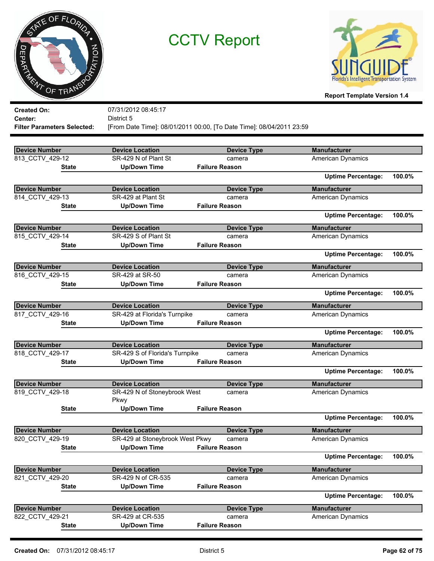



| <b>Created On:</b>                 | 07/31/2012 08:45:17             |                                                                      |                           |        |
|------------------------------------|---------------------------------|----------------------------------------------------------------------|---------------------------|--------|
| Center:                            | District 5                      |                                                                      |                           |        |
| <b>Filter Parameters Selected:</b> |                                 | [From Date Time]: 08/01/2011 00:00, [To Date Time]: 08/04/2011 23:59 |                           |        |
|                                    |                                 |                                                                      |                           |        |
| <b>Device Number</b>               | <b>Device Location</b>          | <b>Device Type</b>                                                   | <b>Manufacturer</b>       |        |
| 813 CCTV 429-12                    | SR-429 N of Plant St            | camera                                                               | <b>American Dynamics</b>  |        |
| State                              | <b>Up/Down Time</b>             | <b>Failure Reason</b>                                                |                           |        |
|                                    |                                 |                                                                      | <b>Uptime Percentage:</b> | 100.0% |
| <b>Device Number</b>               | <b>Device Location</b>          | <b>Device Type</b>                                                   | <b>Manufacturer</b>       |        |
| 814_CCTV_429-13                    | SR-429 at Plant St              | camera                                                               | <b>American Dynamics</b>  |        |
| <b>State</b>                       | <b>Up/Down Time</b>             | <b>Failure Reason</b>                                                |                           |        |
|                                    |                                 |                                                                      | <b>Uptime Percentage:</b> | 100.0% |
| <b>Device Number</b>               | <b>Device Location</b>          | <b>Device Type</b>                                                   | <b>Manufacturer</b>       |        |
| 815 CCTV 429-14                    | SR-429 S of Plant St            | camera                                                               | American Dynamics         |        |
| State                              | <b>Up/Down Time</b>             | <b>Failure Reason</b>                                                |                           |        |
|                                    |                                 |                                                                      | <b>Uptime Percentage:</b> | 100.0% |
| <b>Device Number</b>               | <b>Device Location</b>          | <b>Device Type</b>                                                   | <b>Manufacturer</b>       |        |
| 816 CCTV 429-15                    | SR-429 at SR-50                 | camera                                                               | American Dynamics         |        |
| <b>State</b>                       | <b>Up/Down Time</b>             | <b>Failure Reason</b>                                                |                           |        |
|                                    |                                 |                                                                      | <b>Uptime Percentage:</b> | 100.0% |
| <b>Device Number</b>               | <b>Device Location</b>          | <b>Device Type</b>                                                   | <b>Manufacturer</b>       |        |
| 817 CCTV 429-16                    | SR-429 at Florida's Turnpike    | camera                                                               | <b>American Dynamics</b>  |        |
| <b>State</b>                       | <b>Up/Down Time</b>             | <b>Failure Reason</b>                                                |                           |        |
|                                    |                                 |                                                                      | <b>Uptime Percentage:</b> | 100.0% |
| <b>Device Number</b>               | <b>Device Location</b>          | <b>Device Type</b>                                                   | <b>Manufacturer</b>       |        |
| 818 CCTV 429-17                    | SR-429 S of Florida's Turnpike  | camera                                                               | American Dynamics         |        |
| <b>State</b>                       | <b>Up/Down Time</b>             | <b>Failure Reason</b>                                                |                           |        |
|                                    |                                 |                                                                      | <b>Uptime Percentage:</b> | 100.0% |
| <b>Device Number</b>               | <b>Device Location</b>          | <b>Device Type</b>                                                   | <b>Manufacturer</b>       |        |
| 819 CCTV 429-18                    | SR-429 N of Stoneybrook West    | camera                                                               | <b>American Dynamics</b>  |        |
|                                    | Pkwy                            |                                                                      |                           |        |
| <b>State</b>                       | <b>Up/Down Time</b>             | <b>Failure Reason</b>                                                |                           |        |
|                                    |                                 |                                                                      | <b>Uptime Percentage:</b> | 100.0% |
| <b>Device Number</b>               | <b>Device Location</b>          | <b>Device Type</b>                                                   | <b>Manufacturer</b>       |        |
| 820 CCTV 429-19                    | SR-429 at Stoneybrook West Pkwy | camera                                                               | <b>American Dynamics</b>  |        |
| <b>State</b>                       | <b>Up/Down Time</b>             | <b>Failure Reason</b>                                                |                           |        |
|                                    |                                 |                                                                      | <b>Uptime Percentage:</b> | 100.0% |
| <b>Device Number</b>               | <b>Device Location</b>          | <b>Device Type</b>                                                   | <b>Manufacturer</b>       |        |
| 821 CCTV 429-20                    | SR-429 N of CR-535              | camera                                                               | <b>American Dynamics</b>  |        |
| <b>State</b>                       | <b>Up/Down Time</b>             | <b>Failure Reason</b>                                                |                           |        |
|                                    |                                 |                                                                      | <b>Uptime Percentage:</b> | 100.0% |
| <b>Device Number</b>               | <b>Device Location</b>          | <b>Device Type</b>                                                   | <b>Manufacturer</b>       |        |
| 822_CCTV_429-21                    | SR-429 at CR-535                | camera                                                               | American Dynamics         |        |
| <b>State</b>                       | <b>Up/Down Time</b>             | <b>Failure Reason</b>                                                |                           |        |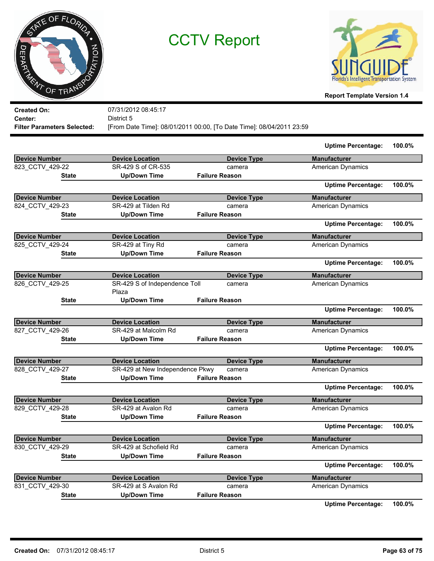



**Report Template Version 1.4**

| <b>Created On:</b>          | 07/31/2012 08:45:17                                                  |
|-----------------------------|----------------------------------------------------------------------|
| Center:                     | District 5                                                           |
| Filter Parameters Selected: | [From Date Time]: 08/01/2011 00:00, [To Date Time]: 08/04/2011 23:59 |

|                      |                                 |                       | <b>Uptime Percentage:</b> | 100.0% |
|----------------------|---------------------------------|-----------------------|---------------------------|--------|
| <b>Device Number</b> | <b>Device Location</b>          | <b>Device Type</b>    | <b>Manufacturer</b>       |        |
| 823 CCTV 429-22      | SR-429 S of CR-535              | camera                | American Dynamics         |        |
| <b>State</b>         | <b>Up/Down Time</b>             | <b>Failure Reason</b> |                           |        |
|                      |                                 |                       | <b>Uptime Percentage:</b> | 100.0% |
| Device Number        | <b>Device Location</b>          | <b>Device Type</b>    | <b>Manufacturer</b>       |        |
| 824_CCTV_429-23      | SR-429 at Tilden Rd             | camera                | American Dynamics         |        |
| <b>State</b>         | <b>Up/Down Time</b>             | <b>Failure Reason</b> |                           |        |
|                      |                                 |                       | <b>Uptime Percentage:</b> | 100.0% |
| <b>Device Number</b> | <b>Device Location</b>          | <b>Device Type</b>    | <b>Manufacturer</b>       |        |
| 825 CCTV 429-24      | SR-429 at Tiny Rd               | camera                | American Dynamics         |        |
| <b>State</b>         | <b>Up/Down Time</b>             | <b>Failure Reason</b> |                           |        |
|                      |                                 |                       | <b>Uptime Percentage:</b> | 100.0% |
| Device Number        | <b>Device Location</b>          | <b>Device Type</b>    | <b>Manufacturer</b>       |        |
| 826_CCTV_429-25      | SR-429 S of Independence Toll   | camera                | American Dynamics         |        |
|                      | Plaza                           |                       |                           |        |
| <b>State</b>         | <b>Up/Down Time</b>             | <b>Failure Reason</b> |                           |        |
|                      |                                 |                       | <b>Uptime Percentage:</b> | 100.0% |
| <b>Device Number</b> | <b>Device Location</b>          | <b>Device Type</b>    | <b>Manufacturer</b>       |        |
| 827 CCTV 429-26      | SR-429 at Malcolm Rd            | camera                | <b>American Dynamics</b>  |        |
| <b>State</b>         | <b>Up/Down Time</b>             | <b>Failure Reason</b> |                           |        |
|                      |                                 |                       | <b>Uptime Percentage:</b> | 100.0% |
| <b>Device Number</b> | <b>Device Location</b>          | <b>Device Type</b>    | <b>Manufacturer</b>       |        |
| 828 CCTV 429-27      | SR-429 at New Independence Pkwy | camera                | <b>American Dynamics</b>  |        |
| <b>State</b>         | <b>Up/Down Time</b>             | <b>Failure Reason</b> |                           |        |
|                      |                                 |                       | <b>Uptime Percentage:</b> | 100.0% |
| <b>Device Number</b> | <b>Device Location</b>          | <b>Device Type</b>    | <b>Manufacturer</b>       |        |
| 829 CCTV 429-28      | SR-429 at Avalon Rd             | camera                | <b>American Dynamics</b>  |        |
| <b>State</b>         | <b>Up/Down Time</b>             | <b>Failure Reason</b> |                           |        |
|                      |                                 |                       | <b>Uptime Percentage:</b> | 100.0% |
| <b>Device Number</b> | <b>Device Location</b>          | <b>Device Type</b>    | <b>Manufacturer</b>       |        |
| 830_CCTV_429-29      | SR-429 at Schofield Rd          | camera                | <b>American Dynamics</b>  |        |
| <b>State</b>         | <b>Up/Down Time</b>             | <b>Failure Reason</b> |                           |        |
|                      |                                 |                       | <b>Uptime Percentage:</b> | 100.0% |
| <b>Device Number</b> | <b>Device Location</b>          | <b>Device Type</b>    | <b>Manufacturer</b>       |        |
| 831 CCTV 429-30      | SR-429 at S Avalon Rd           | camera                | <b>American Dynamics</b>  |        |
| <b>State</b>         | <b>Up/Down Time</b>             | <b>Failure Reason</b> |                           |        |
|                      |                                 |                       | <b>Uptime Percentage:</b> | 100.0% |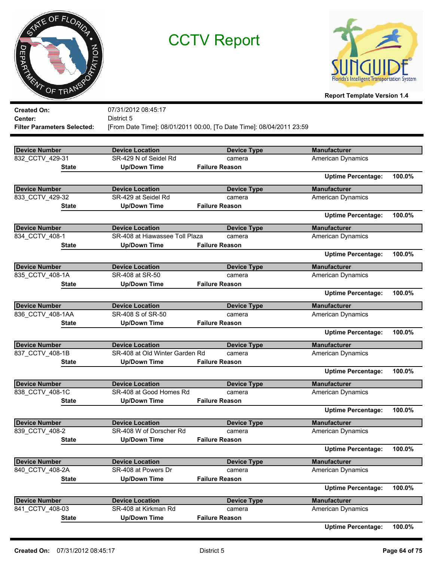



**Report Template Version 1.4**

| <b>Created On:</b>                 | 07/31/2012 08:45:17                             |                                                                      |                           |        |
|------------------------------------|-------------------------------------------------|----------------------------------------------------------------------|---------------------------|--------|
| Center:                            | District 5                                      |                                                                      |                           |        |
| <b>Filter Parameters Selected:</b> |                                                 | [From Date Time]: 08/01/2011 00:00, [To Date Time]: 08/04/2011 23:59 |                           |        |
|                                    |                                                 |                                                                      | <b>Manufacturer</b>       |        |
| <b>Device Number</b>               | <b>Device Location</b><br>SR-429 N of Seidel Rd | <b>Device Type</b>                                                   |                           |        |
| 832 CCTV 429-31                    |                                                 | camera<br><b>Failure Reason</b>                                      | American Dynamics         |        |
| State                              | <b>Up/Down Time</b>                             |                                                                      | <b>Uptime Percentage:</b> | 100.0% |
| <b>Device Number</b>               | <b>Device Location</b>                          | <b>Device Type</b>                                                   | <b>Manufacturer</b>       |        |
| 833_CCTV_429-32                    | SR-429 at Seidel Rd                             | camera                                                               | American Dynamics         |        |
| <b>State</b>                       | <b>Up/Down Time</b>                             | <b>Failure Reason</b>                                                |                           |        |
|                                    |                                                 |                                                                      | <b>Uptime Percentage:</b> | 100.0% |
| <b>Device Number</b>               | <b>Device Location</b>                          | <b>Device Type</b>                                                   | <b>Manufacturer</b>       |        |
| 834 CCTV 408-1                     | SR-408 at Hiawassee Toll Plaza                  | camera                                                               | <b>American Dynamics</b>  |        |
| State                              | <b>Up/Down Time</b>                             | <b>Failure Reason</b>                                                |                           |        |
|                                    |                                                 |                                                                      | <b>Uptime Percentage:</b> | 100.0% |
| <b>Device Number</b>               | <b>Device Location</b>                          | <b>Device Type</b>                                                   | <b>Manufacturer</b>       |        |
| 835_CCTV_408-1A                    | SR-408 at SR-50                                 | camera                                                               | American Dynamics         |        |
| State                              | <b>Up/Down Time</b>                             | <b>Failure Reason</b>                                                |                           |        |
|                                    |                                                 |                                                                      | <b>Uptime Percentage:</b> | 100.0% |
| <b>Device Number</b>               | <b>Device Location</b>                          | <b>Device Type</b>                                                   | <b>Manufacturer</b>       |        |
| 836 CCTV 408-1AA                   | SR-408 S of SR-50                               | camera                                                               | <b>American Dynamics</b>  |        |
| State                              | <b>Up/Down Time</b>                             | <b>Failure Reason</b>                                                |                           |        |
|                                    |                                                 |                                                                      | <b>Uptime Percentage:</b> | 100.0% |
| <b>Device Number</b>               | <b>Device Location</b>                          | <b>Device Type</b>                                                   | <b>Manufacturer</b>       |        |
| 837 CCTV 408-1B                    | SR-408 at Old Winter Garden Rd                  | camera                                                               | <b>American Dynamics</b>  |        |
| State                              | <b>Up/Down Time</b>                             | <b>Failure Reason</b>                                                |                           |        |
|                                    |                                                 |                                                                      | <b>Uptime Percentage:</b> | 100.0% |
| <b>Device Number</b>               | <b>Device Location</b>                          | <b>Device Type</b>                                                   | <b>Manufacturer</b>       |        |
| 838_CCTV_408-1C                    | SR-408 at Good Homes Rd                         | camera                                                               | <b>American Dynamics</b>  |        |
| State                              | <b>Up/Down Time</b>                             | <b>Failure Reason</b>                                                |                           |        |
|                                    |                                                 |                                                                      | <b>Uptime Percentage:</b> | 100.0% |
| <b>Device Number</b>               | <b>Device Location</b>                          | <b>Device Type</b>                                                   | <b>Manufacturer</b>       |        |
| 839 CCTV 408-2                     | SR-408 W of Dorscher Rd                         | camera                                                               | American Dynamics         |        |
| <b>State</b>                       | <b>Up/Down Time</b>                             | <b>Failure Reason</b>                                                |                           |        |
|                                    |                                                 |                                                                      | <b>Uptime Percentage:</b> | 100.0% |
| <b>Device Number</b>               | <b>Device Location</b>                          | <b>Device Type</b>                                                   | <b>Manufacturer</b>       |        |
| 840 CCTV 408-2A                    | SR-408 at Powers Dr                             | camera                                                               | <b>American Dynamics</b>  |        |
| <b>State</b>                       | <b>Up/Down Time</b>                             | <b>Failure Reason</b>                                                |                           |        |
|                                    |                                                 |                                                                      | <b>Uptime Percentage:</b> | 100.0% |
| <b>Device Number</b>               | <b>Device Location</b>                          | <b>Device Type</b>                                                   | <b>Manufacturer</b>       |        |
| 841 CCTV 408-03                    | SR-408 at Kirkman Rd                            | camera                                                               | American Dynamics         |        |
| <b>State</b>                       | <b>Up/Down Time</b>                             | <b>Failure Reason</b>                                                |                           |        |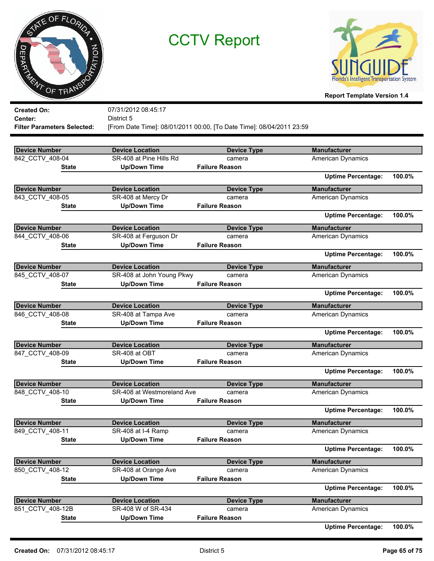



| <b>Created On:</b>                 | 07/31/2012 08:45:17        |                                                                      |                           |        |
|------------------------------------|----------------------------|----------------------------------------------------------------------|---------------------------|--------|
| Center:                            | District 5                 |                                                                      |                           |        |
| <b>Filter Parameters Selected:</b> |                            | [From Date Time]: 08/01/2011 00:00, [To Date Time]: 08/04/2011 23:59 |                           |        |
|                                    |                            |                                                                      |                           |        |
| <b>Device Number</b>               | <b>Device Location</b>     | <b>Device Type</b>                                                   | <b>Manufacturer</b>       |        |
| 842 CCTV 408-04                    | SR-408 at Pine Hills Rd    | camera                                                               | <b>American Dynamics</b>  |        |
| <b>State</b>                       | <b>Up/Down Time</b>        | <b>Failure Reason</b>                                                |                           |        |
|                                    |                            |                                                                      | <b>Uptime Percentage:</b> | 100.0% |
| <b>Device Number</b>               | <b>Device Location</b>     | <b>Device Type</b>                                                   | <b>Manufacturer</b>       |        |
| 843 CCTV 408-05                    | SR-408 at Mercy Dr         | camera                                                               | <b>American Dynamics</b>  |        |
| <b>State</b>                       | <b>Up/Down Time</b>        | <b>Failure Reason</b>                                                |                           |        |
|                                    |                            |                                                                      | <b>Uptime Percentage:</b> | 100.0% |
| <b>Device Number</b>               | <b>Device Location</b>     | <b>Device Type</b>                                                   | <b>Manufacturer</b>       |        |
| 844_CCTV_408-06                    | SR-408 at Ferguson Dr      | camera                                                               | <b>American Dynamics</b>  |        |
| <b>State</b>                       | <b>Up/Down Time</b>        | <b>Failure Reason</b>                                                |                           |        |
|                                    |                            |                                                                      | <b>Uptime Percentage:</b> | 100.0% |
| <b>Device Number</b>               | <b>Device Location</b>     | <b>Device Type</b>                                                   | <b>Manufacturer</b>       |        |
| 845 CCTV 408-07                    | SR-408 at John Young Pkwy  | camera                                                               | <b>American Dynamics</b>  |        |
| <b>State</b>                       | <b>Up/Down Time</b>        | <b>Failure Reason</b>                                                |                           |        |
|                                    |                            |                                                                      | <b>Uptime Percentage:</b> | 100.0% |
| <b>Device Number</b>               | <b>Device Location</b>     | <b>Device Type</b>                                                   | <b>Manufacturer</b>       |        |
| 846 CCTV 408-08                    | SR-408 at Tampa Ave        | camera                                                               | American Dynamics         |        |
| State                              | <b>Up/Down Time</b>        | <b>Failure Reason</b>                                                |                           |        |
|                                    |                            |                                                                      | <b>Uptime Percentage:</b> | 100.0% |
| <b>Device Number</b>               | <b>Device Location</b>     | <b>Device Type</b>                                                   | <b>Manufacturer</b>       |        |
| 847_CCTV_408-09                    | SR-408 at OBT              | camera                                                               | American Dynamics         |        |
| <b>State</b>                       | <b>Up/Down Time</b>        | <b>Failure Reason</b>                                                |                           |        |
|                                    |                            |                                                                      | <b>Uptime Percentage:</b> | 100.0% |
| <b>Device Number</b>               | <b>Device Location</b>     | <b>Device Type</b>                                                   | <b>Manufacturer</b>       |        |
| 848 CCTV 408-10                    | SR-408 at Westmoreland Ave | camera                                                               | American Dynamics         |        |
| <b>State</b>                       | <b>Up/Down Time</b>        | <b>Failure Reason</b>                                                |                           |        |
|                                    |                            |                                                                      | <b>Uptime Percentage:</b> | 100.0% |
| <b>Device Number</b>               | <b>Device Location</b>     | <b>Device Type</b>                                                   | <b>Manufacturer</b>       |        |
| 849 CCTV 408-11                    | SR-408 at I-4 Ramp         | camera                                                               | <b>American Dynamics</b>  |        |
| <b>State</b>                       | <b>Up/Down Time</b>        | <b>Failure Reason</b>                                                |                           |        |
|                                    |                            |                                                                      | <b>Uptime Percentage:</b> | 100.0% |
| <b>Device Number</b>               | <b>Device Location</b>     | <b>Device Type</b>                                                   | <b>Manufacturer</b>       |        |
| 850_CCTV_408-12                    | SR-408 at Orange Ave       | camera                                                               | <b>American Dynamics</b>  |        |
| <b>State</b>                       | <b>Up/Down Time</b>        | <b>Failure Reason</b>                                                |                           |        |
|                                    |                            |                                                                      | <b>Uptime Percentage:</b> | 100.0% |
| <b>Device Number</b>               | <b>Device Location</b>     | <b>Device Type</b>                                                   | <b>Manufacturer</b>       |        |
| 851_CCTV_408-12B                   | SR-408 W of SR-434         | camera                                                               | American Dynamics         |        |
| <b>State</b>                       | <b>Up/Down Time</b>        | <b>Failure Reason</b>                                                |                           |        |
|                                    |                            |                                                                      | <b>Uptime Percentage:</b> | 100.0% |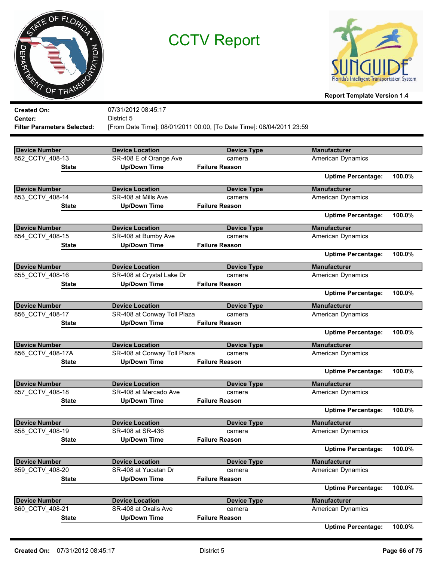



**Report Template Version 1.4**

| <b>Created On:</b>                 | 07/31/2012 08:45:17         |                                                                      |                           |        |
|------------------------------------|-----------------------------|----------------------------------------------------------------------|---------------------------|--------|
| Center:                            | District 5                  |                                                                      |                           |        |
| <b>Filter Parameters Selected:</b> |                             | [From Date Time]: 08/01/2011 00:00, [To Date Time]: 08/04/2011 23:59 |                           |        |
| <b>Device Number</b>               | <b>Device Location</b>      | <b>Device Type</b>                                                   | <b>Manufacturer</b>       |        |
| 852 CCTV 408-13                    | SR-408 E of Orange Ave      | camera                                                               | <b>American Dynamics</b>  |        |
| <b>State</b>                       | <b>Up/Down Time</b>         | <b>Failure Reason</b>                                                |                           |        |
|                                    |                             |                                                                      | <b>Uptime Percentage:</b> | 100.0% |
| <b>Device Number</b>               | <b>Device Location</b>      | <b>Device Type</b>                                                   | <b>Manufacturer</b>       |        |
| 853_CCTV_408-14                    | SR-408 at Mills Ave         | camera                                                               | <b>American Dynamics</b>  |        |
| <b>State</b>                       | <b>Up/Down Time</b>         | <b>Failure Reason</b>                                                |                           |        |
|                                    |                             |                                                                      | <b>Uptime Percentage:</b> | 100.0% |
| <b>Device Number</b>               | <b>Device Location</b>      | <b>Device Type</b>                                                   | <b>Manufacturer</b>       |        |
| 854 CCTV 408-15                    | SR-408 at Bumby Ave         | camera                                                               | American Dynamics         |        |
| <b>State</b>                       | <b>Up/Down Time</b>         | <b>Failure Reason</b>                                                |                           |        |
|                                    |                             |                                                                      | <b>Uptime Percentage:</b> | 100.0% |
| <b>Device Number</b>               | <b>Device Location</b>      | <b>Device Type</b>                                                   | <b>Manufacturer</b>       |        |
| 855 CCTV 408-16                    | SR-408 at Crystal Lake Dr   | camera                                                               | American Dynamics         |        |
| <b>State</b>                       | <b>Up/Down Time</b>         | <b>Failure Reason</b>                                                |                           |        |
|                                    |                             |                                                                      | <b>Uptime Percentage:</b> | 100.0% |
| <b>Device Number</b>               | <b>Device Location</b>      | <b>Device Type</b>                                                   | <b>Manufacturer</b>       |        |
| 856 CCTV 408-17                    | SR-408 at Conway Toll Plaza | camera                                                               | <b>American Dynamics</b>  |        |
| <b>State</b>                       | <b>Up/Down Time</b>         | <b>Failure Reason</b>                                                |                           |        |
|                                    |                             |                                                                      | <b>Uptime Percentage:</b> | 100.0% |
| <b>Device Number</b>               | <b>Device Location</b>      | <b>Device Type</b>                                                   | <b>Manufacturer</b>       |        |
| 856 CCTV 408-17A                   | SR-408 at Conway Toll Plaza | camera                                                               | American Dynamics         |        |
| <b>State</b>                       | <b>Up/Down Time</b>         | <b>Failure Reason</b>                                                |                           |        |
|                                    |                             |                                                                      | <b>Uptime Percentage:</b> | 100.0% |
| <b>Device Number</b>               | <b>Device Location</b>      | <b>Device Type</b>                                                   | <b>Manufacturer</b>       |        |
| 857 CCTV 408-18                    | SR-408 at Mercado Ave       | camera                                                               | <b>American Dynamics</b>  |        |
| <b>State</b>                       | <b>Up/Down Time</b>         | <b>Failure Reason</b>                                                |                           |        |
|                                    |                             |                                                                      | <b>Uptime Percentage:</b> | 100.0% |
| <b>Device Number</b>               | <b>Device Location</b>      | <b>Device Type</b>                                                   | <b>Manufacturer</b>       |        |
| 858_CCTV_408-19                    | SR-408 at SR-436            | camera                                                               | <b>American Dynamics</b>  |        |
| <b>State</b>                       | <b>Up/Down Time</b>         | <b>Failure Reason</b>                                                |                           |        |
|                                    |                             |                                                                      | <b>Uptime Percentage:</b> | 100.0% |
| <b>Device Number</b>               | <b>Device Location</b>      | <b>Device Type</b>                                                   | <b>Manufacturer</b>       |        |
| 859 CCTV 408-20                    | SR-408 at Yucatan Dr        | camera                                                               | American Dynamics         |        |
| <b>State</b>                       | <b>Up/Down Time</b>         | <b>Failure Reason</b>                                                |                           |        |
|                                    |                             |                                                                      | <b>Uptime Percentage:</b> | 100.0% |
| <b>Device Number</b>               | <b>Device Location</b>      | <b>Device Type</b>                                                   | <b>Manufacturer</b>       |        |
| 860_CCTV_408-21                    | SR-408 at Oxalis Ave        | camera                                                               | <b>American Dynamics</b>  |        |
| <b>State</b>                       | <b>Up/Down Time</b>         | <b>Failure Reason</b>                                                |                           |        |
|                                    |                             |                                                                      | <b>Uptime Percentage:</b> | 100.0% |

**Created On:** 07/31/2012 08:45:17 District 5 **Page 66 of 75**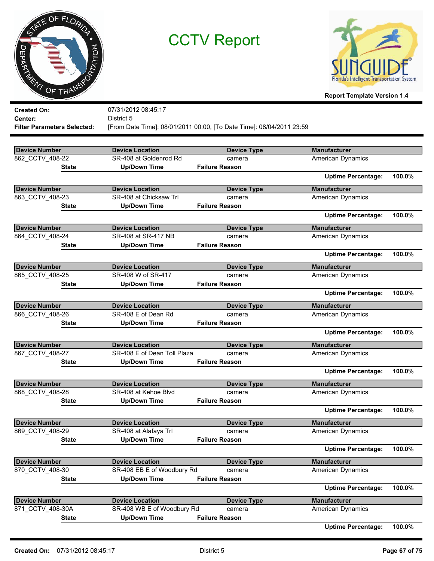



**Report Template Version 1.4**

|                                    |                             |                                                                      | 1.68                      |        |
|------------------------------------|-----------------------------|----------------------------------------------------------------------|---------------------------|--------|
| <b>Created On:</b>                 | 07/31/2012 08:45:17         |                                                                      |                           |        |
| Center:                            | District 5                  |                                                                      |                           |        |
| <b>Filter Parameters Selected:</b> |                             | [From Date Time]: 08/01/2011 00:00, [To Date Time]: 08/04/2011 23:59 |                           |        |
|                                    |                             |                                                                      |                           |        |
| <b>Device Number</b>               | <b>Device Location</b>      | <b>Device Type</b>                                                   | <b>Manufacturer</b>       |        |
| 862 CCTV 408-22                    | SR-408 at Goldenrod Rd      | camera                                                               | <b>American Dynamics</b>  |        |
| State                              | <b>Up/Down Time</b>         | <b>Failure Reason</b>                                                |                           |        |
|                                    |                             |                                                                      | <b>Uptime Percentage:</b> | 100.0% |
| <b>Device Number</b>               | <b>Device Location</b>      | <b>Device Type</b>                                                   | <b>Manufacturer</b>       |        |
| 863_CCTV_408-23                    | SR-408 at Chicksaw Trl      | camera                                                               | <b>American Dynamics</b>  |        |
| State                              | <b>Up/Down Time</b>         | <b>Failure Reason</b>                                                |                           |        |
|                                    |                             |                                                                      | <b>Uptime Percentage:</b> | 100.0% |
| <b>Device Number</b>               | <b>Device Location</b>      | <b>Device Type</b>                                                   | <b>Manufacturer</b>       |        |
| 864 CCTV 408-24                    | SR-408 at SR-417 NB         | camera                                                               | <b>American Dynamics</b>  |        |
| State                              | <b>Up/Down Time</b>         | <b>Failure Reason</b>                                                |                           |        |
|                                    |                             |                                                                      | <b>Uptime Percentage:</b> | 100.0% |
| <b>Device Number</b>               | <b>Device Location</b>      | <b>Device Type</b>                                                   | <b>Manufacturer</b>       |        |
| 865_CCTV_408-25                    | SR-408 W of SR-417          | camera                                                               | <b>American Dynamics</b>  |        |
| State                              | <b>Up/Down Time</b>         | <b>Failure Reason</b>                                                |                           |        |
|                                    |                             |                                                                      | <b>Uptime Percentage:</b> | 100.0% |
| <b>Device Number</b>               | <b>Device Location</b>      | <b>Device Type</b>                                                   | <b>Manufacturer</b>       |        |
| 866_CCTV_408-26                    | SR-408 E of Dean Rd         | camera                                                               | American Dynamics         |        |
| State                              | <b>Up/Down Time</b>         | <b>Failure Reason</b>                                                |                           |        |
|                                    |                             |                                                                      | <b>Uptime Percentage:</b> | 100.0% |
| <b>Device Number</b>               | <b>Device Location</b>      | <b>Device Type</b>                                                   | <b>Manufacturer</b>       |        |
| 867 CCTV 408-27                    | SR-408 E of Dean Toll Plaza | camera                                                               | American Dynamics         |        |
| State                              | <b>Up/Down Time</b>         | <b>Failure Reason</b>                                                |                           |        |
|                                    |                             |                                                                      | <b>Uptime Percentage:</b> | 100.0% |
| <b>Device Number</b>               | <b>Device Location</b>      | <b>Device Type</b>                                                   | <b>Manufacturer</b>       |        |
| 868_CCTV_408-28                    | SR-408 at Kehoe Blvd        | camera                                                               | American Dynamics         |        |
| State                              | <b>Up/Down Time</b>         | <b>Failure Reason</b>                                                |                           |        |
|                                    |                             |                                                                      | <b>Uptime Percentage:</b> | 100.0% |
| <b>Device Number</b>               | <b>Device Location</b>      | <b>Device Type</b>                                                   | <b>Manufacturer</b>       |        |
| 869_CCTV_408-29                    | SR-408 at Alafaya Trl       | camera                                                               | <b>American Dynamics</b>  |        |
| <b>State</b>                       | <b>Up/Down Time</b>         | <b>Failure Reason</b>                                                |                           |        |
|                                    |                             |                                                                      | <b>Uptime Percentage:</b> | 100.0% |
| <b>Device Number</b>               | <b>Device Location</b>      | <b>Device Type</b>                                                   | <b>Manufacturer</b>       |        |
| 870 CCTV 408-30                    | SR-408 EB E of Woodbury Rd  | camera                                                               | <b>American Dynamics</b>  |        |
| <b>State</b>                       | <b>Up/Down Time</b>         | <b>Failure Reason</b>                                                |                           |        |
|                                    |                             |                                                                      | <b>Uptime Percentage:</b> | 100.0% |
| <b>Device Number</b>               | <b>Device Location</b>      | <b>Device Type</b>                                                   | <b>Manufacturer</b>       |        |
| 871_CCTV_408-30A                   | SR-408 WB E of Woodbury Rd  | camera                                                               | <b>American Dynamics</b>  |        |
| <b>State</b>                       | <b>Up/Down Time</b>         | <b>Failure Reason</b>                                                |                           |        |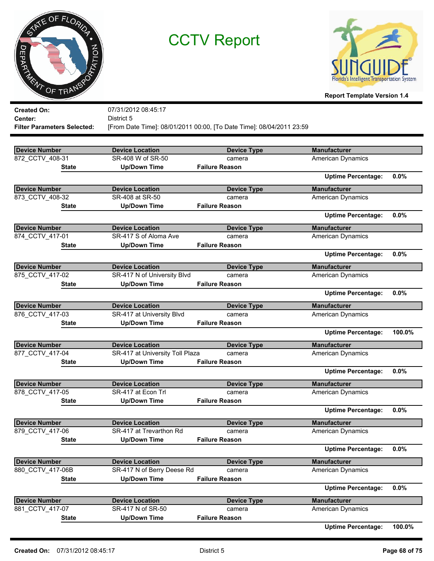



| <b>Created On:</b>                 | 07/31/2012 08:45:17             |                                                                      |                           |        |
|------------------------------------|---------------------------------|----------------------------------------------------------------------|---------------------------|--------|
| Center:                            | District 5                      |                                                                      |                           |        |
| <b>Filter Parameters Selected:</b> |                                 | [From Date Time]: 08/01/2011 00:00, [To Date Time]: 08/04/2011 23:59 |                           |        |
|                                    |                                 |                                                                      |                           |        |
| <b>Device Number</b>               | <b>Device Location</b>          | <b>Device Type</b>                                                   | <b>Manufacturer</b>       |        |
| 872_CCTV_408-31                    | SR-408 W of SR-50               | camera                                                               | <b>American Dynamics</b>  |        |
| State                              | <b>Up/Down Time</b>             | <b>Failure Reason</b>                                                |                           |        |
|                                    |                                 |                                                                      | <b>Uptime Percentage:</b> | 0.0%   |
| <b>Device Number</b>               | <b>Device Location</b>          | <b>Device Type</b>                                                   | <b>Manufacturer</b>       |        |
| 873 CCTV 408-32                    | SR-408 at SR-50                 | camera                                                               | American Dynamics         |        |
| State                              | <b>Up/Down Time</b>             | <b>Failure Reason</b>                                                |                           |        |
|                                    |                                 |                                                                      | <b>Uptime Percentage:</b> | 0.0%   |
| <b>Device Number</b>               | <b>Device Location</b>          | <b>Device Type</b>                                                   | <b>Manufacturer</b>       |        |
| 874 CCTV 417-01                    | SR-417 S of Aloma Ave           | camera                                                               | <b>American Dynamics</b>  |        |
| <b>State</b>                       | <b>Up/Down Time</b>             | <b>Failure Reason</b>                                                |                           |        |
|                                    |                                 |                                                                      | <b>Uptime Percentage:</b> | 0.0%   |
| <b>Device Number</b>               | <b>Device Location</b>          | <b>Device Type</b>                                                   | <b>Manufacturer</b>       |        |
| 875 CCTV 417-02                    | SR-417 N of University Blvd     | camera                                                               | <b>American Dynamics</b>  |        |
| State                              | <b>Up/Down Time</b>             | <b>Failure Reason</b>                                                |                           |        |
|                                    |                                 |                                                                      | <b>Uptime Percentage:</b> | 0.0%   |
| <b>Device Number</b>               | <b>Device Location</b>          | <b>Device Type</b>                                                   | <b>Manufacturer</b>       |        |
| 876 CCTV 417-03                    | SR-417 at University Blvd       | camera                                                               | American Dynamics         |        |
| State                              | <b>Up/Down Time</b>             | <b>Failure Reason</b>                                                |                           |        |
|                                    |                                 |                                                                      | <b>Uptime Percentage:</b> | 100.0% |
| <b>Device Number</b>               | <b>Device Location</b>          | <b>Device Type</b>                                                   | <b>Manufacturer</b>       |        |
| 877_CCTV_417-04                    | SR-417 at University Toll Plaza | camera                                                               | <b>American Dynamics</b>  |        |
| State                              | <b>Up/Down Time</b>             | <b>Failure Reason</b>                                                |                           |        |
|                                    |                                 |                                                                      | <b>Uptime Percentage:</b> | 0.0%   |
| <b>Device Number</b>               | <b>Device Location</b>          | <b>Device Type</b>                                                   | <b>Manufacturer</b>       |        |
| 878_CCTV_417-05                    | SR-417 at Econ Trl              | camera                                                               | <b>American Dynamics</b>  |        |
| <b>State</b>                       | <b>Up/Down Time</b>             | <b>Failure Reason</b>                                                |                           |        |
|                                    |                                 |                                                                      | <b>Uptime Percentage:</b> | 0.0%   |
| Device Number                      | <b>Device Location</b>          | <b>Device Type</b>                                                   | <b>Manufacturer</b>       |        |
| 879 CCTV 417-06                    | SR-417 at Trevarthon Rd         | camera                                                               | American Dynamics         |        |
| State                              | <b>Up/Down Time</b>             | <b>Failure Reason</b>                                                |                           |        |
|                                    |                                 |                                                                      | <b>Uptime Percentage:</b> | 0.0%   |
| <b>Device Number</b>               | <b>Device Location</b>          | <b>Device Type</b>                                                   | <b>Manufacturer</b>       |        |
| 880 CCTV 417-06B                   | SR-417 N of Berry Deese Rd      | camera                                                               | <b>American Dynamics</b>  |        |
| State                              | <b>Up/Down Time</b>             | <b>Failure Reason</b>                                                |                           |        |
|                                    |                                 |                                                                      | <b>Uptime Percentage:</b> | 0.0%   |
| <b>Device Number</b>               | <b>Device Location</b>          | <b>Device Type</b>                                                   | <b>Manufacturer</b>       |        |
| 881 CCTV 417-07                    | SR-417 N of SR-50               | camera                                                               | American Dynamics         |        |
| <b>State</b>                       | <b>Up/Down Time</b>             | <b>Failure Reason</b>                                                |                           |        |
|                                    |                                 |                                                                      | <b>Uptime Percentage:</b> | 100.0% |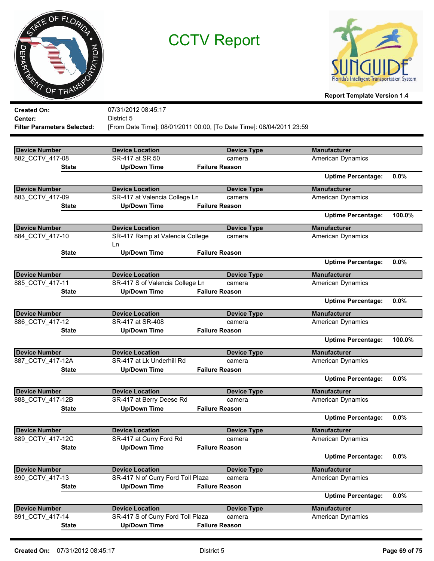|       | ATE OF FLORIDA |
|-------|----------------|
|       |                |
| JEPAK | PTATION        |
| R.    | OF TRANS       |



| District 5<br><b>Center:</b><br>[From Date Time]: 08/01/2011 00:00, [To Date Time]: 08/04/2011 23:59<br><b>Filter Parameters Selected:</b><br><b>Device Number</b><br><b>Device Location</b><br><b>Device Type</b><br><b>Manufacturer</b><br>882 CCTV 417-08<br>SR-417 at SR 50<br><b>American Dynamics</b><br>camera<br><b>Up/Down Time</b><br><b>Failure Reason</b><br><b>State</b><br><b>Uptime Percentage:</b><br>0.0%<br><b>Device Number</b><br><b>Device Location</b><br><b>Manufacturer</b><br><b>Device Type</b><br>883 CCTV 417-09<br>SR-417 at Valencia College Ln<br><b>American Dynamics</b><br>camera<br><b>Up/Down Time</b><br><b>Failure Reason</b><br><b>State</b><br><b>Uptime Percentage:</b><br>100.0%<br><b>Device Number</b><br><b>Manufacturer</b><br><b>Device Location</b><br><b>Device Type</b><br>884 CCTV 417-10<br>SR-417 Ramp at Valencia College<br>American Dynamics<br>camera<br>Ln<br><b>Up/Down Time</b><br><b>Failure Reason</b><br><b>State</b><br><b>Uptime Percentage:</b><br>0.0%<br><b>Device Number</b><br><b>Manufacturer</b><br><b>Device Location</b><br><b>Device Type</b><br>885_CCTV_417-11<br>SR-417 S of Valencia College Ln<br><b>American Dynamics</b><br>camera<br><b>Up/Down Time</b><br><b>Failure Reason</b><br><b>State</b><br>0.0%<br><b>Uptime Percentage:</b><br><b>Device Number</b><br><b>Device Location</b><br><b>Device Type</b><br><b>Manufacturer</b><br>886 CCTV 417-12<br>SR-417 at SR-408<br>American Dynamics<br>camera<br><b>Failure Reason</b><br><b>Up/Down Time</b><br><b>State</b><br><b>Uptime Percentage:</b><br>100.0%<br><b>Manufacturer</b><br><b>Device Number</b><br><b>Device Location</b><br><b>Device Type</b><br>887_CCTV_417-12A<br>SR-417 at Lk Underhill Rd<br>American Dynamics<br>camera<br><b>Failure Reason</b><br><b>Up/Down Time</b><br><b>State</b><br><b>Uptime Percentage:</b><br>0.0%<br><b>Device Number</b><br><b>Device Location</b><br><b>Manufacturer</b><br><b>Device Type</b><br>888_CCTV_417-12B<br>SR-417 at Berry Deese Rd<br>American Dynamics<br>camera<br><b>Up/Down Time</b><br><b>Failure Reason</b><br><b>State</b><br>0.0%<br><b>Uptime Percentage:</b><br><b>Device Number</b><br><b>Device Location</b><br><b>Device Type</b><br><b>Manufacturer</b><br>889 CCTV 417-12C<br>SR-417 at Curry Ford Rd<br><b>American Dynamics</b><br>camera<br><b>Up/Down Time</b><br><b>State</b><br><b>Failure Reason</b><br>0.0%<br><b>Uptime Percentage:</b><br><b>Device Location</b><br><b>Manufacturer</b><br><b>Device Number</b><br><b>Device Type</b><br>890_CCTV_417-13<br>SR-417 N of Curry Ford Toll Plaza<br><b>American Dynamics</b><br>camera<br><b>Up/Down Time</b><br><b>Failure Reason</b><br><b>State</b><br><b>Uptime Percentage:</b><br>0.0%<br><b>Manufacturer</b><br><b>Device Number</b><br><b>Device Location</b><br><b>Device Type</b><br>SR-417 S of Curry Ford Toll Plaza<br>891_CCTV_417-14<br><b>American Dynamics</b><br>camera<br><b>Up/Down Time</b><br><b>Failure Reason</b><br><b>State</b> | <b>Created On:</b> | 07/31/2012 08:45:17 |  |  |
|--------------------------------------------------------------------------------------------------------------------------------------------------------------------------------------------------------------------------------------------------------------------------------------------------------------------------------------------------------------------------------------------------------------------------------------------------------------------------------------------------------------------------------------------------------------------------------------------------------------------------------------------------------------------------------------------------------------------------------------------------------------------------------------------------------------------------------------------------------------------------------------------------------------------------------------------------------------------------------------------------------------------------------------------------------------------------------------------------------------------------------------------------------------------------------------------------------------------------------------------------------------------------------------------------------------------------------------------------------------------------------------------------------------------------------------------------------------------------------------------------------------------------------------------------------------------------------------------------------------------------------------------------------------------------------------------------------------------------------------------------------------------------------------------------------------------------------------------------------------------------------------------------------------------------------------------------------------------------------------------------------------------------------------------------------------------------------------------------------------------------------------------------------------------------------------------------------------------------------------------------------------------------------------------------------------------------------------------------------------------------------------------------------------------------------------------------------------------------------------------------------------------------------------------------------------------------------------------------------------------------------------------------------------------------------------------------------------------------------------------------------------------------------------------------------------------------------------------------------------------------------------------------------------------------------------------------------------------------------------------------------------------------------------|--------------------|---------------------|--|--|
|                                                                                                                                                                                                                                                                                                                                                                                                                                                                                                                                                                                                                                                                                                                                                                                                                                                                                                                                                                                                                                                                                                                                                                                                                                                                                                                                                                                                                                                                                                                                                                                                                                                                                                                                                                                                                                                                                                                                                                                                                                                                                                                                                                                                                                                                                                                                                                                                                                                                                                                                                                                                                                                                                                                                                                                                                                                                                                                                                                                                                                      |                    |                     |  |  |
|                                                                                                                                                                                                                                                                                                                                                                                                                                                                                                                                                                                                                                                                                                                                                                                                                                                                                                                                                                                                                                                                                                                                                                                                                                                                                                                                                                                                                                                                                                                                                                                                                                                                                                                                                                                                                                                                                                                                                                                                                                                                                                                                                                                                                                                                                                                                                                                                                                                                                                                                                                                                                                                                                                                                                                                                                                                                                                                                                                                                                                      |                    |                     |  |  |
|                                                                                                                                                                                                                                                                                                                                                                                                                                                                                                                                                                                                                                                                                                                                                                                                                                                                                                                                                                                                                                                                                                                                                                                                                                                                                                                                                                                                                                                                                                                                                                                                                                                                                                                                                                                                                                                                                                                                                                                                                                                                                                                                                                                                                                                                                                                                                                                                                                                                                                                                                                                                                                                                                                                                                                                                                                                                                                                                                                                                                                      |                    |                     |  |  |
|                                                                                                                                                                                                                                                                                                                                                                                                                                                                                                                                                                                                                                                                                                                                                                                                                                                                                                                                                                                                                                                                                                                                                                                                                                                                                                                                                                                                                                                                                                                                                                                                                                                                                                                                                                                                                                                                                                                                                                                                                                                                                                                                                                                                                                                                                                                                                                                                                                                                                                                                                                                                                                                                                                                                                                                                                                                                                                                                                                                                                                      |                    |                     |  |  |
|                                                                                                                                                                                                                                                                                                                                                                                                                                                                                                                                                                                                                                                                                                                                                                                                                                                                                                                                                                                                                                                                                                                                                                                                                                                                                                                                                                                                                                                                                                                                                                                                                                                                                                                                                                                                                                                                                                                                                                                                                                                                                                                                                                                                                                                                                                                                                                                                                                                                                                                                                                                                                                                                                                                                                                                                                                                                                                                                                                                                                                      |                    |                     |  |  |
|                                                                                                                                                                                                                                                                                                                                                                                                                                                                                                                                                                                                                                                                                                                                                                                                                                                                                                                                                                                                                                                                                                                                                                                                                                                                                                                                                                                                                                                                                                                                                                                                                                                                                                                                                                                                                                                                                                                                                                                                                                                                                                                                                                                                                                                                                                                                                                                                                                                                                                                                                                                                                                                                                                                                                                                                                                                                                                                                                                                                                                      |                    |                     |  |  |
|                                                                                                                                                                                                                                                                                                                                                                                                                                                                                                                                                                                                                                                                                                                                                                                                                                                                                                                                                                                                                                                                                                                                                                                                                                                                                                                                                                                                                                                                                                                                                                                                                                                                                                                                                                                                                                                                                                                                                                                                                                                                                                                                                                                                                                                                                                                                                                                                                                                                                                                                                                                                                                                                                                                                                                                                                                                                                                                                                                                                                                      |                    |                     |  |  |
|                                                                                                                                                                                                                                                                                                                                                                                                                                                                                                                                                                                                                                                                                                                                                                                                                                                                                                                                                                                                                                                                                                                                                                                                                                                                                                                                                                                                                                                                                                                                                                                                                                                                                                                                                                                                                                                                                                                                                                                                                                                                                                                                                                                                                                                                                                                                                                                                                                                                                                                                                                                                                                                                                                                                                                                                                                                                                                                                                                                                                                      |                    |                     |  |  |
|                                                                                                                                                                                                                                                                                                                                                                                                                                                                                                                                                                                                                                                                                                                                                                                                                                                                                                                                                                                                                                                                                                                                                                                                                                                                                                                                                                                                                                                                                                                                                                                                                                                                                                                                                                                                                                                                                                                                                                                                                                                                                                                                                                                                                                                                                                                                                                                                                                                                                                                                                                                                                                                                                                                                                                                                                                                                                                                                                                                                                                      |                    |                     |  |  |
|                                                                                                                                                                                                                                                                                                                                                                                                                                                                                                                                                                                                                                                                                                                                                                                                                                                                                                                                                                                                                                                                                                                                                                                                                                                                                                                                                                                                                                                                                                                                                                                                                                                                                                                                                                                                                                                                                                                                                                                                                                                                                                                                                                                                                                                                                                                                                                                                                                                                                                                                                                                                                                                                                                                                                                                                                                                                                                                                                                                                                                      |                    |                     |  |  |
|                                                                                                                                                                                                                                                                                                                                                                                                                                                                                                                                                                                                                                                                                                                                                                                                                                                                                                                                                                                                                                                                                                                                                                                                                                                                                                                                                                                                                                                                                                                                                                                                                                                                                                                                                                                                                                                                                                                                                                                                                                                                                                                                                                                                                                                                                                                                                                                                                                                                                                                                                                                                                                                                                                                                                                                                                                                                                                                                                                                                                                      |                    |                     |  |  |
|                                                                                                                                                                                                                                                                                                                                                                                                                                                                                                                                                                                                                                                                                                                                                                                                                                                                                                                                                                                                                                                                                                                                                                                                                                                                                                                                                                                                                                                                                                                                                                                                                                                                                                                                                                                                                                                                                                                                                                                                                                                                                                                                                                                                                                                                                                                                                                                                                                                                                                                                                                                                                                                                                                                                                                                                                                                                                                                                                                                                                                      |                    |                     |  |  |
|                                                                                                                                                                                                                                                                                                                                                                                                                                                                                                                                                                                                                                                                                                                                                                                                                                                                                                                                                                                                                                                                                                                                                                                                                                                                                                                                                                                                                                                                                                                                                                                                                                                                                                                                                                                                                                                                                                                                                                                                                                                                                                                                                                                                                                                                                                                                                                                                                                                                                                                                                                                                                                                                                                                                                                                                                                                                                                                                                                                                                                      |                    |                     |  |  |
|                                                                                                                                                                                                                                                                                                                                                                                                                                                                                                                                                                                                                                                                                                                                                                                                                                                                                                                                                                                                                                                                                                                                                                                                                                                                                                                                                                                                                                                                                                                                                                                                                                                                                                                                                                                                                                                                                                                                                                                                                                                                                                                                                                                                                                                                                                                                                                                                                                                                                                                                                                                                                                                                                                                                                                                                                                                                                                                                                                                                                                      |                    |                     |  |  |
|                                                                                                                                                                                                                                                                                                                                                                                                                                                                                                                                                                                                                                                                                                                                                                                                                                                                                                                                                                                                                                                                                                                                                                                                                                                                                                                                                                                                                                                                                                                                                                                                                                                                                                                                                                                                                                                                                                                                                                                                                                                                                                                                                                                                                                                                                                                                                                                                                                                                                                                                                                                                                                                                                                                                                                                                                                                                                                                                                                                                                                      |                    |                     |  |  |
|                                                                                                                                                                                                                                                                                                                                                                                                                                                                                                                                                                                                                                                                                                                                                                                                                                                                                                                                                                                                                                                                                                                                                                                                                                                                                                                                                                                                                                                                                                                                                                                                                                                                                                                                                                                                                                                                                                                                                                                                                                                                                                                                                                                                                                                                                                                                                                                                                                                                                                                                                                                                                                                                                                                                                                                                                                                                                                                                                                                                                                      |                    |                     |  |  |
|                                                                                                                                                                                                                                                                                                                                                                                                                                                                                                                                                                                                                                                                                                                                                                                                                                                                                                                                                                                                                                                                                                                                                                                                                                                                                                                                                                                                                                                                                                                                                                                                                                                                                                                                                                                                                                                                                                                                                                                                                                                                                                                                                                                                                                                                                                                                                                                                                                                                                                                                                                                                                                                                                                                                                                                                                                                                                                                                                                                                                                      |                    |                     |  |  |
|                                                                                                                                                                                                                                                                                                                                                                                                                                                                                                                                                                                                                                                                                                                                                                                                                                                                                                                                                                                                                                                                                                                                                                                                                                                                                                                                                                                                                                                                                                                                                                                                                                                                                                                                                                                                                                                                                                                                                                                                                                                                                                                                                                                                                                                                                                                                                                                                                                                                                                                                                                                                                                                                                                                                                                                                                                                                                                                                                                                                                                      |                    |                     |  |  |
|                                                                                                                                                                                                                                                                                                                                                                                                                                                                                                                                                                                                                                                                                                                                                                                                                                                                                                                                                                                                                                                                                                                                                                                                                                                                                                                                                                                                                                                                                                                                                                                                                                                                                                                                                                                                                                                                                                                                                                                                                                                                                                                                                                                                                                                                                                                                                                                                                                                                                                                                                                                                                                                                                                                                                                                                                                                                                                                                                                                                                                      |                    |                     |  |  |
|                                                                                                                                                                                                                                                                                                                                                                                                                                                                                                                                                                                                                                                                                                                                                                                                                                                                                                                                                                                                                                                                                                                                                                                                                                                                                                                                                                                                                                                                                                                                                                                                                                                                                                                                                                                                                                                                                                                                                                                                                                                                                                                                                                                                                                                                                                                                                                                                                                                                                                                                                                                                                                                                                                                                                                                                                                                                                                                                                                                                                                      |                    |                     |  |  |
|                                                                                                                                                                                                                                                                                                                                                                                                                                                                                                                                                                                                                                                                                                                                                                                                                                                                                                                                                                                                                                                                                                                                                                                                                                                                                                                                                                                                                                                                                                                                                                                                                                                                                                                                                                                                                                                                                                                                                                                                                                                                                                                                                                                                                                                                                                                                                                                                                                                                                                                                                                                                                                                                                                                                                                                                                                                                                                                                                                                                                                      |                    |                     |  |  |
|                                                                                                                                                                                                                                                                                                                                                                                                                                                                                                                                                                                                                                                                                                                                                                                                                                                                                                                                                                                                                                                                                                                                                                                                                                                                                                                                                                                                                                                                                                                                                                                                                                                                                                                                                                                                                                                                                                                                                                                                                                                                                                                                                                                                                                                                                                                                                                                                                                                                                                                                                                                                                                                                                                                                                                                                                                                                                                                                                                                                                                      |                    |                     |  |  |
|                                                                                                                                                                                                                                                                                                                                                                                                                                                                                                                                                                                                                                                                                                                                                                                                                                                                                                                                                                                                                                                                                                                                                                                                                                                                                                                                                                                                                                                                                                                                                                                                                                                                                                                                                                                                                                                                                                                                                                                                                                                                                                                                                                                                                                                                                                                                                                                                                                                                                                                                                                                                                                                                                                                                                                                                                                                                                                                                                                                                                                      |                    |                     |  |  |
|                                                                                                                                                                                                                                                                                                                                                                                                                                                                                                                                                                                                                                                                                                                                                                                                                                                                                                                                                                                                                                                                                                                                                                                                                                                                                                                                                                                                                                                                                                                                                                                                                                                                                                                                                                                                                                                                                                                                                                                                                                                                                                                                                                                                                                                                                                                                                                                                                                                                                                                                                                                                                                                                                                                                                                                                                                                                                                                                                                                                                                      |                    |                     |  |  |
|                                                                                                                                                                                                                                                                                                                                                                                                                                                                                                                                                                                                                                                                                                                                                                                                                                                                                                                                                                                                                                                                                                                                                                                                                                                                                                                                                                                                                                                                                                                                                                                                                                                                                                                                                                                                                                                                                                                                                                                                                                                                                                                                                                                                                                                                                                                                                                                                                                                                                                                                                                                                                                                                                                                                                                                                                                                                                                                                                                                                                                      |                    |                     |  |  |
|                                                                                                                                                                                                                                                                                                                                                                                                                                                                                                                                                                                                                                                                                                                                                                                                                                                                                                                                                                                                                                                                                                                                                                                                                                                                                                                                                                                                                                                                                                                                                                                                                                                                                                                                                                                                                                                                                                                                                                                                                                                                                                                                                                                                                                                                                                                                                                                                                                                                                                                                                                                                                                                                                                                                                                                                                                                                                                                                                                                                                                      |                    |                     |  |  |
|                                                                                                                                                                                                                                                                                                                                                                                                                                                                                                                                                                                                                                                                                                                                                                                                                                                                                                                                                                                                                                                                                                                                                                                                                                                                                                                                                                                                                                                                                                                                                                                                                                                                                                                                                                                                                                                                                                                                                                                                                                                                                                                                                                                                                                                                                                                                                                                                                                                                                                                                                                                                                                                                                                                                                                                                                                                                                                                                                                                                                                      |                    |                     |  |  |
|                                                                                                                                                                                                                                                                                                                                                                                                                                                                                                                                                                                                                                                                                                                                                                                                                                                                                                                                                                                                                                                                                                                                                                                                                                                                                                                                                                                                                                                                                                                                                                                                                                                                                                                                                                                                                                                                                                                                                                                                                                                                                                                                                                                                                                                                                                                                                                                                                                                                                                                                                                                                                                                                                                                                                                                                                                                                                                                                                                                                                                      |                    |                     |  |  |
|                                                                                                                                                                                                                                                                                                                                                                                                                                                                                                                                                                                                                                                                                                                                                                                                                                                                                                                                                                                                                                                                                                                                                                                                                                                                                                                                                                                                                                                                                                                                                                                                                                                                                                                                                                                                                                                                                                                                                                                                                                                                                                                                                                                                                                                                                                                                                                                                                                                                                                                                                                                                                                                                                                                                                                                                                                                                                                                                                                                                                                      |                    |                     |  |  |
|                                                                                                                                                                                                                                                                                                                                                                                                                                                                                                                                                                                                                                                                                                                                                                                                                                                                                                                                                                                                                                                                                                                                                                                                                                                                                                                                                                                                                                                                                                                                                                                                                                                                                                                                                                                                                                                                                                                                                                                                                                                                                                                                                                                                                                                                                                                                                                                                                                                                                                                                                                                                                                                                                                                                                                                                                                                                                                                                                                                                                                      |                    |                     |  |  |
|                                                                                                                                                                                                                                                                                                                                                                                                                                                                                                                                                                                                                                                                                                                                                                                                                                                                                                                                                                                                                                                                                                                                                                                                                                                                                                                                                                                                                                                                                                                                                                                                                                                                                                                                                                                                                                                                                                                                                                                                                                                                                                                                                                                                                                                                                                                                                                                                                                                                                                                                                                                                                                                                                                                                                                                                                                                                                                                                                                                                                                      |                    |                     |  |  |
|                                                                                                                                                                                                                                                                                                                                                                                                                                                                                                                                                                                                                                                                                                                                                                                                                                                                                                                                                                                                                                                                                                                                                                                                                                                                                                                                                                                                                                                                                                                                                                                                                                                                                                                                                                                                                                                                                                                                                                                                                                                                                                                                                                                                                                                                                                                                                                                                                                                                                                                                                                                                                                                                                                                                                                                                                                                                                                                                                                                                                                      |                    |                     |  |  |
|                                                                                                                                                                                                                                                                                                                                                                                                                                                                                                                                                                                                                                                                                                                                                                                                                                                                                                                                                                                                                                                                                                                                                                                                                                                                                                                                                                                                                                                                                                                                                                                                                                                                                                                                                                                                                                                                                                                                                                                                                                                                                                                                                                                                                                                                                                                                                                                                                                                                                                                                                                                                                                                                                                                                                                                                                                                                                                                                                                                                                                      |                    |                     |  |  |
|                                                                                                                                                                                                                                                                                                                                                                                                                                                                                                                                                                                                                                                                                                                                                                                                                                                                                                                                                                                                                                                                                                                                                                                                                                                                                                                                                                                                                                                                                                                                                                                                                                                                                                                                                                                                                                                                                                                                                                                                                                                                                                                                                                                                                                                                                                                                                                                                                                                                                                                                                                                                                                                                                                                                                                                                                                                                                                                                                                                                                                      |                    |                     |  |  |
|                                                                                                                                                                                                                                                                                                                                                                                                                                                                                                                                                                                                                                                                                                                                                                                                                                                                                                                                                                                                                                                                                                                                                                                                                                                                                                                                                                                                                                                                                                                                                                                                                                                                                                                                                                                                                                                                                                                                                                                                                                                                                                                                                                                                                                                                                                                                                                                                                                                                                                                                                                                                                                                                                                                                                                                                                                                                                                                                                                                                                                      |                    |                     |  |  |
|                                                                                                                                                                                                                                                                                                                                                                                                                                                                                                                                                                                                                                                                                                                                                                                                                                                                                                                                                                                                                                                                                                                                                                                                                                                                                                                                                                                                                                                                                                                                                                                                                                                                                                                                                                                                                                                                                                                                                                                                                                                                                                                                                                                                                                                                                                                                                                                                                                                                                                                                                                                                                                                                                                                                                                                                                                                                                                                                                                                                                                      |                    |                     |  |  |
|                                                                                                                                                                                                                                                                                                                                                                                                                                                                                                                                                                                                                                                                                                                                                                                                                                                                                                                                                                                                                                                                                                                                                                                                                                                                                                                                                                                                                                                                                                                                                                                                                                                                                                                                                                                                                                                                                                                                                                                                                                                                                                                                                                                                                                                                                                                                                                                                                                                                                                                                                                                                                                                                                                                                                                                                                                                                                                                                                                                                                                      |                    |                     |  |  |
|                                                                                                                                                                                                                                                                                                                                                                                                                                                                                                                                                                                                                                                                                                                                                                                                                                                                                                                                                                                                                                                                                                                                                                                                                                                                                                                                                                                                                                                                                                                                                                                                                                                                                                                                                                                                                                                                                                                                                                                                                                                                                                                                                                                                                                                                                                                                                                                                                                                                                                                                                                                                                                                                                                                                                                                                                                                                                                                                                                                                                                      |                    |                     |  |  |
|                                                                                                                                                                                                                                                                                                                                                                                                                                                                                                                                                                                                                                                                                                                                                                                                                                                                                                                                                                                                                                                                                                                                                                                                                                                                                                                                                                                                                                                                                                                                                                                                                                                                                                                                                                                                                                                                                                                                                                                                                                                                                                                                                                                                                                                                                                                                                                                                                                                                                                                                                                                                                                                                                                                                                                                                                                                                                                                                                                                                                                      |                    |                     |  |  |
|                                                                                                                                                                                                                                                                                                                                                                                                                                                                                                                                                                                                                                                                                                                                                                                                                                                                                                                                                                                                                                                                                                                                                                                                                                                                                                                                                                                                                                                                                                                                                                                                                                                                                                                                                                                                                                                                                                                                                                                                                                                                                                                                                                                                                                                                                                                                                                                                                                                                                                                                                                                                                                                                                                                                                                                                                                                                                                                                                                                                                                      |                    |                     |  |  |
|                                                                                                                                                                                                                                                                                                                                                                                                                                                                                                                                                                                                                                                                                                                                                                                                                                                                                                                                                                                                                                                                                                                                                                                                                                                                                                                                                                                                                                                                                                                                                                                                                                                                                                                                                                                                                                                                                                                                                                                                                                                                                                                                                                                                                                                                                                                                                                                                                                                                                                                                                                                                                                                                                                                                                                                                                                                                                                                                                                                                                                      |                    |                     |  |  |
|                                                                                                                                                                                                                                                                                                                                                                                                                                                                                                                                                                                                                                                                                                                                                                                                                                                                                                                                                                                                                                                                                                                                                                                                                                                                                                                                                                                                                                                                                                                                                                                                                                                                                                                                                                                                                                                                                                                                                                                                                                                                                                                                                                                                                                                                                                                                                                                                                                                                                                                                                                                                                                                                                                                                                                                                                                                                                                                                                                                                                                      |                    |                     |  |  |
|                                                                                                                                                                                                                                                                                                                                                                                                                                                                                                                                                                                                                                                                                                                                                                                                                                                                                                                                                                                                                                                                                                                                                                                                                                                                                                                                                                                                                                                                                                                                                                                                                                                                                                                                                                                                                                                                                                                                                                                                                                                                                                                                                                                                                                                                                                                                                                                                                                                                                                                                                                                                                                                                                                                                                                                                                                                                                                                                                                                                                                      |                    |                     |  |  |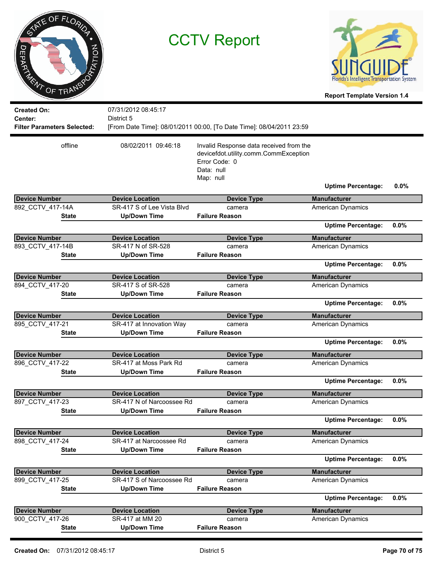| $\sigma$<br><b>DEPARTMENT</b>                                       | INTE OF FLORIDA<br>OF TRANSPORT | <b>CCTV Report</b>                                  |                                                                                                                              | Florida's Intelligent Transportation System<br><b>Report Template Version 1.4</b> |         |
|---------------------------------------------------------------------|---------------------------------|-----------------------------------------------------|------------------------------------------------------------------------------------------------------------------------------|-----------------------------------------------------------------------------------|---------|
| <b>Created On:</b><br>Center:<br><b>Filter Parameters Selected:</b> |                                 | 07/31/2012 08:45:17<br>District 5                   | [From Date Time]: 08/01/2011 00:00, [To Date Time]: 08/04/2011 23:59                                                         |                                                                                   |         |
|                                                                     | offline                         | 08/02/2011 09:46:18                                 | Invalid Response data received from the<br>devicefdot.utility.comm.CommException<br>Error Code: 0<br>Data: null<br>Map: null | <b>Uptime Percentage:</b>                                                         | $0.0\%$ |
| <b>Device Number</b>                                                |                                 | <b>Device Location</b>                              | <b>Device Type</b>                                                                                                           | <b>Manufacturer</b>                                                               |         |
| 892_CCTV_417-14A                                                    |                                 | SR-417 S of Lee Vista Blvd                          | camera                                                                                                                       | American Dynamics                                                                 |         |
|                                                                     | State                           | <b>Up/Down Time</b>                                 | <b>Failure Reason</b>                                                                                                        |                                                                                   |         |
|                                                                     |                                 |                                                     |                                                                                                                              | <b>Uptime Percentage:</b>                                                         | 0.0%    |
| <b>Device Number</b>                                                |                                 | <b>Device Location</b>                              | <b>Device Type</b>                                                                                                           | <b>Manufacturer</b>                                                               |         |
| 893_CCTV_417-14B                                                    |                                 | SR-417 N of SR-528                                  | camera                                                                                                                       | American Dynamics                                                                 |         |
|                                                                     | State                           | <b>Up/Down Time</b>                                 | <b>Failure Reason</b>                                                                                                        |                                                                                   |         |
|                                                                     |                                 |                                                     |                                                                                                                              | <b>Uptime Percentage:</b>                                                         | 0.0%    |
| <b>Device Number</b>                                                |                                 | <b>Device Location</b>                              | <b>Device Type</b>                                                                                                           | <b>Manufacturer</b>                                                               |         |
| 894_CCTV_417-20                                                     |                                 | SR-417 S of SR-528                                  | camera                                                                                                                       | American Dynamics                                                                 |         |
|                                                                     | <b>State</b>                    | <b>Up/Down Time</b>                                 | <b>Failure Reason</b>                                                                                                        |                                                                                   |         |
|                                                                     |                                 |                                                     |                                                                                                                              | <b>Uptime Percentage:</b>                                                         | 0.0%    |
|                                                                     |                                 |                                                     |                                                                                                                              |                                                                                   |         |
| <b>Device Number</b><br>895_CCTV_417-21                             |                                 | <b>Device Location</b><br>SR-417 at Innovation Way  | <b>Device Type</b><br>camera                                                                                                 | <b>Manufacturer</b><br><b>American Dynamics</b>                                   |         |
|                                                                     | <b>State</b>                    | <b>Up/Down Time</b>                                 | <b>Failure Reason</b>                                                                                                        |                                                                                   |         |
|                                                                     |                                 |                                                     |                                                                                                                              | <b>Uptime Percentage:</b>                                                         | 0.0%    |
|                                                                     |                                 |                                                     |                                                                                                                              |                                                                                   |         |
| <b>Device Number</b><br>896 CCTV 417-22                             |                                 | <b>Device Location</b><br>SR-417 at Moss Park Rd    | <b>Device Type</b><br>camera                                                                                                 | <b>Manufacturer</b><br><b>American Dynamics</b>                                   |         |
|                                                                     | <b>State</b>                    | <b>Up/Down Time</b>                                 | <b>Failure Reason</b>                                                                                                        |                                                                                   |         |
|                                                                     |                                 |                                                     |                                                                                                                              | <b>Uptime Percentage:</b>                                                         | 0.0%    |
|                                                                     |                                 |                                                     |                                                                                                                              |                                                                                   |         |
| <b>Device Number</b><br>897_CCTV_417-23                             |                                 | <b>Device Location</b><br>SR-417 N of Narcoossee Rd | <b>Device Type</b><br>camera                                                                                                 | <b>Manufacturer</b><br><b>American Dynamics</b>                                   |         |
|                                                                     | <b>State</b>                    | <b>Up/Down Time</b>                                 | <b>Failure Reason</b>                                                                                                        |                                                                                   |         |
|                                                                     |                                 |                                                     |                                                                                                                              | <b>Uptime Percentage:</b>                                                         | 0.0%    |
| <b>Device Number</b>                                                |                                 | <b>Device Location</b>                              | <b>Device Type</b>                                                                                                           | <b>Manufacturer</b>                                                               |         |
| 898 CCTV 417-24                                                     |                                 | SR-417 at Narcoossee Rd                             | camera                                                                                                                       | American Dynamics                                                                 |         |
|                                                                     | <b>State</b>                    | <b>Up/Down Time</b>                                 | <b>Failure Reason</b>                                                                                                        |                                                                                   |         |
|                                                                     |                                 |                                                     |                                                                                                                              | <b>Uptime Percentage:</b>                                                         | $0.0\%$ |
| <b>Device Number</b>                                                |                                 | <b>Device Location</b>                              | <b>Device Type</b>                                                                                                           | <b>Manufacturer</b>                                                               |         |
| 899 CCTV 417-25                                                     |                                 | SR-417 S of Narcoossee Rd                           | camera                                                                                                                       | American Dynamics                                                                 |         |
|                                                                     | <b>State</b>                    | <b>Up/Down Time</b>                                 | <b>Failure Reason</b>                                                                                                        |                                                                                   |         |
|                                                                     |                                 |                                                     |                                                                                                                              | <b>Uptime Percentage:</b>                                                         | 0.0%    |
|                                                                     |                                 |                                                     |                                                                                                                              |                                                                                   |         |
| <b>Device Number</b><br>900_CCTV_417-26                             |                                 | <b>Device Location</b><br>SR-417 at MM 20           | <b>Device Type</b><br>camera                                                                                                 | <b>Manufacturer</b><br>American Dynamics                                          |         |
|                                                                     | <b>State</b>                    | <b>Up/Down Time</b>                                 | <b>Failure Reason</b>                                                                                                        |                                                                                   |         |
|                                                                     |                                 |                                                     |                                                                                                                              |                                                                                   |         |

 $\overline{a}$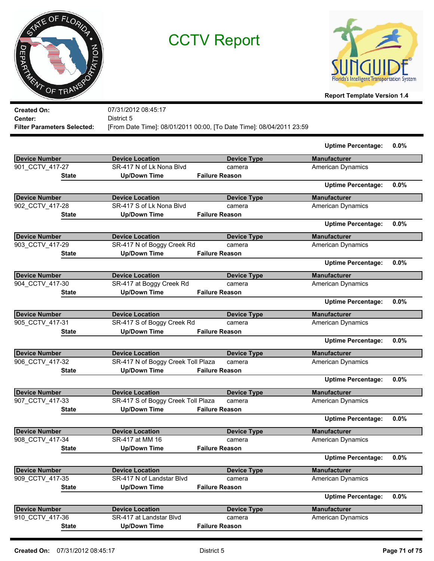



**Report Template Version 1.4**

| <b>Created On:</b>                 | 07/31/2012 08:45:17                                                  |
|------------------------------------|----------------------------------------------------------------------|
| Center:                            | District 5                                                           |
| <b>Filter Parameters Selected:</b> | [From Date Time]: 08/01/2011 00:00, [To Date Time]: 08/04/2011 23:59 |
|                                    |                                                                      |

|                      |                                    |                       | <b>Uptime Percentage:</b> | $0.0\%$ |
|----------------------|------------------------------------|-----------------------|---------------------------|---------|
| <b>Device Number</b> | <b>Device Location</b>             | <b>Device Type</b>    | <b>Manufacturer</b>       |         |
| 901 CCTV 417-27      | SR-417 N of Lk Nona Blvd           | camera                | <b>American Dynamics</b>  |         |
| <b>State</b>         | <b>Up/Down Time</b>                | <b>Failure Reason</b> |                           |         |
|                      |                                    |                       | <b>Uptime Percentage:</b> | 0.0%    |
| <b>Device Number</b> | <b>Device Location</b>             | <b>Device Type</b>    | <b>Manufacturer</b>       |         |
| 902 CCTV 417-28      | SR-417 S of Lk Nona Blvd           | camera                | <b>American Dynamics</b>  |         |
| <b>State</b>         | <b>Up/Down Time</b>                | <b>Failure Reason</b> |                           |         |
|                      |                                    |                       | <b>Uptime Percentage:</b> | 0.0%    |
| <b>Device Number</b> | <b>Device Location</b>             | <b>Device Type</b>    | <b>Manufacturer</b>       |         |
| 903_CCTV_417-29      | SR-417 N of Boggy Creek Rd         | camera                | <b>American Dynamics</b>  |         |
| <b>State</b>         | <b>Up/Down Time</b>                | <b>Failure Reason</b> |                           |         |
|                      |                                    |                       | <b>Uptime Percentage:</b> | 0.0%    |
| <b>Device Number</b> | <b>Device Location</b>             | <b>Device Type</b>    | <b>Manufacturer</b>       |         |
| 904_CCTV_417-30      | SR-417 at Boggy Creek Rd           | camera                | <b>American Dynamics</b>  |         |
| State                | <b>Up/Down Time</b>                | <b>Failure Reason</b> |                           |         |
|                      |                                    |                       | <b>Uptime Percentage:</b> | 0.0%    |
| <b>Device Number</b> | <b>Device Location</b>             | <b>Device Type</b>    | <b>Manufacturer</b>       |         |
| 905 CCTV 417-31      | SR-417 S of Boggy Creek Rd         | camera                | American Dynamics         |         |
| State                | <b>Up/Down Time</b>                | <b>Failure Reason</b> |                           |         |
|                      |                                    |                       | <b>Uptime Percentage:</b> | 0.0%    |
| Device Number        | <b>Device Location</b>             | <b>Device Type</b>    | <b>Manufacturer</b>       |         |
| 906_CCTV_417-32      | SR-417 N of Boggy Creek Toll Plaza | camera                | American Dynamics         |         |
| <b>State</b>         | <b>Up/Down Time</b>                | <b>Failure Reason</b> |                           |         |
|                      |                                    |                       | <b>Uptime Percentage:</b> | 0.0%    |
| <b>Device Number</b> | <b>Device Location</b>             | <b>Device Type</b>    | <b>Manufacturer</b>       |         |
| 907 CCTV 417-33      | SR-417 S of Boggy Creek Toll Plaza | camera                | <b>American Dynamics</b>  |         |
| State                | <b>Up/Down Time</b>                | <b>Failure Reason</b> |                           |         |
|                      |                                    |                       | <b>Uptime Percentage:</b> | 0.0%    |
| Device Number        | <b>Device Location</b>             | <b>Device Type</b>    | <b>Manufacturer</b>       |         |
| 908 CCTV 417-34      | SR-417 at MM 16                    | camera                | American Dynamics         |         |
| State                | <b>Up/Down Time</b>                | <b>Failure Reason</b> |                           |         |
|                      |                                    |                       | <b>Uptime Percentage:</b> | 0.0%    |
| <b>Device Number</b> | <b>Device Location</b>             | <b>Device Type</b>    | <b>Manufacturer</b>       |         |
| 909 CCTV 417-35      | SR-417 N of Landstar Blvd          | camera                | <b>American Dynamics</b>  |         |
| <b>State</b>         | <b>Up/Down Time</b>                | <b>Failure Reason</b> |                           |         |
|                      |                                    |                       | <b>Uptime Percentage:</b> | 0.0%    |
| <b>Device Number</b> | <b>Device Location</b>             | <b>Device Type</b>    | <b>Manufacturer</b>       |         |
| 910_CCTV_417-36      | SR-417 at Landstar Blvd            | camera                | <b>American Dynamics</b>  |         |
| <b>State</b>         | <b>Up/Down Time</b>                | <b>Failure Reason</b> |                           |         |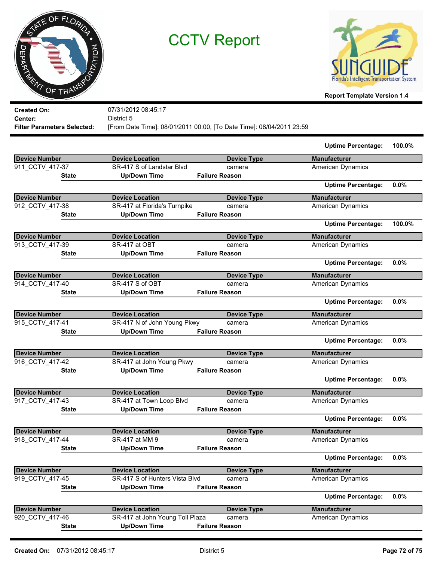



**Report Template Version 1.4**

| <b>Created On:</b><br>Center:<br><b>Filter Parameters Selected:</b> | 07/31/2012 08:45:17<br>District 5 | [From Date Time]: 08/01/2011 00:00, [To Date Time]: 08/04/2011 23:59 |                           |        |
|---------------------------------------------------------------------|-----------------------------------|----------------------------------------------------------------------|---------------------------|--------|
|                                                                     |                                   |                                                                      | <b>Uptime Percentage:</b> | 100.0% |
| <b>Device Number</b>                                                | <b>Device Location</b>            | <b>Device Type</b>                                                   | <b>Manufacturer</b>       |        |
| 911 CCTV 417-37                                                     | SR-417 S of Landstar Blvd         | camera                                                               | <b>American Dynamics</b>  |        |
| <b>State</b>                                                        | <b>Up/Down Time</b>               | <b>Failure Reason</b>                                                |                           |        |
|                                                                     |                                   |                                                                      | <b>Uptime Percentage:</b> | 0.0%   |
| <b>Device Number</b>                                                | <b>Device Location</b>            | <b>Device Type</b>                                                   | <b>Manufacturer</b>       |        |
| 912 CCTV 417-38                                                     | SR-417 at Florida's Turnpike      | camera                                                               | <b>American Dynamics</b>  |        |
| <b>State</b>                                                        | <b>Up/Down Time</b>               | <b>Failure Reason</b>                                                |                           |        |
|                                                                     |                                   |                                                                      | <b>Uptime Percentage:</b> | 100.0% |
| <b>Device Number</b>                                                | <b>Device Location</b>            | <b>Device Type</b>                                                   | <b>Manufacturer</b>       |        |
| 913 CCTV 417-39                                                     | SR-417 at OBT                     | camera                                                               | <b>American Dynamics</b>  |        |
| <b>State</b>                                                        | <b>Up/Down Time</b>               | <b>Failure Reason</b>                                                |                           |        |
|                                                                     |                                   |                                                                      | <b>Uptime Percentage:</b> | 0.0%   |
| <b>Device Number</b>                                                | <b>Device Location</b>            | <b>Device Type</b>                                                   | <b>Manufacturer</b>       |        |
| 914 CCTV 417-40                                                     | SR-417 S of OBT                   | camera                                                               | <b>American Dynamics</b>  |        |
| <b>State</b>                                                        | <b>Up/Down Time</b>               | <b>Failure Reason</b>                                                |                           |        |
|                                                                     |                                   |                                                                      | <b>Uptime Percentage:</b> | 0.0%   |
| <b>Device Number</b>                                                | <b>Device Location</b>            | <b>Device Type</b>                                                   | <b>Manufacturer</b>       |        |
| 915 CCTV 417-41                                                     | SR-417 N of John Young Pkwy       | camera                                                               | <b>American Dynamics</b>  |        |
| <b>State</b>                                                        | <b>Up/Down Time</b>               | <b>Failure Reason</b>                                                |                           |        |
|                                                                     |                                   |                                                                      | <b>Uptime Percentage:</b> | 0.0%   |
| Device Number                                                       | <b>Device Location</b>            | <b>Device Type</b>                                                   | <b>Manufacturer</b>       |        |
| 916 CCTV 417-42                                                     | SR-417 at John Young Pkwy         | camera                                                               | <b>American Dynamics</b>  |        |
| <b>State</b>                                                        | <b>Up/Down Time</b>               | <b>Failure Reason</b>                                                |                           |        |
|                                                                     |                                   |                                                                      | <b>Uptime Percentage:</b> | 0.0%   |

| Device Number        | <b>Device Location</b>          | <b>Device Type</b>    | <b>Manufacturer</b>       |         |
|----------------------|---------------------------------|-----------------------|---------------------------|---------|
| 917 CCTV 417-43      | SR-417 at Town Loop Blvd        | camera                | American Dynamics         |         |
| <b>State</b>         | <b>Up/Down Time</b>             | <b>Failure Reason</b> |                           |         |
|                      |                                 |                       | <b>Uptime Percentage:</b> | $0.0\%$ |
| Device Number        | <b>Device Location</b>          | <b>Device Type</b>    | <b>Manufacturer</b>       |         |
| 918 CCTV 417-44      | SR-417 at MM 9                  | camera                | American Dynamics         |         |
| <b>State</b>         | <b>Up/Down Time</b>             | <b>Failure Reason</b> |                           |         |
|                      |                                 |                       | <b>Uptime Percentage:</b> | $0.0\%$ |
| <b>Device Number</b> | <b>Device Location</b>          | <b>Device Type</b>    | <b>Manufacturer</b>       |         |
| 919 CCTV 417-45      | SR-417 S of Hunters Vista Blvd  | camera                | American Dynamics         |         |
| <b>State</b>         | Up/Down Time                    | <b>Failure Reason</b> |                           |         |
|                      |                                 |                       | <b>Uptime Percentage:</b> | $0.0\%$ |
| Device Number        | <b>Device Location</b>          | <b>Device Type</b>    | <b>Manufacturer</b>       |         |
| 920 CCTV 417-46      | SR-417 at John Young Toll Plaza | camera                | <b>American Dynamics</b>  |         |
| <b>State</b>         | <b>Up/Down Time</b>             | <b>Failure Reason</b> |                           |         |
|                      |                                 |                       |                           |         |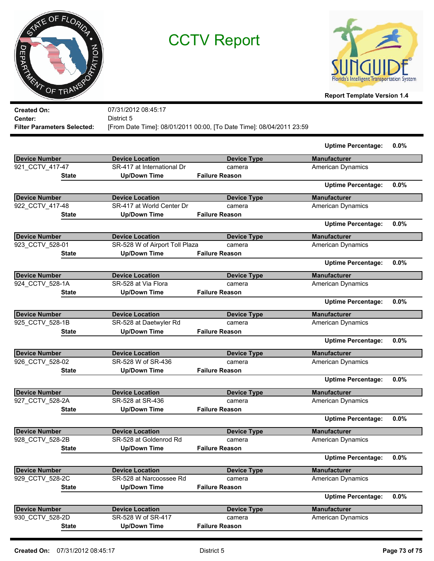

CCTV Report



**Report Template Version 1.4**

| <b>Created On:</b>                 |              | 07/31/2012 08:45:17            |                                                                      |                           |         |
|------------------------------------|--------------|--------------------------------|----------------------------------------------------------------------|---------------------------|---------|
| Center:                            |              | District 5                     |                                                                      |                           |         |
| <b>Filter Parameters Selected:</b> |              |                                | [From Date Time]: 08/01/2011 00:00, [To Date Time]: 08/04/2011 23:59 |                           |         |
|                                    |              |                                |                                                                      | <b>Uptime Percentage:</b> | $0.0\%$ |
| <b>Device Number</b>               |              | <b>Device Location</b>         | <b>Device Type</b>                                                   | <b>Manufacturer</b>       |         |
| 921_CCTV_417-47                    |              | SR-417 at International Dr     | camera                                                               | <b>American Dynamics</b>  |         |
|                                    | State        | <b>Up/Down Time</b>            | <b>Failure Reason</b>                                                |                           |         |
|                                    |              |                                |                                                                      | <b>Uptime Percentage:</b> | 0.0%    |
| <b>Device Number</b>               |              | <b>Device Location</b>         | <b>Device Type</b>                                                   | <b>Manufacturer</b>       |         |
| 922 CCTV 417-48                    |              | SR-417 at World Center Dr      | camera                                                               | American Dynamics         |         |
|                                    | State        | <b>Up/Down Time</b>            | <b>Failure Reason</b>                                                |                           |         |
|                                    |              |                                |                                                                      | <b>Uptime Percentage:</b> | $0.0\%$ |
| <b>Device Number</b>               |              | <b>Device Location</b>         | <b>Device Type</b>                                                   | <b>Manufacturer</b>       |         |
| 923_CCTV_528-01                    |              | SR-528 W of Airport Toll Plaza | camera                                                               | American Dynamics         |         |
|                                    | State        | <b>Up/Down Time</b>            | <b>Failure Reason</b>                                                |                           |         |
|                                    |              |                                |                                                                      | <b>Uptime Percentage:</b> | 0.0%    |
| <b>Device Number</b>               |              | <b>Device Location</b>         | <b>Device Type</b>                                                   | <b>Manufacturer</b>       |         |
| 924 CCTV 528-1A                    |              | SR-528 at Via Flora            | camera                                                               | American Dynamics         |         |
|                                    | State        | <b>Up/Down Time</b>            | <b>Failure Reason</b>                                                |                           |         |
|                                    |              |                                |                                                                      | <b>Uptime Percentage:</b> | 0.0%    |
| <b>Device Number</b>               |              | <b>Device Location</b>         | <b>Device Type</b>                                                   | <b>Manufacturer</b>       |         |
| 925_CCTV_528-1B                    |              | SR-528 at Daetwyler Rd         | camera                                                               | American Dynamics         |         |
|                                    | State        | <b>Up/Down Time</b>            | <b>Failure Reason</b>                                                |                           |         |
|                                    |              |                                |                                                                      | <b>Uptime Percentage:</b> | 0.0%    |
| <b>Device Number</b>               |              | <b>Device Location</b>         | <b>Device Type</b>                                                   | <b>Manufacturer</b>       |         |
| 926_CCTV_528-02                    |              | SR-528 W of SR-436             | camera                                                               | <b>American Dynamics</b>  |         |
|                                    | State        | <b>Up/Down Time</b>            | <b>Failure Reason</b>                                                |                           |         |
|                                    |              |                                |                                                                      | <b>Uptime Percentage:</b> | 0.0%    |
| <b>Device Number</b>               |              | <b>Device Location</b>         | <b>Device Type</b>                                                   | <b>Manufacturer</b>       |         |
| 927_CCTV_528-2A                    |              | SR-528 at SR-436               | camera                                                               | American Dynamics         |         |
|                                    | State        | <b>Up/Down Time</b>            | <b>Failure Reason</b>                                                |                           |         |
|                                    |              |                                |                                                                      | <b>Uptime Percentage:</b> | 0.0%    |
| <b>Device Number</b>               |              | <b>Device Location</b>         | <b>Device Type</b>                                                   | <b>Manufacturer</b>       |         |
| 928 CCTV 528-2B                    |              | SR-528 at Goldenrod Rd         | camera                                                               | <b>American Dynamics</b>  |         |
|                                    | <b>State</b> | <b>Up/Down Time</b>            | <b>Failure Reason</b>                                                |                           |         |
|                                    |              |                                |                                                                      | <b>Uptime Percentage:</b> | $0.0\%$ |
| <b>Device Number</b>               |              | <b>Device Location</b>         | <b>Device Type</b>                                                   | <b>Manufacturer</b>       |         |
| 929 CCTV 528-2C                    |              | SR-528 at Narcoossee Rd        | camera                                                               | <b>American Dynamics</b>  |         |
|                                    | <b>State</b> | <b>Up/Down Time</b>            | <b>Failure Reason</b>                                                |                           |         |

|                 |                        |                       | <b>Uptime Percentage:</b> | $0.0\%$ |
|-----------------|------------------------|-----------------------|---------------------------|---------|
| Device Number   | <b>Device Location</b> | Device Type           | <b>Manufacturer</b>       |         |
| 930 CCTV 528-2D | SR-528 W of SR-417     | camera                | <b>American Dynamics</b>  |         |
| <b>State</b>    | Up/Down Time           | <b>Failure Reason</b> |                           |         |
|                 |                        |                       |                           |         |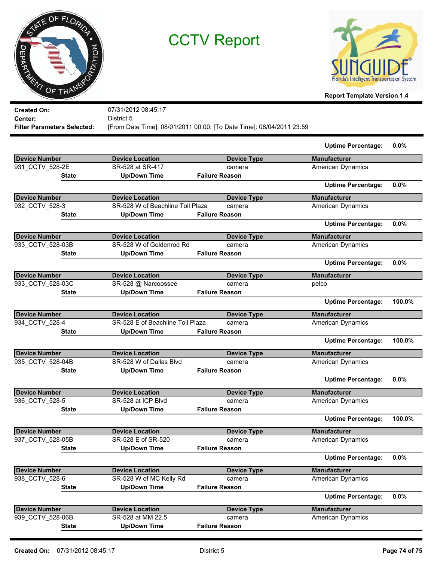

CCTV Report



**Report Template Version 1.4**

| <b>Created On:</b>                 | 07/31/2012 08:45:17              |                                                                      |                           |         |
|------------------------------------|----------------------------------|----------------------------------------------------------------------|---------------------------|---------|
| Center:                            | District 5                       |                                                                      |                           |         |
| <b>Filter Parameters Selected:</b> |                                  | [From Date Time]: 08/01/2011 00:00, [To Date Time]: 08/04/2011 23:59 |                           |         |
|                                    |                                  |                                                                      | <b>Uptime Percentage:</b> | 0.0%    |
| <b>Device Number</b>               | <b>Device Location</b>           | <b>Device Type</b>                                                   | <b>Manufacturer</b>       |         |
| 931_CCTV_528-2E                    | SR-528 at SR-417                 | camera                                                               | American Dynamics         |         |
| <b>State</b>                       | <b>Up/Down Time</b>              | <b>Failure Reason</b>                                                |                           |         |
|                                    |                                  |                                                                      | <b>Uptime Percentage:</b> | 0.0%    |
| <b>Device Number</b>               | <b>Device Location</b>           | <b>Device Type</b>                                                   | <b>Manufacturer</b>       |         |
| 932_CCTV_528-3                     | SR-528 W of Beachline Toll Plaza | camera                                                               | <b>American Dynamics</b>  |         |
| <b>State</b>                       | <b>Up/Down Time</b>              | <b>Failure Reason</b>                                                |                           |         |
|                                    |                                  |                                                                      | <b>Uptime Percentage:</b> | 0.0%    |
| <b>Device Number</b>               | <b>Device Location</b>           | <b>Device Type</b>                                                   | <b>Manufacturer</b>       |         |
| 933 CCTV_528-03B                   | SR-528 W of Goldenrod Rd         | camera                                                               | <b>American Dynamics</b>  |         |
| <b>State</b>                       | <b>Up/Down Time</b>              | <b>Failure Reason</b>                                                |                           |         |
|                                    |                                  |                                                                      | <b>Uptime Percentage:</b> | 0.0%    |
| <b>Device Number</b>               | <b>Device Location</b>           | <b>Device Type</b>                                                   | <b>Manufacturer</b>       |         |
| 933 CCTV 528-03C                   | SR-528 @ Narcoossee              | camera                                                               | pelco                     |         |
| <b>State</b>                       | <b>Up/Down Time</b>              | <b>Failure Reason</b>                                                |                           |         |
|                                    |                                  |                                                                      | <b>Uptime Percentage:</b> | 100.0%  |
| <b>Device Number</b>               | <b>Device Location</b>           | <b>Device Type</b>                                                   | <b>Manufacturer</b>       |         |
| 934 CCTV 528-4                     | SR-528 E of Beachline Toll Plaza | camera                                                               | <b>American Dynamics</b>  |         |
| <b>State</b>                       | <b>Up/Down Time</b>              | <b>Failure Reason</b>                                                |                           |         |
|                                    |                                  |                                                                      | <b>Uptime Percentage:</b> | 100.0%  |
| <b>Device Number</b>               | <b>Device Location</b>           | <b>Device Type</b>                                                   | <b>Manufacturer</b>       |         |
| 935 CCTV_528-04B                   | SR-528 W of Dallas Blvd          | camera                                                               | <b>American Dynamics</b>  |         |
| <b>State</b>                       | <b>Up/Down Time</b>              | <b>Failure Reason</b>                                                |                           |         |
|                                    |                                  |                                                                      | <b>Uptime Percentage:</b> | 0.0%    |
| <b>Device Number</b>               | <b>Device Location</b>           | <b>Device Type</b>                                                   | <b>Manufacturer</b>       |         |
| 936_CCTV_528-5                     | SR-528 at ICP Blvd               | camera                                                               | American Dynamics         |         |
| <b>State</b>                       | <b>Up/Down Time</b>              | <b>Failure Reason</b>                                                |                           |         |
|                                    |                                  |                                                                      | <b>Uptime Percentage:</b> | 100.0%  |
| <b>Device Number</b>               | <b>Device Location</b>           | <b>Device Type</b>                                                   | <b>Manufacturer</b>       |         |
| 937_CCTV_528-05B                   | SR-528 E of SR-520               | camera                                                               | <b>American Dynamics</b>  |         |
| <b>State</b>                       | <b>Up/Down Time</b>              | <b>Failure Reason</b>                                                |                           |         |
|                                    |                                  |                                                                      | <b>Uptime Percentage:</b> | 0.0%    |
| <b>Device Number</b>               | <b>Device Location</b>           | <b>Device Type</b>                                                   | <b>Manufacturer</b>       |         |
| 938_CCTV_528-6                     | SR-528 W of MC Kelly Rd          | camera                                                               | <b>American Dynamics</b>  |         |
| <b>State</b>                       | <b>Up/Down Time</b>              | <b>Failure Reason</b>                                                |                           |         |
|                                    |                                  |                                                                      | <b>Uptime Percentage:</b> | $0.0\%$ |
| <b>Device Number</b>               | <b>Device Location</b>           | <b>Device Type</b>                                                   | <b>Manufacturer</b>       |         |
| 939_CCTV_528-06B                   | SR-528 at MM 22.5                | camera                                                               | <b>American Dynamics</b>  |         |
| <b>State</b>                       | <b>Up/Down Time</b>              | <b>Failure Reason</b>                                                |                           |         |